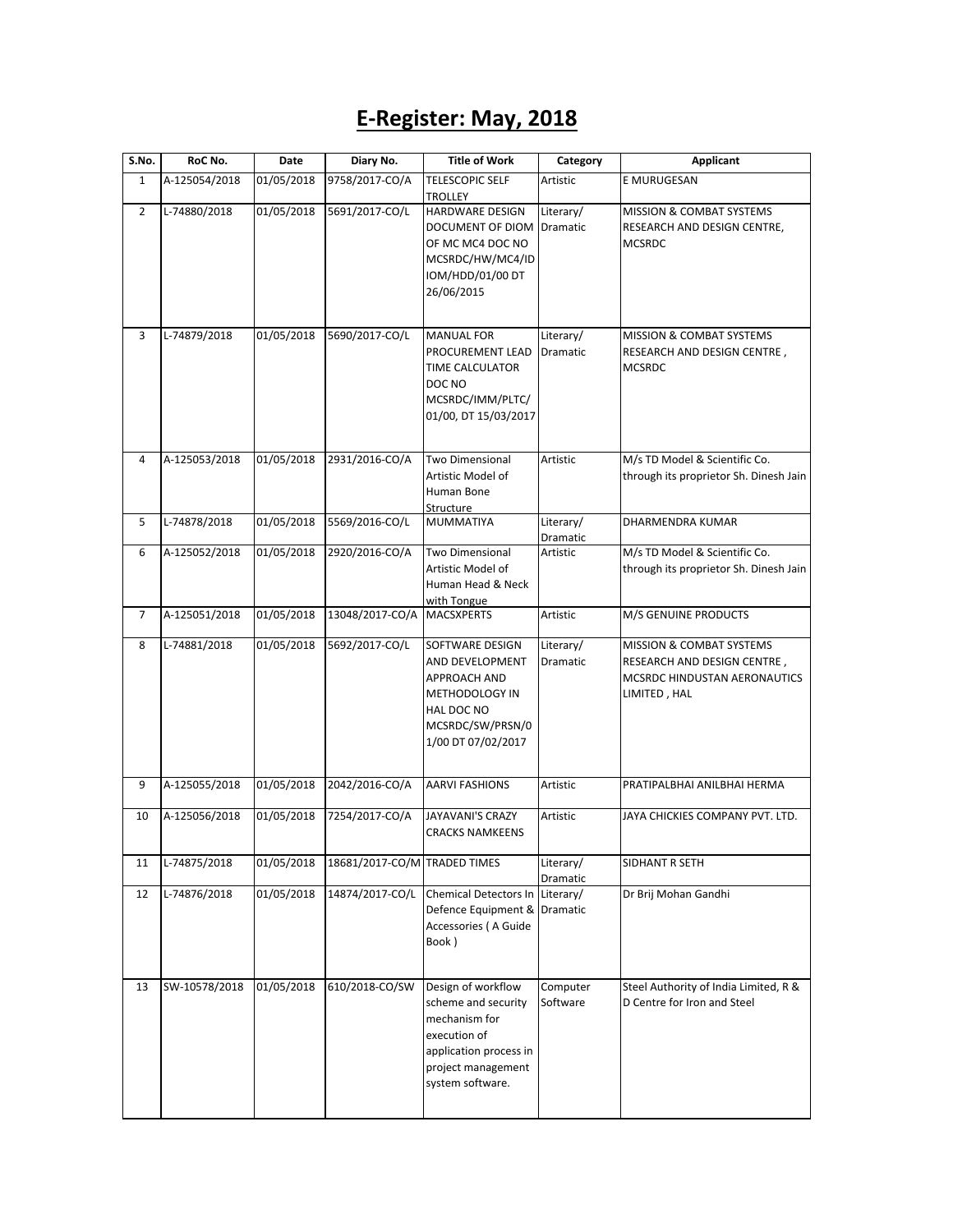## **E-Register: May, 2018**

| S.No.          | RoC No.       | Date       | Diary No.                    | <b>Title of Work</b>                                                                                                                           | Category                     | Applicant                                                                                               |
|----------------|---------------|------------|------------------------------|------------------------------------------------------------------------------------------------------------------------------------------------|------------------------------|---------------------------------------------------------------------------------------------------------|
| $\mathbf{1}$   | A-125054/2018 | 01/05/2018 | 9758/2017-CO/A               | <b>TELESCOPIC SELF</b><br><b>TROLLEY</b>                                                                                                       | Artistic                     | E MURUGESAN                                                                                             |
| $\overline{2}$ | L-74880/2018  | 01/05/2018 | 5691/2017-CO/L               | HARDWARE DESIGN<br>DOCUMENT OF DIOM<br>OF MC MC4 DOC NO<br>MCSRDC/HW/MC4/ID<br>IOM/HDD/01/00 DT<br>26/06/2015                                  | Literary/<br><b>Dramatic</b> | MISSION & COMBAT SYSTEMS<br>RESEARCH AND DESIGN CENTRE,<br><b>MCSRDC</b>                                |
| 3              | L-74879/2018  | 01/05/2018 | 5690/2017-CO/L               | <b>MANUAL FOR</b><br>PROCUREMENT LEAD<br><b>TIME CALCULATOR</b><br>DOC NO<br>MCSRDC/IMM/PLTC/<br>01/00, DT 15/03/2017                          | Literary/<br>Dramatic        | <b>MISSION &amp; COMBAT SYSTEMS</b><br>RESEARCH AND DESIGN CENTRE,<br><b>MCSRDC</b>                     |
| 4              | A-125053/2018 | 01/05/2018 | 2931/2016-CO/A               | <b>Two Dimensional</b><br>Artistic Model of<br>Human Bone                                                                                      | Artistic                     | M/s TD Model & Scientific Co.<br>through its proprietor Sh. Dinesh Jain                                 |
| 5              | L-74878/2018  | 01/05/2018 | 5569/2016-CO/L               | Structure<br><b>MUMMATIYA</b>                                                                                                                  | Literary/<br>Dramatic        | DHARMENDRA KUMAR                                                                                        |
| 6              | A-125052/2018 | 01/05/2018 | 2920/2016-CO/A               | Two Dimensional<br>Artistic Model of<br>Human Head & Neck<br>with Tongue                                                                       | Artistic                     | M/s TD Model & Scientific Co.<br>through its proprietor Sh. Dinesh Jain                                 |
| 7              | A-125051/2018 | 01/05/2018 | 13048/2017-CO/A              | <b>MACSXPERTS</b>                                                                                                                              | Artistic                     | M/S GENUINE PRODUCTS                                                                                    |
| 8              | L-74881/2018  | 01/05/2018 | 5692/2017-CO/L               | SOFTWARE DESIGN<br>AND DEVELOPMENT<br>APPROACH AND<br>METHODOLOGY IN<br>HAL DOC NO<br>MCSRDC/SW/PRSN/0<br>1/00 DT 07/02/2017                   | Literary/<br>Dramatic        | MISSION & COMBAT SYSTEMS<br>RESEARCH AND DESIGN CENTRE,<br>MCSRDC HINDUSTAN AERONAUTICS<br>LIMITED, HAL |
| 9              | A-125055/2018 | 01/05/2018 | 2042/2016-CO/A               | <b>AARVI FASHIONS</b>                                                                                                                          | Artistic                     | PRATIPALBHAI ANILBHAI HERMA                                                                             |
| 10             | A-125056/2018 | 01/05/2018 | 7254/2017-CO/A               | <b>JAYAVANI'S CRAZY</b><br><b>CRACKS NAMKEENS</b>                                                                                              | Artistic                     | JAYA CHICKIES COMPANY PVT. LTD.                                                                         |
| 11             | L-74875/2018  | 01/05/2018 | 18681/2017-CO/M TRADED TIMES |                                                                                                                                                | Literary/<br>Dramatic        | SIDHANT R SETH                                                                                          |
| 12             | L-74876/2018  | 01/05/2018 | 14874/2017-CO/L              | <b>Chemical Detectors In</b><br>Defence Equipment & Dramatic<br>Accessories (A Guide<br>Book)                                                  | Literary/                    | Dr Brij Mohan Gandhi                                                                                    |
| 13             | SW-10578/2018 | 01/05/2018 | 610/2018-CO/SW               | Design of workflow<br>scheme and security<br>mechanism for<br>execution of<br>application process in<br>project management<br>system software. | Computer<br>Software         | Steel Authority of India Limited, R &<br>D Centre for Iron and Steel                                    |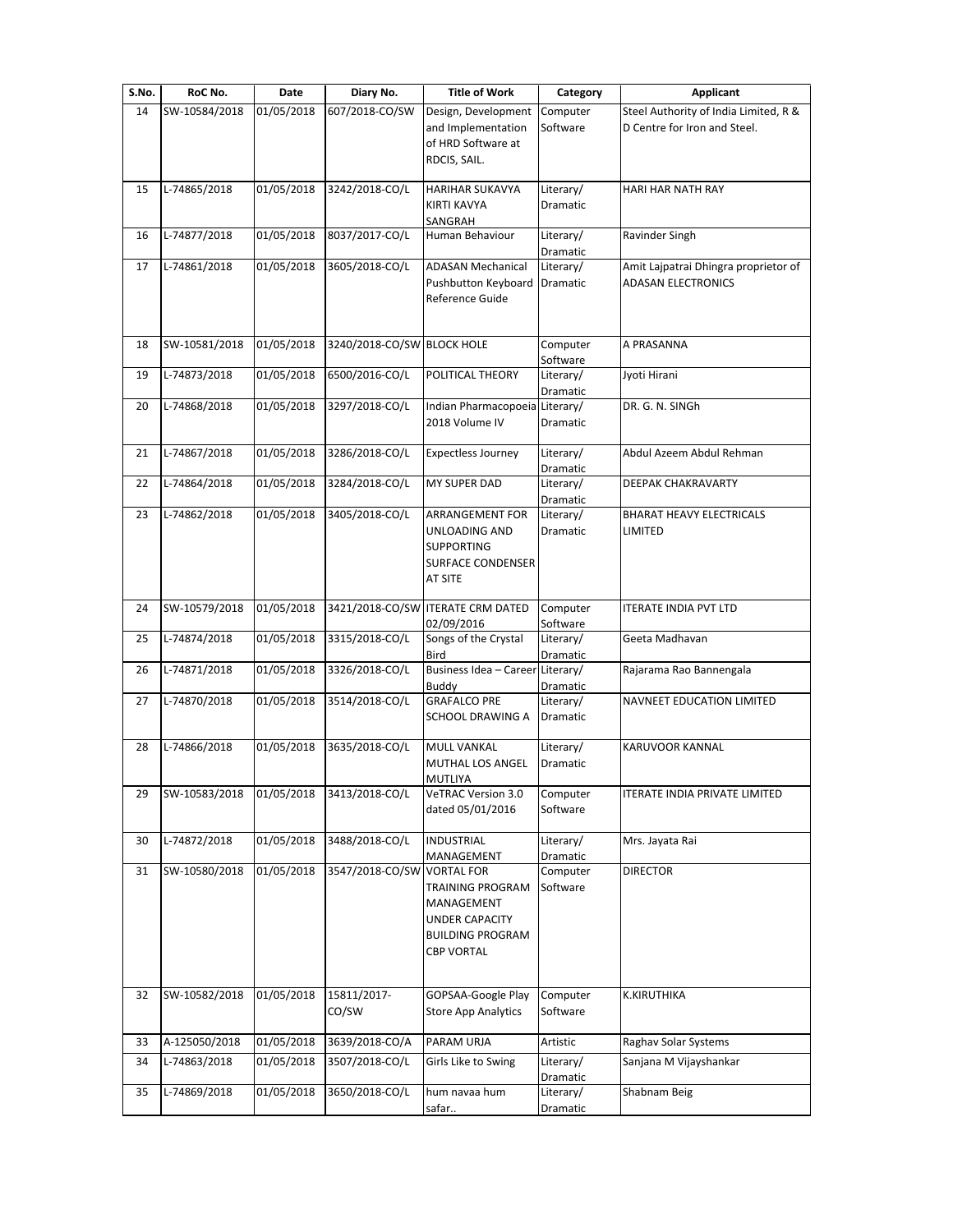| S.No. | RoC No.       | Date       | Diary No.                  | <b>Title of Work</b>                                                                                    | Category              | <b>Applicant</b>                                                  |
|-------|---------------|------------|----------------------------|---------------------------------------------------------------------------------------------------------|-----------------------|-------------------------------------------------------------------|
| 14    | SW-10584/2018 | 01/05/2018 | 607/2018-CO/SW             | Design, Development                                                                                     | Computer              | Steel Authority of India Limited, R &                             |
|       |               |            |                            | and Implementation<br>of HRD Software at<br>RDCIS, SAIL.                                                | Software              | D Centre for Iron and Steel.                                      |
| 15    | L-74865/2018  | 01/05/2018 | 3242/2018-CO/L             | <b>HARIHAR SUKAVYA</b>                                                                                  | Literary/             | HARI HAR NATH RAY                                                 |
|       |               |            |                            | <b>KIRTI KAVYA</b><br>SANGRAH                                                                           | Dramatic              |                                                                   |
| 16    | L-74877/2018  | 01/05/2018 | 8037/2017-CO/L             | Human Behaviour                                                                                         | Literary/<br>Dramatic | Ravinder Singh                                                    |
| 17    | L-74861/2018  | 01/05/2018 | 3605/2018-CO/L             | <b>ADASAN Mechanical</b><br>Pushbutton Keyboard<br>Reference Guide                                      | Literary/<br>Dramatic | Amit Lajpatrai Dhingra proprietor of<br><b>ADASAN ELECTRONICS</b> |
| 18    | SW-10581/2018 | 01/05/2018 | 3240/2018-CO/SW BLOCK HOLE |                                                                                                         | Computer<br>Software  | A PRASANNA                                                        |
| 19    | L-74873/2018  | 01/05/2018 | 6500/2016-CO/L             | POLITICAL THEORY                                                                                        | Literary/<br>Dramatic | Jyoti Hirani                                                      |
| 20    | L-74868/2018  | 01/05/2018 | 3297/2018-CO/L             | Indian Pharmacopoeia Literary/<br>2018 Volume IV                                                        | Dramatic              | DR. G. N. SINGh                                                   |
| 21    | L-74867/2018  | 01/05/2018 | 3286/2018-CO/L             | <b>Expectless Journey</b>                                                                               | Literary/<br>Dramatic | Abdul Azeem Abdul Rehman                                          |
| 22    | L-74864/2018  | 01/05/2018 | 3284/2018-CO/L             | MY SUPER DAD                                                                                            | Literary/<br>Dramatic | DEEPAK CHAKRAVARTY                                                |
| 23    | L-74862/2018  | 01/05/2018 | 3405/2018-CO/L             | <b>ARRANGEMENT FOR</b><br>UNLOADING AND<br><b>SUPPORTING</b><br><b>SURFACE CONDENSER</b><br>AT SITE     | Literary/<br>Dramatic | BHARAT HEAVY ELECTRICALS<br>LIMITED                               |
| 24    | SW-10579/2018 | 01/05/2018 |                            | 3421/2018-CO/SW ITERATE CRM DATED<br>02/09/2016                                                         | Computer<br>Software  | <b>ITERATE INDIA PVT LTD</b>                                      |
| 25    | L-74874/2018  | 01/05/2018 | 3315/2018-CO/L             | Songs of the Crystal<br>Bird                                                                            | Literary/<br>Dramatic | Geeta Madhavan                                                    |
| 26    | L-74871/2018  | 01/05/2018 | 3326/2018-CO/L             | Business Idea - Career<br>Buddy                                                                         | Literary/<br>Dramatic | Rajarama Rao Bannengala                                           |
| 27    | L-74870/2018  | 01/05/2018 | 3514/2018-CO/L             | <b>GRAFALCO PRE</b><br>SCHOOL DRAWING A                                                                 | Literary/<br>Dramatic | NAVNEET EDUCATION LIMITED                                         |
| 28    | L-74866/2018  | 01/05/2018 | 3635/2018-CO/L             | <b>MULL VANKAL</b><br><b>MUTHAL LOS ANGEL</b><br><b>MUTLIYA</b>                                         | Literary/<br>Dramatic | KARUVOOR KANNAL                                                   |
| 29    | SW-10583/2018 | 01/05/2018 | 3413/2018-CO/L             | VeTRAC Version 3.0<br>dated 05/01/2016                                                                  | Computer<br>Software  | ITERATE INDIA PRIVATE LIMITED                                     |
| 30    | L-74872/2018  | 01/05/2018 | 3488/2018-CO/L             | <b>INDUSTRIAL</b><br>MANAGEMENT                                                                         | Literary/<br>Dramatic | Mrs. Jayata Rai                                                   |
| 31    | SW-10580/2018 | 01/05/2018 | 3547/2018-CO/SW VORTAL FOR | <b>TRAINING PROGRAM</b><br>MANAGEMENT<br>UNDER CAPACITY<br><b>BUILDING PROGRAM</b><br><b>CBP VORTAL</b> | Computer<br>Software  | <b>DIRECTOR</b>                                                   |
| 32    | SW-10582/2018 | 01/05/2018 | 15811/2017-<br>CO/SW       | GOPSAA-Google Play<br><b>Store App Analytics</b>                                                        | Computer<br>Software  | K.KIRUTHIKA                                                       |
|       |               | 01/05/2018 | 3639/2018-CO/A             | PARAM URJA                                                                                              | Artistic              | Raghav Solar Systems                                              |
| 33    | A-125050/2018 |            |                            |                                                                                                         |                       |                                                                   |
| 34    | L-74863/2018  | 01/05/2018 | 3507/2018-CO/L             | Girls Like to Swing                                                                                     | Literary/<br>Dramatic | Sanjana M Vijayshankar                                            |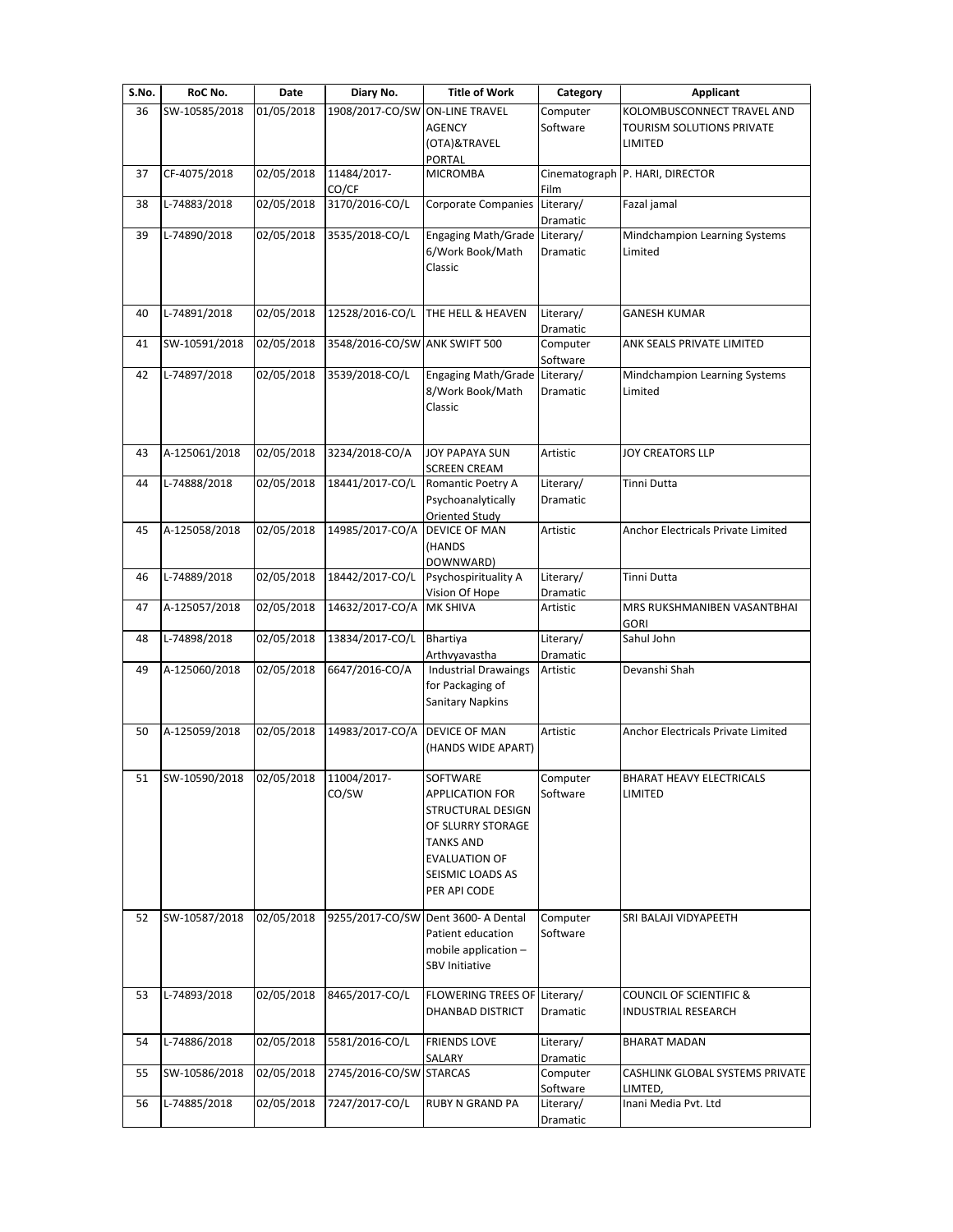| S.No. | RoC No.       | Date       | Diary No.                     | <b>Title of Work</b>                                                                                                                                         | Category              | <b>Applicant</b>                                               |
|-------|---------------|------------|-------------------------------|--------------------------------------------------------------------------------------------------------------------------------------------------------------|-----------------------|----------------------------------------------------------------|
| 36    | SW-10585/2018 | 01/05/2018 | 1908/2017-CO/SW               | <b>ON-LINE TRAVEL</b><br><b>AGENCY</b>                                                                                                                       | Computer<br>Software  | KOLOMBUSCONNECT TRAVEL AND<br><b>TOURISM SOLUTIONS PRIVATE</b> |
|       |               |            |                               | (OTA)&TRAVEL<br>PORTAL                                                                                                                                       |                       | LIMITED                                                        |
| 37    | CF-4075/2018  | 02/05/2018 | 11484/2017-<br>CO/CF          | <b>MICROMBA</b>                                                                                                                                              | Film                  | Cinematograph P. HARI, DIRECTOR                                |
| 38    | L-74883/2018  | 02/05/2018 | 3170/2016-CO/L                | Corporate Companies                                                                                                                                          | Literary/<br>Dramatic | Fazal jamal                                                    |
| 39    | L-74890/2018  | 02/05/2018 | 3535/2018-CO/L                | Engaging Math/Grade<br>6/Work Book/Math<br>Classic                                                                                                           | Literary/<br>Dramatic | Mindchampion Learning Systems<br>Limited                       |
| 40    | L-74891/2018  | 02/05/2018 | 12528/2016-CO/L               | THE HELL & HEAVEN                                                                                                                                            | Literary/<br>Dramatic | <b>GANESH KUMAR</b>                                            |
| 41    | SW-10591/2018 | 02/05/2018 | 3548/2016-CO/SW ANK SWIFT 500 |                                                                                                                                                              | Computer<br>Software  | ANK SEALS PRIVATE LIMITED                                      |
| 42    | L-74897/2018  | 02/05/2018 | 3539/2018-CO/L                | Engaging Math/Grade<br>8/Work Book/Math<br>Classic                                                                                                           | Literary/<br>Dramatic | Mindchampion Learning Systems<br>Limited                       |
| 43    | A-125061/2018 | 02/05/2018 | 3234/2018-CO/A                | <b>JOY PAPAYA SUN</b><br><b>SCREEN CREAM</b>                                                                                                                 | Artistic              | JOY CREATORS LLP                                               |
| 44    | L-74888/2018  | 02/05/2018 | 18441/2017-CO/L               | Romantic Poetry A<br>Psychoanalytically<br>Oriented Study                                                                                                    | Literary/<br>Dramatic | Tinni Dutta                                                    |
| 45    | A-125058/2018 | 02/05/2018 | 14985/2017-CO/A               | <b>DEVICE OF MAN</b><br>(HANDS<br>DOWNWARD)                                                                                                                  | Artistic              | Anchor Electricals Private Limited                             |
| 46    | L-74889/2018  | 02/05/2018 | 18442/2017-CO/L               | Psychospirituality A<br>Vision Of Hope                                                                                                                       | Literary/<br>Dramatic | Tinni Dutta                                                    |
| 47    | A-125057/2018 | 02/05/2018 | 14632/2017-CO/A               | <b>MK SHIVA</b>                                                                                                                                              | Artistic              | MRS RUKSHMANIBEN VASANTBHAI<br><b>GORI</b>                     |
| 48    | L-74898/2018  | 02/05/2018 | 13834/2017-CO/L               | Bhartiya<br>Arthvyavastha                                                                                                                                    | Literary/<br>Dramatic | Sahul John                                                     |
| 49    | A-125060/2018 | 02/05/2018 | 6647/2016-CO/A                | <b>Industrial Drawaings</b><br>for Packaging of<br><b>Sanitary Napkins</b>                                                                                   | Artistic              | Devanshi Shah                                                  |
| 50    | A-125059/2018 | 02/05/2018 | 14983/2017-CO/A               | DEVICE OF MAN<br>(HANDS WIDE APART)                                                                                                                          | Artistic              | Anchor Electricals Private Limited                             |
| 51    | SW-10590/2018 | 02/05/2018 | 11004/2017-<br>CO/SW          | SOFTWARE<br><b>APPLICATION FOR</b><br>STRUCTURAL DESIGN<br>OF SLURRY STORAGE<br><b>TANKS AND</b><br><b>EVALUATION OF</b><br>SEISMIC LOADS AS<br>PER API CODE | Computer<br>Software  | <b>BHARAT HEAVY ELECTRICALS</b><br>LIMITED                     |
| 52    | SW-10587/2018 | 02/05/2018 | 9255/2017-CO/SW               | Dent 3600- A Dental<br>Patient education<br>mobile application -<br><b>SBV Initiative</b>                                                                    | Computer<br>Software  | SRI BALAJI VIDYAPEETH                                          |
| 53    | L-74893/2018  | 02/05/2018 | 8465/2017-CO/L                | FLOWERING TREES OF Literary/<br>DHANBAD DISTRICT                                                                                                             | Dramatic              | COUNCIL OF SCIENTIFIC &<br>INDUSTRIAL RESEARCH                 |
| 54    | L-74886/2018  | 02/05/2018 | 5581/2016-CO/L                | <b>FRIENDS LOVE</b><br>SALARY                                                                                                                                | Literary/<br>Dramatic | <b>BHARAT MADAN</b>                                            |
| 55    | SW-10586/2018 | 02/05/2018 | 2745/2016-CO/SW STARCAS       |                                                                                                                                                              | Computer<br>Software  | CASHLINK GLOBAL SYSTEMS PRIVATE<br>LIMTED,                     |
| 56    | L-74885/2018  | 02/05/2018 | 7247/2017-CO/L                | RUBY N GRAND PA                                                                                                                                              | Literary/<br>Dramatic | Inani Media Pvt. Ltd                                           |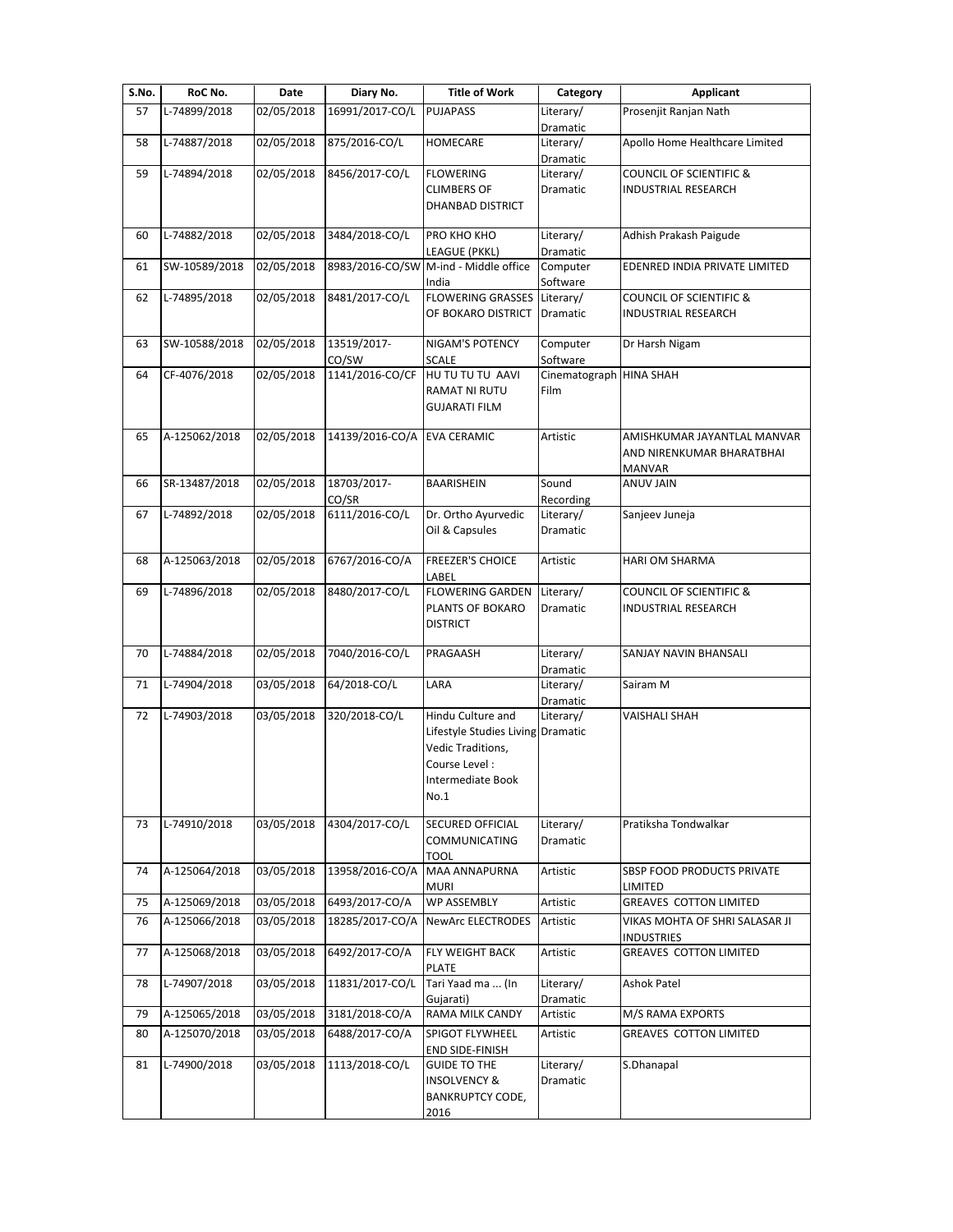| S.No. | RoC No.       | Date       | Diary No.       | <b>Title of Work</b>                           | Category                | Applicant                                          |
|-------|---------------|------------|-----------------|------------------------------------------------|-------------------------|----------------------------------------------------|
| 57    | L-74899/2018  | 02/05/2018 | 16991/2017-CO/L | <b>PUJAPASS</b>                                | Literary/               | Prosenjit Ranjan Nath                              |
|       |               |            |                 |                                                | Dramatic                |                                                    |
| 58    | L-74887/2018  | 02/05/2018 | 875/2016-CO/L   | <b>HOMECARE</b>                                | Literary/               | Apollo Home Healthcare Limited                     |
|       | L-74894/2018  |            |                 |                                                | Dramatic                | <b>COUNCIL OF SCIENTIFIC &amp;</b>                 |
| 59    |               | 02/05/2018 | 8456/2017-CO/L  | <b>FLOWERING</b><br><b>CLIMBERS OF</b>         | Literary/<br>Dramatic   |                                                    |
|       |               |            |                 | DHANBAD DISTRICT                               |                         | INDUSTRIAL RESEARCH                                |
|       |               |            |                 |                                                |                         |                                                    |
| 60    | L-74882/2018  | 02/05/2018 | 3484/2018-CO/L  | PRO KHO KHO                                    | Literary/               | Adhish Prakash Paigude                             |
|       |               |            |                 | LEAGUE (PKKL)                                  | Dramatic                |                                                    |
| 61    | SW-10589/2018 | 02/05/2018 |                 | 8983/2016-CO/SW M-ind - Middle office<br>India | Computer<br>Software    | EDENRED INDIA PRIVATE LIMITED                      |
| 62    | L-74895/2018  | 02/05/2018 | 8481/2017-CO/L  | <b>FLOWERING GRASSES</b>                       | Literary/               | <b>COUNCIL OF SCIENTIFIC &amp;</b>                 |
|       |               |            |                 | OF BOKARO DISTRICT                             | Dramatic                | <b>INDUSTRIAL RESEARCH</b>                         |
| 63    | SW-10588/2018 | 02/05/2018 | 13519/2017-     | NIGAM'S POTENCY                                | Computer                | Dr Harsh Nigam                                     |
|       |               |            | CO/SW           | <b>SCALE</b>                                   | Software                |                                                    |
| 64    | CF-4076/2018  | 02/05/2018 | 1141/2016-CO/CF | HU TU TU TU AAVI                               | Cinematograph HINA SHAH |                                                    |
|       |               |            |                 | RAMAT NI RUTU                                  | Film                    |                                                    |
|       |               |            |                 | <b>GUJARATI FILM</b>                           |                         |                                                    |
| 65    | A-125062/2018 | 02/05/2018 | 14139/2016-CO/A | <b>EVA CERAMIC</b>                             | Artistic                | AMISHKUMAR JAYANTLAL MANVAR                        |
|       |               |            |                 |                                                |                         | AND NIRENKUMAR BHARATBHAI                          |
|       |               |            |                 |                                                |                         | <b>MANVAR</b>                                      |
| 66    | SR-13487/2018 | 02/05/2018 | 18703/2017-     | BAARISHEIN                                     | Sound                   | <b>ANUV JAIN</b>                                   |
|       |               |            | CO/SR           |                                                | Recording               |                                                    |
| 67    | L-74892/2018  | 02/05/2018 | 6111/2016-CO/L  | Dr. Ortho Ayurvedic                            | Literary/               | Sanjeev Juneja                                     |
|       |               |            |                 | Oil & Capsules                                 | Dramatic                |                                                    |
| 68    | A-125063/2018 | 02/05/2018 | 6767/2016-CO/A  | <b>FREEZER'S CHOICE</b>                        | Artistic                | <b>HARI OM SHARMA</b>                              |
|       |               |            |                 | LABEL                                          |                         |                                                    |
| 69    | L-74896/2018  | 02/05/2018 | 8480/2017-CO/L  | <b>FLOWERING GARDEN</b>                        | Literary/               | <b>COUNCIL OF SCIENTIFIC &amp;</b>                 |
|       |               |            |                 | PLANTS OF BOKARO                               | Dramatic                | INDUSTRIAL RESEARCH                                |
|       |               |            |                 | <b>DISTRICT</b>                                |                         |                                                    |
|       |               |            |                 |                                                |                         |                                                    |
| 70    | L-74884/2018  | 02/05/2018 | 7040/2016-CO/L  | PRAGAASH                                       | Literary/<br>Dramatic   | SANJAY NAVIN BHANSALI                              |
| 71    | L-74904/2018  | 03/05/2018 | 64/2018-CO/L    | LARA                                           | Literary/               | Sairam M                                           |
|       |               |            |                 |                                                | Dramatic                |                                                    |
| 72    | L-74903/2018  | 03/05/2018 | 320/2018-CO/L   | Hindu Culture and                              | Literary/               | <b>VAISHALI SHAH</b>                               |
|       |               |            |                 | Lifestyle Studies Living                       | Dramatic                |                                                    |
|       |               |            |                 | Vedic Traditions,                              |                         |                                                    |
|       |               |            |                 | Course Level:                                  |                         |                                                    |
|       |               |            |                 | Intermediate Book                              |                         |                                                    |
|       |               |            |                 | No.1                                           |                         |                                                    |
| 73    | L-74910/2018  | 03/05/2018 | 4304/2017-CO/L  | SECURED OFFICIAL                               | Literary/               | Pratiksha Tondwalkar                               |
|       |               |            |                 | <b>COMMUNICATING</b>                           | Dramatic                |                                                    |
|       |               |            |                 | TOOL                                           |                         |                                                    |
| 74    | A-125064/2018 | 03/05/2018 | 13958/2016-CO/A | <b>MAA ANNAPURNA</b>                           | Artistic                | SBSP FOOD PRODUCTS PRIVATE                         |
|       |               |            |                 | muri                                           |                         | LIMITED                                            |
| 75    | A-125069/2018 | 03/05/2018 | 6493/2017-CO/A  | <b>WP ASSEMBLY</b>                             | Artistic                | <b>GREAVES COTTON LIMITED</b>                      |
| 76    | A-125066/2018 | 03/05/2018 | 18285/2017-CO/A | <b>NewArc ELECTRODES</b>                       | Artistic                | VIKAS MOHTA OF SHRI SALASAR JI                     |
| 77    | A-125068/2018 | 03/05/2018 | 6492/2017-CO/A  | FLY WEIGHT BACK                                | Artistic                | <b>INDUSTRIES</b><br><b>GREAVES COTTON LIMITED</b> |
|       |               |            |                 | PLATE                                          |                         |                                                    |
| 78    | L-74907/2018  | 03/05/2018 | 11831/2017-CO/L | Tari Yaad ma  (In                              | Literary/               | Ashok Patel                                        |
|       |               |            |                 | Gujarati)                                      | Dramatic                |                                                    |
| 79    | A-125065/2018 | 03/05/2018 | 3181/2018-CO/A  | RAMA MILK CANDY                                | Artistic                | M/S RAMA EXPORTS                                   |
| 80    | A-125070/2018 | 03/05/2018 | 6488/2017-CO/A  | <b>SPIGOT FLYWHEEL</b>                         | Artistic                | <b>GREAVES COTTON LIMITED</b>                      |
|       |               |            |                 | END SIDE-FINISH                                |                         |                                                    |
| 81    | L-74900/2018  | 03/05/2018 | 1113/2018-CO/L  | <b>GUIDE TO THE</b>                            | Literary/               | S.Dhanapal                                         |
|       |               |            |                 | <b>INSOLVENCY &amp;</b>                        | Dramatic                |                                                    |
|       |               |            |                 | <b>BANKRUPTCY CODE,</b>                        |                         |                                                    |
|       |               |            |                 | 2016                                           |                         |                                                    |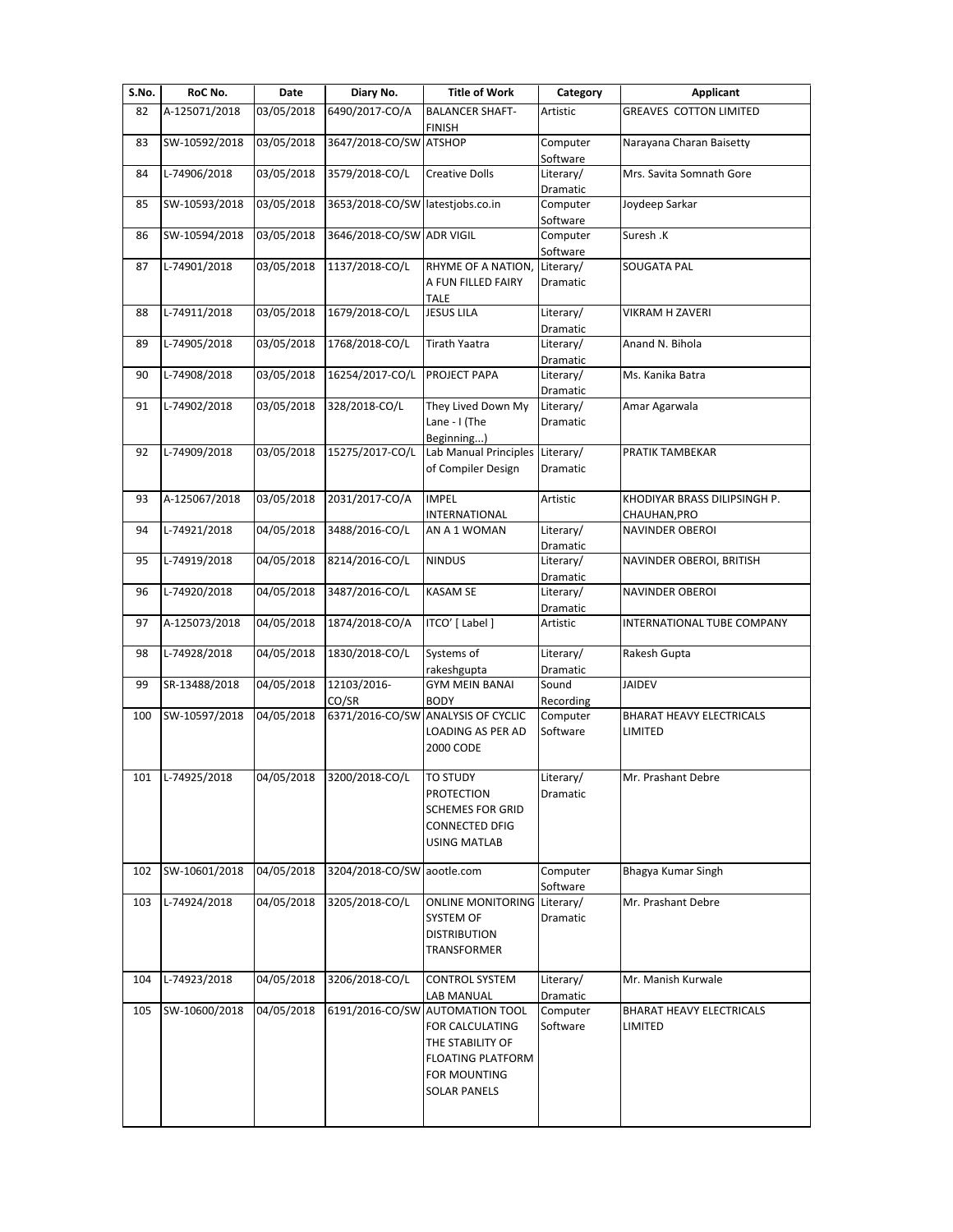| S.No. | RoC No.       | Date       | Diary No.                        | <b>Title of Work</b>                          | Category                     | <b>Applicant</b>                |
|-------|---------------|------------|----------------------------------|-----------------------------------------------|------------------------------|---------------------------------|
| 82    | A-125071/2018 | 03/05/2018 | 6490/2017-CO/A                   | <b>BALANCER SHAFT-</b>                        | Artistic                     | <b>GREAVES COTTON LIMITED</b>   |
|       |               |            | 3647/2018-CO/SW ATSHOP           | <b>FINISH</b>                                 |                              |                                 |
| 83    | SW-10592/2018 | 03/05/2018 |                                  |                                               | Computer<br>Software         | Narayana Charan Baisetty        |
| 84    | L-74906/2018  | 03/05/2018 | 3579/2018-CO/L                   | <b>Creative Dolls</b>                         | Literary/                    | Mrs. Savita Somnath Gore        |
|       |               |            |                                  |                                               | Dramatic                     |                                 |
| 85    | SW-10593/2018 | 03/05/2018 | 3653/2018-CO/SW latestjobs.co.in |                                               | Computer<br>Software         | Joydeep Sarkar                  |
| 86    | SW-10594/2018 | 03/05/2018 | 3646/2018-CO/SW ADR VIGIL        |                                               | Computer                     | Suresh .K                       |
|       |               |            |                                  |                                               | Software                     |                                 |
| 87    | L-74901/2018  | 03/05/2018 | 1137/2018-CO/L                   | RHYME OF A NATION,                            | Literary/                    | SOUGATA PAL                     |
|       |               |            |                                  | A FUN FILLED FAIRY<br><b>TALE</b>             | Dramatic                     |                                 |
| 88    | L-74911/2018  | 03/05/2018 | 1679/2018-CO/L                   | <b>JESUS LILA</b>                             | Literary/                    | VIKRAM H ZAVERI                 |
|       |               |            |                                  |                                               | Dramatic                     |                                 |
| 89    | L-74905/2018  | 03/05/2018 | 1768/2018-CO/L                   | <b>Tirath Yaatra</b>                          | Literary/                    | Anand N. Bihola                 |
| 90    | L-74908/2018  | 03/05/2018 | 16254/2017-CO/L                  | PROJECT PAPA                                  | Dramatic<br>Literary/        | Ms. Kanika Batra                |
|       |               |            |                                  |                                               | Dramatic                     |                                 |
| 91    | L-74902/2018  | 03/05/2018 | 328/2018-CO/L                    | They Lived Down My                            | Literary/                    | Amar Agarwala                   |
|       |               |            |                                  | Lane - I (The                                 | Dramatic                     |                                 |
| 92    | L-74909/2018  | 03/05/2018 | 15275/2017-CO/L                  | Beginning)<br>Lab Manual Principles Literary/ |                              | PRATIK TAMBEKAR                 |
|       |               |            |                                  | of Compiler Design                            | Dramatic                     |                                 |
|       |               |            |                                  |                                               |                              |                                 |
| 93    | A-125067/2018 | 03/05/2018 | 2031/2017-CO/A                   | <b>IMPEL</b>                                  | Artistic                     | KHODIYAR BRASS DILIPSINGH P.    |
|       |               |            |                                  | INTERNATIONAL                                 |                              | CHAUHAN, PRO                    |
| 94    | L-74921/2018  | 04/05/2018 | 3488/2016-CO/L                   | AN A 1 WOMAN                                  | Literary/<br>Dramatic        | <b>NAVINDER OBEROI</b>          |
| 95    | L-74919/2018  | 04/05/2018 | 8214/2016-CO/L                   | <b>NINDUS</b>                                 | Literary/                    | NAVINDER OBEROI, BRITISH        |
|       |               |            |                                  |                                               | Dramatic                     |                                 |
| 96    | L-74920/2018  | 04/05/2018 | 3487/2016-CO/L                   | <b>KASAM SE</b>                               | Literary/                    | NAVINDER OBEROI                 |
| 97    | A-125073/2018 | 04/05/2018 | 1874/2018-CO/A                   | ITCO' [ Label ]                               | Dramatic<br>Artistic         | INTERNATIONAL TUBE COMPANY      |
|       |               |            |                                  |                                               |                              |                                 |
| 98    | L-74928/2018  | 04/05/2018 | 1830/2018-CO/L                   | Systems of                                    | Literary/                    | Rakesh Gupta                    |
|       |               |            |                                  | rakeshgupta                                   | Dramatic                     |                                 |
| 99    | SR-13488/2018 | 04/05/2018 | 12103/2016-<br>CO/SR             | <b>GYM MEIN BANAI</b><br><b>BODY</b>          | Sound                        | <b>JAIDEV</b>                   |
| 100   | SW-10597/2018 | 04/05/2018 |                                  | 6371/2016-CO/SW ANALYSIS OF CYCLIC            | Recording<br>Computer        | <b>BHARAT HEAVY ELECTRICALS</b> |
|       |               |            |                                  | <b>LOADING AS PER AD</b>                      | Software                     | LIMITED                         |
|       |               |            |                                  | 2000 CODE                                     |                              |                                 |
|       |               |            |                                  |                                               |                              |                                 |
| 101   | L-74925/2018  | 04/05/2018 | 3200/2018-CO/L                   | <b>TO STUDY</b><br><b>PROTECTION</b>          | Literary/<br><b>Dramatic</b> | Mr. Prashant Debre              |
|       |               |            |                                  | <b>SCHEMES FOR GRID</b>                       |                              |                                 |
|       |               |            |                                  | CONNECTED DFIG                                |                              |                                 |
|       |               |            |                                  | USING MATLAB                                  |                              |                                 |
| 102   | SW-10601/2018 | 04/05/2018 | 3204/2018-CO/SW aootle.com       |                                               | Computer                     | Bhagya Kumar Singh              |
|       |               |            |                                  |                                               | Software                     |                                 |
| 103   | L-74924/2018  | 04/05/2018 | 3205/2018-CO/L                   | <b>ONLINE MONITORING Literary/</b>            |                              | Mr. Prashant Debre              |
|       |               |            |                                  | SYSTEM OF                                     | Dramatic                     |                                 |
|       |               |            |                                  | <b>DISTRIBUTION</b>                           |                              |                                 |
|       |               |            |                                  | TRANSFORMER                                   |                              |                                 |
| 104   | L-74923/2018  | 04/05/2018 | 3206/2018-CO/L                   | <b>CONTROL SYSTEM</b>                         | Literary/                    | Mr. Manish Kurwale              |
|       |               |            |                                  | LAB MANUAL                                    | Dramatic                     |                                 |
| 105   | SW-10600/2018 | 04/05/2018 |                                  | 6191/2016-CO/SW AUTOMATION TOOL               | Computer                     | BHARAT HEAVY ELECTRICALS        |
|       |               |            |                                  | FOR CALCULATING                               | Software                     | LIMITED                         |
|       |               |            |                                  | THE STABILITY OF                              |                              |                                 |
|       |               |            |                                  | <b>FLOATING PLATFORM</b><br>FOR MOUNTING      |                              |                                 |
|       |               |            |                                  | <b>SOLAR PANELS</b>                           |                              |                                 |
|       |               |            |                                  |                                               |                              |                                 |
|       |               |            |                                  |                                               |                              |                                 |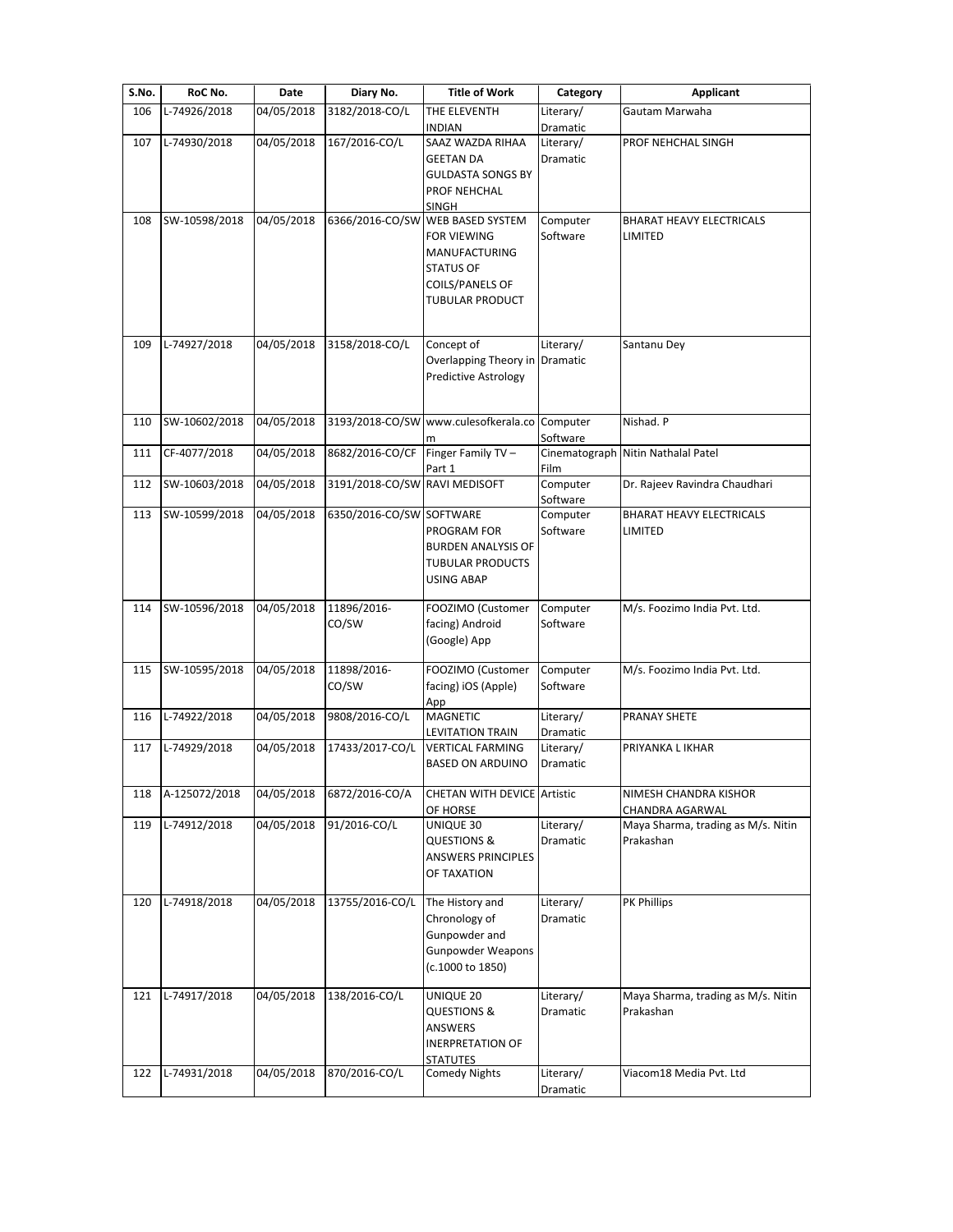| S.No. | RoC No.       | Date                 | Diary No.                     | <b>Title of Work</b>               | Category  | <b>Applicant</b>                   |
|-------|---------------|----------------------|-------------------------------|------------------------------------|-----------|------------------------------------|
| 106   | L-74926/2018  | 04/05/2018           | 3182/2018-CO/L                | THE ELEVENTH                       | Literary/ | Gautam Marwaha                     |
|       |               |                      |                               | <b>INDIAN</b>                      | Dramatic  |                                    |
| 107   | L-74930/2018  | 04/05/2018           | 167/2016-CO/L                 | SAAZ WAZDA RIHAA                   | Literary/ | PROF NEHCHAL SINGH                 |
|       |               |                      |                               | <b>GEETAN DA</b>                   | Dramatic  |                                    |
|       |               |                      |                               | <b>GULDASTA SONGS BY</b>           |           |                                    |
|       |               |                      |                               | PROF NEHCHAL                       |           |                                    |
|       |               |                      |                               | <b>SINGH</b>                       |           |                                    |
| 108   | SW-10598/2018 | 04/05/2018           | 6366/2016-CO/SW               | <b>WEB BASED SYSTEM</b>            | Computer  | <b>BHARAT HEAVY ELECTRICALS</b>    |
|       |               |                      |                               | <b>FOR VIEWING</b>                 | Software  | LIMITED                            |
|       |               |                      |                               | <b>MANUFACTURING</b>               |           |                                    |
|       |               |                      |                               | <b>STATUS OF</b>                   |           |                                    |
|       |               |                      |                               | <b>COILS/PANELS OF</b>             |           |                                    |
|       |               |                      |                               | TUBULAR PRODUCT                    |           |                                    |
|       |               |                      |                               |                                    |           |                                    |
|       |               |                      |                               |                                    |           |                                    |
| 109   | L-74927/2018  | 04/05/2018           | 3158/2018-CO/L                | Concept of                         | Literary/ | Santanu Dey                        |
|       |               |                      |                               | Overlapping Theory in              | Dramatic  |                                    |
|       |               |                      |                               | <b>Predictive Astrology</b>        |           |                                    |
|       |               |                      |                               |                                    |           |                                    |
| 110   | SW-10602/2018 | 04/05/2018           | 3193/2018-CO/SW               | www.culesofkerala.co Computer      |           | Nishad. P                          |
|       |               |                      |                               |                                    | Software  |                                    |
| 111   | CF-4077/2018  | $\frac{04}{05}/2018$ | 8682/2016-CO/CF               | m<br>Finger Family TV -            |           | Cinematograph Nitin Nathalal Patel |
|       |               |                      |                               | Part 1                             | Film      |                                    |
| 112   | SW-10603/2018 | 04/05/2018           | 3191/2018-CO/SW RAVI MEDISOFT |                                    | Computer  | Dr. Rajeev Ravindra Chaudhari      |
|       |               |                      |                               |                                    | Software  |                                    |
| 113   | SW-10599/2018 | 04/05/2018           | 6350/2016-CO/SW               | SOFTWARE                           | Computer  | <b>BHARAT HEAVY ELECTRICALS</b>    |
|       |               |                      |                               | PROGRAM FOR                        | Software  | LIMITED                            |
|       |               |                      |                               | <b>BURDEN ANALYSIS OF</b>          |           |                                    |
|       |               |                      |                               | <b>TUBULAR PRODUCTS</b>            |           |                                    |
|       |               |                      |                               | USING ABAP                         |           |                                    |
|       |               |                      |                               |                                    |           |                                    |
| 114   | SW-10596/2018 | 04/05/2018           | 11896/2016-                   | FOOZIMO (Customer                  | Computer  | M/s. Foozimo India Pvt. Ltd.       |
|       |               |                      | CO/SW                         | facing) Android                    | Software  |                                    |
|       |               |                      |                               | (Google) App                       |           |                                    |
|       |               |                      |                               |                                    |           |                                    |
| 115   | SW-10595/2018 | 04/05/2018           | 11898/2016-                   | FOOZIMO (Customer                  | Computer  | M/s. Foozimo India Pvt. Ltd.       |
|       |               |                      | CO/SW                         | facing) iOS (Apple)                | Software  |                                    |
|       |               |                      |                               | App                                |           |                                    |
| 116   | L-74922/2018  | 04/05/2018           | 9808/2016-CO/L                | <b>MAGNETIC</b>                    | Literary/ | PRANAY SHETE                       |
|       |               |                      |                               | LEVITATION TRAIN                   | Dramatic  |                                    |
| 117   | L-74929/2018  | 04/05/2018           | 17433/2017-CO/L               | <b>VERTICAL FARMING</b>            | Literary/ | PRIYANKA L IKHAR                   |
|       |               |                      |                               | <b>BASED ON ARDUINO</b>            | Dramatic  |                                    |
|       |               |                      |                               |                                    |           |                                    |
| 118   | A-125072/2018 | 04/05/2018           | 6872/2016-CO/A                | <b>CHETAN WITH DEVICE Artistic</b> |           | NIMESH CHANDRA KISHOR              |
|       |               |                      |                               | OF HORSE                           |           | CHANDRA AGARWAL                    |
| 119   | L-74912/2018  | 04/05/2018           | 91/2016-CO/L                  | UNIQUE 30                          | Literary/ | Maya Sharma, trading as M/s. Nitin |
|       |               |                      |                               | QUESTIONS &                        | Dramatic  | Prakashan                          |
|       |               |                      |                               | ANSWERS PRINCIPLES                 |           |                                    |
|       |               |                      |                               | OF TAXATION                        |           |                                    |
|       |               |                      |                               |                                    |           |                                    |
| 120   | L-74918/2018  | 04/05/2018           | 13755/2016-CO/L               | The History and                    | Literary/ | PK Phillips                        |
|       |               |                      |                               | Chronology of                      | Dramatic  |                                    |
|       |               |                      |                               | Gunpowder and                      |           |                                    |
|       |               |                      |                               | <b>Gunpowder Weapons</b>           |           |                                    |
|       |               |                      |                               | (c.1000 to 1850)                   |           |                                    |
|       |               |                      |                               |                                    |           |                                    |
| 121   | L-74917/2018  | 04/05/2018           | 138/2016-CO/L                 | UNIQUE 20                          | Literary/ | Maya Sharma, trading as M/s. Nitin |
|       |               |                      |                               | <b>QUESTIONS &amp;</b>             | Dramatic  | Prakashan                          |
|       |               |                      |                               | ANSWERS                            |           |                                    |
|       |               |                      |                               | <b>INERPRETATION OF</b>            |           |                                    |
|       |               |                      |                               | <b>STATUTES</b>                    |           |                                    |
| 122   | L-74931/2018  | 04/05/2018           | 870/2016-CO/L                 | <b>Comedy Nights</b>               | Literary/ | Viacom18 Media Pvt. Ltd            |
|       |               |                      |                               |                                    | Dramatic  |                                    |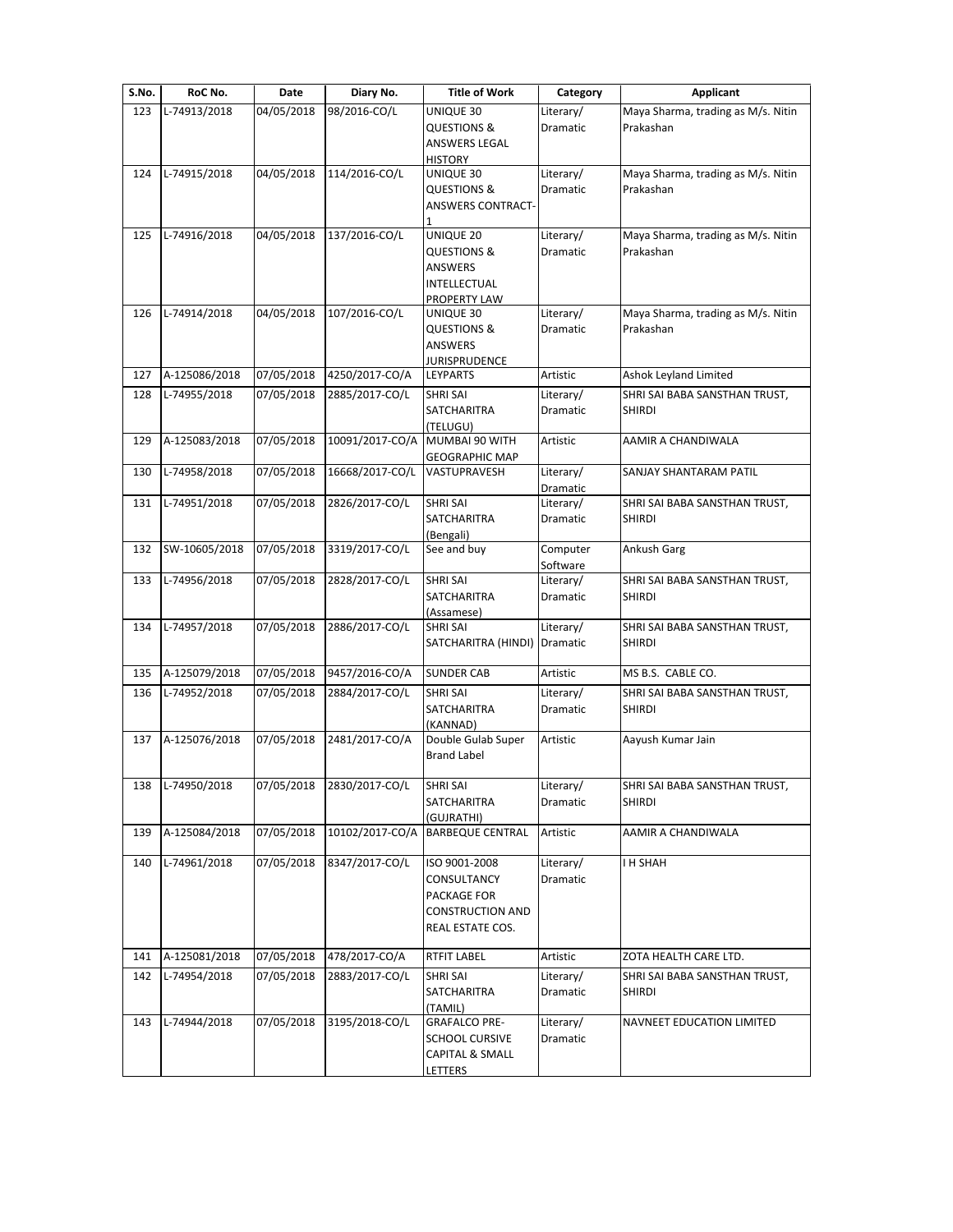| S.No. | RoC No.       | Date       | Diary No.       | <b>Title of Work</b>                            | Category              | <b>Applicant</b>                                |
|-------|---------------|------------|-----------------|-------------------------------------------------|-----------------------|-------------------------------------------------|
| 123   | L-74913/2018  | 04/05/2018 | 98/2016-CO/L    | UNIQUE 30                                       | Literary/             | Maya Sharma, trading as M/s. Nitin              |
|       |               |            |                 | <b>QUESTIONS &amp;</b>                          | Dramatic              | Prakashan                                       |
|       |               |            |                 | ANSWERS LEGAL                                   |                       |                                                 |
|       | L-74915/2018  |            | 114/2016-CO/L   | <b>HISTORY</b>                                  |                       |                                                 |
| 124   |               | 04/05/2018 |                 | UNIQUE 30<br><b>QUESTIONS &amp;</b>             | Literary/<br>Dramatic | Maya Sharma, trading as M/s. Nitin<br>Prakashan |
|       |               |            |                 | <b>ANSWERS CONTRACT-</b>                        |                       |                                                 |
|       |               |            |                 |                                                 |                       |                                                 |
| 125   | L-74916/2018  | 04/05/2018 | 137/2016-CO/L   | UNIQUE 20                                       | Literary/             | Maya Sharma, trading as M/s. Nitin              |
|       |               |            |                 | <b>QUESTIONS &amp;</b>                          | Dramatic              | Prakashan                                       |
|       |               |            |                 | <b>ANSWERS</b>                                  |                       |                                                 |
|       |               |            |                 | INTELLECTUAL                                    |                       |                                                 |
|       |               |            |                 | PROPERTY LAW                                    |                       |                                                 |
| 126   | L-74914/2018  | 04/05/2018 | 107/2016-CO/L   | UNIQUE 30<br><b>QUESTIONS &amp;</b>             | Literary/<br>Dramatic | Maya Sharma, trading as M/s. Nitin<br>Prakashan |
|       |               |            |                 | ANSWERS                                         |                       |                                                 |
|       |               |            |                 | JURISPRUDENCE                                   |                       |                                                 |
| 127   | A-125086/2018 | 07/05/2018 | 4250/2017-CO/A  | LEYPARTS                                        | Artistic              | Ashok Leyland Limited                           |
| 128   | L-74955/2018  | 07/05/2018 | 2885/2017-CO/L  | <b>SHRI SAI</b>                                 | Literary/             | SHRI SAI BABA SANSTHAN TRUST,                   |
|       |               |            |                 | SATCHARITRA                                     | Dramatic              | <b>SHIRDI</b>                                   |
|       |               |            |                 | (TELUGU)                                        |                       |                                                 |
| 129   | A-125083/2018 | 07/05/2018 | 10091/2017-CO/A | MUMBAI 90 WITH                                  | Artistic              | AAMIR A CHANDIWALA                              |
|       |               |            |                 | <b>GEOGRAPHIC MAP</b>                           |                       |                                                 |
| 130   | L-74958/2018  | 07/05/2018 | 16668/2017-CO/L | VASTUPRAVESH                                    | Literary/             | SANJAY SHANTARAM PATIL                          |
| 131   | L-74951/2018  | 07/05/2018 | 2826/2017-CO/L  | <b>SHRI SAI</b>                                 | Dramatic<br>Literary/ | SHRI SAI BABA SANSTHAN TRUST,                   |
|       |               |            |                 | SATCHARITRA                                     | Dramatic              | <b>SHIRDI</b>                                   |
|       |               |            |                 | (Bengali)                                       |                       |                                                 |
| 132   | SW-10605/2018 | 07/05/2018 | 3319/2017-CO/L  | See and buy                                     | Computer              | Ankush Garg                                     |
|       |               |            |                 |                                                 | Software              |                                                 |
| 133   | L-74956/2018  | 07/05/2018 | 2828/2017-CO/L  | <b>SHRI SAI</b>                                 | Literary/             | SHRI SAI BABA SANSTHAN TRUST,                   |
|       |               |            |                 | SATCHARITRA                                     | Dramatic              | <b>SHIRDI</b>                                   |
|       |               | 07/05/2018 | 2886/2017-CO/L  | (Assamese)                                      |                       |                                                 |
| 134   | L-74957/2018  |            |                 | <b>SHRI SAI</b><br>SATCHARITRA (HINDI) Dramatic | Literary/             | SHRI SAI BABA SANSTHAN TRUST,<br><b>SHIRDI</b>  |
|       |               |            |                 |                                                 |                       |                                                 |
| 135   | A-125079/2018 | 07/05/2018 | 9457/2016-CO/A  | <b>SUNDER CAB</b>                               | Artistic              | MS B.S. CABLE CO.                               |
| 136   | L-74952/2018  | 07/05/2018 | 2884/2017-CO/L  | <b>SHRI SAI</b>                                 | Literary/             | SHRI SAI BABA SANSTHAN TRUST,                   |
|       |               |            |                 | SATCHARITRA                                     | Dramatic              | <b>SHIRDI</b>                                   |
|       |               |            |                 | (KANNAD)                                        |                       |                                                 |
| 137   | A-125076/2018 | 07/05/2018 | 2481/2017-CO/A  | Double Gulab Super                              | Artistic              | Aayush Kumar Jain                               |
|       |               |            |                 | <b>Brand Label</b>                              |                       |                                                 |
|       |               |            |                 |                                                 |                       |                                                 |
| 138   | L-74950/2018  | 07/05/2018 | 2830/2017-CO/L  | SHRI SAI                                        | Literary/             | SHRI SAI BABA SANSTHAN TRUST,                   |
|       |               |            |                 | SATCHARITRA<br>(GUJRATHI)                       | Dramatic              | <b>SHIRDI</b>                                   |
| 139   | A-125084/2018 | 07/05/2018 | 10102/2017-CO/A | <b>BARBEQUE CENTRAL</b>                         | Artistic              | AAMIR A CHANDIWALA                              |
|       |               |            |                 |                                                 |                       |                                                 |
| 140   | L-74961/2018  | 07/05/2018 | 8347/2017-CO/L  | ISO 9001-2008                                   | Literary/             | <b>I H SHAH</b>                                 |
|       |               |            |                 | CONSULTANCY                                     | Dramatic              |                                                 |
|       |               |            |                 | PACKAGE FOR                                     |                       |                                                 |
|       |               |            |                 | <b>CONSTRUCTION AND</b>                         |                       |                                                 |
|       |               |            |                 | REAL ESTATE COS.                                |                       |                                                 |
| 141   | A-125081/2018 | 07/05/2018 | 478/2017-CO/A   | <b>RTFIT LABEL</b>                              | Artistic              | ZOTA HEALTH CARE LTD.                           |
| 142   | L-74954/2018  | 07/05/2018 | 2883/2017-CO/L  | <b>SHRI SAI</b>                                 | Literary/             | SHRI SAI BABA SANSTHAN TRUST,                   |
|       |               |            |                 | SATCHARITRA                                     | Dramatic              | <b>SHIRDI</b>                                   |
|       |               |            |                 | (TAMIL)                                         |                       |                                                 |
| 143   | L-74944/2018  | 07/05/2018 | 3195/2018-CO/L  | <b>GRAFALCO PRE-</b>                            | Literary/             | NAVNEET EDUCATION LIMITED                       |
|       |               |            |                 | <b>SCHOOL CURSIVE</b>                           | Dramatic              |                                                 |
|       |               |            |                 | <b>CAPITAL &amp; SMALL</b>                      |                       |                                                 |
|       |               |            |                 | <b>LETTERS</b>                                  |                       |                                                 |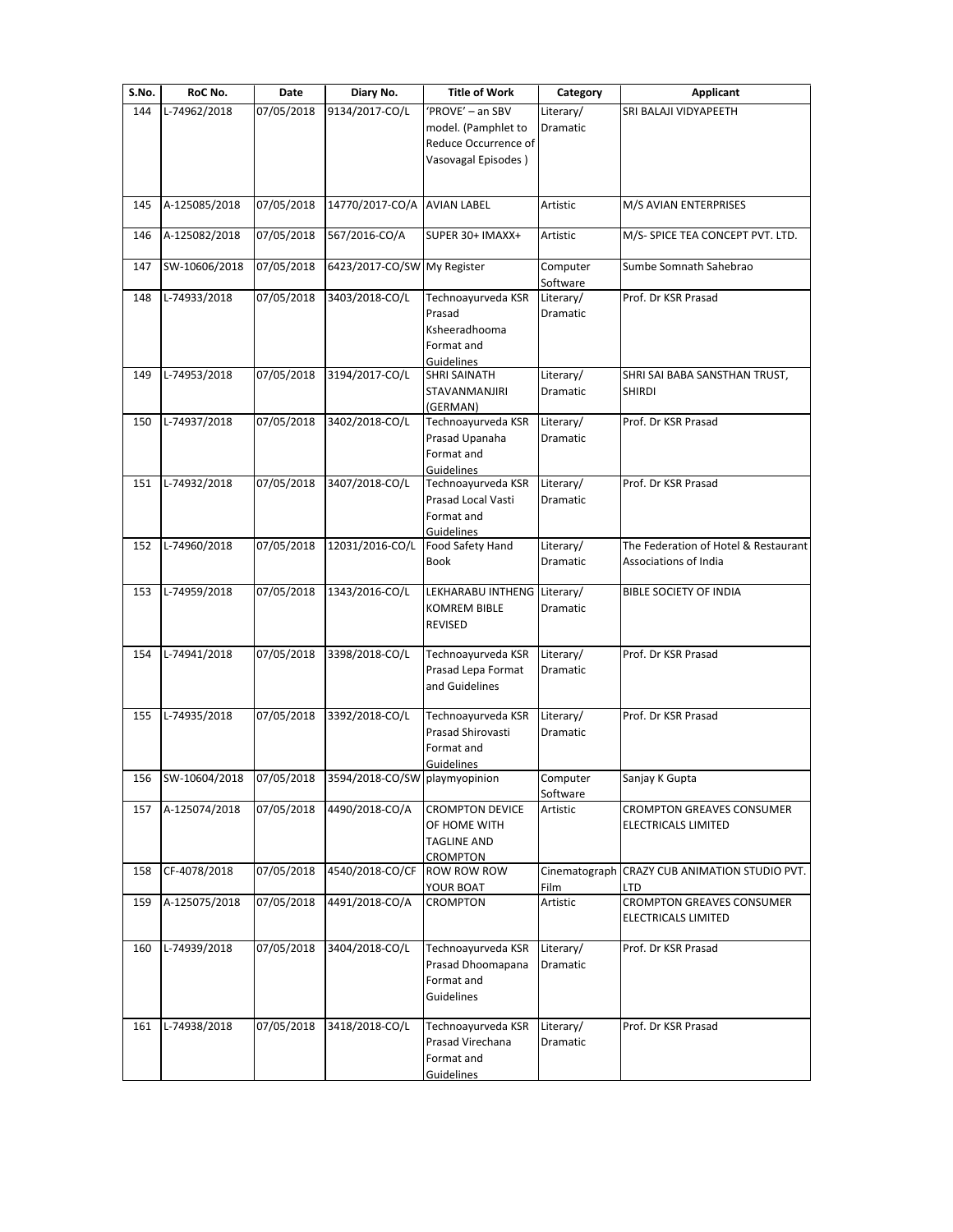| S.No. | RoC No.       | Date       | Diary No.                     | <b>Title of Work</b>                                                                   | Category                     | Applicant                                                     |
|-------|---------------|------------|-------------------------------|----------------------------------------------------------------------------------------|------------------------------|---------------------------------------------------------------|
| 144   | L-74962/2018  | 07/05/2018 | 9134/2017-CO/L                | 'PROVE' - an SBV<br>model. (Pamphlet to<br>Reduce Occurrence of<br>Vasovagal Episodes) | Literary/<br><b>Dramatic</b> | SRI BALAJI VIDYAPEETH                                         |
| 145   | A-125085/2018 | 07/05/2018 | 14770/2017-CO/A AVIAN LABEL   |                                                                                        | Artistic                     | M/S AVIAN ENTERPRISES                                         |
| 146   | A-125082/2018 | 07/05/2018 | 567/2016-CO/A                 | SUPER 30+ IMAXX+                                                                       | Artistic                     | M/S- SPICE TEA CONCEPT PVT. LTD.                              |
| 147   | SW-10606/2018 | 07/05/2018 | 6423/2017-CO/SW My Register   |                                                                                        | Computer<br>Software         | Sumbe Somnath Sahebrao                                        |
| 148   | L-74933/2018  | 07/05/2018 | 3403/2018-CO/L                | Technoayurveda KSR<br>Prasad<br>Ksheeradhooma<br>Format and<br>Guidelines              | Literary/<br>Dramatic        | Prof. Dr KSR Prasad                                           |
| 149   | L-74953/2018  | 07/05/2018 | 3194/2017-CO/L                | <b>SHRI SAINATH</b><br>STAVANMANJIRI<br>(GERMAN)                                       | Literary/<br><b>Dramatic</b> | SHRI SAI BABA SANSTHAN TRUST,<br><b>SHIRDI</b>                |
| 150   | L-74937/2018  | 07/05/2018 | 3402/2018-CO/L                | Technoayurveda KSR<br>Prasad Upanaha<br>Format and<br>Guidelines                       | Literary/<br>Dramatic        | Prof. Dr KSR Prasad                                           |
| 151   | L-74932/2018  | 07/05/2018 | 3407/2018-CO/L                | Technoayurveda KSR<br>Prasad Local Vasti<br>Format and<br>Guidelines                   | Literary/<br><b>Dramatic</b> | Prof. Dr KSR Prasad                                           |
| 152   | L-74960/2018  | 07/05/2018 | 12031/2016-CO/L               | Food Safety Hand<br><b>Book</b>                                                        | Literary/<br>Dramatic        | The Federation of Hotel & Restaurant<br>Associations of India |
| 153   | L-74959/2018  | 07/05/2018 | 1343/2016-CO/L                | LEKHARABU INTHENG Literary/<br><b>KOMREM BIBLE</b><br><b>REVISED</b>                   | <b>Dramatic</b>              | <b>BIBLE SOCIETY OF INDIA</b>                                 |
| 154   | L-74941/2018  | 07/05/2018 | 3398/2018-CO/L                | Technoayurveda KSR<br>Prasad Lepa Format<br>and Guidelines                             | Literary/<br>Dramatic        | Prof. Dr KSR Prasad                                           |
| 155   | L-74935/2018  | 07/05/2018 | 3392/2018-CO/L                | Technoayurveda KSR<br>Prasad Shirovasti<br>Format and<br>Guidelines                    | Literary/<br>Dramatic        | Prof. Dr KSR Prasad                                           |
| 156   | SW-10604/2018 | 07/05/2018 | 3594/2018-CO/SW playmyopinion |                                                                                        | Computer<br>Software         | Sanjay K Gupta                                                |
| 157   | A-125074/2018 | 07/05/2018 | 4490/2018-CO/A                | <b>CROMPTON DEVICE</b><br>OF HOME WITH<br><b>TAGLINE AND</b><br><b>CROMPTON</b>        | Artistic                     | <b>CROMPTON GREAVES CONSUMER</b><br>ELECTRICALS LIMITED       |
| 158   | CF-4078/2018  | 07/05/2018 | 4540/2018-CO/CF               | <b>ROW ROW ROW</b><br>YOUR BOAT                                                        | Cinematograph<br>Film        | CRAZY CUB ANIMATION STUDIO PVT.<br><b>LTD</b>                 |
| 159   | A-125075/2018 | 07/05/2018 | 4491/2018-CO/A                | <b>CROMPTON</b>                                                                        | Artistic                     | <b>CROMPTON GREAVES CONSUMER</b><br>ELECTRICALS LIMITED       |
| 160   | L-74939/2018  | 07/05/2018 | 3404/2018-CO/L                | Technoayurveda KSR<br>Prasad Dhoomapana<br>Format and<br>Guidelines                    | Literary/<br>Dramatic        | Prof. Dr KSR Prasad                                           |
| 161   | L-74938/2018  | 07/05/2018 | 3418/2018-CO/L                | Technoayurveda KSR<br>Prasad Virechana<br>Format and<br><b>Guidelines</b>              | Literary/<br>Dramatic        | Prof. Dr KSR Prasad                                           |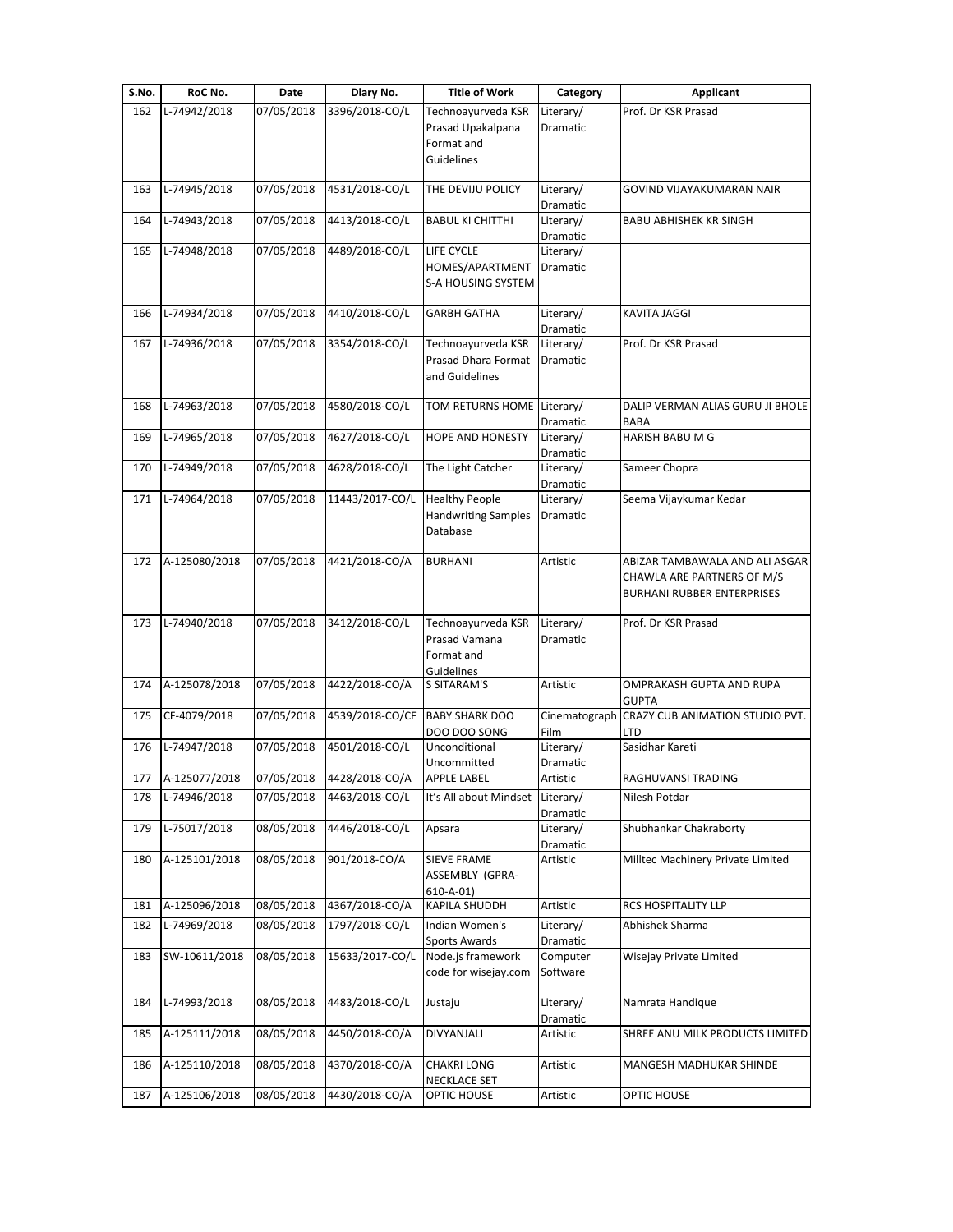| S.No. | RoC No.       | Date       | Diary No.       | <b>Title of Work</b>                      | Category              | <b>Applicant</b>                                                |
|-------|---------------|------------|-----------------|-------------------------------------------|-----------------------|-----------------------------------------------------------------|
| 162   | L-74942/2018  | 07/05/2018 | 3396/2018-CO/L  | Technoayurveda KSR                        | Literary/             | Prof. Dr KSR Prasad                                             |
|       |               |            |                 | Prasad Upakalpana                         | Dramatic              |                                                                 |
|       |               |            |                 | Format and                                |                       |                                                                 |
|       |               |            |                 | <b>Guidelines</b>                         |                       |                                                                 |
| 163   | L-74945/2018  | 07/05/2018 | 4531/2018-CO/L  | THE DEVIJU POLICY                         | Literary/             | GOVIND VIJAYAKUMARAN NAIR                                       |
|       |               |            |                 |                                           | Dramatic              |                                                                 |
| 164   | L-74943/2018  | 07/05/2018 | 4413/2018-CO/L  | <b>BABUL KI CHITTHI</b>                   | Literary/             | <b>BABU ABHISHEK KR SINGH</b>                                   |
|       |               |            |                 |                                           | Dramatic              |                                                                 |
| 165   | L-74948/2018  | 07/05/2018 | 4489/2018-CO/L  | LIFE CYCLE<br>HOMES/APARTMENT             | Literary/<br>Dramatic |                                                                 |
|       |               |            |                 | S-A HOUSING SYSTEM                        |                       |                                                                 |
|       |               |            |                 |                                           |                       |                                                                 |
| 166   | L-74934/2018  | 07/05/2018 | 4410/2018-CO/L  | <b>GARBH GATHA</b>                        | Literary/             | <b>KAVITA JAGGI</b>                                             |
|       |               |            |                 |                                           | Dramatic              |                                                                 |
| 167   | L-74936/2018  | 07/05/2018 | 3354/2018-CO/L  | Technoayurveda KSR<br>Prasad Dhara Format | Literary/<br>Dramatic | Prof. Dr KSR Prasad                                             |
|       |               |            |                 | and Guidelines                            |                       |                                                                 |
|       |               |            |                 |                                           |                       |                                                                 |
| 168   | L-74963/2018  | 07/05/2018 | 4580/2018-CO/L  | TOM RETURNS HOME Literary/                |                       | DALIP VERMAN ALIAS GURU JI BHOLE                                |
|       |               |            |                 |                                           | Dramatic              | <b>BABA</b>                                                     |
| 169   | L-74965/2018  | 07/05/2018 | 4627/2018-CO/L  | <b>HOPE AND HONESTY</b>                   | Literary/             | HARISH BABU M G                                                 |
| 170   | L-74949/2018  | 07/05/2018 | 4628/2018-CO/L  | The Light Catcher                         | Dramatic<br>Literary/ | Sameer Chopra                                                   |
|       |               |            |                 |                                           | Dramatic              |                                                                 |
| 171   | L-74964/2018  | 07/05/2018 | 11443/2017-CO/L | <b>Healthy People</b>                     | Literary/             | Seema Vijaykumar Kedar                                          |
|       |               |            |                 | <b>Handwriting Samples</b>                | Dramatic              |                                                                 |
|       |               |            |                 | Database                                  |                       |                                                                 |
|       |               |            |                 |                                           |                       |                                                                 |
| 172   | A-125080/2018 | 07/05/2018 | 4421/2018-CO/A  | <b>BURHANI</b>                            | Artistic              | ABIZAR TAMBAWALA AND ALI ASGAR                                  |
|       |               |            |                 |                                           |                       | CHAWLA ARE PARTNERS OF M/S<br><b>BURHANI RUBBER ENTERPRISES</b> |
|       |               |            |                 |                                           |                       |                                                                 |
| 173   | L-74940/2018  | 07/05/2018 | 3412/2018-CO/L  | Technoayurveda KSR                        | Literary/             | Prof. Dr KSR Prasad                                             |
|       |               |            |                 | Prasad Vamana                             | Dramatic              |                                                                 |
|       |               |            |                 | Format and                                |                       |                                                                 |
|       |               |            |                 | Guidelines                                |                       |                                                                 |
| 174   | A-125078/2018 | 07/05/2018 | 4422/2018-CO/A  | S SITARAM'S                               | Artistic              | OMPRAKASH GUPTA AND RUPA<br><b>GUPTA</b>                        |
| 175   | CF-4079/2018  | 07/05/2018 | 4539/2018-CO/CF | <b>BABY SHARK DOO</b>                     | Cinematograph         | CRAZY CUB ANIMATION STUDIO PVT.                                 |
|       |               |            |                 | DOO DOO SONG                              | Film                  | LTD                                                             |
| 176   | L-74947/2018  | 07/05/2018 | 4501/2018-CO/L  | Unconditional                             | Literary/             | Sasidhar Kareti                                                 |
|       |               |            |                 | Uncommitted                               | Dramatic              |                                                                 |
| 177   | A-125077/2018 | 07/05/2018 | 4428/2018-CO/A  | <b>APPLE LABEL</b>                        | Artistic              | RAGHUVANSI TRADING                                              |
| 178   | L-74946/2018  | 07/05/2018 | 4463/2018-CO/L  | It's All about Mindset                    | Literary/             | Nilesh Potdar                                                   |
| 179   | L-75017/2018  | 08/05/2018 | 4446/2018-CO/L  | Apsara                                    | Dramatic<br>Literary/ | Shubhankar Chakraborty                                          |
|       |               |            |                 |                                           | Dramatic              |                                                                 |
| 180   | A-125101/2018 | 08/05/2018 | 901/2018-CO/A   | SIEVE FRAME                               | Artistic              | Milltec Machinery Private Limited                               |
|       |               |            |                 | ASSEMBLY (GPRA-                           |                       |                                                                 |
|       |               |            |                 | $610 - A - 01$                            |                       |                                                                 |
| 181   | A-125096/2018 | 08/05/2018 | 4367/2018-CO/A  | KAPILA SHUDDH                             | Artistic              | RCS HOSPITALITY LLP                                             |
| 182   | L-74969/2018  | 08/05/2018 | 1797/2018-CO/L  | Indian Women's                            | Literary/             | Abhishek Sharma                                                 |
| 183   | SW-10611/2018 | 08/05/2018 | 15633/2017-CO/L | <b>Sports Awards</b><br>Node.js framework | Dramatic<br>Computer  | Wisejay Private Limited                                         |
|       |               |            |                 | code for wisejay.com                      | Software              |                                                                 |
|       |               |            |                 |                                           |                       |                                                                 |
| 184   | L-74993/2018  | 08/05/2018 | 4483/2018-CO/L  | Justaju                                   | Literary/             | Namrata Handique                                                |
|       |               |            |                 |                                           | Dramatic              |                                                                 |
| 185   | A-125111/2018 | 08/05/2018 | 4450/2018-CO/A  | DIVYANJALI                                | Artistic              | SHREE ANU MILK PRODUCTS LIMITED                                 |
|       |               |            |                 |                                           |                       |                                                                 |
| 186   | A-125110/2018 | 08/05/2018 | 4370/2018-CO/A  | <b>CHAKRI LONG</b><br>NECKLACE SET        | Artistic              | MANGESH MADHUKAR SHINDE                                         |
| 187   | A-125106/2018 | 08/05/2018 | 4430/2018-CO/A  | OPTIC HOUSE                               | Artistic              | OPTIC HOUSE                                                     |
|       |               |            |                 |                                           |                       |                                                                 |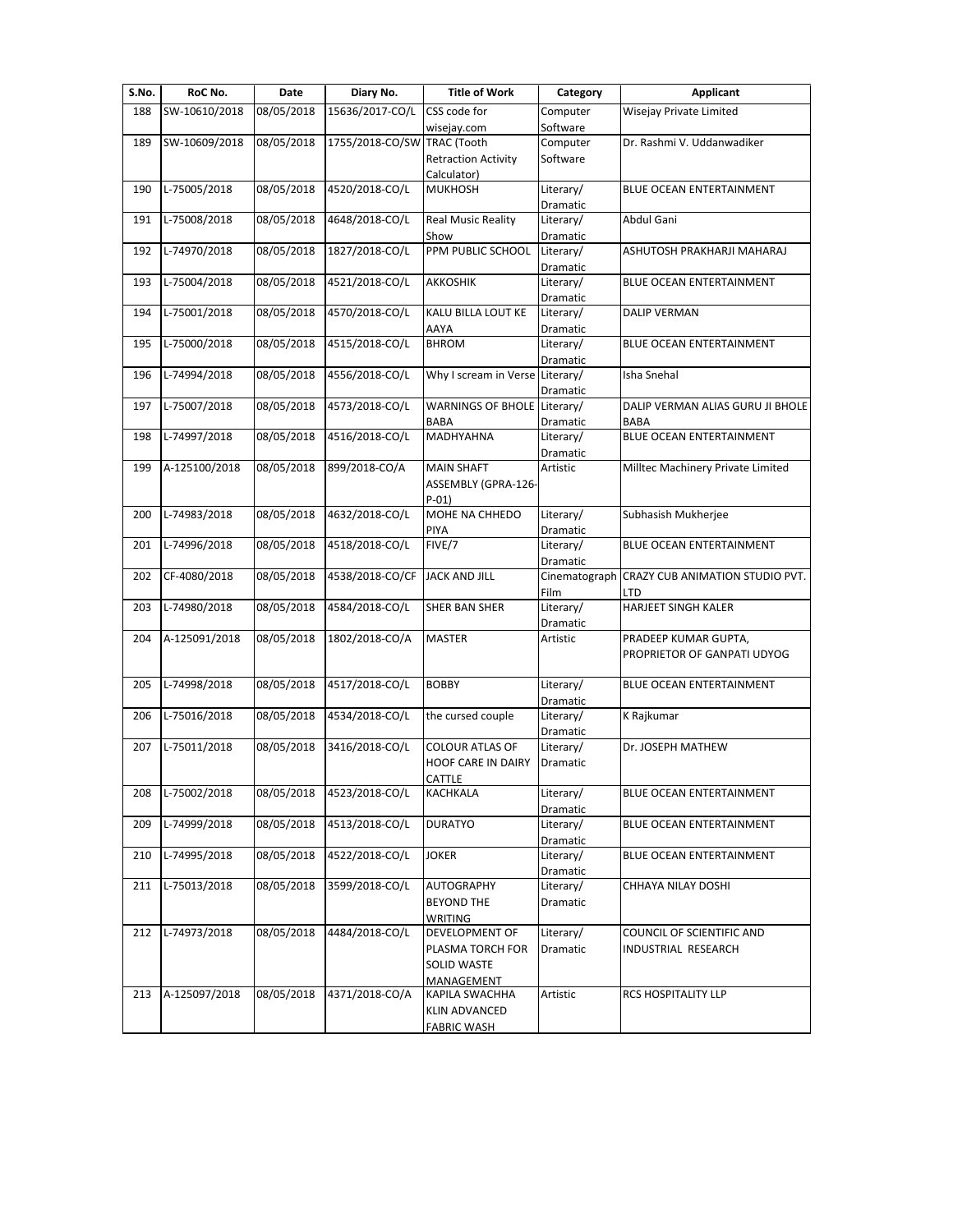| S.No. | RoC No.       | Date       | Diary No.                   | <b>Title of Work</b>            | Category              | Applicant                         |
|-------|---------------|------------|-----------------------------|---------------------------------|-----------------------|-----------------------------------|
| 188   | SW-10610/2018 | 08/05/2018 | 15636/2017-CO/L             | CSS code for                    | Computer              | Wisejay Private Limited           |
|       |               |            |                             | wisejay.com                     | Software              |                                   |
| 189   | SW-10609/2018 | 08/05/2018 | 1755/2018-CO/SW TRAC (Tooth |                                 | Computer              | Dr. Rashmi V. Uddanwadiker        |
|       |               |            |                             | <b>Retraction Activity</b>      | Software              |                                   |
|       |               |            |                             | Calculator)                     |                       |                                   |
| 190   | L-75005/2018  | 08/05/2018 | 4520/2018-CO/L              | <b>MUKHOSH</b>                  | Literary/             | BLUE OCEAN ENTERTAINMENT          |
|       |               |            |                             |                                 | Dramatic              |                                   |
| 191   | L-75008/2018  | 08/05/2018 | 4648/2018-CO/L              | <b>Real Music Reality</b>       | Literary/             | Abdul Gani                        |
|       |               |            |                             | Show                            | Dramatic              |                                   |
| 192   | L-74970/2018  | 08/05/2018 | 1827/2018-CO/L              | PPM PUBLIC SCHOOL               | Literary/             | ASHUTOSH PRAKHARJI MAHARAJ        |
|       |               |            |                             |                                 | Dramatic              |                                   |
| 193   | L-75004/2018  | 08/05/2018 | 4521/2018-CO/L              | AKKOSHIK                        | Literary/             | <b>BLUE OCEAN ENTERTAINMENT</b>   |
|       |               |            |                             |                                 | Dramatic              |                                   |
| 194   | L-75001/2018  | 08/05/2018 | 4570/2018-CO/L              | KALU BILLA LOUT KE              | Literary/             | <b>DALIP VERMAN</b>               |
|       |               |            |                             | AAYA                            | Dramatic              |                                   |
| 195   | L-75000/2018  | 08/05/2018 | 4515/2018-CO/L              | <b>BHROM</b>                    | Literary/             | BLUE OCEAN ENTERTAINMENT          |
|       |               |            |                             |                                 | Dramatic              |                                   |
| 196   | L-74994/2018  | 08/05/2018 | 4556/2018-CO/L              | Why I scream in Verse Literary/ |                       | Isha Snehal                       |
| 197   | L-75007/2018  | 08/05/2018 | 4573/2018-CO/L              | <b>WARNINGS OF BHOLE</b>        | Dramatic<br>Literary/ | DALIP VERMAN ALIAS GURU JI BHOLE  |
|       |               |            |                             | <b>BABA</b>                     | Dramatic              | <b>BABA</b>                       |
| 198   | L-74997/2018  | 08/05/2018 | 4516/2018-CO/L              | <b>MADHYAHNA</b>                | Literary/             | <b>BLUE OCEAN ENTERTAINMENT</b>   |
|       |               |            |                             |                                 | Dramatic              |                                   |
| 199   | A-125100/2018 | 08/05/2018 | 899/2018-CO/A               | <b>MAIN SHAFT</b>               | Artistic              | Milltec Machinery Private Limited |
|       |               |            |                             | ASSEMBLY (GPRA-126-             |                       |                                   |
|       |               |            |                             | $P-01)$                         |                       |                                   |
| 200   | L-74983/2018  | 08/05/2018 | 4632/2018-CO/L              | MOHE NA CHHEDO                  | Literary/             | Subhasish Mukherjee               |
|       |               |            |                             | <b>PIYA</b>                     | Dramatic              |                                   |
| 201   | L-74996/2018  | 08/05/2018 | 4518/2018-CO/L              | FIVE/7                          | Literary/             | BLUE OCEAN ENTERTAINMENT          |
|       |               |            |                             |                                 | Dramatic              |                                   |
| 202   | CF-4080/2018  | 08/05/2018 | 4538/2018-CO/CF             | <b>JACK AND JILL</b>            | Cinematograph         | CRAZY CUB ANIMATION STUDIO PVT.   |
|       |               |            |                             |                                 | Film                  | <b>LTD</b>                        |
| 203   | L-74980/2018  | 08/05/2018 | 4584/2018-CO/L              | SHER BAN SHER                   | Literary/             | <b>HARJEET SINGH KALER</b>        |
|       |               |            |                             |                                 | Dramatic              |                                   |
| 204   | A-125091/2018 | 08/05/2018 | 1802/2018-CO/A              | <b>MASTER</b>                   | Artistic              | PRADEEP KUMAR GUPTA,              |
|       |               |            |                             |                                 |                       | PROPRIETOR OF GANPATI UDYOG       |
|       |               |            |                             |                                 |                       |                                   |
| 205   | L-74998/2018  | 08/05/2018 | 4517/2018-CO/L              | <b>BOBBY</b>                    | Literary/             | <b>BLUE OCEAN ENTERTAINMENT</b>   |
|       |               |            |                             |                                 | Dramatic              |                                   |
| 206   | L-75016/2018  | 08/05/2018 | 4534/2018-CO/L              | the cursed couple               | Literary/             | K Rajkumar                        |
|       |               |            |                             |                                 | Dramatic              |                                   |
| 207   | L-75011/2018  | 08/05/2018 | 3416/2018-CO/L              | <b>COLOUR ATLAS OF</b>          | Literary/             | Dr. JOSEPH MATHEW                 |
|       |               |            |                             | <b>HOOF CARE IN DAIRY</b>       | Dramatic              |                                   |
|       |               |            |                             | <b>CATTLE</b>                   |                       |                                   |
| 208   | L-75002/2018  | 08/05/2018 | 4523/2018-CO/L              | KACHKALA                        | Literary/             | BLUE OCEAN ENTERTAINMENT          |
|       |               |            |                             |                                 | Dramatic              |                                   |
| 209   | L-74999/2018  | 08/05/2018 | 4513/2018-CO/L              | <b>DURATYO</b>                  | Literary/             | BLUE OCEAN ENTERTAINMENT          |
|       |               |            |                             |                                 | Dramatic              |                                   |
| 210   | L-74995/2018  | 08/05/2018 | 4522/2018-CO/L              | <b>JOKER</b>                    | Literary/             | BLUE OCEAN ENTERTAINMENT          |
|       |               |            |                             |                                 | Dramatic              |                                   |
| 211   | L-75013/2018  | 08/05/2018 | 3599/2018-CO/L              | <b>AUTOGRAPHY</b>               | Literary/             | CHHAYA NILAY DOSHI                |
|       |               |            |                             | <b>BEYOND THE</b>               | Dramatic              |                                   |
|       |               |            |                             | WRITING                         |                       |                                   |
| 212   | L-74973/2018  | 08/05/2018 | 4484/2018-CO/L              | <b>DEVELOPMENT OF</b>           | Literary/             | COUNCIL OF SCIENTIFIC AND         |
|       |               |            |                             | PLASMA TORCH FOR                | Dramatic              | INDUSTRIAL RESEARCH               |
|       |               |            |                             | SOLID WASTE                     |                       |                                   |
|       | A-125097/2018 | 08/05/2018 | 4371/2018-CO/A              | MANAGEMENT                      | Artistic              |                                   |
| 213   |               |            |                             | KAPILA SWACHHA                  |                       | RCS HOSPITALITY LLP               |
|       |               |            |                             | <b>KLIN ADVANCED</b>            |                       |                                   |
|       |               |            |                             | <b>FABRIC WASH</b>              |                       |                                   |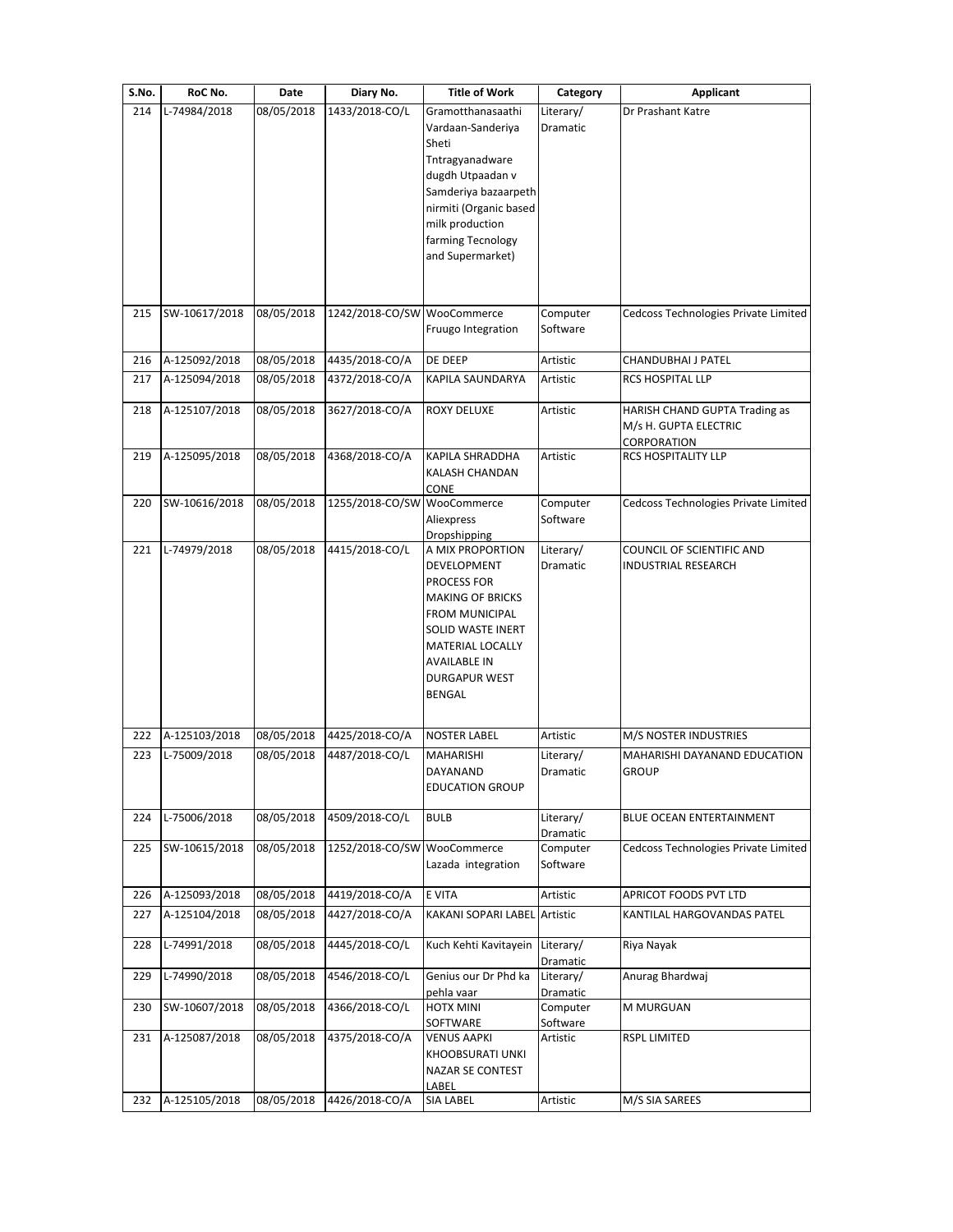| S.No.                    | RoC No.                                                         | Date                                                 | Diary No.                                                                         | <b>Title of Work</b>                                                                                                                                                                                                                                      | Category                                                              | Applicant                                                                                                  |
|--------------------------|-----------------------------------------------------------------|------------------------------------------------------|-----------------------------------------------------------------------------------|-----------------------------------------------------------------------------------------------------------------------------------------------------------------------------------------------------------------------------------------------------------|-----------------------------------------------------------------------|------------------------------------------------------------------------------------------------------------|
| 214<br>215<br>216<br>217 | L-74984/2018<br>SW-10617/2018<br>A-125092/2018<br>A-125094/2018 | 08/05/2018<br>08/05/2018<br>08/05/2018<br>08/05/2018 | 1433/2018-CO/L<br>1242/2018-CO/SW WooCommerce<br>4435/2018-CO/A<br>4372/2018-CO/A | Gramotthanasaathi<br>Vardaan-Sanderiya<br>Sheti<br>Tntragyanadware<br>dugdh Utpaadan v<br>Samderiya bazaarpeth<br>nirmiti (Organic based<br>milk production<br>farming Tecnology<br>and Supermarket)<br>Fruugo Integration<br>DE DEEP<br>KAPILA SAUNDARYA | Literary/<br>Dramatic<br>Computer<br>Software<br>Artistic<br>Artistic | Dr Prashant Katre<br>Cedcoss Technologies Private Limited<br>CHANDUBHAI J PATEL<br><b>RCS HOSPITAL LLP</b> |
|                          |                                                                 |                                                      |                                                                                   |                                                                                                                                                                                                                                                           |                                                                       |                                                                                                            |
| 218                      | A-125107/2018                                                   | 08/05/2018                                           | 3627/2018-CO/A                                                                    | ROXY DELUXE                                                                                                                                                                                                                                               | Artistic                                                              | HARISH CHAND GUPTA Trading as<br>M/s H. GUPTA ELECTRIC<br>CORPORATION                                      |
| 219                      | A-125095/2018                                                   | 08/05/2018                                           | 4368/2018-CO/A                                                                    | KAPILA SHRADDHA<br>KALASH CHANDAN<br>CONE                                                                                                                                                                                                                 | Artistic                                                              | <b>RCS HOSPITALITY LLP</b>                                                                                 |
| 220                      | SW-10616/2018                                                   | 08/05/2018                                           | 1255/2018-CO/SW                                                                   | WooCommerce<br>Aliexpress<br>Dropshipping                                                                                                                                                                                                                 | Computer<br>Software                                                  | Cedcoss Technologies Private Limited                                                                       |
| 221                      | L-74979/2018                                                    | 08/05/2018                                           | 4415/2018-CO/L                                                                    | A MIX PROPORTION<br>DEVELOPMENT<br>PROCESS FOR<br><b>MAKING OF BRICKS</b><br><b>FROM MUNICIPAL</b><br>SOLID WASTE INERT<br>MATERIAL LOCALLY<br>AVAILABLE IN<br><b>DURGAPUR WEST</b><br>BENGAL                                                             | Literary/<br>Dramatic                                                 | COUNCIL OF SCIENTIFIC AND<br>INDUSTRIAL RESEARCH                                                           |
| 222                      | A-125103/2018                                                   | 08/05/2018                                           | 4425/2018-CO/A                                                                    | <b>NOSTER LABEL</b>                                                                                                                                                                                                                                       | Artistic                                                              | M/S NOSTER INDUSTRIES                                                                                      |
| 223                      | L-75009/2018                                                    | 08/05/2018                                           | 4487/2018-CO/L                                                                    | MAHARISHI<br>DAYANAND<br><b>EDUCATION GROUP</b>                                                                                                                                                                                                           | Literary/<br>Dramatic                                                 | MAHARISHI DAYANAND EDUCATION<br><b>GROUP</b>                                                               |
| 224                      | L-75006/2018                                                    | 08/05/2018                                           | 4509/2018-CO/L                                                                    | <b>BULB</b>                                                                                                                                                                                                                                               | Literary/<br>Dramatic                                                 | BLUE OCEAN ENTERTAINMENT                                                                                   |
| 225                      | SW-10615/2018                                                   | 08/05/2018                                           | 1252/2018-CO/SW                                                                   | WooCommerce<br>Lazada integration                                                                                                                                                                                                                         | Computer<br>Software                                                  | Cedcoss Technologies Private Limited                                                                       |
| 226                      | A-125093/2018                                                   | 08/05/2018                                           | 4419/2018-CO/A                                                                    | E VITA                                                                                                                                                                                                                                                    | Artistic                                                              | APRICOT FOODS PVT LTD                                                                                      |
| 227                      | A-125104/2018                                                   | 08/05/2018                                           | 4427/2018-CO/A                                                                    | KAKANI SOPARI LABEL                                                                                                                                                                                                                                       | Artistic                                                              | KANTILAL HARGOVANDAS PATEL                                                                                 |
| 228<br>229               | L-74991/2018<br>L-74990/2018                                    | 08/05/2018<br>08/05/2018                             | 4445/2018-CO/L<br>4546/2018-CO/L                                                  | Kuch Kehti Kavitayein<br>Genius our Dr Phd ka                                                                                                                                                                                                             | Literary/<br>Dramatic<br>Literary/                                    | Riya Nayak<br>Anurag Bhardwaj                                                                              |
|                          |                                                                 |                                                      |                                                                                   | pehla vaar                                                                                                                                                                                                                                                | Dramatic                                                              |                                                                                                            |
| 230                      | SW-10607/2018                                                   | 08/05/2018                                           | 4366/2018-CO/L                                                                    | HOTX MINI<br>SOFTWARE                                                                                                                                                                                                                                     | Computer<br>Software                                                  | M MURGUAN                                                                                                  |
| 231                      | A-125087/2018                                                   | 08/05/2018                                           | 4375/2018-CO/A                                                                    | <b>VENUS AAPKI</b><br>KHOOBSURATI UNKI<br>NAZAR SE CONTEST<br>LABEL                                                                                                                                                                                       | Artistic                                                              | <b>RSPL LIMITED</b>                                                                                        |
| 232                      | A-125105/2018                                                   | 08/05/2018                                           | 4426/2018-CO/A                                                                    | SIA LABEL                                                                                                                                                                                                                                                 | Artistic                                                              | M/S SIA SAREES                                                                                             |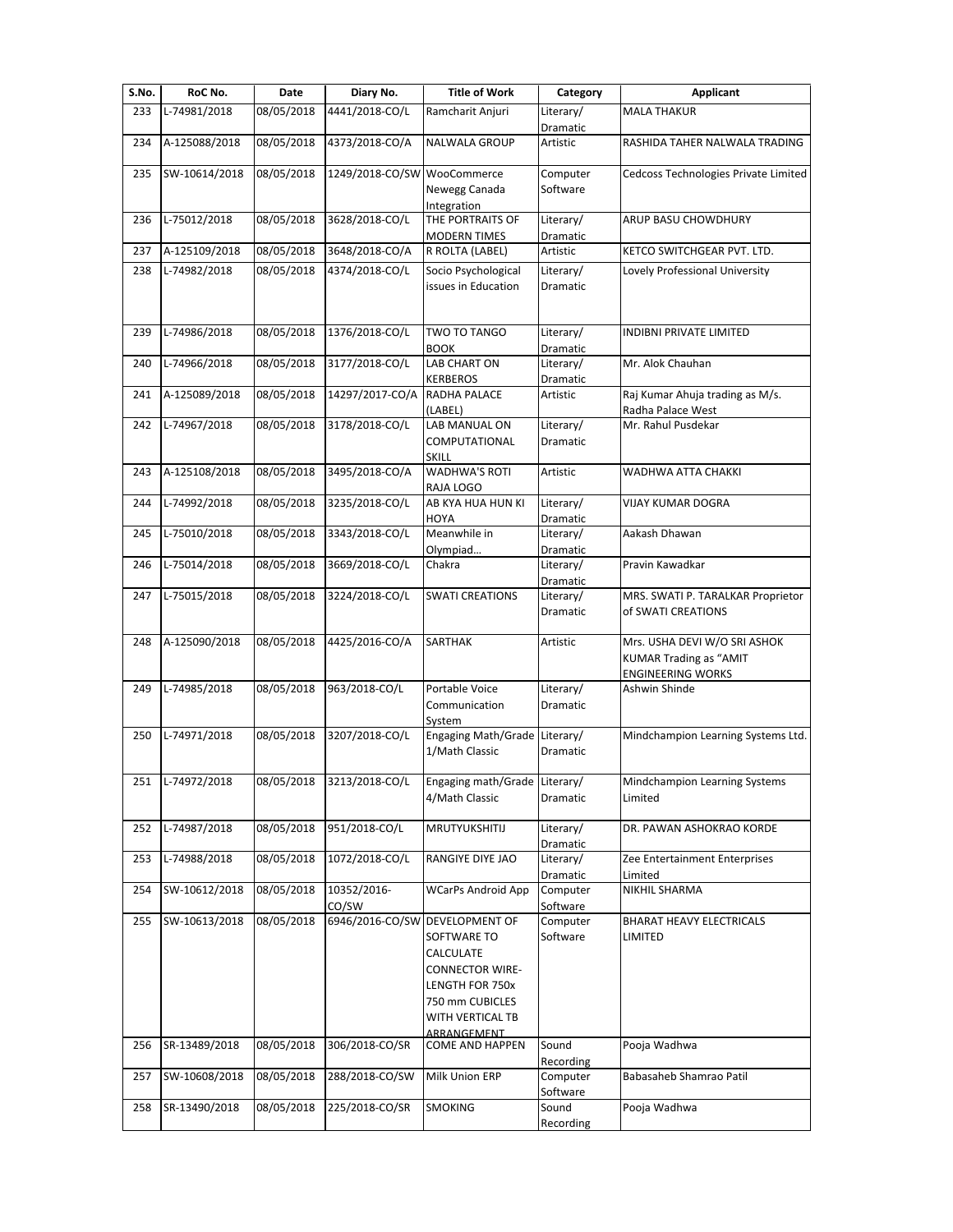| S.No. | RoC No.       | Date       | Diary No.                   | <b>Title of Work</b>                       | Category              | Applicant                                                     |
|-------|---------------|------------|-----------------------------|--------------------------------------------|-----------------------|---------------------------------------------------------------|
| 233   | L-74981/2018  | 08/05/2018 | 4441/2018-CO/L              | Ramcharit Anjuri                           | Literary/             | <b>MALA THAKUR</b>                                            |
|       |               |            |                             |                                            | <b>Dramatic</b>       |                                                               |
| 234   | A-125088/2018 | 08/05/2018 | 4373/2018-CO/A              | <b>NALWALA GROUP</b>                       | Artistic              | RASHIDA TAHER NALWALA TRADING                                 |
| 235   | SW-10614/2018 | 08/05/2018 | 1249/2018-CO/SW WooCommerce |                                            | Computer              | Cedcoss Technologies Private Limited                          |
|       |               |            |                             | Newegg Canada<br>Integration               | Software              |                                                               |
| 236   | L-75012/2018  | 08/05/2018 | 3628/2018-CO/L              | THE PORTRAITS OF                           | Literary/             | ARUP BASU CHOWDHURY                                           |
|       |               |            |                             | <b>MODERN TIMES</b>                        | Dramatic              |                                                               |
| 237   | A-125109/2018 | 08/05/2018 | 3648/2018-CO/A              | R ROLTA (LABEL)                            | Artistic              | KETCO SWITCHGEAR PVT. LTD.                                    |
| 238   | L-74982/2018  | 08/05/2018 | 4374/2018-CO/L              | Socio Psychological<br>issues in Education | Literary/             | Lovely Professional University                                |
|       |               |            |                             |                                            | Dramatic              |                                                               |
|       |               |            |                             |                                            |                       |                                                               |
| 239   | L-74986/2018  | 08/05/2018 | 1376/2018-CO/L              | TWO TO TANGO                               | Literary/             | INDIBNI PRIVATE LIMITED                                       |
| 240   | L-74966/2018  | 08/05/2018 | 3177/2018-CO/L              | BOOK<br>LAB CHART ON                       | Dramatic<br>Literary/ | Mr. Alok Chauhan                                              |
|       |               |            |                             | <b>KERBEROS</b>                            | Dramatic              |                                                               |
| 241   | A-125089/2018 | 08/05/2018 | 14297/2017-CO/A             | RADHA PALACE                               | Artistic              | Raj Kumar Ahuja trading as M/s.                               |
|       |               |            |                             | (LABEL)                                    |                       | Radha Palace West                                             |
| 242   | L-74967/2018  | 08/05/2018 | 3178/2018-CO/L              | LAB MANUAL ON<br>COMPUTATIONAL             | Literary/<br>Dramatic | Mr. Rahul Pusdekar                                            |
|       |               |            |                             | <b>SKILL</b>                               |                       |                                                               |
| 243   | A-125108/2018 | 08/05/2018 | 3495/2018-CO/A              | <b>WADHWA'S ROTI</b>                       | Artistic              | WADHWA ATTA CHAKKI                                            |
|       |               |            |                             | RAJA LOGO                                  |                       |                                                               |
| 244   | L-74992/2018  | 08/05/2018 | 3235/2018-CO/L              | AB KYA HUA HUN KI<br><b>HOYA</b>           | Literary/<br>Dramatic | VIJAY KUMAR DOGRA                                             |
| 245   | L-75010/2018  | 08/05/2018 | 3343/2018-CO/L              | Meanwhile in                               | Literary/             | Aakash Dhawan                                                 |
|       |               |            |                             | Olympiad                                   | Dramatic              |                                                               |
| 246   | L-75014/2018  | 08/05/2018 | 3669/2018-CO/L              | Chakra                                     | Literary/             | Pravin Kawadkar                                               |
| 247   | L-75015/2018  | 08/05/2018 | 3224/2018-CO/L              | <b>SWATI CREATIONS</b>                     | Dramatic<br>Literary/ | MRS. SWATI P. TARALKAR Proprietor                             |
|       |               |            |                             |                                            | Dramatic              | of SWATI CREATIONS                                            |
|       |               |            |                             |                                            |                       |                                                               |
| 248   | A-125090/2018 | 08/05/2018 | 4425/2016-CO/A              | SARTHAK                                    | Artistic              | Mrs. USHA DEVI W/O SRI ASHOK<br><b>KUMAR Trading as "AMIT</b> |
|       |               |            |                             |                                            |                       | <b>ENGINEERING WORKS</b>                                      |
| 249   | L-74985/2018  | 08/05/2018 | 963/2018-CO/L               | Portable Voice                             | Literary/             | Ashwin Shinde                                                 |
|       |               |            |                             | Communication                              | Dramatic              |                                                               |
| 250   | L-74971/2018  | 08/05/2018 | 3207/2018-CO/L              | System<br>Engaging Math/Grade              | Literary/             | Mindchampion Learning Systems Ltd.                            |
|       |               |            |                             | 1/Math Classic                             | Dramatic              |                                                               |
|       |               |            |                             |                                            |                       |                                                               |
| 251   | L-74972/2018  | 08/05/2018 | 3213/2018-CO/L              | Engaging math/Grade                        | Literary/             | Mindchampion Learning Systems                                 |
|       |               |            |                             | 4/Math Classic                             | Dramatic              | Limited                                                       |
| 252   | L-74987/2018  | 08/05/2018 | 951/2018-CO/L               | MRUTYUKSHITIJ                              | Literary/             | DR. PAWAN ASHOKRAO KORDE                                      |
|       |               |            |                             |                                            | Dramatic              |                                                               |
| 253   | L-74988/2018  | 08/05/2018 | 1072/2018-CO/L              | RANGIYE DIYE JAO                           | Literary/             | Zee Entertainment Enterprises                                 |
| 254   | SW-10612/2018 | 08/05/2018 | 10352/2016-                 | <b>WCarPs Android App</b>                  | Dramatic<br>Computer  | Limited<br>NIKHIL SHARMA                                      |
|       |               |            | CO/SW                       |                                            | Software              |                                                               |
| 255   | SW-10613/2018 | 08/05/2018 | 6946/2016-CO/SW             | <b>DEVELOPMENT OF</b>                      | Computer              | BHARAT HEAVY ELECTRICALS                                      |
|       |               |            |                             | SOFTWARE TO<br>CALCULATE                   | Software              | LIMITED                                                       |
|       |               |            |                             | <b>CONNECTOR WIRE-</b>                     |                       |                                                               |
|       |               |            |                             | LENGTH FOR 750x                            |                       |                                                               |
|       |               |            |                             | 750 mm CUBICLES                            |                       |                                                               |
|       |               |            |                             | WITH VERTICAL TB                           |                       |                                                               |
| 256   | SR-13489/2018 | 08/05/2018 | 306/2018-CO/SR              | ARRANGEMENT<br>COME AND HAPPEN             | Sound                 | Pooja Wadhwa                                                  |
|       |               |            |                             |                                            | Recording             |                                                               |
| 257   | SW-10608/2018 | 08/05/2018 | 288/2018-CO/SW              | Milk Union ERP                             | Computer              | Babasaheb Shamrao Patil                                       |
| 258   | SR-13490/2018 | 08/05/2018 | 225/2018-CO/SR              | <b>SMOKING</b>                             | Software<br>Sound     | Pooja Wadhwa                                                  |
|       |               |            |                             |                                            |                       |                                                               |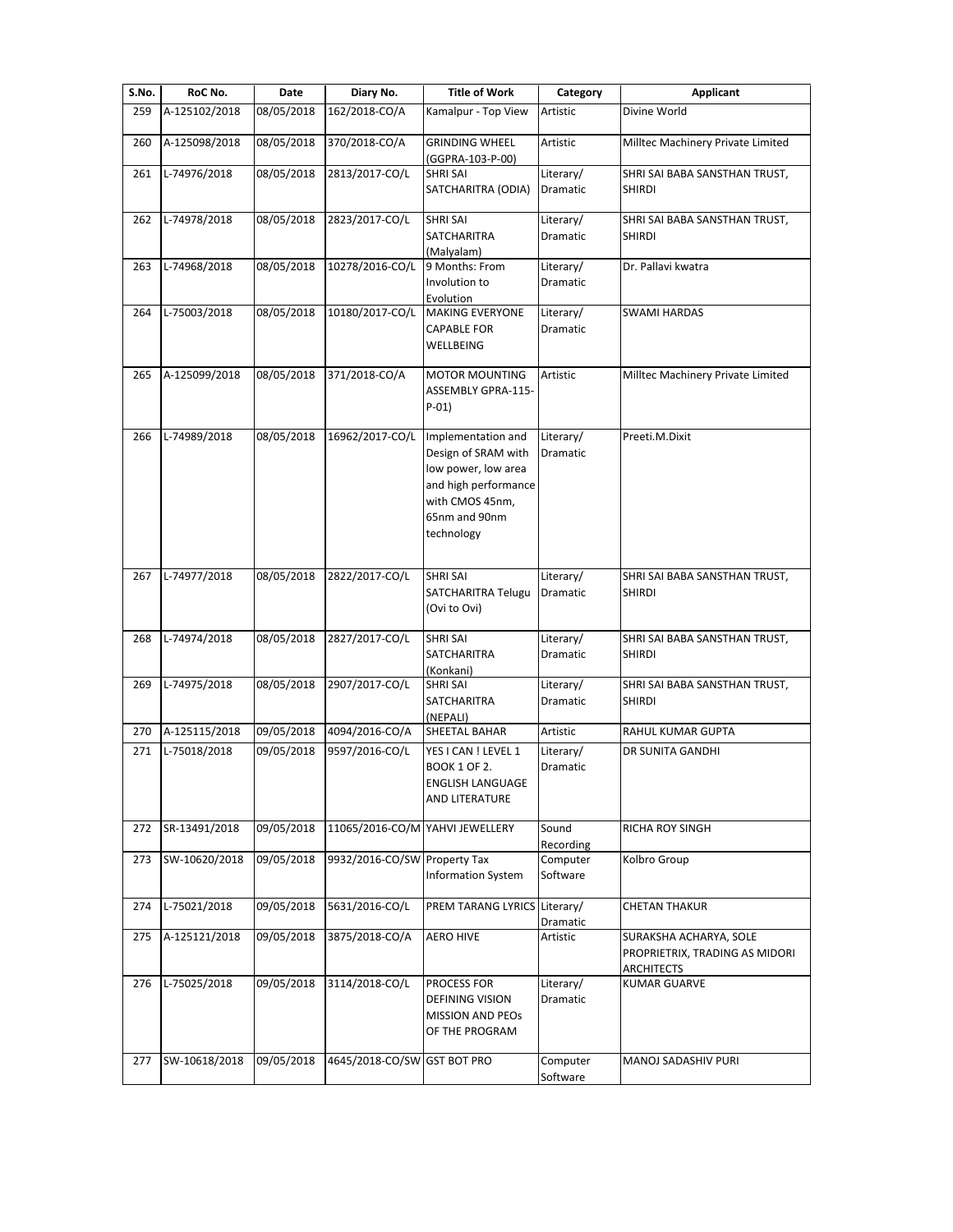| S.No. | RoC No.       | Date       | Diary No.                       | <b>Title of Work</b>                                                                                                                       | Category                     | <b>Applicant</b>                                                              |
|-------|---------------|------------|---------------------------------|--------------------------------------------------------------------------------------------------------------------------------------------|------------------------------|-------------------------------------------------------------------------------|
| 259   | A-125102/2018 | 08/05/2018 | 162/2018-CO/A                   | Kamalpur - Top View                                                                                                                        | Artistic                     | Divine World                                                                  |
| 260   | A-125098/2018 | 08/05/2018 | 370/2018-CO/A                   | <b>GRINDING WHEEL</b><br>(GGPRA-103-P-00)                                                                                                  | Artistic                     | Milltec Machinery Private Limited                                             |
| 261   | L-74976/2018  | 08/05/2018 | 2813/2017-CO/L                  | <b>SHRI SAI</b><br>SATCHARITRA (ODIA)                                                                                                      | Literary/<br>Dramatic        | SHRI SAI BABA SANSTHAN TRUST,<br><b>SHIRDI</b>                                |
| 262   | L-74978/2018  | 08/05/2018 | 2823/2017-CO/L                  | <b>SHRI SAI</b><br><b>SATCHARITRA</b><br>(Malyalam)                                                                                        | Literary/<br>Dramatic        | SHRI SAI BABA SANSTHAN TRUST,<br><b>SHIRDI</b>                                |
| 263   | L-74968/2018  | 08/05/2018 | 10278/2016-CO/L                 | 9 Months: From<br>Involution to<br>Evolution                                                                                               | Literary/<br>Dramatic        | Dr. Pallavi kwatra                                                            |
| 264   | L-75003/2018  | 08/05/2018 | 10180/2017-CO/L                 | <b>MAKING EVERYONE</b><br><b>CAPABLE FOR</b><br>WELLBEING                                                                                  | Literary/<br>Dramatic        | <b>SWAMI HARDAS</b>                                                           |
| 265   | A-125099/2018 | 08/05/2018 | 371/2018-CO/A                   | <b>MOTOR MOUNTING</b><br>ASSEMBLY GPRA-115-<br>$P-01)$                                                                                     | Artistic                     | Milltec Machinery Private Limited                                             |
| 266   | L-74989/2018  | 08/05/2018 | 16962/2017-CO/L                 | Implementation and<br>Design of SRAM with<br>low power, low area<br>and high performance<br>with CMOS 45nm,<br>65nm and 90nm<br>technology | Literary/<br><b>Dramatic</b> | Preeti.M.Dixit                                                                |
| 267   | L-74977/2018  | 08/05/2018 | 2822/2017-CO/L                  | <b>SHRI SAI</b><br>SATCHARITRA Telugu<br>(Ovi to Ovi)                                                                                      | Literary/<br>Dramatic        | SHRI SAI BABA SANSTHAN TRUST,<br><b>SHIRDI</b>                                |
| 268   | L-74974/2018  | 08/05/2018 | 2827/2017-CO/L                  | <b>SHRI SAI</b><br>SATCHARITRA<br>(Konkani)                                                                                                | Literary/<br>Dramatic        | SHRI SAI BABA SANSTHAN TRUST,<br><b>SHIRDI</b>                                |
| 269   | L-74975/2018  | 08/05/2018 | 2907/2017-CO/L                  | <b>SHRI SAI</b><br>SATCHARITRA<br>(NEPALI)                                                                                                 | Literary/<br>Dramatic        | SHRI SAI BABA SANSTHAN TRUST,<br><b>SHIRDI</b>                                |
| 270   | A-125115/2018 | 09/05/2018 | 4094/2016-CO/A                  | SHEETAL BAHAR                                                                                                                              | Artistic                     | RAHUL KUMAR GUPTA                                                             |
| 271   | L-75018/2018  | 09/05/2018 | 9597/2016-CO/L                  | YES I CAN ! LEVEL 1<br><b>BOOK 1 OF 2.</b><br><b>ENGLISH LANGUAGE</b><br>AND LITERATURE                                                    | Literary/<br><b>Dramatic</b> | DR SUNITA GANDHI                                                              |
| 272   | SR-13491/2018 | 09/05/2018 | 11065/2016-CO/M YAHVI JEWELLERY |                                                                                                                                            | Sound<br>Recording           | RICHA ROY SINGH                                                               |
| 273   | SW-10620/2018 | 09/05/2018 | 9932/2016-CO/SW Property Tax    | <b>Information System</b>                                                                                                                  | Computer<br>Software         | Kolbro Group                                                                  |
| 274   | L-75021/2018  | 09/05/2018 | 5631/2016-CO/L                  | PREM TARANG LYRICS                                                                                                                         | Literary/<br>Dramatic        | <b>CHETAN THAKUR</b>                                                          |
| 275   | A-125121/2018 | 09/05/2018 | 3875/2018-CO/A                  | <b>AERO HIVE</b>                                                                                                                           | Artistic                     | SURAKSHA ACHARYA, SOLE<br>PROPRIETRIX, TRADING AS MIDORI<br><b>ARCHITECTS</b> |
| 276   | L-75025/2018  | 09/05/2018 | 3114/2018-CO/L                  | PROCESS FOR<br><b>DEFINING VISION</b><br><b>MISSION AND PEOS</b><br>OF THE PROGRAM                                                         | Literary/<br>Dramatic        | <b>KUMAR GUARVE</b>                                                           |
| 277   | SW-10618/2018 | 09/05/2018 | 4645/2018-CO/SW GST BOT PRO     |                                                                                                                                            | Computer<br>Software         | MANOJ SADASHIV PURI                                                           |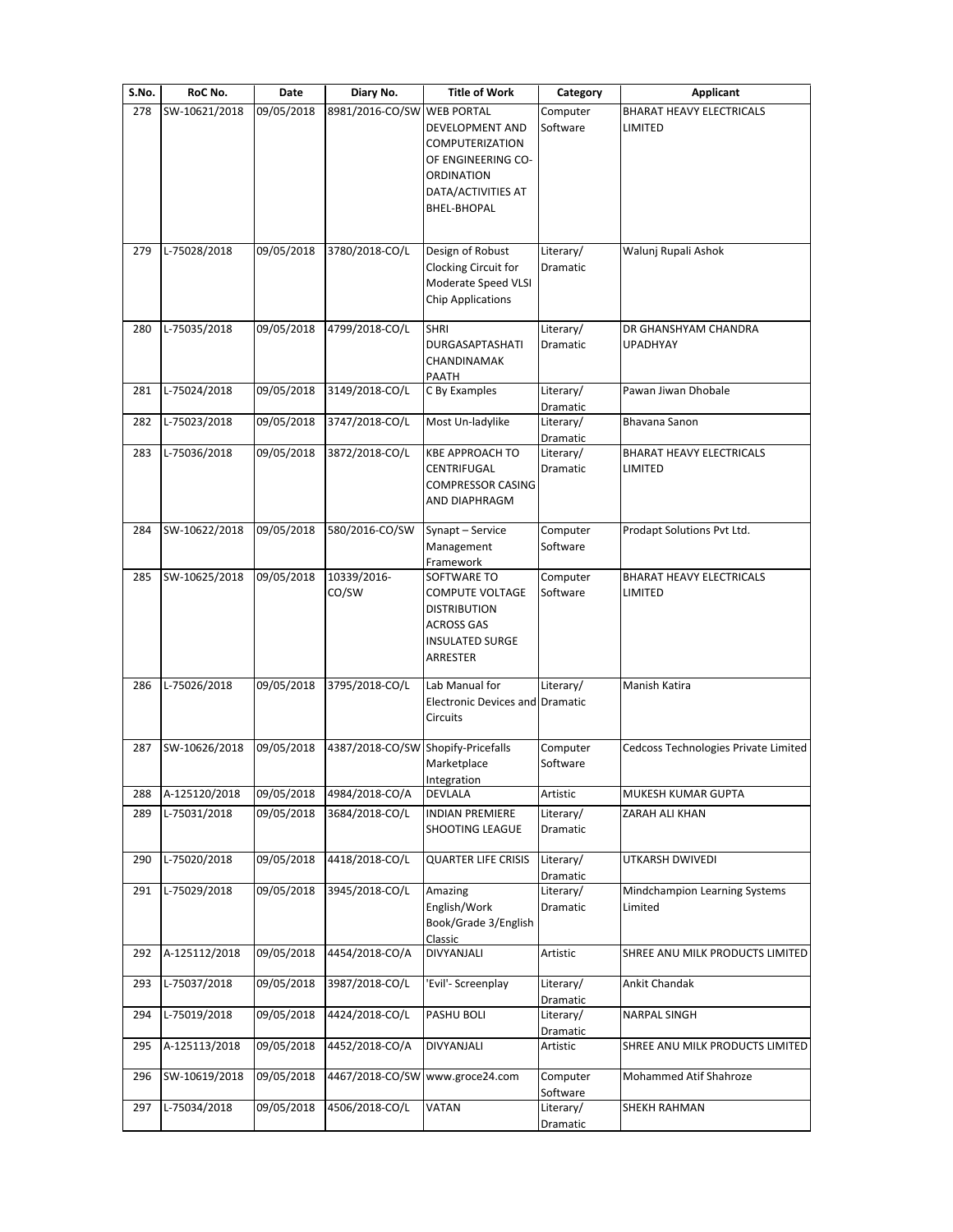| S.No. | RoC No.       | Date       | Diary No.                          | <b>Title of Work</b>                                                                                             | Category                                 | <b>Applicant</b>                           |
|-------|---------------|------------|------------------------------------|------------------------------------------------------------------------------------------------------------------|------------------------------------------|--------------------------------------------|
| 278   | SW-10621/2018 | 09/05/2018 | 8981/2016-CO/SW WEB PORTAL         |                                                                                                                  | Computer                                 | <b>BHARAT HEAVY ELECTRICALS</b>            |
|       |               |            |                                    | DEVELOPMENT AND<br>COMPUTERIZATION<br>OF ENGINEERING CO-<br>ORDINATION<br>DATA/ACTIVITIES AT<br>BHEL-BHOPAL      | Software                                 | LIMITED                                    |
| 279   | L-75028/2018  | 09/05/2018 | 3780/2018-CO/L                     | Design of Robust<br>Clocking Circuit for<br>Moderate Speed VLSI                                                  | Literary/<br>Dramatic                    | Walunj Rupali Ashok                        |
|       |               |            |                                    | <b>Chip Applications</b>                                                                                         |                                          |                                            |
| 280   | L-75035/2018  | 09/05/2018 | 4799/2018-CO/L                     | <b>SHRI</b><br>DURGASAPTASHATI<br>CHANDINAMAK<br>PAATH                                                           | Literary/<br>Dramatic                    | DR GHANSHYAM CHANDRA<br><b>UPADHYAY</b>    |
| 281   | L-75024/2018  | 09/05/2018 | 3149/2018-CO/L                     | C By Examples                                                                                                    | Literary/<br>Dramatic                    | Pawan Jiwan Dhobale                        |
| 282   | L-75023/2018  | 09/05/2018 | 3747/2018-CO/L                     | Most Un-ladylike                                                                                                 | Literary/                                | Bhavana Sanon                              |
| 283   | L-75036/2018  | 09/05/2018 | 3872/2018-CO/L                     | <b>KBE APPROACH TO</b><br>CENTRIFUGAL<br><b>COMPRESSOR CASING</b><br><b>AND DIAPHRAGM</b>                        | Dramatic<br>Literary/<br><b>Dramatic</b> | <b>BHARAT HEAVY ELECTRICALS</b><br>LIMITED |
| 284   | SW-10622/2018 | 09/05/2018 | 580/2016-CO/SW                     | Synapt - Service<br>Management                                                                                   | Computer<br>Software                     | Prodapt Solutions Pvt Ltd.                 |
|       |               |            |                                    | Framework                                                                                                        |                                          |                                            |
| 285   | SW-10625/2018 | 09/05/2018 | 10339/2016-<br>CO/SW               | SOFTWARE TO<br>COMPUTE VOLTAGE<br><b>DISTRIBUTION</b><br><b>ACROSS GAS</b><br><b>INSULATED SURGE</b><br>ARRESTER | Computer<br>Software                     | <b>BHARAT HEAVY ELECTRICALS</b><br>LIMITED |
| 286   | L-75026/2018  | 09/05/2018 | 3795/2018-CO/L                     | Lab Manual for<br><b>Electronic Devices and Dramatic</b><br>Circuits                                             | Literary/                                | Manish Katira                              |
| 287   | SW-10626/2018 | 09/05/2018 | 4387/2018-CO/SW Shopify-Pricefalls | Marketplace                                                                                                      | Computer<br>Software                     | Cedcoss Technologies Private Limited       |
| 288   | A-125120/2018 | 09/05/2018 | 4984/2018-CO/A                     | Integration<br><b>DEVLALA</b>                                                                                    | Artistic                                 | MUKESH KUMAR GUPTA                         |
| 289   | L-75031/2018  | 09/05/2018 | 3684/2018-CO/L                     | <b>INDIAN PREMIERE</b><br>SHOOTING LEAGUE                                                                        | Literary/<br>Dramatic                    | ZARAH ALI KHAN                             |
| 290   | L-75020/2018  | 09/05/2018 | 4418/2018-CO/L                     | <b>QUARTER LIFE CRISIS</b>                                                                                       | Literary/<br>Dramatic                    | UTKARSH DWIVEDI                            |
| 291   | L-75029/2018  | 09/05/2018 | 3945/2018-CO/L                     | Amazing<br>English/Work<br>Book/Grade 3/English<br>Classic                                                       | Literary/<br>Dramatic                    | Mindchampion Learning Systems<br>Limited   |
| 292   | A-125112/2018 | 09/05/2018 | 4454/2018-CO/A                     | DIVYANJALI                                                                                                       | Artistic                                 | SHREE ANU MILK PRODUCTS LIMITED            |
| 293   | L-75037/2018  | 09/05/2018 | 3987/2018-CO/L                     | 'Evil'- Screenplay                                                                                               | Literary/<br>Dramatic                    | Ankit Chandak                              |
| 294   | L-75019/2018  | 09/05/2018 | 4424/2018-CO/L                     | PASHU BOLI                                                                                                       | Literary/<br>Dramatic                    | <b>NARPAL SINGH</b>                        |
| 295   | A-125113/2018 | 09/05/2018 | 4452/2018-CO/A                     | DIVYANJALI                                                                                                       | Artistic                                 | SHREE ANU MILK PRODUCTS LIMITED            |
| 296   | SW-10619/2018 | 09/05/2018 |                                    | 4467/2018-CO/SW www.groce24.com                                                                                  | Computer<br>Software                     | Mohammed Atif Shahroze                     |
| 297   | L-75034/2018  | 09/05/2018 | 4506/2018-CO/L                     | VATAN                                                                                                            | Literary/<br>Dramatic                    | SHEKH RAHMAN                               |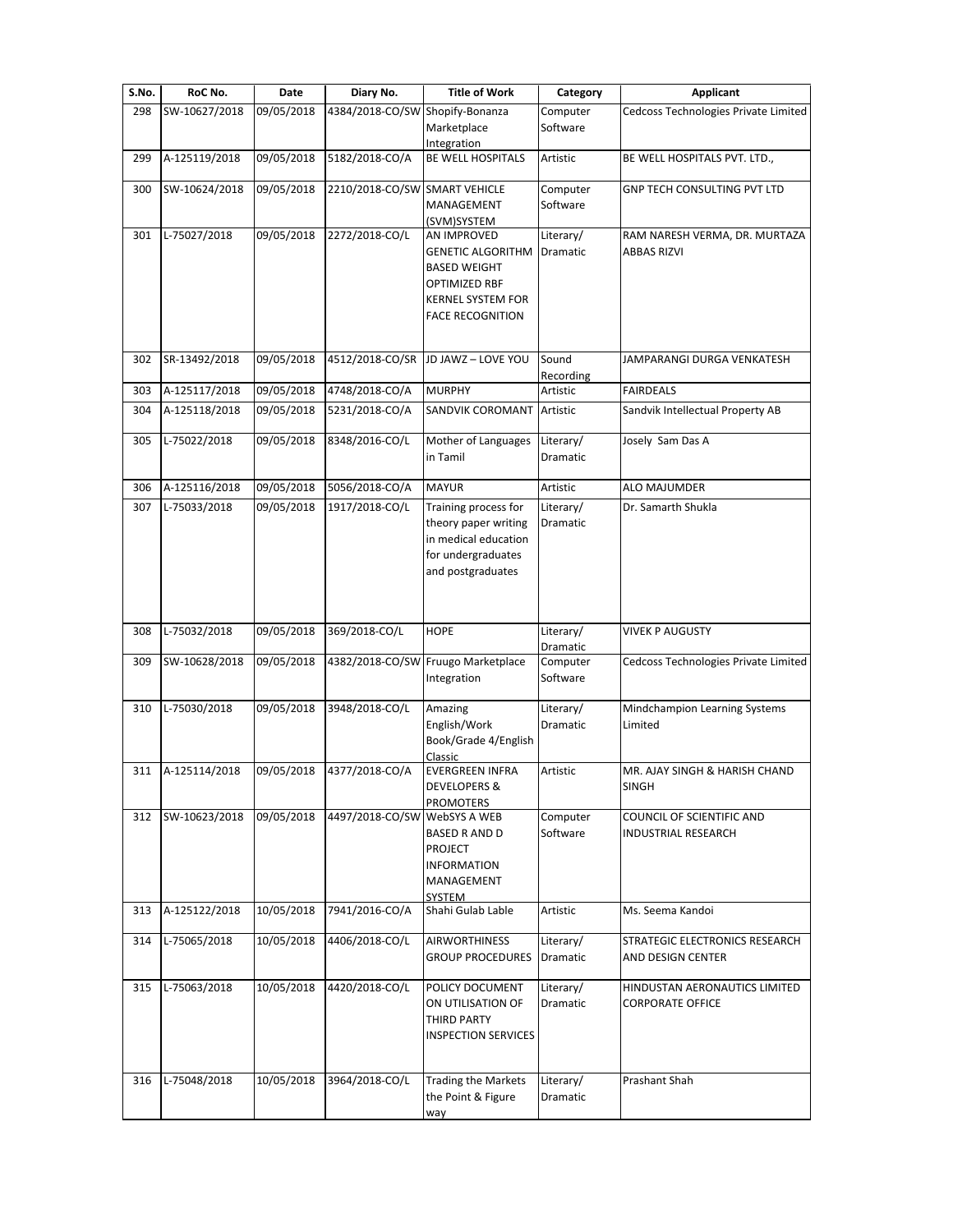| S.No. | RoC No.       | Date       | Diary No.                       | <b>Title of Work</b>                                                                                                                   | Category                     | Applicant                                                |
|-------|---------------|------------|---------------------------------|----------------------------------------------------------------------------------------------------------------------------------------|------------------------------|----------------------------------------------------------|
| 298   | SW-10627/2018 | 09/05/2018 | 4384/2018-CO/SW Shopify-Bonanza | Marketplace<br>Integration                                                                                                             | Computer<br>Software         | Cedcoss Technologies Private Limited                     |
| 299   | A-125119/2018 | 09/05/2018 | 5182/2018-CO/A                  | BE WELL HOSPITALS                                                                                                                      | Artistic                     | BE WELL HOSPITALS PVT. LTD.,                             |
| 300   | SW-10624/2018 | 09/05/2018 | 2210/2018-CO/SW                 | <b>SMART VEHICLE</b><br>MANAGEMENT<br>(SVM)SYSTEM                                                                                      | Computer<br>Software         | GNP TECH CONSULTING PVT LTD                              |
| 301   | L-75027/2018  | 09/05/2018 | 2272/2018-CO/L                  | AN IMPROVED<br><b>GENETIC ALGORITHM</b><br><b>BASED WEIGHT</b><br>OPTIMIZED RBF<br><b>KERNEL SYSTEM FOR</b><br><b>FACE RECOGNITION</b> | Literary/<br>Dramatic        | RAM NARESH VERMA, DR. MURTAZA<br><b>ABBAS RIZVI</b>      |
| 302   | SR-13492/2018 | 09/05/2018 | 4512/2018-CO/SR                 | JD JAWZ - LOVE YOU                                                                                                                     | Sound<br>Recording           | JAMPARANGI DURGA VENKATESH                               |
| 303   | A-125117/2018 | 09/05/2018 | 4748/2018-CO/A                  | <b>MURPHY</b>                                                                                                                          | Artistic                     | <b>FAIRDEALS</b>                                         |
| 304   | A-125118/2018 | 09/05/2018 | 5231/2018-CO/A                  | SANDVIK COROMANT                                                                                                                       | Artistic                     | Sandvik Intellectual Property AB                         |
| 305   | L-75022/2018  | 09/05/2018 | 8348/2016-CO/L                  | Mother of Languages<br>in Tamil                                                                                                        | Literary/<br>Dramatic        | Josely Sam Das A                                         |
| 306   | A-125116/2018 | 09/05/2018 | 5056/2018-CO/A                  | <b>MAYUR</b>                                                                                                                           | Artistic                     | ALO MAJUMDER                                             |
| 307   | L-75033/2018  | 09/05/2018 | 1917/2018-CO/L                  | Training process for<br>theory paper writing<br>in medical education<br>for undergraduates<br>and postgraduates                        | Literary/<br><b>Dramatic</b> | Dr. Samarth Shukla                                       |
| 308   | L-75032/2018  | 09/05/2018 | 369/2018-CO/L                   | <b>HOPE</b>                                                                                                                            | Literary/<br>Dramatic        | <b>VIVEK P AUGUSTY</b>                                   |
| 309   | SW-10628/2018 | 09/05/2018 |                                 | 4382/2018-CO/SW Fruugo Marketplace<br>Integration                                                                                      | Computer<br>Software         | Cedcoss Technologies Private Limited                     |
| 310   | L-75030/2018  | 09/05/2018 | 3948/2018-CO/L                  | Amazing<br>English/Work<br>Book/Grade 4/English<br>Classic                                                                             | Literary/<br>Dramatic        | Mindchampion Learning Systems<br>Limited                 |
| 311   | A-125114/2018 | 09/05/2018 | 4377/2018-CO/A                  | <b>EVERGREEN INFRA</b><br><b>DEVELOPERS &amp;</b><br>PROMOTERS                                                                         | Artistic                     | MR. AJAY SINGH & HARISH CHAND<br><b>SINGH</b>            |
| 312   | SW-10623/2018 | 09/05/2018 | 4497/2018-CO/SW                 | <b>WebSYS A WEB</b><br><b>BASED R AND D</b><br><b>PROJECT</b><br><b>INFORMATION</b><br>MANAGEMENT<br>SYSTEM                            | Computer<br>Software         | COUNCIL OF SCIENTIFIC AND<br><b>INDUSTRIAL RESEARCH</b>  |
| 313   | A-125122/2018 | 10/05/2018 | 7941/2016-CO/A                  | Shahi Gulab Lable                                                                                                                      | Artistic                     | Ms. Seema Kandoi                                         |
| 314   | L-75065/2018  | 10/05/2018 | 4406/2018-CO/L                  | <b>AIRWORTHINESS</b><br><b>GROUP PROCEDURES</b>                                                                                        | Literary/<br>Dramatic        | STRATEGIC ELECTRONICS RESEARCH<br>AND DESIGN CENTER      |
| 315   | L-75063/2018  | 10/05/2018 | 4420/2018-CO/L                  | POLICY DOCUMENT<br>ON UTILISATION OF<br>THIRD PARTY<br><b>INSPECTION SERVICES</b>                                                      | Literary/<br>Dramatic        | HINDUSTAN AERONAUTICS LIMITED<br><b>CORPORATE OFFICE</b> |
| 316   | L-75048/2018  | 10/05/2018 | 3964/2018-CO/L                  | Trading the Markets<br>the Point & Figure<br>way                                                                                       | Literary/<br>Dramatic        | Prashant Shah                                            |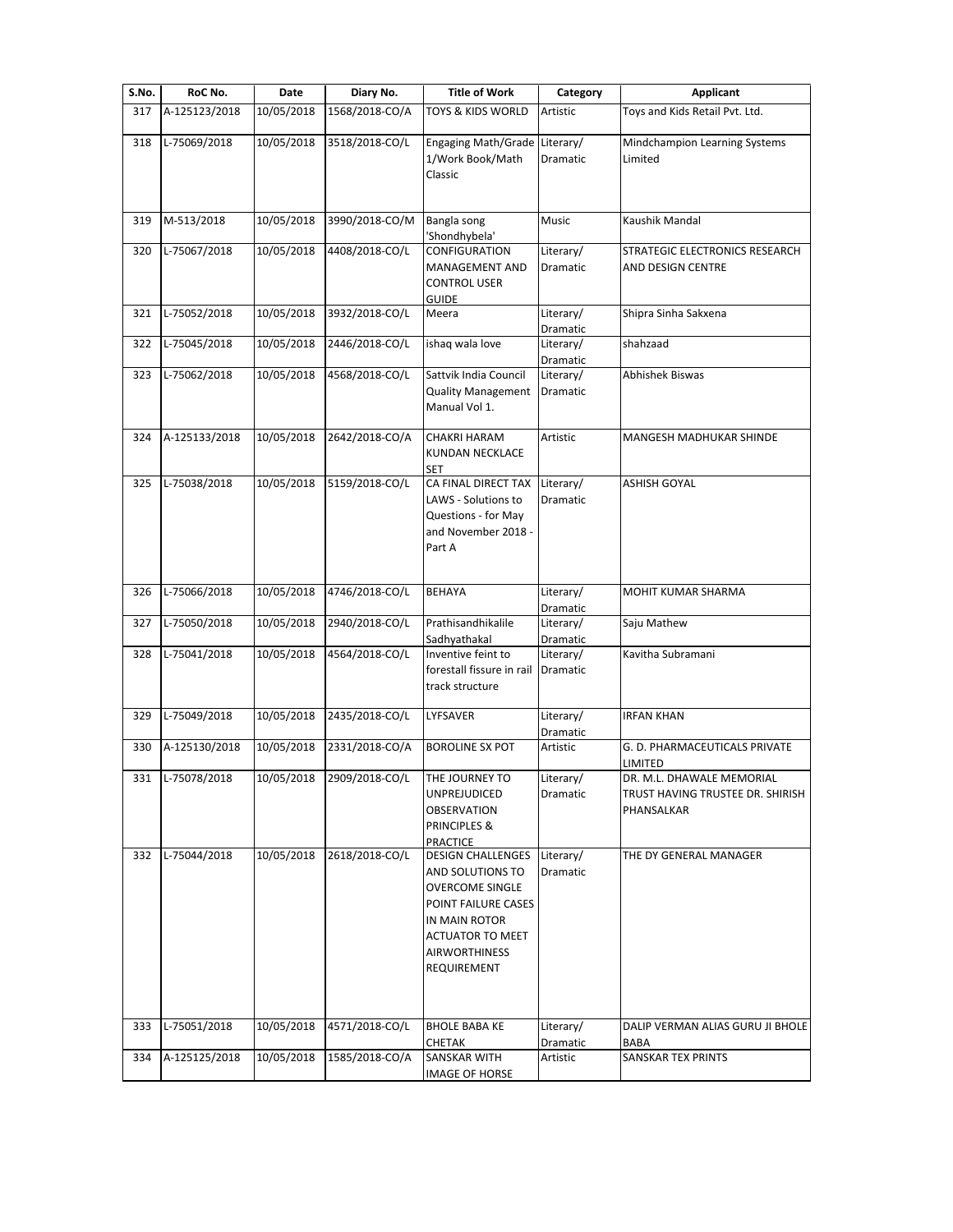| S.No. | RoC No.       | Date       | Diary No.                 | <b>Title of Work</b>                                                                                                                                                             | Category              | <b>Applicant</b>                                                            |
|-------|---------------|------------|---------------------------|----------------------------------------------------------------------------------------------------------------------------------------------------------------------------------|-----------------------|-----------------------------------------------------------------------------|
| 317   | A-125123/2018 | 10/05/2018 | 1568/2018-CO/A            | TOYS & KIDS WORLD                                                                                                                                                                | Artistic              | Toys and Kids Retail Pvt. Ltd.                                              |
| 318   | L-75069/2018  | 10/05/2018 | 3518/2018-CO/L            | <b>Engaging Math/Grade</b><br>1/Work Book/Math<br>Classic                                                                                                                        | Literary/<br>Dramatic | Mindchampion Learning Systems<br>Limited                                    |
| 319   | M-513/2018    | 10/05/2018 | 3990/2018-CO/M            | Bangla song<br>'Shondhybela'                                                                                                                                                     | Music                 | Kaushik Mandal                                                              |
| 320   | L-75067/2018  | 10/05/2018 | 4408/2018-CO/L            | CONFIGURATION<br>MANAGEMENT AND<br><b>CONTROL USER</b><br><b>GUIDE</b>                                                                                                           | Literary/<br>Dramatic | STRATEGIC ELECTRONICS RESEARCH<br>AND DESIGN CENTRE                         |
| 321   | L-75052/2018  | 10/05/2018 | 3932/2018-CO/L            | Meera                                                                                                                                                                            | Literary/<br>Dramatic | Shipra Sinha Sakxena                                                        |
| 322   | L-75045/2018  | 10/05/2018 | 2446/2018-CO/L            | ishaq wala love                                                                                                                                                                  | Literary/<br>Dramatic | shahzaad                                                                    |
| 323   | L-75062/2018  | 10/05/2018 | 4568/2018-CO/L            | Sattvik India Council<br><b>Quality Management</b><br>Manual Vol 1.                                                                                                              | Literary/<br>Dramatic | Abhishek Biswas                                                             |
| 324   | A-125133/2018 | 10/05/2018 | 2642/2018-CO/A            | <b>CHAKRI HARAM</b><br>KUNDAN NECKLACE<br>SET                                                                                                                                    | Artistic              | <b>MANGESH MADHUKAR SHINDE</b>                                              |
| 325   | L-75038/2018  | 10/05/2018 | 5159/2018-CO/L            | CA FINAL DIRECT TAX<br>LAWS - Solutions to<br>Questions - for May<br>and November 2018 -<br>Part A                                                                               | Literary/<br>Dramatic | <b>ASHISH GOYAL</b>                                                         |
| 326   | L-75066/2018  | 10/05/2018 | 4746/2018-CO/L            | <b>BEHAYA</b>                                                                                                                                                                    | Literary/<br>Dramatic | MOHIT KUMAR SHARMA                                                          |
| 327   | L-75050/2018  | 10/05/2018 | 2940/2018-CO/L            | Prathisandhikalile<br>Sadhyathakal                                                                                                                                               | Literary/<br>Dramatic | Saju Mathew                                                                 |
| 328   | L-75041/2018  | 10/05/2018 | 4564/2018-CO/L            | Inventive feint to<br>forestall fissure in rail<br>track structure                                                                                                               | Literary/<br>Dramatic | Kavitha Subramani                                                           |
| 329   | L-75049/2018  | 10/05/2018 | 2435/2018-CO/L            | LYFSAVER                                                                                                                                                                         | Literary/<br>Dramatic | <b>IRFAN KHAN</b>                                                           |
| 330   | A-125130/2018 | 10/05/2018 | 2331/2018-CO/A            | <b>BOROLINE SX POT</b>                                                                                                                                                           | Artistic              | G. D. PHARMACEUTICALS PRIVATE<br>LIMITED                                    |
| 331   | L-75078/2018  |            | 10/05/2018 2909/2018-CO/L | THE JOURNEY TO<br>UNPREJUDICED<br><b>OBSERVATION</b><br>PRINCIPLES &<br><b>PRACTICE</b>                                                                                          | Literary/<br>Dramatic | DR. M.L. DHAWALE MEMORIAL<br>TRUST HAVING TRUSTEE DR. SHIRISH<br>PHANSALKAR |
| 332   | L-75044/2018  | 10/05/2018 | 2618/2018-CO/L            | <b>DESIGN CHALLENGES</b><br>AND SOLUTIONS TO<br><b>OVERCOME SINGLE</b><br>POINT FAILURE CASES<br>IN MAIN ROTOR<br><b>ACTUATOR TO MEET</b><br><b>AIRWORTHINESS</b><br>REQUIREMENT | Literary/<br>Dramatic | THE DY GENERAL MANAGER                                                      |
| 333   | L-75051/2018  | 10/05/2018 | 4571/2018-CO/L            | <b>BHOLE BABA KE</b><br>CHETAK                                                                                                                                                   | Literary/<br>Dramatic | DALIP VERMAN ALIAS GURU JI BHOLE<br>BABA                                    |
| 334   | A-125125/2018 | 10/05/2018 | 1585/2018-CO/A            | <b>SANSKAR WITH</b><br><b>IMAGE OF HORSE</b>                                                                                                                                     | Artistic              | SANSKAR TEX PRINTS                                                          |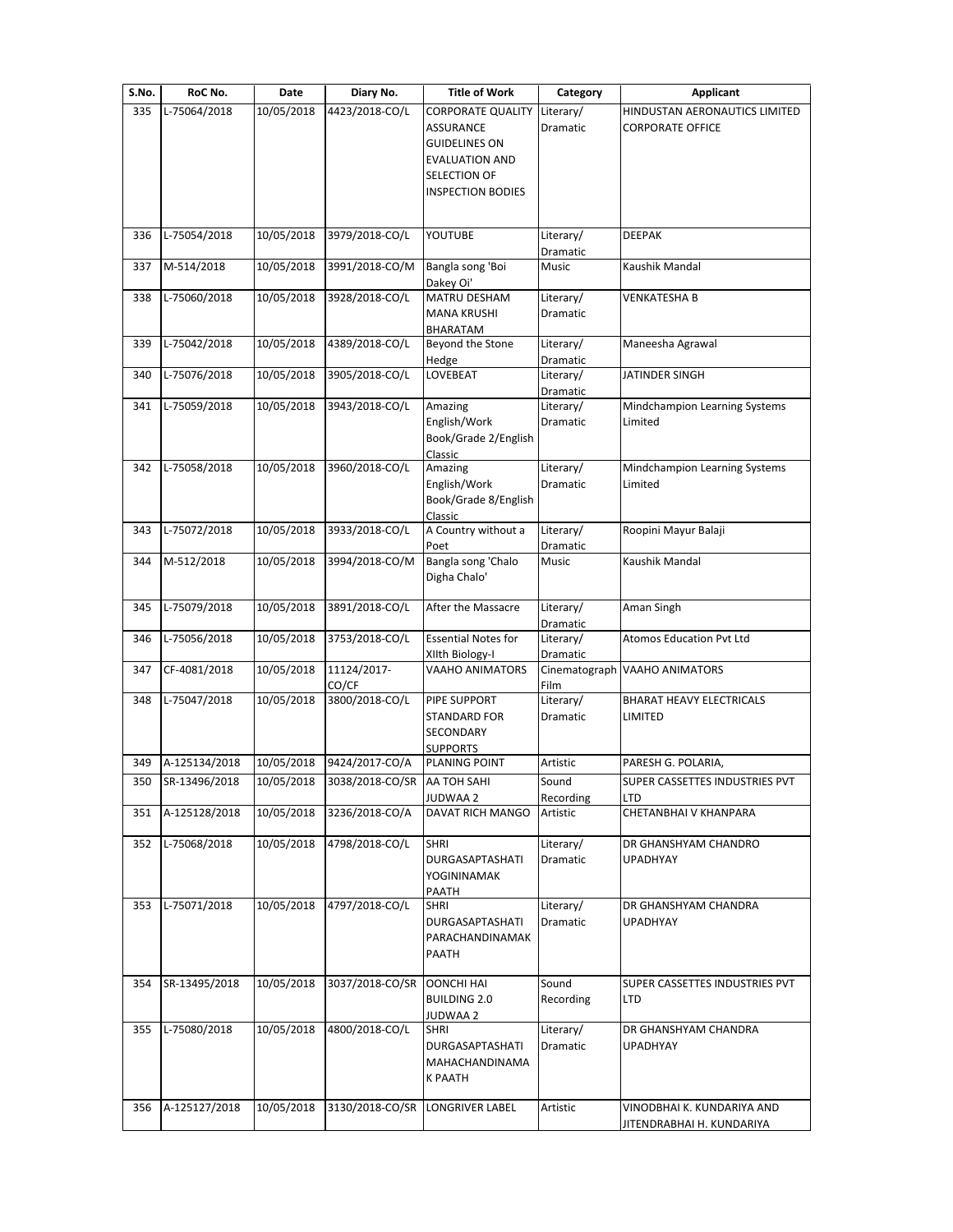| S.No. | RoC No.       | Date       | Diary No.                   | <b>Title of Work</b>                                                                                                                      | Category              | Applicant                                                |
|-------|---------------|------------|-----------------------------|-------------------------------------------------------------------------------------------------------------------------------------------|-----------------------|----------------------------------------------------------|
| 335   | L-75064/2018  | 10/05/2018 | 4423/2018-CO/L              | <b>CORPORATE QUALITY</b><br><b>ASSURANCE</b><br><b>GUIDELINES ON</b><br><b>EVALUATION AND</b><br>SELECTION OF<br><b>INSPECTION BODIES</b> | Literary/<br>Dramatic | HINDUSTAN AERONAUTICS LIMITED<br><b>CORPORATE OFFICE</b> |
| 336   | L-75054/2018  | 10/05/2018 | 3979/2018-CO/L              | YOUTUBE                                                                                                                                   | Literary/<br>Dramatic | <b>DEEPAK</b>                                            |
| 337   | M-514/2018    | 10/05/2018 | 3991/2018-CO/M              | Bangla song 'Boi<br>Dakey Oi'                                                                                                             | Music                 | Kaushik Mandal                                           |
| 338   | L-75060/2018  | 10/05/2018 | 3928/2018-CO/L              | MATRU DESHAM<br><b>MANA KRUSHI</b><br>BHARATAM                                                                                            | Literary/<br>Dramatic | <b>VENKATESHA B</b>                                      |
| 339   | L-75042/2018  | 10/05/2018 | 4389/2018-CO/L              | Beyond the Stone<br>Hedge                                                                                                                 | Literary/<br>Dramatic | Maneesha Agrawal                                         |
| 340   | L-75076/2018  | 10/05/2018 | 3905/2018-CO/L              | LOVEBEAT                                                                                                                                  | Literary/<br>Dramatic | JATINDER SINGH                                           |
| 341   | L-75059/2018  | 10/05/2018 | 3943/2018-CO/L              | Amazing<br>English/Work<br>Book/Grade 2/English<br>Classic                                                                                | Literary/<br>Dramatic | Mindchampion Learning Systems<br>Limited                 |
| 342   | L-75058/2018  | 10/05/2018 | 3960/2018-CO/L              | Amazing<br>English/Work<br>Book/Grade 8/English<br>Classic                                                                                | Literary/<br>Dramatic | Mindchampion Learning Systems<br>Limited                 |
| 343   | L-75072/2018  | 10/05/2018 | 3933/2018-CO/L              | A Country without a<br>Poet                                                                                                               | Literary/<br>Dramatic | Roopini Mayur Balaji                                     |
| 344   | M-512/2018    | 10/05/2018 | 3994/2018-CO/M              | Bangla song 'Chalo<br>Digha Chalo'                                                                                                        | Music                 | Kaushik Mandal                                           |
| 345   | L-75079/2018  | 10/05/2018 | 3891/2018-CO/L              | After the Massacre                                                                                                                        | Literary/<br>Dramatic | Aman Singh                                               |
| 346   | L-75056/2018  | 10/05/2018 | 3753/2018-CO/L              | <b>Essential Notes for</b><br>XIIth Biology-I                                                                                             | Literary/<br>Dramatic | <b>Atomos Education Pvt Ltd</b>                          |
| 347   | CF-4081/2018  | 10/05/2018 | 11124/2017-<br>CO/CF        | VAAHO ANIMATORS                                                                                                                           | Film                  | Cinematograph VAAHO ANIMATORS                            |
| 348   | L-75047/2018  | 10/05/2018 | 3800/2018-CO/L              | PIPE SUPPORT<br><b>STANDARD FOR</b><br>SECONDARY<br><b>SUPPORTS</b>                                                                       | Literary/<br>Dramatic | BHARAT HEAVY ELECTRICALS<br>LIMITED                      |
| 349   | A-125134/2018 | 10/05/2018 | 9424/2017-CO/A              | PLANING POINT                                                                                                                             | Artistic              | PARESH G. POLARIA,                                       |
| 350   | SR-13496/2018 | 10/05/2018 | 3038/2018-CO/SR AA TOH SAHI | JUDWAA 2                                                                                                                                  | Sound<br>Recording    | SUPER CASSETTES INDUSTRIES PVT<br>LTD                    |
| 351   | A-125128/2018 | 10/05/2018 | 3236/2018-CO/A              | DAVAT RICH MANGO                                                                                                                          | Artistic              | CHETANBHAI V KHANPARA                                    |
| 352   | L-75068/2018  | 10/05/2018 | 4798/2018-CO/L              | <b>SHRI</b><br>DURGASAPTASHATI<br>YOGININAMAK<br>PAATH                                                                                    | Literary/<br>Dramatic | DR GHANSHYAM CHANDRO<br><b>UPADHYAY</b>                  |
| 353   | L-75071/2018  | 10/05/2018 | 4797/2018-CO/L              | <b>SHRI</b><br>DURGASAPTASHATI<br>PARACHANDINAMAK<br>PAATH                                                                                | Literary/<br>Dramatic | DR GHANSHYAM CHANDRA<br>UPADHYAY                         |
| 354   | SR-13495/2018 | 10/05/2018 | 3037/2018-CO/SR             | <b>OONCHI HAI</b><br><b>BUILDING 2.0</b><br>JUDWAA 2                                                                                      | Sound<br>Recording    | SUPER CASSETTES INDUSTRIES PVT<br>LTD                    |
| 355   | L-75080/2018  | 10/05/2018 | 4800/2018-CO/L              | <b>SHRI</b><br>DURGASAPTASHATI<br>MAHACHANDINAMA<br>K PAATH                                                                               | Literary/<br>Dramatic | DR GHANSHYAM CHANDRA<br>UPADHYAY                         |
| 356   | A-125127/2018 | 10/05/2018 | 3130/2018-CO/SR             | <b>LONGRIVER LABEL</b>                                                                                                                    | Artistic              | VINODBHAI K. KUNDARIYA AND<br>JITENDRABHAI H. KUNDARIYA  |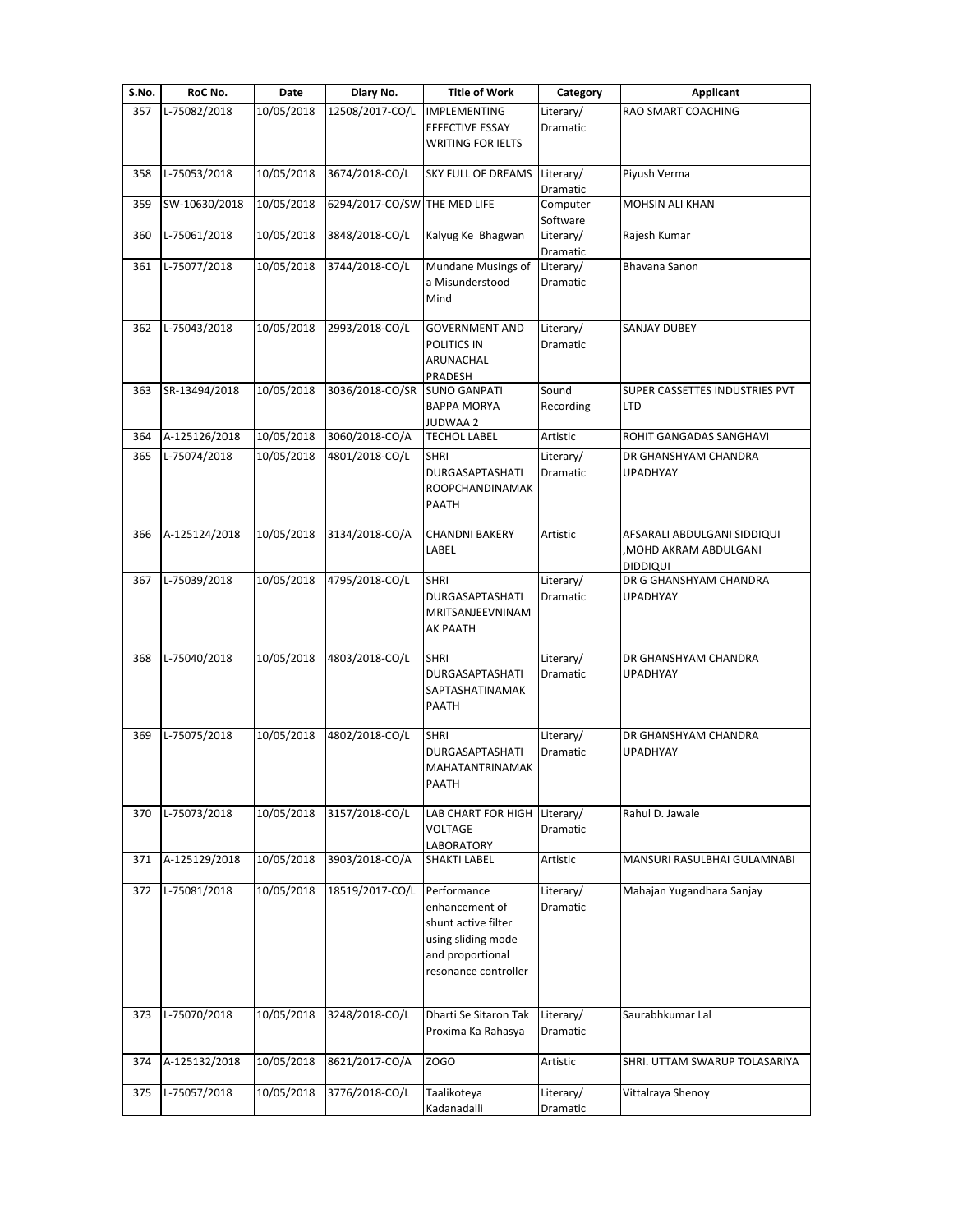| S.No. | RoC No.       | Date       | Diary No.                    | <b>Title of Work</b>                                                                                                   | Category                     | <b>Applicant</b>                                                              |
|-------|---------------|------------|------------------------------|------------------------------------------------------------------------------------------------------------------------|------------------------------|-------------------------------------------------------------------------------|
| 357   | L-75082/2018  | 10/05/2018 | 12508/2017-CO/L              | <b>IMPLEMENTING</b><br>EFFECTIVE ESSAY<br><b>WRITING FOR IELTS</b>                                                     | Literary/<br>Dramatic        | RAO SMART COACHING                                                            |
| 358   | L-75053/2018  | 10/05/2018 | 3674/2018-CO/L               | SKY FULL OF DREAMS                                                                                                     | Literary/<br>Dramatic        | Piyush Verma                                                                  |
| 359   | SW-10630/2018 | 10/05/2018 | 6294/2017-CO/SW THE MED LIFE |                                                                                                                        | Computer<br>Software         | <b>MOHSIN ALI KHAN</b>                                                        |
| 360   | L-75061/2018  | 10/05/2018 | 3848/2018-CO/L               | Kalyug Ke Bhagwan                                                                                                      | Literary/<br>Dramatic        | Rajesh Kumar                                                                  |
| 361   | L-75077/2018  | 10/05/2018 | 3744/2018-CO/L               | Mundane Musings of<br>a Misunderstood<br>Mind                                                                          | Literary/<br>Dramatic        | Bhavana Sanon                                                                 |
| 362   | L-75043/2018  | 10/05/2018 | 2993/2018-CO/L               | <b>GOVERNMENT AND</b><br>POLITICS IN<br>ARUNACHAL<br>PRADESH                                                           | Literary/<br>Dramatic        | <b>SANJAY DUBEY</b>                                                           |
| 363   | SR-13494/2018 | 10/05/2018 | 3036/2018-CO/SR              | <b>SUNO GANPATI</b><br><b>BAPPA MORYA</b><br>JUDWAA 2                                                                  | Sound<br>Recording           | SUPER CASSETTES INDUSTRIES PVT<br><b>LTD</b>                                  |
| 364   | A-125126/2018 | 10/05/2018 | 3060/2018-CO/A               | <b>TECHOL LABEL</b>                                                                                                    | Artistic                     | ROHIT GANGADAS SANGHAVI                                                       |
| 365   | L-75074/2018  | 10/05/2018 | 4801/2018-CO/L               | <b>SHRI</b><br>DURGASAPTASHATI<br>ROOPCHANDINAMAK<br>PAATH                                                             | Literary/<br>Dramatic        | DR GHANSHYAM CHANDRA<br><b>UPADHYAY</b>                                       |
| 366   | A-125124/2018 | 10/05/2018 | 3134/2018-CO/A               | <b>CHANDNI BAKERY</b><br>LABEL                                                                                         | Artistic                     | AFSARALI ABDULGANI SIDDIQUI<br><b>MOHD AKRAM ABDULGANI</b><br><b>DIDDIQUI</b> |
| 367   | L-75039/2018  | 10/05/2018 | 4795/2018-CO/L               | <b>SHRI</b><br><b>DURGASAPTASHATI</b><br>MRITSANJEEVNINAM<br><b>AK PAATH</b>                                           | Literary/<br>Dramatic        | DR G GHANSHYAM CHANDRA<br><b>UPADHYAY</b>                                     |
| 368   | L-75040/2018  | 10/05/2018 | 4803/2018-CO/L               | <b>SHRI</b><br><b>DURGASAPTASHATI</b><br>SAPTASHATINAMAK<br>PAATH                                                      | Literary/<br>Dramatic        | DR GHANSHYAM CHANDRA<br><b>UPADHYAY</b>                                       |
| 369   | L-75075/2018  | 10/05/2018 | 4802/2018-CO/L               | <b>SHRI</b><br>DURGASAPTASHATI<br>MAHATANTRINAMAK<br>PAATH                                                             | Literary/<br><b>Dramatic</b> | DR GHANSHYAM CHANDRA<br>UPADHYAY                                              |
| 370   | L-75073/2018  | 10/05/2018 | 3157/2018-CO/L               | LAB CHART FOR HIGH Literary/<br><b>VOLTAGE</b><br>LABORATORY                                                           | Dramatic                     | Rahul D. Jawale                                                               |
| 371   | A-125129/2018 | 10/05/2018 | 3903/2018-CO/A               | SHAKTI LABEL                                                                                                           | Artistic                     | MANSURI RASULBHAI GULAMNABI                                                   |
| 372   | L-75081/2018  | 10/05/2018 | 18519/2017-CO/L              | Performance<br>enhancement of<br>shunt active filter<br>using sliding mode<br>and proportional<br>resonance controller | Literary/<br>Dramatic        | Mahajan Yugandhara Sanjay                                                     |
| 373   | L-75070/2018  | 10/05/2018 | 3248/2018-CO/L               | Dharti Se Sitaron Tak<br>Proxima Ka Rahasya                                                                            | Literary/<br>Dramatic        | Saurabhkumar Lal                                                              |
| 374   | A-125132/2018 | 10/05/2018 | 8621/2017-CO/A               | ZOGO                                                                                                                   | Artistic                     | SHRI. UTTAM SWARUP TOLASARIYA                                                 |
| 375   | L-75057/2018  | 10/05/2018 | 3776/2018-CO/L               | Taalikoteya<br>Kadanadalli                                                                                             | Literary/<br>Dramatic        | Vittalraya Shenoy                                                             |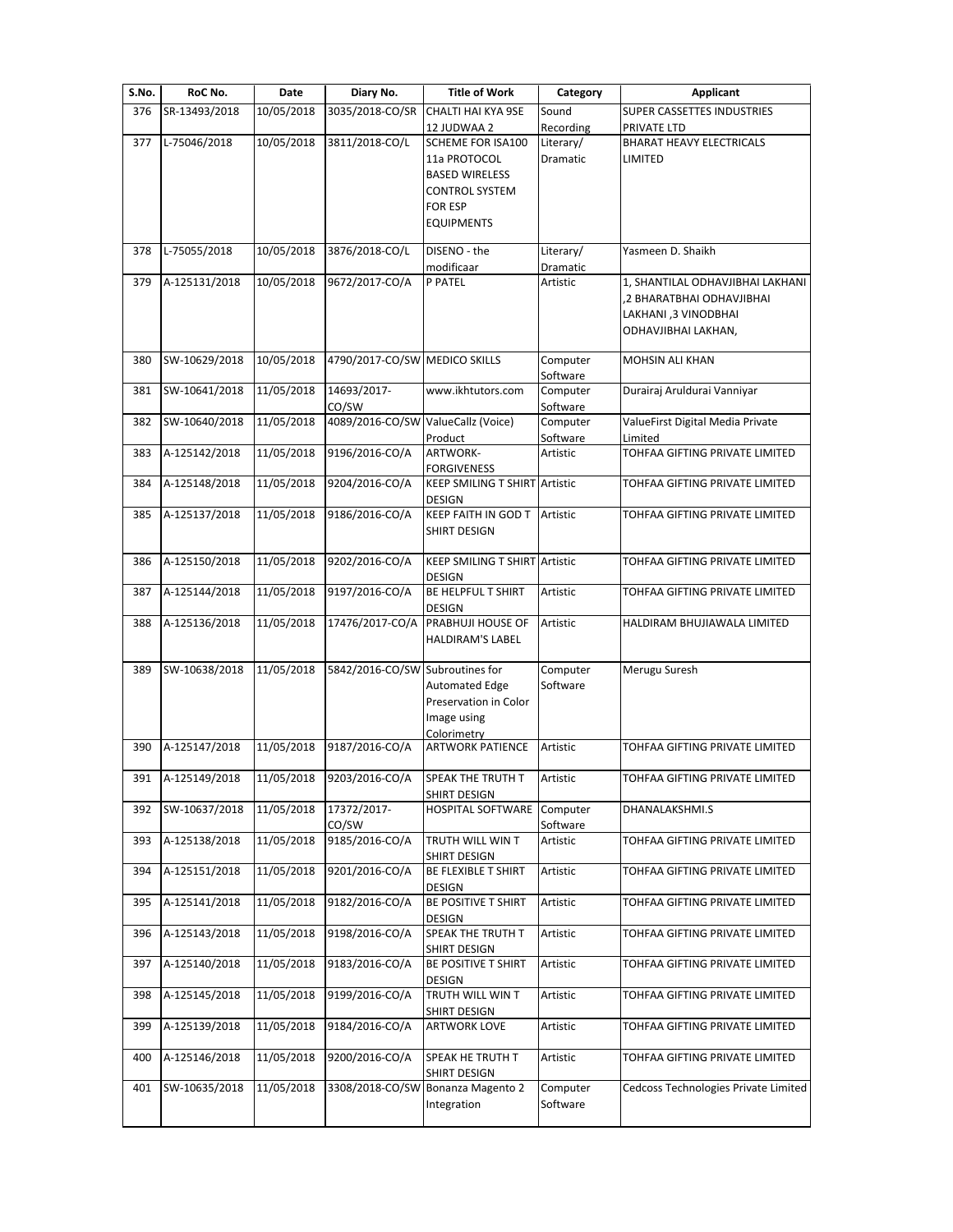| S.No. | RoC No.       | Date       | Diary No.                          | <b>Title of Work</b>                 | Category              | <b>Applicant</b>                          |
|-------|---------------|------------|------------------------------------|--------------------------------------|-----------------------|-------------------------------------------|
| 376   | SR-13493/2018 | 10/05/2018 | 3035/2018-CO/SR                    | CHALTI HAI KYA 9SE<br>12 JUDWAA 2    | Sound<br>Recording    | SUPER CASSETTES INDUSTRIES<br>PRIVATE LTD |
| 377   | L-75046/2018  | 10/05/2018 | 3811/2018-CO/L                     | SCHEME FOR ISA100                    | Literary/             | <b>BHARAT HEAVY ELECTRICALS</b>           |
|       |               |            |                                    | 11a PROTOCOL                         | Dramatic              | LIMITED                                   |
|       |               |            |                                    | <b>BASED WIRELESS</b>                |                       |                                           |
|       |               |            |                                    | <b>CONTROL SYSTEM</b>                |                       |                                           |
|       |               |            |                                    | <b>FOR ESP</b>                       |                       |                                           |
|       |               |            |                                    | <b>EQUIPMENTS</b>                    |                       |                                           |
|       |               |            |                                    |                                      |                       |                                           |
| 378   | L-75055/2018  | 10/05/2018 | 3876/2018-CO/L                     | DISENO - the<br>modificaar           | Literary/<br>Dramatic | Yasmeen D. Shaikh                         |
| 379   | A-125131/2018 | 10/05/2018 | 9672/2017-CO/A                     | P PATEL                              | Artistic              | 1, SHANTILAL ODHAVJIBHAI LAKHANI          |
|       |               |            |                                    |                                      |                       | ,2 BHARATBHAI ODHAVJIBHAI                 |
|       |               |            |                                    |                                      |                       | LAKHANI ,3 VINODBHAI                      |
|       |               |            |                                    |                                      |                       | ODHAVJIBHAI LAKHAN,                       |
|       |               |            |                                    |                                      |                       |                                           |
| 380   | SW-10629/2018 | 10/05/2018 | 4790/2017-CO/SW MEDICO SKILLS      |                                      | Computer              | MOHSIN ALI KHAN                           |
|       |               |            |                                    |                                      | Software              |                                           |
| 381   | SW-10641/2018 | 11/05/2018 | 14693/2017-                        | www.ikhtutors.com                    | Computer              | Durairaj Aruldurai Vanniyar               |
|       |               |            | CO/SW                              |                                      | Software              |                                           |
| 382   | SW-10640/2018 | 11/05/2018 | 4089/2016-CO/SW ValueCallz (Voice) |                                      | Computer              | ValueFirst Digital Media Private          |
|       |               |            |                                    | Product                              | Software              | Limited                                   |
| 383   | A-125142/2018 | 11/05/2018 | 9196/2016-CO/A                     | ARTWORK-                             | Artistic              | TOHFAA GIFTING PRIVATE LIMITED            |
|       |               |            |                                    | <b>FORGIVENESS</b>                   |                       |                                           |
| 384   | A-125148/2018 | 11/05/2018 | 9204/2016-CO/A                     | <b>KEEP SMILING T SHIRT Artistic</b> |                       | TOHFAA GIFTING PRIVATE LIMITED            |
|       |               |            |                                    | <b>DESIGN</b>                        |                       |                                           |
| 385   | A-125137/2018 | 11/05/2018 | 9186/2016-CO/A                     | <b>KEEP FAITH IN GOD T</b>           | Artistic              | TOHFAA GIFTING PRIVATE LIMITED            |
|       |               |            |                                    | SHIRT DESIGN                         |                       |                                           |
|       |               |            |                                    |                                      |                       |                                           |
| 386   | A-125150/2018 | 11/05/2018 | 9202/2016-CO/A                     | <b>KEEP SMILING T SHIRT Artistic</b> |                       | TOHFAA GIFTING PRIVATE LIMITED            |
|       |               |            |                                    | DESIGN                               |                       |                                           |
| 387   | A-125144/2018 | 11/05/2018 | 9197/2016-CO/A                     | BE HELPFUL T SHIRT                   | Artistic              | TOHFAA GIFTING PRIVATE LIMITED            |
|       |               |            |                                    | <b>DESIGN</b>                        |                       |                                           |
| 388   | A-125136/2018 | 11/05/2018 | 17476/2017-CO/A                    | PRABHUJI HOUSE OF                    | Artistic              | HALDIRAM BHUJIAWALA LIMITED               |
|       |               |            |                                    | <b>HALDIRAM'S LABEL</b>              |                       |                                           |
|       |               |            |                                    |                                      |                       |                                           |
| 389   | SW-10638/2018 | 11/05/2018 | 5842/2016-CO/SW Subroutines for    |                                      | Computer              | Merugu Suresh                             |
|       |               |            |                                    | <b>Automated Edge</b>                | Software              |                                           |
|       |               |            |                                    | Preservation in Color                |                       |                                           |
|       |               |            |                                    | Image using                          |                       |                                           |
|       |               |            |                                    | Colorimetry                          |                       |                                           |
| 390   | A-125147/2018 | 11/05/2018 | 9187/2016-CO/A                     | <b>ARTWORK PATIENCE</b>              | Artistic              | TOHFAA GIFTING PRIVATE LIMITED            |
|       |               |            |                                    |                                      |                       |                                           |
| 391   | A-125149/2018 | 11/05/2018 | 9203/2016-CO/A                     | SPEAK THE TRUTH T                    | Artistic              | TOHFAA GIFTING PRIVATE LIMITED            |
|       |               |            |                                    | SHIRT DESIGN                         |                       |                                           |
| 392   | SW-10637/2018 | 11/05/2018 | 17372/2017-                        | <b>HOSPITAL SOFTWARE</b>             | Computer              | DHANALAKSHMI.S                            |
|       |               |            | CO/SW                              |                                      | Software              |                                           |
| 393   | A-125138/2018 | 11/05/2018 | 9185/2016-CO/A                     | TRUTH WILL WIN T                     | Artistic              | TOHFAA GIFTING PRIVATE LIMITED            |
|       |               |            |                                    | SHIRT DESIGN                         |                       |                                           |
| 394   | A-125151/2018 | 11/05/2018 | 9201/2016-CO/A                     | BE FLEXIBLE T SHIRT                  | Artistic              | TOHFAA GIFTING PRIVATE LIMITED            |
|       |               |            |                                    | DESIGN                               |                       |                                           |
| 395   | A-125141/2018 | 11/05/2018 | 9182/2016-CO/A                     | BE POSITIVE T SHIRT                  | Artistic              | TOHFAA GIFTING PRIVATE LIMITED            |
|       |               |            |                                    | DESIGN                               |                       |                                           |
| 396   | A-125143/2018 | 11/05/2018 | 9198/2016-CO/A                     | SPEAK THE TRUTH T                    | Artistic              | TOHFAA GIFTING PRIVATE LIMITED            |
|       |               |            |                                    | SHIRT DESIGN                         |                       |                                           |
| 397   | A-125140/2018 | 11/05/2018 | 9183/2016-CO/A                     | BE POSITIVE T SHIRT                  | Artistic              | TOHFAA GIFTING PRIVATE LIMITED            |
|       |               |            |                                    | <b>DESIGN</b>                        |                       |                                           |
| 398   | A-125145/2018 | 11/05/2018 | 9199/2016-CO/A                     | TRUTH WILL WIN T                     | Artistic              | TOHFAA GIFTING PRIVATE LIMITED            |
|       |               |            |                                    | SHIRT DESIGN                         |                       |                                           |
| 399   | A-125139/2018 | 11/05/2018 | 9184/2016-CO/A                     | <b>ARTWORK LOVE</b>                  | Artistic              | TOHFAA GIFTING PRIVATE LIMITED            |
|       |               |            |                                    |                                      |                       |                                           |
| 400   | A-125146/2018 | 11/05/2018 | 9200/2016-CO/A                     | SPEAK HE TRUTH T                     | Artistic              | TOHFAA GIFTING PRIVATE LIMITED            |
|       |               |            |                                    | SHIRT DESIGN                         |                       |                                           |
| 401   | SW-10635/2018 | 11/05/2018 |                                    | 3308/2018-CO/SW Bonanza Magento 2    | Computer              | Cedcoss Technologies Private Limited      |
|       |               |            |                                    | Integration                          | Software              |                                           |
|       |               |            |                                    |                                      |                       |                                           |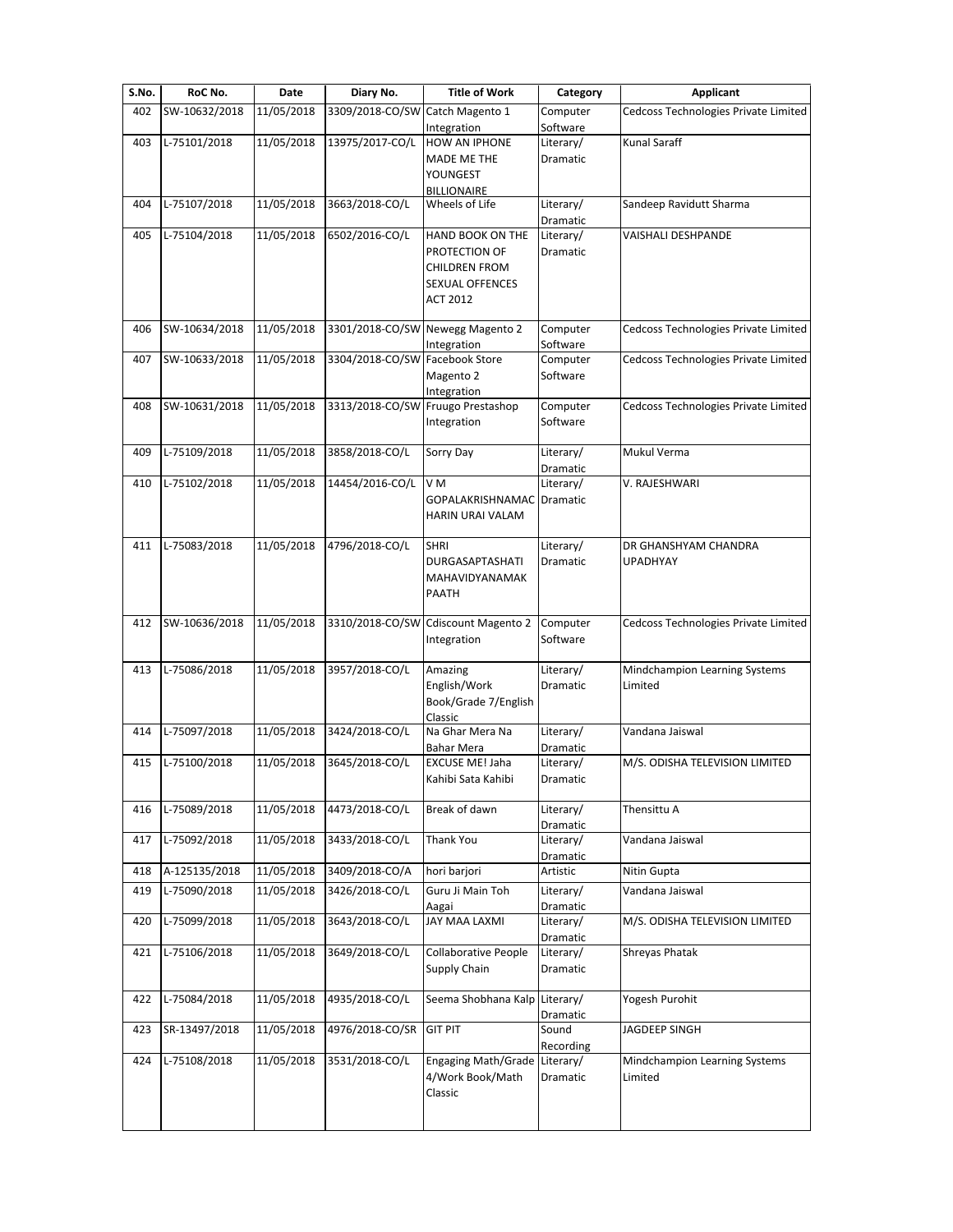| S.No. | RoC No.       | Date       | Diary No.                       | <b>Title of Work</b>                | Category              | <b>Applicant</b>                     |
|-------|---------------|------------|---------------------------------|-------------------------------------|-----------------------|--------------------------------------|
| 402   | SW-10632/2018 | 11/05/2018 | 3309/2018-CO/SW Catch Magento 1 |                                     | Computer              | Cedcoss Technologies Private Limited |
| 403   | L-75101/2018  | 11/05/2018 | 13975/2017-CO/L                 | Integration<br>HOW AN IPHONE        | Software<br>Literary/ | <b>Kunal Saraff</b>                  |
|       |               |            |                                 | MADE ME THE                         | Dramatic              |                                      |
|       |               |            |                                 | YOUNGEST                            |                       |                                      |
|       |               |            |                                 | <b>BILLIONAIRE</b>                  |                       |                                      |
| 404   | L-75107/2018  | 11/05/2018 | 3663/2018-CO/L                  | Wheels of Life                      | Literary/             | Sandeep Ravidutt Sharma              |
|       |               |            |                                 |                                     | Dramatic              |                                      |
| 405   | L-75104/2018  | 11/05/2018 | 6502/2016-CO/L                  | HAND BOOK ON THE                    | Literary/             | VAISHALI DESHPANDE                   |
|       |               |            |                                 | PROTECTION OF                       | Dramatic              |                                      |
|       |               |            |                                 | <b>CHILDREN FROM</b>                |                       |                                      |
|       |               |            |                                 | <b>SEXUAL OFFENCES</b>              |                       |                                      |
|       |               |            |                                 | <b>ACT 2012</b>                     |                       |                                      |
|       |               |            |                                 |                                     |                       |                                      |
| 406   | SW-10634/2018 | 11/05/2018 | 3301/2018-CO/SW                 | Newegg Magento 2                    | Computer              | Cedcoss Technologies Private Limited |
|       |               | 11/05/2018 | 3304/2018-CO/SW                 | Integration<br>Facebook Store       | Software              |                                      |
| 407   | SW-10633/2018 |            |                                 |                                     | Computer              | Cedcoss Technologies Private Limited |
|       |               |            |                                 | Magento 2<br>Integration            | Software              |                                      |
| 408   | SW-10631/2018 | 11/05/2018 |                                 | 3313/2018-CO/SW Fruugo Prestashop   | Computer              | Cedcoss Technologies Private Limited |
|       |               |            |                                 | Integration                         | Software              |                                      |
|       |               |            |                                 |                                     |                       |                                      |
| 409   | L-75109/2018  | 11/05/2018 | 3858/2018-CO/L                  | Sorry Day                           | Literary/             | Mukul Verma                          |
|       |               |            |                                 |                                     | Dramatic              |                                      |
| 410   | L-75102/2018  | 11/05/2018 | 14454/2016-CO/L                 | V <sub>M</sub>                      | Literary/             | V. RAJESHWARI                        |
|       |               |            |                                 | <b>GOPALAKRISHNAMAC</b>             | Dramatic              |                                      |
|       |               |            |                                 | HARIN URAI VALAM                    |                       |                                      |
|       |               |            |                                 |                                     |                       |                                      |
| 411   | L-75083/2018  | 11/05/2018 | 4796/2018-CO/L                  | <b>SHRI</b>                         | Literary/             | DR GHANSHYAM CHANDRA                 |
|       |               |            |                                 | DURGASAPTASHATI                     | Dramatic              | UPADHYAY                             |
|       |               |            |                                 | MAHAVIDYANAMAK                      |                       |                                      |
|       |               |            |                                 | PAATH                               |                       |                                      |
| 412   | SW-10636/2018 | 11/05/2018 |                                 | 3310/2018-CO/SW Cdiscount Magento 2 | Computer              | Cedcoss Technologies Private Limited |
|       |               |            |                                 | Integration                         | Software              |                                      |
|       |               |            |                                 |                                     |                       |                                      |
| 413   | L-75086/2018  | 11/05/2018 | 3957/2018-CO/L                  | Amazing                             | Literary/             | Mindchampion Learning Systems        |
|       |               |            |                                 | English/Work                        | Dramatic              | Limited                              |
|       |               |            |                                 | Book/Grade 7/English                |                       |                                      |
|       |               |            |                                 | Classic                             |                       |                                      |
| 414   | L-75097/2018  | 11/05/2018 | 3424/2018-CO/L                  | Na Ghar Mera Na                     | Literary/             | Vandana Jaiswal                      |
|       |               |            |                                 | Bahar Mera                          | Dramatic              |                                      |
| 415   | L-75100/2018  | 11/05/2018 | 3645/2018-CO/L                  | <b>EXCUSE ME! Jaha</b>              | Literary/             | M/S. ODISHA TELEVISION LIMITED       |
|       |               |            |                                 | Kahibi Sata Kahibi                  | Dramatic              |                                      |
| 416   | L-75089/2018  | 11/05/2018 | 4473/2018-CO/L                  | Break of dawn                       | Literary/             | Thensittu A                          |
|       |               |            |                                 |                                     | Dramatic              |                                      |
| 417   | L-75092/2018  | 11/05/2018 | 3433/2018-CO/L                  | Thank You                           | Literary/             | Vandana Jaiswal                      |
|       |               |            |                                 |                                     | Dramatic              |                                      |
| 418   | A-125135/2018 | 11/05/2018 | 3409/2018-CO/A                  | hori barjori                        | Artistic              | Nitin Gupta                          |
| 419   | L-75090/2018  | 11/05/2018 | 3426/2018-CO/L                  | Guru Ji Main Toh                    | Literary/             | Vandana Jaiswal                      |
|       |               |            |                                 | Aagai                               | Dramatic              |                                      |
| 420   | L-75099/2018  | 11/05/2018 | 3643/2018-CO/L                  | JAY MAA LAXMI                       | Literary/             | M/S. ODISHA TELEVISION LIMITED       |
|       |               |            |                                 |                                     | Dramatic              |                                      |
| 421   | L-75106/2018  | 11/05/2018 | 3649/2018-CO/L                  | <b>Collaborative People</b>         | Literary/             | Shreyas Phatak                       |
|       |               |            |                                 | Supply Chain                        | Dramatic              |                                      |
|       |               |            |                                 |                                     |                       |                                      |
| 422   | L-75084/2018  | 11/05/2018 | 4935/2018-CO/L                  | Seema Shobhana Kalp                 | Literary/             | Yogesh Purohit                       |
|       |               |            |                                 |                                     | Dramatic              |                                      |
| 423   | SR-13497/2018 | 11/05/2018 | 4976/2018-CO/SR                 | <b>GIT PIT</b>                      | Sound<br>Recording    | JAGDEEP SINGH                        |
| 424   | L-75108/2018  | 11/05/2018 | 3531/2018-CO/L                  | Engaging Math/Grade Literary/       |                       | Mindchampion Learning Systems        |
|       |               |            |                                 | 4/Work Book/Math                    | Dramatic              | Limited                              |
|       |               |            |                                 | Classic                             |                       |                                      |
|       |               |            |                                 |                                     |                       |                                      |
|       |               |            |                                 |                                     |                       |                                      |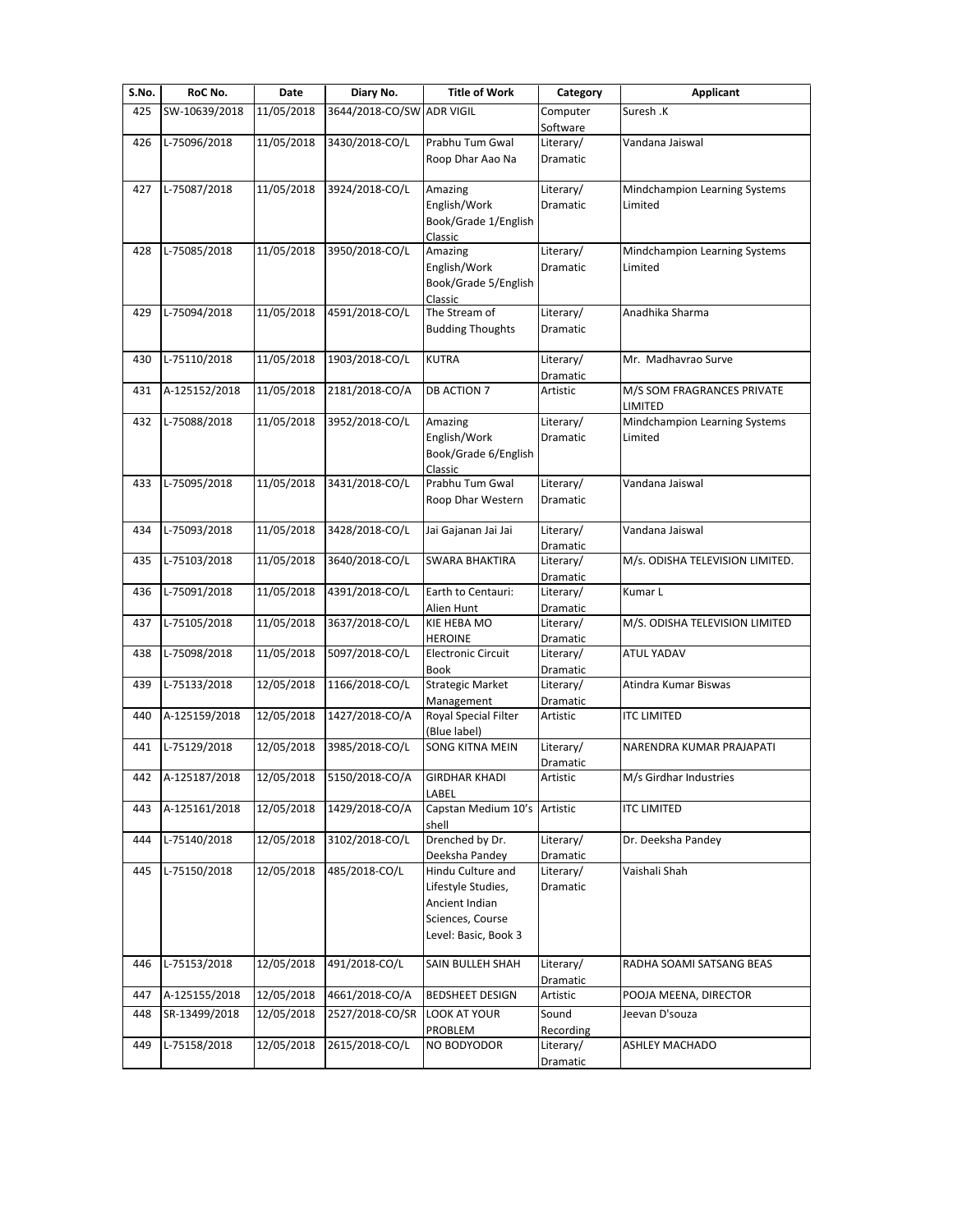| S.No. | RoC No.       | Date       | Diary No.       | <b>Title of Work</b>                        | Category              | <b>Applicant</b>                         |
|-------|---------------|------------|-----------------|---------------------------------------------|-----------------------|------------------------------------------|
| 425   | SW-10639/2018 | 11/05/2018 | 3644/2018-CO/SW | <b>ADR VIGIL</b>                            | Computer              | Suresh .K                                |
|       |               |            |                 |                                             | Software              |                                          |
| 426   | L-75096/2018  | 11/05/2018 | 3430/2018-CO/L  | Prabhu Tum Gwal                             | Literary/             | Vandana Jaiswal                          |
|       |               |            |                 | Roop Dhar Aao Na                            | Dramatic              |                                          |
|       | L-75087/2018  | 11/05/2018 | 3924/2018-CO/L  |                                             |                       |                                          |
| 427   |               |            |                 | Amazing<br>English/Work                     | Literary/<br>Dramatic | Mindchampion Learning Systems<br>Limited |
|       |               |            |                 | Book/Grade 1/English                        |                       |                                          |
|       |               |            |                 | Classic                                     |                       |                                          |
| 428   | L-75085/2018  | 11/05/2018 | 3950/2018-CO/L  | Amazing                                     | Literary/             | Mindchampion Learning Systems            |
|       |               |            |                 | English/Work                                | <b>Dramatic</b>       | Limited                                  |
|       |               |            |                 | Book/Grade 5/English                        |                       |                                          |
|       |               |            |                 | Classic                                     |                       |                                          |
| 429   | L-75094/2018  | 11/05/2018 | 4591/2018-CO/L  | The Stream of                               | Literary/             | Anadhika Sharma                          |
|       |               |            |                 | <b>Budding Thoughts</b>                     | Dramatic              |                                          |
| 430   | L-75110/2018  | 11/05/2018 | 1903/2018-CO/L  | <b>KUTRA</b>                                | Literary/             | Mr. Madhavrao Surve                      |
|       |               |            |                 |                                             | Dramatic              |                                          |
| 431   | A-125152/2018 | 11/05/2018 | 2181/2018-CO/A  | <b>DB ACTION 7</b>                          | Artistic              | M/S SOM FRAGRANCES PRIVATE               |
|       |               |            |                 |                                             |                       | LIMITED                                  |
| 432   | L-75088/2018  | 11/05/2018 | 3952/2018-CO/L  | Amazing                                     | Literary/             | Mindchampion Learning Systems            |
|       |               |            |                 | English/Work                                | Dramatic              | Limited                                  |
|       |               |            |                 | Book/Grade 6/English                        |                       |                                          |
|       |               |            |                 | Classic                                     |                       |                                          |
| 433   | L-75095/2018  | 11/05/2018 | 3431/2018-CO/L  | Prabhu Tum Gwal                             | Literary/             | Vandana Jaiswal                          |
|       |               |            |                 | Roop Dhar Western                           | Dramatic              |                                          |
| 434   | L-75093/2018  | 11/05/2018 | 3428/2018-CO/L  | Jai Gajanan Jai Jai                         | Literary/             | Vandana Jaiswal                          |
|       |               |            |                 |                                             | Dramatic              |                                          |
| 435   | L-75103/2018  | 11/05/2018 | 3640/2018-CO/L  | <b>SWARA BHAKTIRA</b>                       | Literary/             | M/s. ODISHA TELEVISION LIMITED.          |
|       |               |            |                 |                                             | Dramatic              |                                          |
| 436   | L-75091/2018  | 11/05/2018 | 4391/2018-CO/L  | Earth to Centauri:                          | Literary/             | Kumar L                                  |
|       |               |            |                 | Alien Hunt                                  | Dramatic              |                                          |
| 437   | L-75105/2018  | 11/05/2018 | 3637/2018-CO/L  | KIE HEBA MO                                 | Literary/             | M/S. ODISHA TELEVISION LIMITED           |
| 438   | L-75098/2018  | 11/05/2018 | 5097/2018-CO/L  | <b>HEROINE</b><br><b>Electronic Circuit</b> | Dramatic<br>Literary/ | <b>ATUL YADAV</b>                        |
|       |               |            |                 | <b>Book</b>                                 | Dramatic              |                                          |
| 439   | L-75133/2018  | 12/05/2018 | 1166/2018-CO/L  | <b>Strategic Market</b>                     | Literary/             | Atindra Kumar Biswas                     |
|       |               |            |                 | Management                                  | Dramatic              |                                          |
| 440   | A-125159/2018 | 12/05/2018 | 1427/2018-CO/A  | Royal Special Filter                        | Artistic              | <b>ITC LIMITED</b>                       |
|       |               |            |                 | (Blue label)                                |                       |                                          |
| 441   | L-75129/2018  | 12/05/2018 | 3985/2018-CO/L  | <b>SONG KITNA MEIN</b>                      | Literary/             | NARENDRA KUMAR PRAJAPATI                 |
|       |               |            |                 |                                             | Dramatic              |                                          |
| 442   | A-125187/2018 | 12/05/2018 | 5150/2018-CO/A  | <b>GIRDHAR KHADI</b><br>LABEL               | Artistic              | M/s Girdhar Industries                   |
| 443   | A-125161/2018 | 12/05/2018 | 1429/2018-CO/A  | Capstan Medium 10's                         | Artistic              | <b>ITC LIMITED</b>                       |
|       |               |            |                 | shell                                       |                       |                                          |
| 444   | L-75140/2018  | 12/05/2018 | 3102/2018-CO/L  | Drenched by Dr.                             | Literary/             | Dr. Deeksha Pandey                       |
|       |               |            |                 | Deeksha Pandey                              | Dramatic              |                                          |
| 445   | L-75150/2018  | 12/05/2018 | 485/2018-CO/L   | Hindu Culture and                           | Literary/             | Vaishali Shah                            |
|       |               |            |                 | Lifestyle Studies,                          | Dramatic              |                                          |
|       |               |            |                 | Ancient Indian                              |                       |                                          |
|       |               |            |                 | Sciences, Course                            |                       |                                          |
|       |               |            |                 | Level: Basic, Book 3                        |                       |                                          |
| 446   | L-75153/2018  | 12/05/2018 | 491/2018-CO/L   | SAIN BULLEH SHAH                            | Literary/             | RADHA SOAMI SATSANG BEAS                 |
|       |               |            |                 |                                             | Dramatic              |                                          |
| 447   | A-125155/2018 | 12/05/2018 | 4661/2018-CO/A  | BEDSHEET DESIGN                             | Artistic              | POOJA MEENA, DIRECTOR                    |
| 448   | SR-13499/2018 | 12/05/2018 | 2527/2018-CO/SR | <b>LOOK AT YOUR</b>                         | Sound                 | Jeevan D'souza                           |
|       |               |            |                 | PROBLEM                                     | Recording             |                                          |
| 449   | L-75158/2018  | 12/05/2018 | 2615/2018-CO/L  | NO BODYODOR                                 | Literary/             | <b>ASHLEY MACHADO</b>                    |
|       |               |            |                 |                                             | Dramatic              |                                          |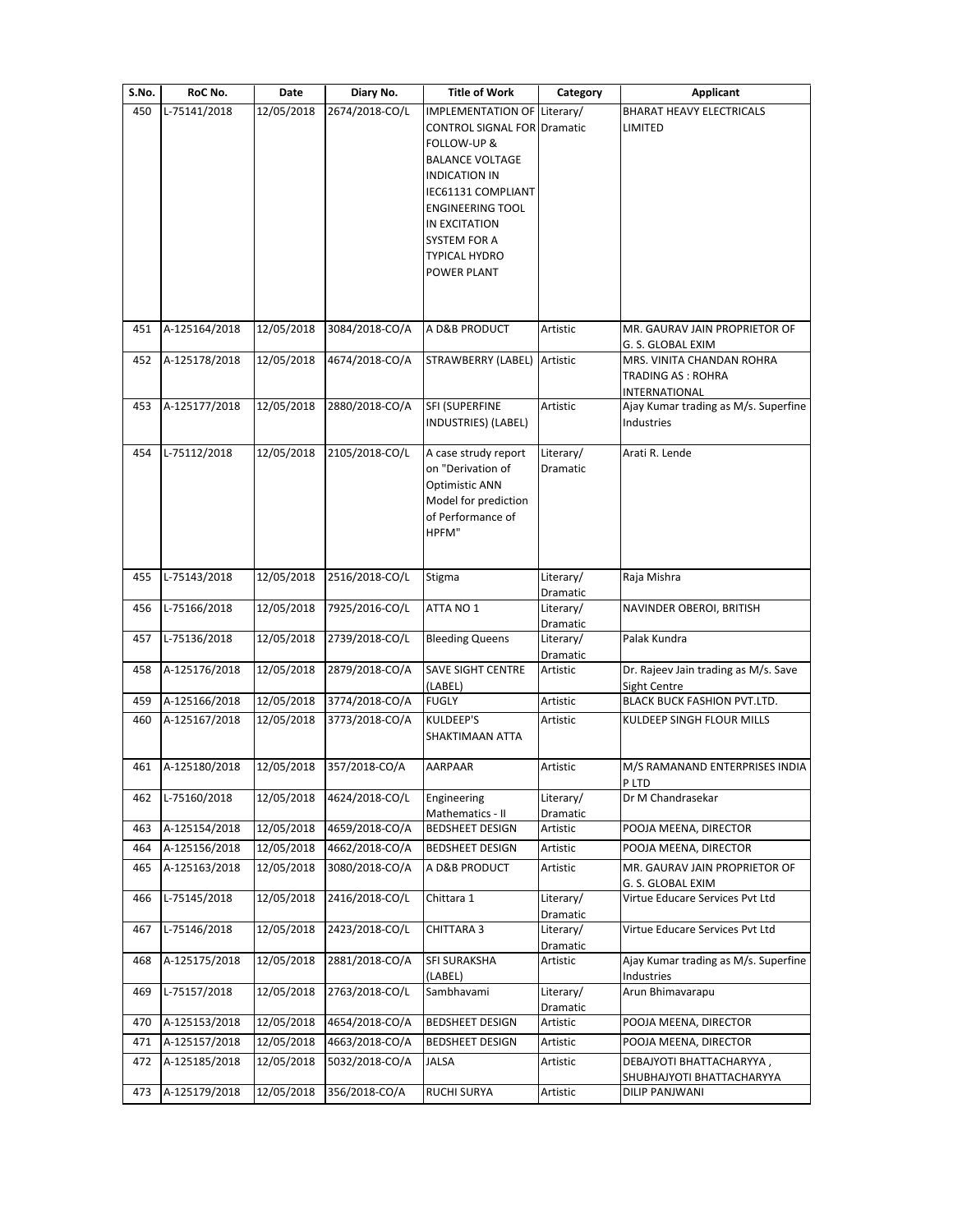| S.No. | RoC No.       | Date       | Diary No.      | <b>Title of Work</b>                       | Category              | <b>Applicant</b>                          |
|-------|---------------|------------|----------------|--------------------------------------------|-----------------------|-------------------------------------------|
| 450   | L-75141/2018  | 12/05/2018 | 2674/2018-CO/L | IMPLEMENTATION OF                          | Literary/             | <b>BHARAT HEAVY ELECTRICALS</b>           |
|       |               |            |                | <b>CONTROL SIGNAL FOR Dramatic</b>         |                       | LIMITED                                   |
|       |               |            |                | FOLLOW-UP &                                |                       |                                           |
|       |               |            |                | <b>BALANCE VOLTAGE</b>                     |                       |                                           |
|       |               |            |                | <b>INDICATION IN</b><br>IEC61131 COMPLIANT |                       |                                           |
|       |               |            |                | <b>ENGINEERING TOOL</b>                    |                       |                                           |
|       |               |            |                | IN EXCITATION                              |                       |                                           |
|       |               |            |                | SYSTEM FOR A                               |                       |                                           |
|       |               |            |                | TYPICAL HYDRO                              |                       |                                           |
|       |               |            |                | POWER PLANT                                |                       |                                           |
|       |               |            |                |                                            |                       |                                           |
|       |               |            |                |                                            |                       |                                           |
| 451   | A-125164/2018 | 12/05/2018 | 3084/2018-CO/A | A D&B PRODUCT                              | Artistic              | MR. GAURAV JAIN PROPRIETOR OF             |
|       |               |            |                |                                            |                       | G. S. GLOBAL EXIM                         |
| 452   | A-125178/2018 | 12/05/2018 | 4674/2018-CO/A | STRAWBERRY (LABEL)                         | Artistic              | MRS. VINITA CHANDAN ROHRA                 |
|       |               |            |                |                                            |                       | <b>TRADING AS: ROHRA</b><br>INTERNATIONAL |
| 453   | A-125177/2018 | 12/05/2018 | 2880/2018-CO/A | SFI (SUPERFINE                             | Artistic              | Ajay Kumar trading as M/s. Superfine      |
|       |               |            |                | INDUSTRIES) (LABEL)                        |                       | Industries                                |
|       |               |            |                |                                            |                       |                                           |
| 454   | L-75112/2018  | 12/05/2018 | 2105/2018-CO/L | A case strudy report                       | Literary/             | Arati R. Lende                            |
|       |               |            |                | on "Derivation of                          | Dramatic              |                                           |
|       |               |            |                | Optimistic ANN                             |                       |                                           |
|       |               |            |                | Model for prediction<br>of Performance of  |                       |                                           |
|       |               |            |                | HPFM"                                      |                       |                                           |
|       |               |            |                |                                            |                       |                                           |
|       |               |            |                |                                            |                       |                                           |
| 455   | L-75143/2018  | 12/05/2018 | 2516/2018-CO/L | Stigma                                     | Literary/             | Raja Mishra                               |
| 456   | L-75166/2018  | 12/05/2018 | 7925/2016-CO/L | ATTA NO 1                                  | Dramatic              | NAVINDER OBEROI, BRITISH                  |
|       |               |            |                |                                            | Literary/<br>Dramatic |                                           |
| 457   | L-75136/2018  | 12/05/2018 | 2739/2018-CO/L | <b>Bleeding Queens</b>                     | Literary/             | Palak Kundra                              |
|       |               |            |                |                                            | Dramatic              |                                           |
| 458   | A-125176/2018 | 12/05/2018 | 2879/2018-CO/A | <b>SAVE SIGHT CENTRE</b>                   | Artistic              | Dr. Rajeev Jain trading as M/s. Save      |
|       |               |            |                | (LABEL)                                    |                       | Sight Centre                              |
| 459   | A-125166/2018 | 12/05/2018 | 3774/2018-CO/A | <b>FUGLY</b>                               | Artistic              | BLACK BUCK FASHION PVT.LTD.               |
| 460   | A-125167/2018 | 12/05/2018 | 3773/2018-CO/A | KULDEEP'S                                  | Artistic              | KULDEEP SINGH FLOUR MILLS                 |
|       |               |            |                | SHAKTIMAAN ATTA                            |                       |                                           |
| 461   | A-125180/2018 | 12/05/2018 | 357/2018-CO/A  | <b>AARPAAR</b>                             | Artistic              | M/S RAMANAND ENTERPRISES INDIA            |
|       |               |            |                |                                            |                       | PLID                                      |
| 462   | L-75160/2018  | 12/05/2018 | 4624/2018-CO/L | Engineering                                | Literary/             | Dr M Chandrasekar                         |
|       |               |            |                | Mathematics - II                           | Dramatic              |                                           |
| 463   | A-125154/2018 | 12/05/2018 | 4659/2018-CO/A | BEDSHEET DESIGN                            | Artistic              | POOJA MEENA, DIRECTOR                     |
| 464   | A-125156/2018 | 12/05/2018 | 4662/2018-CO/A | <b>BEDSHEET DESIGN</b>                     | Artistic              | POOJA MEENA, DIRECTOR                     |
| 465   | A-125163/2018 | 12/05/2018 | 3080/2018-CO/A | A D&B PRODUCT                              | Artistic              | MR. GAURAV JAIN PROPRIETOR OF             |
|       |               |            |                |                                            |                       | G. S. GLOBAL EXIM                         |
| 466   | L-75145/2018  | 12/05/2018 | 2416/2018-CO/L | Chittara 1                                 | Literary/             | Virtue Educare Services Pvt Ltd           |
|       |               |            |                |                                            | Dramatic              | Virtue Educare Services Pvt Ltd           |
| 467   | L-75146/2018  | 12/05/2018 | 2423/2018-CO/L | CHITTARA 3                                 | Literary/<br>Dramatic |                                           |
| 468   | A-125175/2018 | 12/05/2018 | 2881/2018-CO/A | SFI SURAKSHA                               | Artistic              | Ajay Kumar trading as M/s. Superfine      |
|       |               |            |                | (LABEL)                                    |                       | Industries                                |
| 469   | L-75157/2018  | 12/05/2018 | 2763/2018-CO/L | Sambhavami                                 | Literary/             | Arun Bhimavarapu                          |
|       |               |            |                |                                            | Dramatic              |                                           |
| 470   | A-125153/2018 | 12/05/2018 | 4654/2018-CO/A | <b>BEDSHEET DESIGN</b>                     | Artistic              | POOJA MEENA, DIRECTOR                     |
| 471   | A-125157/2018 | 12/05/2018 | 4663/2018-CO/A | <b>BEDSHEET DESIGN</b>                     | Artistic              | POOJA MEENA, DIRECTOR                     |
| 472   | A-125185/2018 | 12/05/2018 | 5032/2018-CO/A | JALSA                                      | Artistic              | DEBAJYOTI BHATTACHARYYA,                  |
|       |               |            |                |                                            |                       | SHUBHAJYOTI BHATTACHARYYA                 |
| 473   | A-125179/2018 | 12/05/2018 | 356/2018-CO/A  | RUCHI SURYA                                | Artistic              | DILIP PANJWANI                            |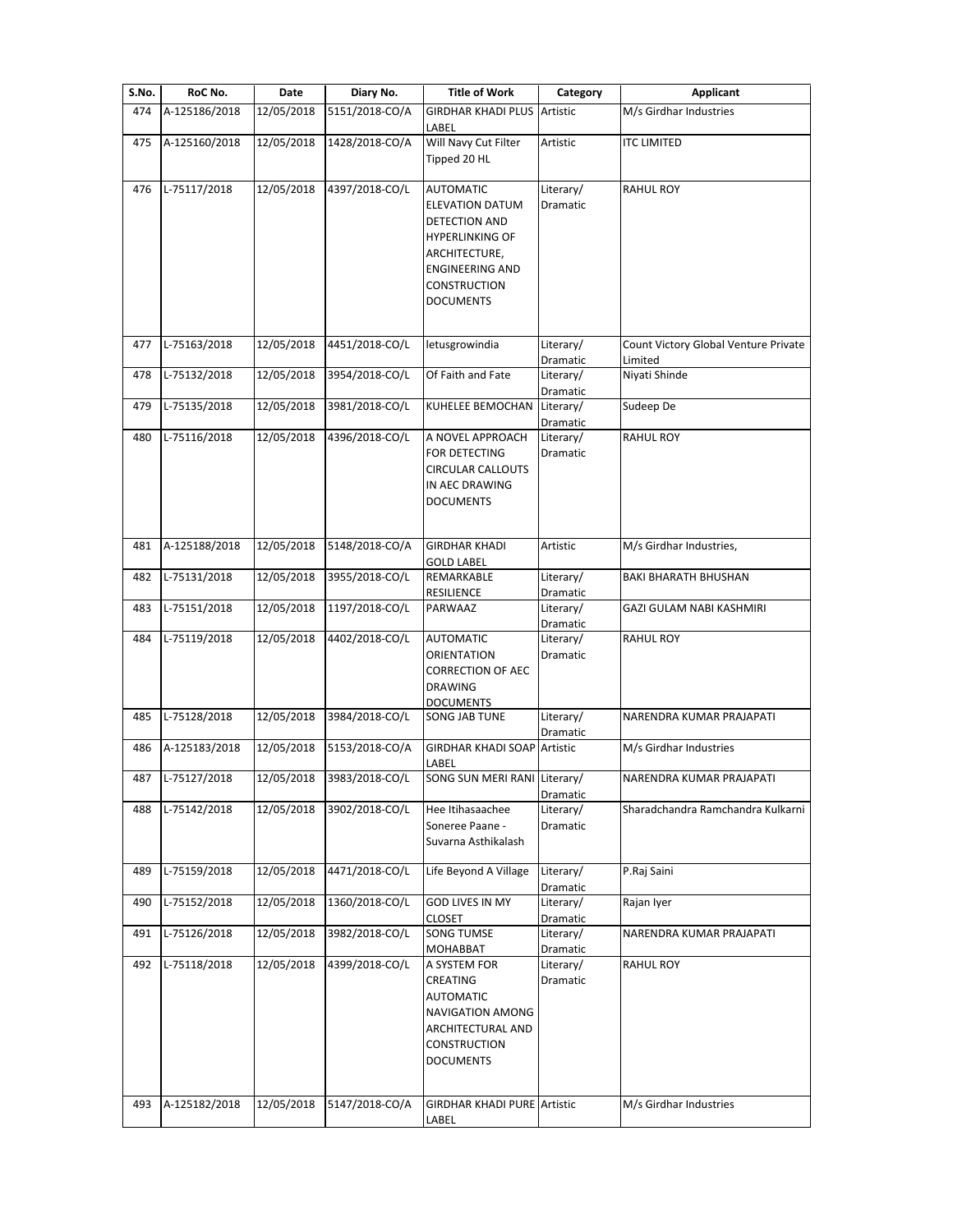| S.No.      | RoC No.                       | Date                     | Diary No.                        | <b>Title of Work</b>                                                                                                                                                   | Category              | <b>Applicant</b>                                |
|------------|-------------------------------|--------------------------|----------------------------------|------------------------------------------------------------------------------------------------------------------------------------------------------------------------|-----------------------|-------------------------------------------------|
| 474        | A-125186/2018                 | 12/05/2018               | 5151/2018-CO/A                   | GIRDHAR KHADI PLUS Artistic<br>LABEL                                                                                                                                   |                       | M/s Girdhar Industries                          |
| 475        | A-125160/2018                 | 12/05/2018               | 1428/2018-CO/A                   | Will Navy Cut Filter<br>Tipped 20 HL                                                                                                                                   | Artistic              | <b>ITC LIMITED</b>                              |
| 476        | L-75117/2018                  | 12/05/2018               | 4397/2018-CO/L                   | <b>AUTOMATIC</b><br><b>ELEVATION DATUM</b><br>DETECTION AND<br>HYPERLINKING OF<br>ARCHITECTURE,<br><b>ENGINEERING AND</b><br><b>CONSTRUCTION</b><br><b>DOCUMENTS</b>   | Literary/<br>Dramatic | <b>RAHUL ROY</b>                                |
| 477        | L-75163/2018                  | 12/05/2018               | 4451/2018-CO/L                   | letusgrowindia                                                                                                                                                         | Literary/<br>Dramatic | Count Victory Global Venture Private<br>Limited |
| 478        | L-75132/2018                  | 12/05/2018               | 3954/2018-CO/L                   | Of Faith and Fate                                                                                                                                                      | Literary/<br>Dramatic | Niyati Shinde                                   |
| 479        | L-75135/2018                  | 12/05/2018               | 3981/2018-CO/L                   | KUHELEE BEMOCHAN                                                                                                                                                       | Literary/<br>Dramatic | Sudeep De                                       |
| 480        | L-75116/2018                  | 12/05/2018               | 4396/2018-CO/L                   | A NOVEL APPROACH<br>FOR DETECTING<br><b>CIRCULAR CALLOUTS</b><br>IN AEC DRAWING<br>DOCUMENTS                                                                           | Literary/<br>Dramatic | <b>RAHUL ROY</b>                                |
| 481        | A-125188/2018                 | 12/05/2018               | 5148/2018-CO/A                   | <b>GIRDHAR KHADI</b><br><b>GOLD LABEL</b>                                                                                                                              | Artistic              | M/s Girdhar Industries,                         |
| 482        | L-75131/2018                  | 12/05/2018               | 3955/2018-CO/L                   | REMARKABLE<br><b>RESILIENCE</b>                                                                                                                                        | Literary/<br>Dramatic | <b>BAKI BHARATH BHUSHAN</b>                     |
| 483        | L-75151/2018                  | 12/05/2018               | 1197/2018-CO/L                   | PARWAAZ                                                                                                                                                                | Literary/<br>Dramatic | GAZI GULAM NABI KASHMIRI                        |
| 484        | L-75119/2018                  | 12/05/2018               | 4402/2018-CO/L                   | <b>AUTOMATIC</b><br>ORIENTATION<br><b>CORRECTION OF AEC</b><br><b>DRAWING</b><br><b>DOCUMENTS</b>                                                                      | Literary/<br>Dramatic | <b>RAHUL ROY</b>                                |
| 485        | L-75128/2018                  | 12/05/2018               | 3984/2018-CO/L                   | SONG JAB TUNE                                                                                                                                                          | Literary/<br>Dramatic | NARENDRA KUMAR PRAJAPATI                        |
| 486        | A-125183/2018                 | 12/05/2018               | 5153/2018-CO/A                   | <b>GIRDHAR KHADI SOAP Artistic</b><br>LABEL                                                                                                                            |                       | M/s Girdhar Industries                          |
|            | 487 L-75127/2018              | 12/05/2018               | 3983/2018-CO/L                   | SONG SUN MERI RANI Literary/                                                                                                                                           | Dramatic              | NARENDRA KUMAR PRAJAPATI                        |
| 488        | L-75142/2018                  | 12/05/2018               | 3902/2018-CO/L                   | Hee Itihasaachee<br>Soneree Paane -<br>Suvarna Asthikalash                                                                                                             | Literary/<br>Dramatic | Sharadchandra Ramchandra Kulkarni               |
| 489        | L-75159/2018                  | 12/05/2018               | 4471/2018-CO/L                   | Life Beyond A Village                                                                                                                                                  | Literary/<br>Dramatic | P.Raj Saini                                     |
| 490        | L-75152/2018                  | 12/05/2018               | 1360/2018-CO/L                   | <b>GOD LIVES IN MY</b><br><b>CLOSET</b>                                                                                                                                | Literary/<br>Dramatic | Rajan Iyer                                      |
| 491        | L-75126/2018                  | 12/05/2018               | 3982/2018-CO/L                   | SONG TUMSE<br>MOHABBAT                                                                                                                                                 | Literary/<br>Dramatic | NARENDRA KUMAR PRAJAPATI                        |
| 492<br>493 | L-75118/2018<br>A-125182/2018 | 12/05/2018<br>12/05/2018 | 4399/2018-CO/L<br>5147/2018-CO/A | A SYSTEM FOR<br>CREATING<br><b>AUTOMATIC</b><br>NAVIGATION AMONG<br>ARCHITECTURAL AND<br><b>CONSTRUCTION</b><br><b>DOCUMENTS</b><br><b>GIRDHAR KHADI PURE Artistic</b> | Literary/<br>Dramatic | <b>RAHUL ROY</b><br>M/s Girdhar Industries      |
|            |                               |                          |                                  | LABEL                                                                                                                                                                  |                       |                                                 |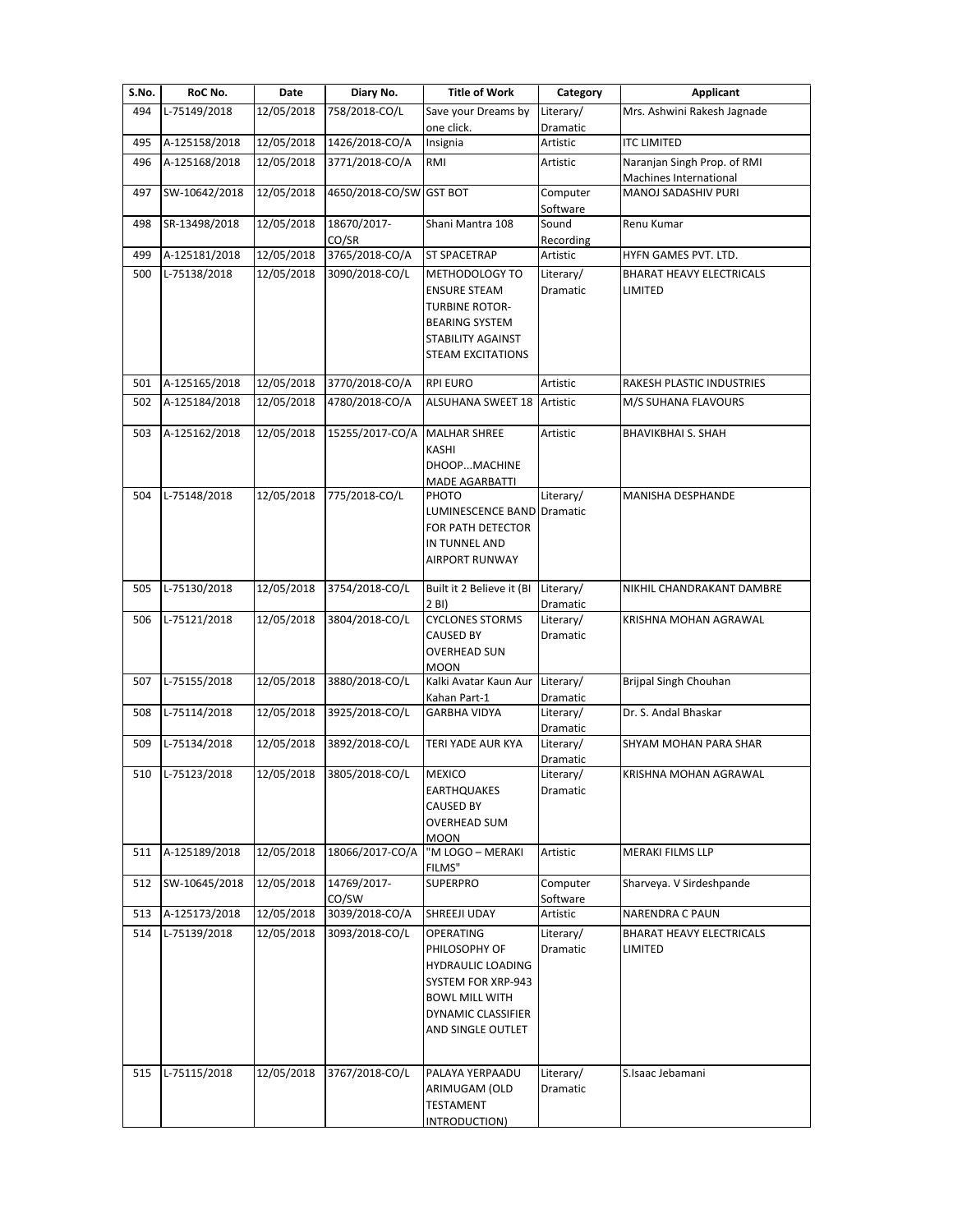| S.No. | RoC No.        | Date       | Diary No.            | <b>Title of Work</b>                                                                                                                                    | Category                     | <b>Applicant</b>                                      |
|-------|----------------|------------|----------------------|---------------------------------------------------------------------------------------------------------------------------------------------------------|------------------------------|-------------------------------------------------------|
| 494   | L-75149/2018   | 12/05/2018 | 758/2018-CO/L        | Save your Dreams by                                                                                                                                     | Literary/                    | Mrs. Ashwini Rakesh Jagnade                           |
|       |                |            |                      | one click.                                                                                                                                              | Dramatic                     |                                                       |
| 495   | A-125158/2018  | 12/05/2018 | 1426/2018-CO/A       | Insignia                                                                                                                                                | Artistic                     | <b>ITC LIMITED</b>                                    |
| 496   | A-125168/2018  | 12/05/2018 | 3771/2018-CO/A       | RMI                                                                                                                                                     | Artistic                     | Naranjan Singh Prop. of RMI<br>Machines International |
| 497   | SW-10642/2018  | 12/05/2018 | 4650/2018-CO/SW      | <b>GST BOT</b>                                                                                                                                          | Computer                     | MANOJ SADASHIV PURI                                   |
|       |                |            |                      |                                                                                                                                                         | Software                     |                                                       |
| 498   | SR-13498/2018  | 12/05/2018 | 18670/2017-<br>CO/SR | Shani Mantra 108                                                                                                                                        | Sound<br>Recording           | Renu Kumar                                            |
| 499   | A-125181/2018  | 12/05/2018 | 3765/2018-CO/A       | <b>ST SPACETRAP</b>                                                                                                                                     | Artistic                     | HYFN GAMES PVT. LTD.                                  |
| 500   | $L-75138/2018$ | 12/05/2018 | 3090/2018-CO/L       | METHODOLOGY TO<br><b>ENSURE STEAM</b><br><b>TURBINE ROTOR-</b>                                                                                          | Literary/<br><b>Dramatic</b> | <b>BHARAT HEAVY ELECTRICALS</b><br>LIMITED            |
|       |                |            |                      | <b>BEARING SYSTEM</b><br>STABILITY AGAINST<br>STEAM EXCITATIONS                                                                                         |                              |                                                       |
| 501   | A-125165/2018  | 12/05/2018 | 3770/2018-CO/A       | <b>RPI EURO</b>                                                                                                                                         | Artistic                     | RAKESH PLASTIC INDUSTRIES                             |
| 502   | A-125184/2018  | 12/05/2018 | 4780/2018-CO/A       | <b>ALSUHANA SWEET 18</b>                                                                                                                                | Artistic                     | M/S SUHANA FLAVOURS                                   |
| 503   | A-125162/2018  | 12/05/2018 | 15255/2017-CO/A      | <b>MALHAR SHREE</b><br><b>KASHI</b><br>DHOOPMACHINE<br><b>MADE AGARBATTI</b>                                                                            | Artistic                     | <b>BHAVIKBHAI S. SHAH</b>                             |
| 504   | L-75148/2018   | 12/05/2018 | 775/2018-CO/L        | PHOTO<br>LUMINESCENCE BAND<br>FOR PATH DETECTOR<br>IN TUNNEL AND<br><b>AIRPORT RUNWAY</b>                                                               | Literary/<br><b>Dramatic</b> | <b>MANISHA DESPHANDE</b>                              |
| 505   | L-75130/2018   | 12/05/2018 | 3754/2018-CO/L       | Built it 2 Believe it (BI<br>2 BI)                                                                                                                      | Literary/<br>Dramatic        | NIKHIL CHANDRAKANT DAMBRE                             |
| 506   | L-75121/2018   | 12/05/2018 | 3804/2018-CO/L       | <b>CYCLONES STORMS</b><br><b>CAUSED BY</b><br><b>OVERHEAD SUN</b><br><b>MOON</b>                                                                        | Literary/<br><b>Dramatic</b> | KRISHNA MOHAN AGRAWAL                                 |
| 507   | L-75155/2018   | 12/05/2018 | 3880/2018-CO/L       | Kalki Avatar Kaun Aur<br>Kahan Part-1                                                                                                                   | Literary/<br>Dramatic        | <b>Brijpal Singh Chouhan</b>                          |
| 508   | L-75114/2018   | 12/05/2018 | 3925/2018-CO/L       | <b>GARBHA VIDYA</b>                                                                                                                                     | Literary/<br>Dramatic        | Dr. S. Andal Bhaskar                                  |
| 509   | L-75134/2018   | 12/05/2018 | 3892/2018-CO/L       | TERI YADE AUR KYA                                                                                                                                       | Literary/<br>Dramatic        | SHYAM MOHAN PARA SHAR                                 |
| 510   | L-75123/2018   | 12/05/2018 | 3805/2018-CO/L       | <b>MEXICO</b><br><b>EARTHQUAKES</b><br>CAUSED BY<br><b>OVERHEAD SUM</b><br><b>MOON</b>                                                                  | Literary/<br>Dramatic        | KRISHNA MOHAN AGRAWAL                                 |
| 511   | A-125189/2018  | 12/05/2018 | 18066/2017-CO/A      | "M LOGO - MERAKI<br>FILMS"                                                                                                                              | Artistic                     | <b>MERAKI FILMS LLP</b>                               |
| 512   | SW-10645/2018  | 12/05/2018 | 14769/2017-<br>CO/SW | <b>SUPERPRO</b>                                                                                                                                         | Computer<br>Software         | Sharveya. V Sirdeshpande                              |
| 513   | A-125173/2018  | 12/05/2018 | 3039/2018-CO/A       | SHREEJI UDAY                                                                                                                                            | Artistic                     | <b>NARENDRA C PAUN</b>                                |
| 514   | L-75139/2018   | 12/05/2018 | 3093/2018-CO/L       | <b>OPERATING</b><br>PHILOSOPHY OF<br><b>HYDRAULIC LOADING</b><br>SYSTEM FOR XRP-943<br><b>BOWL MILL WITH</b><br>DYNAMIC CLASSIFIER<br>AND SINGLE OUTLET | Literary/<br>Dramatic        | BHARAT HEAVY ELECTRICALS<br>LIMITED                   |
| 515   | L-75115/2018   | 12/05/2018 | 3767/2018-CO/L       | PALAYA YERPAADU<br>ARIMUGAM (OLD                                                                                                                        | Literary/<br>Dramatic        | S.Isaac Jebamani                                      |
|       |                |            |                      | <b>TESTAMENT</b><br>INTRODUCTION)                                                                                                                       |                              |                                                       |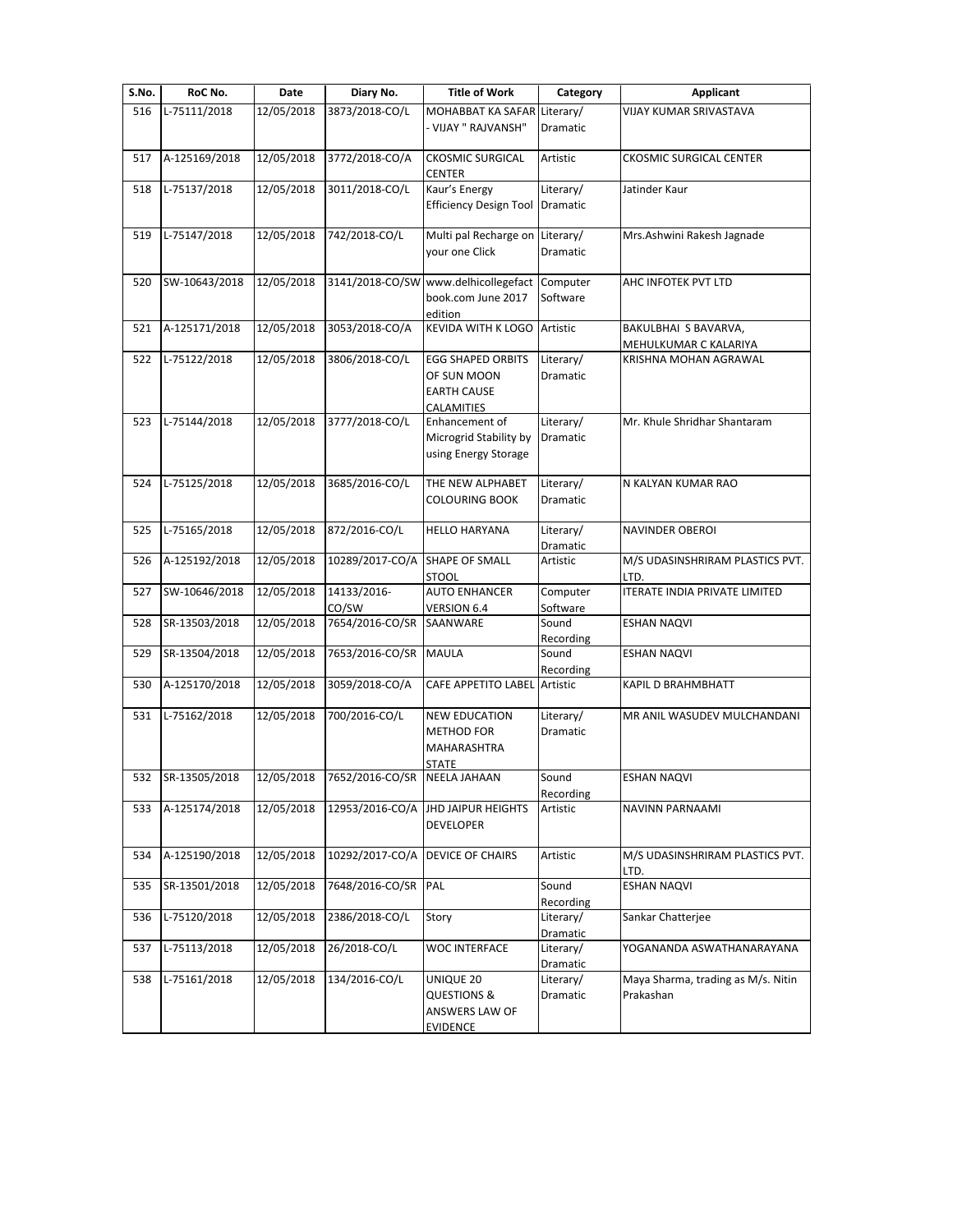| S.No. | RoC No.       | Date       | Diary No.       | <b>Title of Work</b>                                                     | Category                     | <b>Applicant</b>                                |
|-------|---------------|------------|-----------------|--------------------------------------------------------------------------|------------------------------|-------------------------------------------------|
| 516   | L-75111/2018  | 12/05/2018 | 3873/2018-CO/L  | MOHABBAT KA SAFAR Literary/                                              |                              | VIJAY KUMAR SRIVASTAVA                          |
|       |               |            |                 | - VIJAY " RAJVANSH"                                                      | Dramatic                     |                                                 |
| 517   | A-125169/2018 | 12/05/2018 | 3772/2018-CO/A  | <b>CKOSMIC SURGICAL</b><br><b>CENTER</b>                                 | Artistic                     | <b>CKOSMIC SURGICAL CENTER</b>                  |
| 518   | L-75137/2018  | 12/05/2018 | 3011/2018-CO/L  | Kaur's Energy                                                            | Literary/                    | Jatinder Kaur                                   |
|       |               |            |                 | <b>Efficiency Design Tool</b>                                            | Dramatic                     |                                                 |
| 519   | L-75147/2018  | 12/05/2018 | 742/2018-CO/L   | Multi pal Recharge on<br>your one Click                                  | Literary/<br><b>Dramatic</b> | Mrs.Ashwini Rakesh Jagnade                      |
| 520   | SW-10643/2018 | 12/05/2018 | 3141/2018-CO/SW | www.delhicollegefact                                                     | Computer                     | AHC INFOTEK PVT LTD                             |
|       |               |            |                 | book.com June 2017<br>edition                                            | Software                     |                                                 |
| 521   | A-125171/2018 | 12/05/2018 | 3053/2018-CO/A  | <b>KEVIDA WITH K LOGO</b>                                                | Artistic                     | BAKULBHAI S BAVARVA,                            |
|       | L-75122/2018  |            | 3806/2018-CO/L  | <b>EGG SHAPED ORBITS</b>                                                 |                              | MEHULKUMAR C KALARIYA<br>KRISHNA MOHAN AGRAWAL  |
| 522   |               | 12/05/2018 |                 | OF SUN MOON<br><b>EARTH CAUSE</b>                                        | Literary/<br>Dramatic        |                                                 |
|       |               |            |                 | CALAMITIES                                                               |                              |                                                 |
| 523   | L-75144/2018  | 12/05/2018 | 3777/2018-CO/L  | Enhancement of<br>Microgrid Stability by<br>using Energy Storage         | Literary/<br>Dramatic        | Mr. Khule Shridhar Shantaram                    |
| 524   | L-75125/2018  | 12/05/2018 | 3685/2016-CO/L  | THE NEW ALPHABET                                                         | Literary/                    | N KALYAN KUMAR RAO                              |
|       |               |            |                 | COLOURING BOOK                                                           | Dramatic                     |                                                 |
| 525   | L-75165/2018  | 12/05/2018 | 872/2016-CO/L   | <b>HELLO HARYANA</b>                                                     | Literary/<br>Dramatic        | NAVINDER OBEROI                                 |
| 526   | A-125192/2018 | 12/05/2018 | 10289/2017-CO/A | SHAPE OF SMALL<br><b>STOOL</b>                                           | Artistic                     | M/S UDASINSHRIRAM PLASTICS PVT.<br>LTD.         |
| 527   | SW-10646/2018 | 12/05/2018 | 14133/2016-     | <b>AUTO ENHANCER</b>                                                     | Computer                     | <b>ITERATE INDIA PRIVATE LIMITED</b>            |
|       |               |            | CO/SW           | VERSION 6.4                                                              | Software                     |                                                 |
| 528   | SR-13503/2018 | 12/05/2018 | 7654/2016-CO/SR | SAANWARE                                                                 | Sound<br>Recording           | ESHAN NAQVI                                     |
| 529   | SR-13504/2018 | 12/05/2018 | 7653/2016-CO/SR | <b>MAULA</b>                                                             | Sound<br>Recording           | <b>ESHAN NAQVI</b>                              |
| 530   | A-125170/2018 | 12/05/2018 | 3059/2018-CO/A  | <b>CAFE APPETITO LABEL</b>                                               | Artistic                     | KAPIL D BRAHMBHATT                              |
| 531   | L-75162/2018  | 12/05/2018 | 700/2016-CO/L   | <b>NEW EDUCATION</b><br><b>METHOD FOR</b><br>MAHARASHTRA<br><b>STATE</b> | Literary/<br>Dramatic        | MR ANIL WASUDEV MULCHANDANI                     |
| 532   | SR-13505/2018 | 12/05/2018 | 7652/2016-CO/SR | NEELA JAHAAN                                                             | Sound                        | <b>ESHAN NAQVI</b>                              |
| 533   | A-125174/2018 | 12/05/2018 | 12953/2016-CO/A | <b>JHD JAIPUR HEIGHTS</b><br><b>DEVELOPER</b>                            | Recording<br>Artistic        | NAVINN PARNAAMI                                 |
| 534   | A-125190/2018 | 12/05/2018 | 10292/2017-CO/A | <b>DEVICE OF CHAIRS</b>                                                  | Artistic                     | M/S UDASINSHRIRAM PLASTICS PVT.                 |
| 535   | SR-13501/2018 | 12/05/2018 | 7648/2016-CO/SR | PAL                                                                      | Sound                        | LTD.<br><b>ESHAN NAQVI</b>                      |
| 536   | L-75120/2018  | 12/05/2018 | 2386/2018-CO/L  | Story                                                                    | Recording<br>Literary/       | Sankar Chatterjee                               |
| 537   | L-75113/2018  | 12/05/2018 | 26/2018-CO/L    | <b>WOC INTERFACE</b>                                                     | Dramatic<br>Literary/        | YOGANANDA ASWATHANARAYANA                       |
|       |               |            |                 |                                                                          | Dramatic                     |                                                 |
| 538   | L-75161/2018  | 12/05/2018 | 134/2016-CO/L   | UNIQUE 20<br>QUESTIONS &                                                 | Literary/<br>Dramatic        | Maya Sharma, trading as M/s. Nitin<br>Prakashan |
|       |               |            |                 | ANSWERS LAW OF                                                           |                              |                                                 |
|       |               |            |                 | <b>EVIDENCE</b>                                                          |                              |                                                 |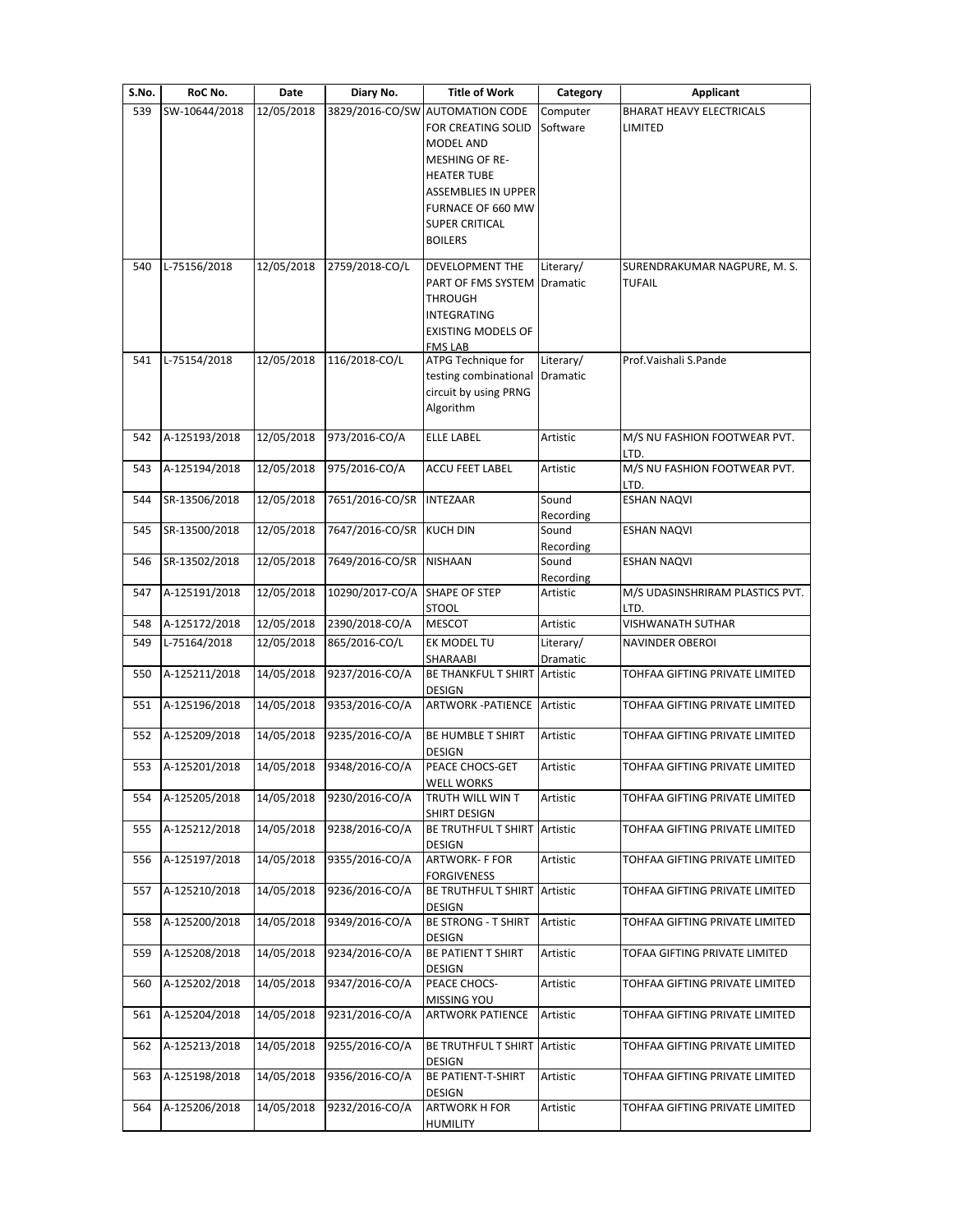| <b>Title of Work</b><br>S.No.<br>RoC No.<br>Diary No.<br>Date<br>Category                                                                                                                      | Applicant                                     |
|------------------------------------------------------------------------------------------------------------------------------------------------------------------------------------------------|-----------------------------------------------|
| 3829/2016-CO/SW AUTOMATION CODE<br>539<br>SW-10644/2018<br>12/05/2018<br>Computer<br>FOR CREATING SOLID<br>Software<br>MODEL AND<br><b>MESHING OF RE-</b>                                      | BHARAT HEAVY ELECTRICALS<br>LIMITED           |
| <b>HEATER TUBE</b><br><b>ASSEMBLIES IN UPPER</b><br>FURNACE OF 660 MW<br><b>SUPER CRITICAL</b><br><b>BOILERS</b>                                                                               |                                               |
| L-75156/2018<br>12/05/2018<br>2759/2018-CO/L<br>DEVELOPMENT THE<br>Literary/<br>540<br>PART OF FMS SYSTEM<br>Dramatic<br><b>THROUGH</b><br>INTEGRATING<br><b>EXISTING MODELS OF</b><br>FMS LAB | SURENDRAKUMAR NAGPURE, M. S.<br><b>TUFAIL</b> |
| 12/05/2018<br>116/2018-CO/L<br>ATPG Technique for<br>Literary/<br>L-75154/2018<br>541<br>testing combinational<br>Dramatic<br>circuit by using PRNG<br>Algorithm                               | Prof. Vaishali S. Pande                       |
| A-125193/2018<br>12/05/2018<br>973/2016-CO/A<br><b>ELLE LABEL</b><br>Artistic<br>542                                                                                                           | M/S NU FASHION FOOTWEAR PVT.<br>LTD.          |
| A-125194/2018<br>12/05/2018<br>975/2016-CO/A<br>Artistic<br>543<br><b>ACCU FEET LABEL</b>                                                                                                      | M/S NU FASHION FOOTWEAR PVT.<br>LTD.          |
| 12/05/2018<br>7651/2016-CO/SR<br>544<br>SR-13506/2018<br><b>INTEZAAR</b><br>Sound<br>Recording                                                                                                 | <b>ESHAN NAQVI</b>                            |
| 12/05/2018<br>7647/2016-CO/SR<br>SR-13500/2018<br><b>KUCH DIN</b><br>Sound<br>545<br>Recording                                                                                                 | <b>ESHAN NAQVI</b>                            |
| 12/05/2018<br>7649/2016-CO/SR<br>SR-13502/2018<br><b>NISHAAN</b><br>Sound<br>546<br>Recording                                                                                                  | <b>ESHAN NAQVI</b>                            |
| 10290/2017-CO/A<br>A-125191/2018<br>12/05/2018<br>SHAPE OF STEP<br>Artistic<br>547<br><b>STOOL</b>                                                                                             | M/S UDASINSHRIRAM PLASTICS PVT.<br>LTD.       |
| 2390/2018-CO/A<br>A-125172/2018<br>12/05/2018<br>Artistic<br>548<br><b>MESCOT</b>                                                                                                              | <b>VISHWANATH SUTHAR</b>                      |
| L-75164/2018<br>865/2016-CO/L<br>549<br>12/05/2018<br>EK MODEL TU<br>Literary/<br>SHARAABI<br>Dramatic                                                                                         | <b>NAVINDER OBEROI</b>                        |
| 9237/2016-CO/A<br>A-125211/2018<br>14/05/2018<br>BE THANKFUL T SHIRT<br>Artistic<br>550<br>DESIGN                                                                                              | TOHFAA GIFTING PRIVATE LIMITED                |
| 9353/2016-CO/A<br><b>ARTWORK - PATIENCE</b><br>A-125196/2018<br>14/05/2018<br>Artistic<br>551                                                                                                  | TOHFAA GIFTING PRIVATE LIMITED                |
| 14/05/2018<br>9235/2016-CO/A<br>A-125209/2018<br>BE HUMBLE T SHIRT<br>Artistic<br>552<br>DESIGN                                                                                                | TOHFAA GIFTING PRIVATE LIMITED                |
| 14/05/2018<br>9348/2016-CO/A<br>553<br>A-125201/2018<br>Artistic<br>PEACE CHOCS-GET<br><b>WELL WORKS</b>                                                                                       | TOHFAA GIFTING PRIVATE LIMITED                |
| A-125205/2018<br>14/05/2018<br>9230/2016-CO/A<br>TRUTH WILL WIN T<br>554<br>Artistic<br>SHIRT DESIGN                                                                                           | TOHFAA GIFTING PRIVATE LIMITED                |
| 14/05/2018<br>9238/2016-CO/A<br>A-125212/2018<br>BE TRUTHFUL T SHIRT Artistic<br>555<br>DESIGN                                                                                                 | TOHFAA GIFTING PRIVATE LIMITED                |
| 14/05/2018<br>9355/2016-CO/A<br>A-125197/2018<br><b>ARTWORK- F FOR</b><br>556<br>Artistic<br>FORGIVENESS                                                                                       | TOHFAA GIFTING PRIVATE LIMITED                |
| 9236/2016-CO/A<br>A-125210/2018<br>14/05/2018<br>557<br>BE TRUTHFUL T SHIRT<br>Artistic<br>DESIGN                                                                                              | TOHFAA GIFTING PRIVATE LIMITED                |
| 14/05/2018<br>9349/2016-CO/A<br>A-125200/2018<br><b>BE STRONG - T SHIRT</b><br>Artistic<br>558<br>DESIGN                                                                                       | TOHFAA GIFTING PRIVATE LIMITED                |
| 14/05/2018<br>9234/2016-CO/A<br>A-125208/2018<br><b>BE PATIENT T SHIRT</b><br>559<br>Artistic<br>DESIGN                                                                                        | TOFAA GIFTING PRIVATE LIMITED                 |
| 14/05/2018<br>9347/2016-CO/A<br>A-125202/2018<br>PEACE CHOCS-<br>Artistic<br>560<br>MISSING YOU                                                                                                | TOHFAA GIFTING PRIVATE LIMITED                |
| A-125204/2018<br>14/05/2018<br>9231/2016-CO/A<br><b>ARTWORK PATIENCE</b><br>Artistic<br>561                                                                                                    | TOHFAA GIFTING PRIVATE LIMITED                |
| A-125213/2018<br>14/05/2018<br>9255/2016-CO/A<br>BE TRUTHFUL T SHIRT<br>Artistic<br>562<br>DESIGN                                                                                              | TOHFAA GIFTING PRIVATE LIMITED                |
| 14/05/2018<br>9356/2016-CO/A<br>A-125198/2018<br>BE PATIENT-T-SHIRT<br>Artistic<br>563<br>DESIGN                                                                                               | TOHFAA GIFTING PRIVATE LIMITED                |
| A-125206/2018<br>14/05/2018<br>9232/2016-CO/A<br>Artistic<br>564<br><b>ARTWORK H FOR</b><br><b>HUMILITY</b>                                                                                    | TOHFAA GIFTING PRIVATE LIMITED                |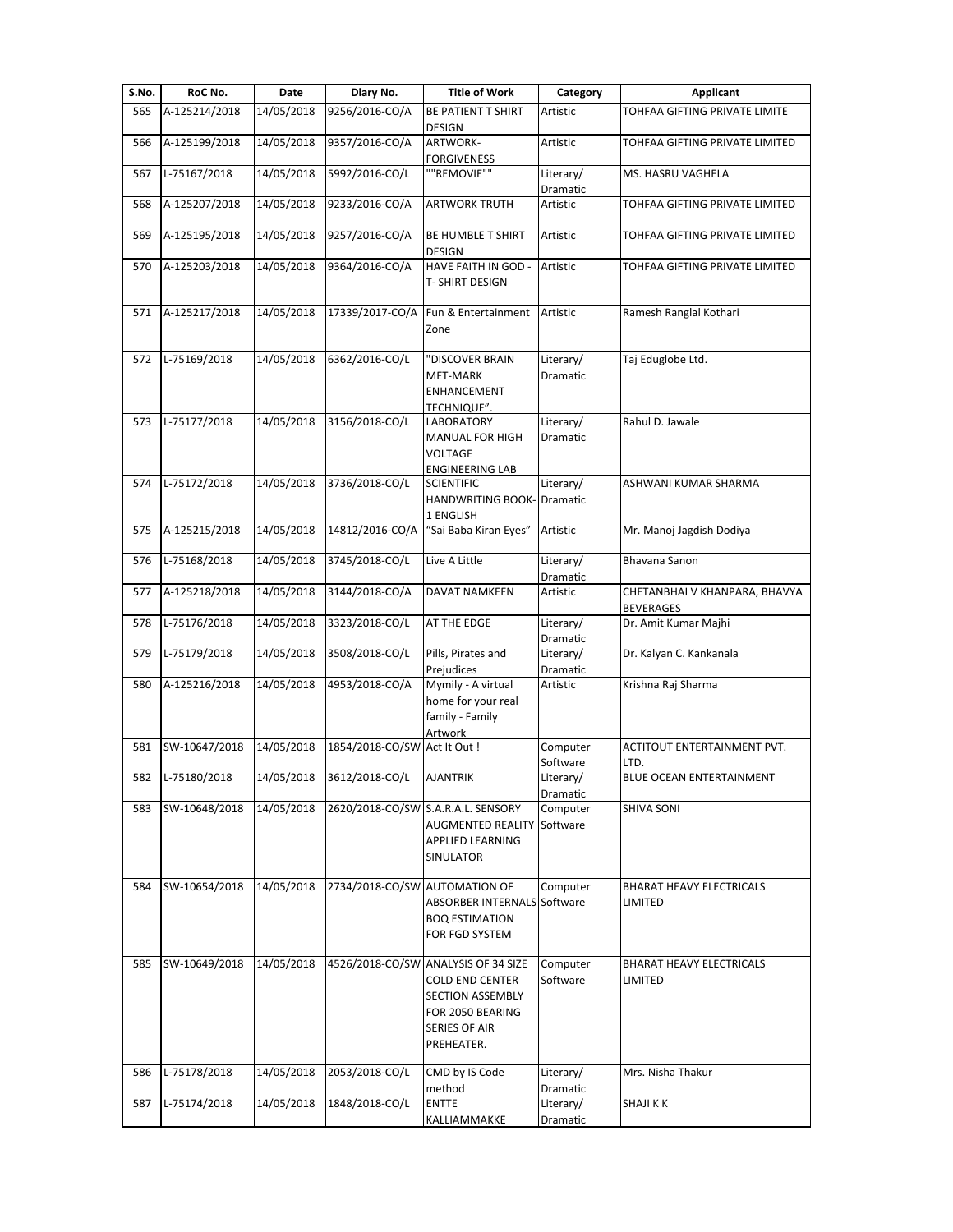| S.No. | RoC No.       | Date       | Diary No.                     | <b>Title of Work</b>                                                                                                          | Category              | <b>Applicant</b>                                  |
|-------|---------------|------------|-------------------------------|-------------------------------------------------------------------------------------------------------------------------------|-----------------------|---------------------------------------------------|
| 565   | A-125214/2018 | 14/05/2018 | 9256/2016-CO/A                | BE PATIENT T SHIRT<br>DESIGN                                                                                                  | Artistic              | TOHFAA GIFTING PRIVATE LIMITE                     |
| 566   | A-125199/2018 | 14/05/2018 | 9357/2016-CO/A                | ARTWORK-<br><b>FORGIVENESS</b>                                                                                                | Artistic              | TOHFAA GIFTING PRIVATE LIMITED                    |
| 567   | L-75167/2018  | 14/05/2018 | 5992/2016-CO/L                | ""REMOVIE""                                                                                                                   | Literary/<br>Dramatic | MS. HASRU VAGHELA                                 |
| 568   | A-125207/2018 | 14/05/2018 | 9233/2016-CO/A                | <b>ARTWORK TRUTH</b>                                                                                                          | Artistic              | TOHFAA GIFTING PRIVATE LIMITED                    |
| 569   | A-125195/2018 | 14/05/2018 | 9257/2016-CO/A                | BE HUMBLE T SHIRT<br>DESIGN                                                                                                   | Artistic              | TOHFAA GIFTING PRIVATE LIMITED                    |
| 570   | A-125203/2018 | 14/05/2018 | 9364/2016-CO/A                | HAVE FAITH IN GOD -<br>T- SHIRT DESIGN                                                                                        | Artistic              | TOHFAA GIFTING PRIVATE LIMITED                    |
| 571   | A-125217/2018 | 14/05/2018 | 17339/2017-CO/A               | Fun & Entertainment<br>Zone                                                                                                   | Artistic              | Ramesh Ranglal Kothari                            |
| 572   | L-75169/2018  | 14/05/2018 | 6362/2016-CO/L                | 'DISCOVER BRAIN<br><b>MET-MARK</b><br>ENHANCEMENT<br>TECHNIQUE".                                                              | Literary/<br>Dramatic | Taj Eduglobe Ltd.                                 |
| 573   | L-75177/2018  | 14/05/2018 | 3156/2018-CO/L                | LABORATORY<br>MANUAL FOR HIGH<br><b>VOLTAGE</b><br><b>ENGINEERING LAB</b>                                                     | Literary/<br>Dramatic | Rahul D. Jawale                                   |
| 574   | L-75172/2018  | 14/05/2018 | 3736/2018-CO/L                | <b>SCIENTIFIC</b><br><b>HANDWRITING BOOK- Dramatic</b><br>1 ENGLISH                                                           | Literary/             | ASHWANI KUMAR SHARMA                              |
| 575   | A-125215/2018 | 14/05/2018 | 14812/2016-CO/A               | "Sai Baba Kiran Eyes"                                                                                                         | Artistic              | Mr. Manoj Jagdish Dodiya                          |
| 576   | L-75168/2018  | 14/05/2018 | 3745/2018-CO/L                | Live A Little                                                                                                                 | Literary/<br>Dramatic | Bhavana Sanon                                     |
| 577   | A-125218/2018 | 14/05/2018 | 3144/2018-CO/A                | <b>DAVAT NAMKEEN</b>                                                                                                          | Artistic              | CHETANBHAI V KHANPARA, BHAVYA<br><b>BEVERAGES</b> |
| 578   | L-75176/2018  | 14/05/2018 | 3323/2018-CO/L                | AT THE EDGE                                                                                                                   | Literary/<br>Dramatic | Dr. Amit Kumar Majhi                              |
| 579   | L-75179/2018  | 14/05/2018 | 3508/2018-CO/L                | Pills, Pirates and<br>Prejudices                                                                                              | Literary/<br>Dramatic | Dr. Kalyan C. Kankanala                           |
| 580   | A-125216/2018 | 14/05/2018 | 4953/2018-CO/A                | Mymily - A virtual<br>home for your real<br>family - Family<br>Artwork                                                        | Artistic              | Krishna Raj Sharma                                |
| 581   | SW-10647/2018 | 14/05/2018 | 1854/2018-CO/SW Act It Out !  |                                                                                                                               | Computer<br>Software  | ACTITOUT ENTERTAINMENT PVT.<br>LTD.               |
| 582   | L-75180/2018  | 14/05/2018 | 3612/2018-CO/L                | <b>AJANTRIK</b>                                                                                                               | Literary/<br>Dramatic | BLUE OCEAN ENTERTAINMENT                          |
| 583   | SW-10648/2018 | 14/05/2018 |                               | 2620/2018-CO/SW S.A.R.A.L. SENSORY<br><b>AUGMENTED REALITY</b><br>APPLIED LEARNING<br>SINULATOR                               | Computer<br>Software  | <b>SHIVA SONI</b>                                 |
| 584   | SW-10654/2018 | 14/05/2018 | 2734/2018-CO/SW AUTOMATION OF | ABSORBER INTERNALS Software<br><b>BOQ ESTIMATION</b><br>FOR FGD SYSTEM                                                        | Computer              | BHARAT HEAVY ELECTRICALS<br>LIMITED               |
| 585   | SW-10649/2018 | 14/05/2018 |                               | 4526/2018-CO/SW ANALYSIS OF 34 SIZE<br>COLD END CENTER<br>SECTION ASSEMBLY<br>FOR 2050 BEARING<br>SERIES OF AIR<br>PREHEATER. | Computer<br>Software  | BHARAT HEAVY ELECTRICALS<br>LIMITED               |
| 586   | L-75178/2018  | 14/05/2018 | 2053/2018-CO/L                | CMD by IS Code<br>method                                                                                                      | Literary/<br>Dramatic | Mrs. Nisha Thakur                                 |
| 587   | L-75174/2018  | 14/05/2018 | 1848/2018-CO/L                | <b>ENTTE</b><br>KALLIAMMAKKE                                                                                                  | Literary/<br>Dramatic | <b>SHAJI K K</b>                                  |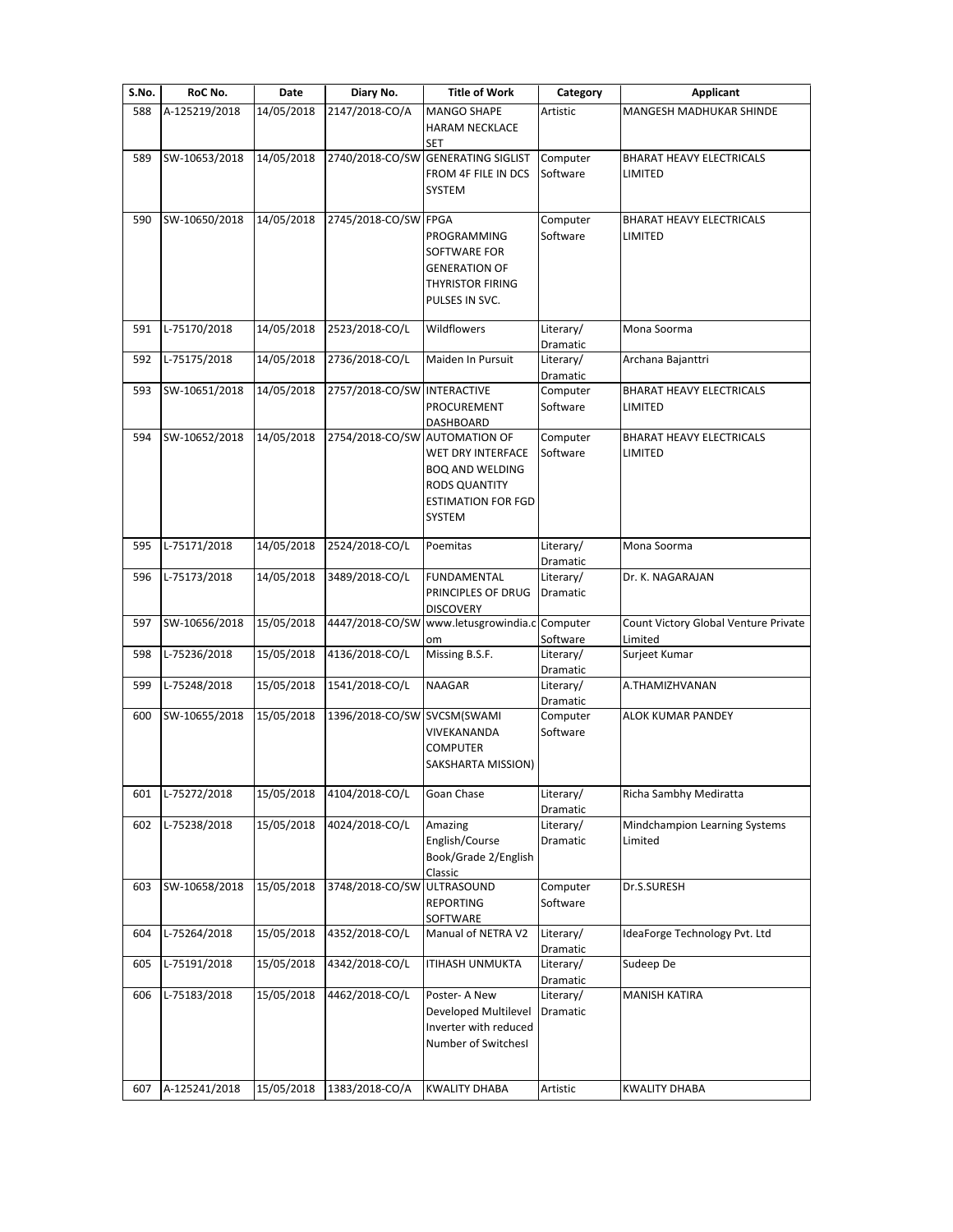| S.No. | RoC No.       | Date       | Diary No.                     | <b>Title of Work</b>                                                                                              | Category              | <b>Applicant</b>                                  |
|-------|---------------|------------|-------------------------------|-------------------------------------------------------------------------------------------------------------------|-----------------------|---------------------------------------------------|
| 588   | A-125219/2018 | 14/05/2018 | 2147/2018-CO/A                | <b>MANGO SHAPE</b><br><b>HARAM NECKLACE</b><br><b>SET</b>                                                         | Artistic              | MANGESH MADHUKAR SHINDE                           |
| 589   | SW-10653/2018 | 14/05/2018 |                               | 2740/2018-CO/SW GENERATING SIGLIST<br>FROM 4F FILE IN DCS<br>SYSTEM                                               | Computer<br>Software  | <b>BHARAT HEAVY ELECTRICALS</b><br><b>LIMITED</b> |
| 590   | SW-10650/2018 | 14/05/2018 | 2745/2018-CO/SW FPGA          | PROGRAMMING<br>SOFTWARE FOR<br><b>GENERATION OF</b><br><b>THYRISTOR FIRING</b><br>PULSES IN SVC.                  | Computer<br>Software  | <b>BHARAT HEAVY ELECTRICALS</b><br>LIMITED        |
| 591   | L-75170/2018  | 14/05/2018 | 2523/2018-CO/L                | Wildflowers                                                                                                       | Literary/<br>Dramatic | Mona Soorma                                       |
| 592   | L-75175/2018  | 14/05/2018 | 2736/2018-CO/L                | Maiden In Pursuit                                                                                                 | Literary/<br>Dramatic | Archana Bajanttri                                 |
| 593   | SW-10651/2018 | 14/05/2018 | 2757/2018-CO/SW INTERACTIVE   | PROCUREMENT<br>DASHBOARD                                                                                          | Computer<br>Software  | <b>BHARAT HEAVY ELECTRICALS</b><br>LIMITED        |
| 594   | SW-10652/2018 | 14/05/2018 | 2754/2018-CO/SW AUTOMATION OF | <b>WET DRY INTERFACE</b><br><b>BOQ AND WELDING</b><br><b>RODS QUANTITY</b><br><b>ESTIMATION FOR FGD</b><br>SYSTEM | Computer<br>Software  | <b>BHARAT HEAVY ELECTRICALS</b><br>LIMITED        |
| 595   | L-75171/2018  | 14/05/2018 | 2524/2018-CO/L                | Poemitas                                                                                                          | Literary/<br>Dramatic | Mona Soorma                                       |
| 596   | L-75173/2018  | 14/05/2018 | 3489/2018-CO/L                | <b>FUNDAMENTAL</b><br>PRINCIPLES OF DRUG<br><b>DISCOVERY</b>                                                      | Literary/<br>Dramatic | Dr. K. NAGARAJAN                                  |
| 597   | SW-10656/2018 | 15/05/2018 |                               | 4447/2018-CO/SW www.letusgrowindia.c Computer<br>om                                                               | Software              | Count Victory Global Venture Private<br>Limited   |
| 598   | L-75236/2018  | 15/05/2018 | 4136/2018-CO/L                | Missing B.S.F.                                                                                                    | Literary/<br>Dramatic | Surjeet Kumar                                     |
| 599   | L-75248/2018  | 15/05/2018 | 1541/2018-CO/L                | <b>NAAGAR</b>                                                                                                     | Literary/<br>Dramatic | A.THAMIZHVANAN                                    |
| 600   | SW-10655/2018 | 15/05/2018 | 1396/2018-CO/SW SVCSM(SWAMI   | VIVEKANANDA<br><b>COMPUTER</b><br>SAKSHARTA MISSION)                                                              | Computer<br>Software  | ALOK KUMAR PANDEY                                 |
| 601   | L-75272/2018  | 15/05/2018 | 4104/2018-CO/L                | Goan Chase                                                                                                        | Literary/<br>Dramatic | Richa Sambhy Mediratta                            |
| 602   | L-75238/2018  | 15/05/2018 | 4024/2018-CO/L                | Amazing<br>English/Course<br>Book/Grade 2/English<br>Classic                                                      | Literary/<br>Dramatic | Mindchampion Learning Systems<br>Limited          |
| 603   | SW-10658/2018 | 15/05/2018 | 3748/2018-CO/SW               | <b>ULTRASOUND</b><br><b>REPORTING</b><br>SOFTWARE                                                                 | Computer<br>Software  | Dr.S.SURESH                                       |
| 604   | L-75264/2018  | 15/05/2018 | 4352/2018-CO/L                | Manual of NETRA V2                                                                                                | Literary/<br>Dramatic | IdeaForge Technology Pvt. Ltd                     |
| 605   | L-75191/2018  | 15/05/2018 | 4342/2018-CO/L                | <b>ITIHASH UNMUKTA</b>                                                                                            | Literary/<br>Dramatic | Sudeep De                                         |
| 606   | L-75183/2018  | 15/05/2018 | 4462/2018-CO/L                | Poster- A New<br>Developed Multilevel<br>Inverter with reduced<br>Number of SwitchesI                             | Literary/<br>Dramatic | <b>MANISH KATIRA</b>                              |
| 607   | A-125241/2018 | 15/05/2018 | 1383/2018-CO/A                | <b>KWALITY DHABA</b>                                                                                              | Artistic              | <b>KWALITY DHABA</b>                              |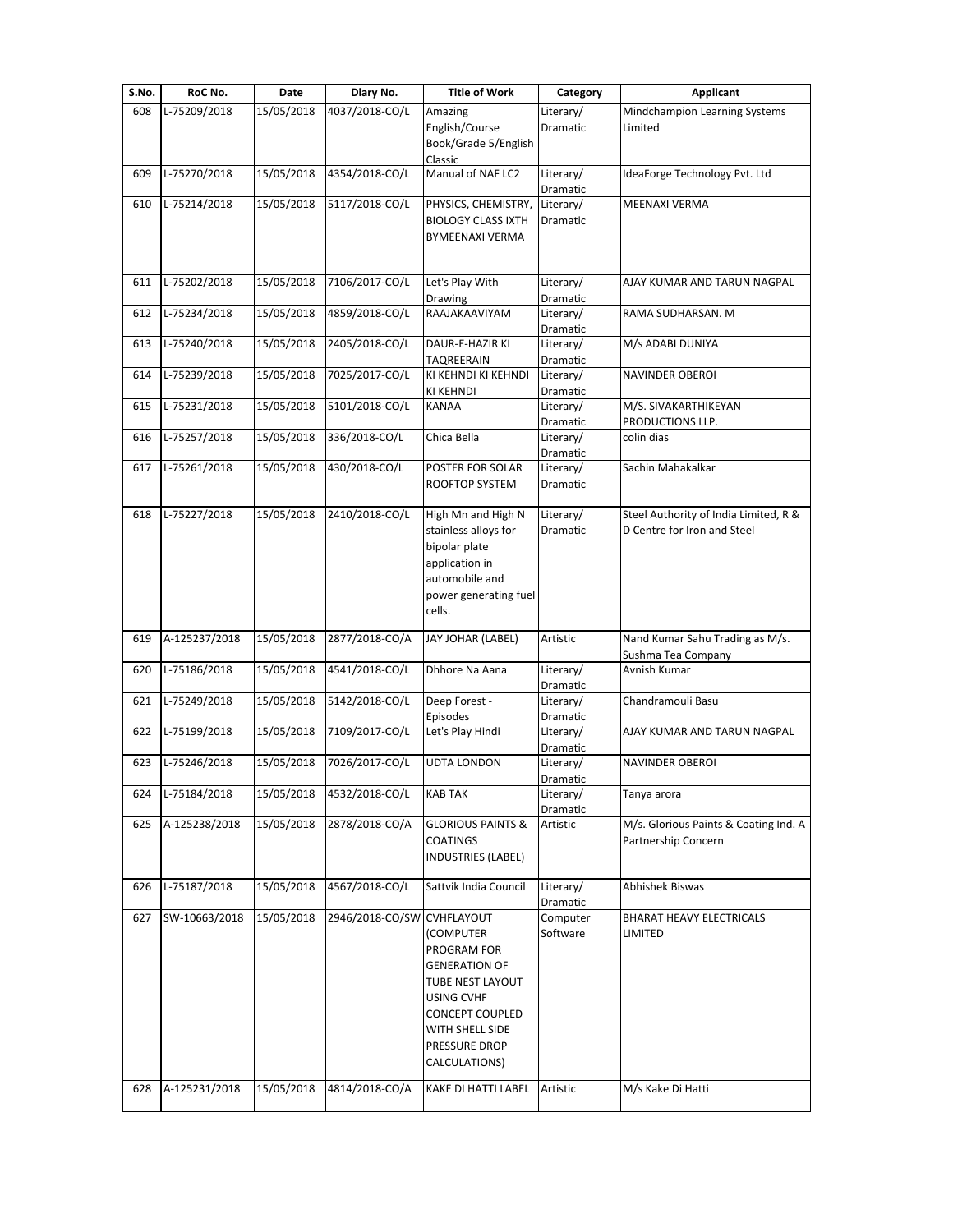| S.No. | RoC No.       | Date       | Diary No.       | <b>Title of Work</b>                                                                                                                                                                   | Category                     | Applicant                                                            |
|-------|---------------|------------|-----------------|----------------------------------------------------------------------------------------------------------------------------------------------------------------------------------------|------------------------------|----------------------------------------------------------------------|
| 608   | L-75209/2018  | 15/05/2018 | 4037/2018-CO/L  | Amazing<br>English/Course<br>Book/Grade 5/English                                                                                                                                      | Literary/<br>Dramatic        | Mindchampion Learning Systems<br>Limited                             |
|       |               |            |                 | Classic                                                                                                                                                                                |                              |                                                                      |
| 609   | L-75270/2018  | 15/05/2018 | 4354/2018-CO/L  | Manual of NAF LC2                                                                                                                                                                      | Literary/<br>Dramatic        | IdeaForge Technology Pvt. Ltd                                        |
| 610   | L-75214/2018  | 15/05/2018 | 5117/2018-CO/L  | PHYSICS, CHEMISTRY,<br><b>BIOLOGY CLASS IXTH</b><br><b>BYMEENAXI VERMA</b>                                                                                                             | Literary/<br>Dramatic        | MEENAXI VERMA                                                        |
| 611   | L-75202/2018  | 15/05/2018 | 7106/2017-CO/L  | Let's Play With<br>Drawing                                                                                                                                                             | Literary/<br>Dramatic        | AJAY KUMAR AND TARUN NAGPAL                                          |
| 612   | L-75234/2018  | 15/05/2018 | 4859/2018-CO/L  | RAAJAKAAVIYAM                                                                                                                                                                          | Literary/<br>Dramatic        | RAMA SUDHARSAN. M                                                    |
| 613   | L-75240/2018  | 15/05/2018 | 2405/2018-CO/L  | DAUR-E-HAZIR KI<br>TAQREERAIN                                                                                                                                                          | Literary/<br>Dramatic        | M/s ADABI DUNIYA                                                     |
| 614   | L-75239/2018  | 15/05/2018 | 7025/2017-CO/L  | KI KEHNDI KI KEHNDI<br>KI KEHNDI                                                                                                                                                       | Literary/<br>Dramatic        | <b>NAVINDER OBEROI</b>                                               |
| 615   | L-75231/2018  | 15/05/2018 | 5101/2018-CO/L  | <b>KANAA</b>                                                                                                                                                                           | Literary/                    | M/S. SIVAKARTHIKEYAN                                                 |
|       |               |            |                 |                                                                                                                                                                                        | Dramatic                     | PRODUCTIONS LLP.                                                     |
| 616   | L-75257/2018  | 15/05/2018 | 336/2018-CO/L   | Chica Bella                                                                                                                                                                            | Literary/<br>Dramatic        | colin dias                                                           |
| 617   | L-75261/2018  | 15/05/2018 | 430/2018-CO/L   | POSTER FOR SOLAR<br>ROOFTOP SYSTEM                                                                                                                                                     | Literary/<br>Dramatic        | Sachin Mahakalkar                                                    |
| 618   | L-75227/2018  | 15/05/2018 | 2410/2018-CO/L  | High Mn and High N<br>stainless alloys for<br>bipolar plate<br>application in<br>automobile and<br>power generating fuel<br>cells.                                                     | Literary/<br>Dramatic        | Steel Authority of India Limited, R &<br>D Centre for Iron and Steel |
| 619   | A-125237/2018 | 15/05/2018 | 2877/2018-CO/A  | JAY JOHAR (LABEL)                                                                                                                                                                      | Artistic                     | Nand Kumar Sahu Trading as M/s.<br>Sushma Tea Company                |
| 620   | L-75186/2018  | 15/05/2018 | 4541/2018-CO/L  | Dhhore Na Aana                                                                                                                                                                         | Literary/<br>Dramatic        | Avnish Kumar                                                         |
| 621   | L-75249/2018  | 15/05/2018 | 5142/2018-CO/L  | Deep Forest -<br>Episodes                                                                                                                                                              | Literary/<br>Dramatic        | Chandramouli Basu                                                    |
| 622   | L-75199/2018  | 15/05/2018 | 7109/2017-CO/L  | Let's Play Hindi                                                                                                                                                                       | Literary/<br>Dramatic        | AJAY KUMAR AND TARUN NAGPAL                                          |
| 623   | L-75246/2018  | 15/05/2018 | 7026/2017-CO/L  | <b>UDTA LONDON</b>                                                                                                                                                                     | Literary/<br><b>Dramatic</b> | NAVINDER OBEROI                                                      |
| 624   | L-75184/2018  | 15/05/2018 | 4532/2018-CO/L  | <b>KAB TAK</b>                                                                                                                                                                         | Literary/<br>Dramatic        | Tanya arora                                                          |
| 625   | A-125238/2018 | 15/05/2018 | 2878/2018-CO/A  | <b>GLORIOUS PAINTS &amp;</b><br><b>COATINGS</b><br><b>INDUSTRIES (LABEL)</b>                                                                                                           | Artistic                     | M/s. Glorious Paints & Coating Ind. A<br>Partnership Concern         |
| 626   | L-75187/2018  | 15/05/2018 | 4567/2018-CO/L  | Sattvik India Council                                                                                                                                                                  | Literary/<br>Dramatic        | Abhishek Biswas                                                      |
| 627   | SW-10663/2018 | 15/05/2018 | 2946/2018-CO/SW | <b>CVHFLAYOUT</b><br>(COMPUTER<br>PROGRAM FOR<br><b>GENERATION OF</b><br>TUBE NEST LAYOUT<br><b>USING CVHF</b><br>CONCEPT COUPLED<br>WITH SHELL SIDE<br>PRESSURE DROP<br>CALCULATIONS) | Computer<br>Software         | BHARAT HEAVY ELECTRICALS<br>LIMITED                                  |
| 628   | A-125231/2018 | 15/05/2018 | 4814/2018-CO/A  | KAKE DI HATTI LABEL                                                                                                                                                                    | Artistic                     | M/s Kake Di Hatti                                                    |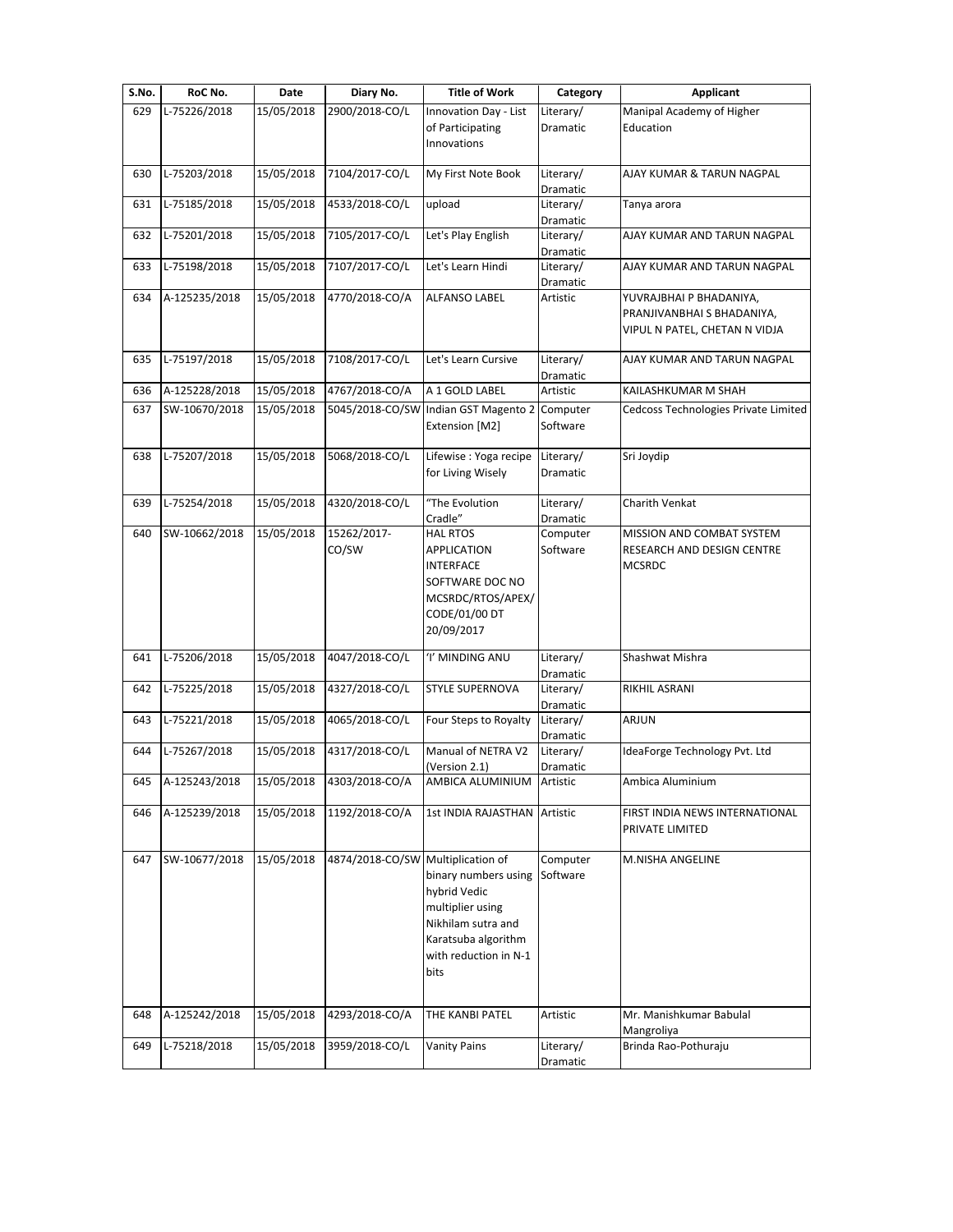| S.No. | RoC No.       | Date       | Diary No.                         | <b>Title of Work</b>                                                                                                                   | Category              | <b>Applicant</b>                                                                       |
|-------|---------------|------------|-----------------------------------|----------------------------------------------------------------------------------------------------------------------------------------|-----------------------|----------------------------------------------------------------------------------------|
| 629   | L-75226/2018  | 15/05/2018 | 2900/2018-CO/L                    | Innovation Day - List                                                                                                                  | Literary/             | Manipal Academy of Higher                                                              |
|       |               |            |                                   | of Participating<br>Innovations                                                                                                        | Dramatic              | Education                                                                              |
| 630   | L-75203/2018  | 15/05/2018 | 7104/2017-CO/L                    | My First Note Book                                                                                                                     | Literary/<br>Dramatic | AJAY KUMAR & TARUN NAGPAL                                                              |
| 631   | L-75185/2018  | 15/05/2018 | 4533/2018-CO/L                    | upload                                                                                                                                 | Literary/<br>Dramatic | Tanya arora                                                                            |
| 632   | L-75201/2018  | 15/05/2018 | 7105/2017-CO/L                    | Let's Play English                                                                                                                     | Literary/<br>Dramatic | AJAY KUMAR AND TARUN NAGPAL                                                            |
| 633   | L-75198/2018  | 15/05/2018 | 7107/2017-CO/L                    | Let's Learn Hindi                                                                                                                      | Literary/<br>Dramatic | AJAY KUMAR AND TARUN NAGPAL                                                            |
| 634   | A-125235/2018 | 15/05/2018 | 4770/2018-CO/A                    | <b>ALFANSO LABEL</b>                                                                                                                   | Artistic              | YUVRAJBHAI P BHADANIYA,<br>PRANJIVANBHAI S BHADANIYA,<br>VIPUL N PATEL, CHETAN N VIDJA |
| 635   | L-75197/2018  | 15/05/2018 | 7108/2017-CO/L                    | Let's Learn Cursive                                                                                                                    | Literary/<br>Dramatic | AJAY KUMAR AND TARUN NAGPAL                                                            |
| 636   | A-125228/2018 | 15/05/2018 | 4767/2018-CO/A                    | A 1 GOLD LABEL                                                                                                                         | Artistic              | KAILASHKUMAR M SHAH                                                                    |
| 637   | SW-10670/2018 | 15/05/2018 |                                   | 5045/2018-CO/SW Indian GST Magento 2<br>Extension [M2]                                                                                 | Computer<br>Software  | Cedcoss Technologies Private Limited                                                   |
| 638   | L-75207/2018  | 15/05/2018 | 5068/2018-CO/L                    | Lifewise : Yoga recipe<br>for Living Wisely                                                                                            | Literary/<br>Dramatic | Sri Joydip                                                                             |
| 639   | L-75254/2018  | 15/05/2018 | 4320/2018-CO/L                    | "The Evolution<br>Cradle"                                                                                                              | Literary/<br>Dramatic | Charith Venkat                                                                         |
| 640   | SW-10662/2018 | 15/05/2018 | 15262/2017-<br>CO/SW              | <b>HAL RTOS</b><br><b>APPLICATION</b><br><b>INTERFACE</b><br>SOFTWARE DOC NO<br>MCSRDC/RTOS/APEX/<br>CODE/01/00 DT<br>20/09/2017       | Computer<br>Software  | MISSION AND COMBAT SYSTEM<br>RESEARCH AND DESIGN CENTRE<br><b>MCSRDC</b>               |
| 641   | L-75206/2018  | 15/05/2018 | 4047/2018-CO/L                    | 'I' MINDING ANU                                                                                                                        | Literary/<br>Dramatic | Shashwat Mishra                                                                        |
| 642   | L-75225/2018  | 15/05/2018 | 4327/2018-CO/L                    | <b>STYLE SUPERNOVA</b>                                                                                                                 | Literary/<br>Dramatic | RIKHIL ASRANI                                                                          |
| 643   | L-75221/2018  | 15/05/2018 | 4065/2018-CO/L                    | Four Steps to Royalty                                                                                                                  | Literary/<br>Dramatic | ARJUN                                                                                  |
| 644   | L-75267/2018  | 15/05/2018 | 4317/2018-CO/L                    | Manual of NETRA V2<br>(Version 2.1)                                                                                                    | Literary/<br>Dramatic | IdeaForge Technology Pvt. Ltd                                                          |
| 645   | A-125243/2018 | 15/05/2018 | 4303/2018-CO/A                    | AMBICA ALUMINIUM                                                                                                                       | Artistic              | Ambica Aluminium                                                                       |
| 646   | A-125239/2018 | 15/05/2018 | 1192/2018-CO/A                    | 1st INDIA RAJASTHAN                                                                                                                    | Artistic              | FIRST INDIA NEWS INTERNATIONAL<br>PRIVATE LIMITED                                      |
| 647   | SW-10677/2018 | 15/05/2018 | 4874/2018-CO/SW Multiplication of | binary numbers using<br>hybrid Vedic<br>multiplier using<br>Nikhilam sutra and<br>Karatsuba algorithm<br>with reduction in N-1<br>bits | Computer<br>Software  | M.NISHA ANGELINE                                                                       |
| 648   | A-125242/2018 | 15/05/2018 | 4293/2018-CO/A                    | THE KANBI PATEL                                                                                                                        | Artistic              | Mr. Manishkumar Babulal<br>Mangroliya                                                  |
| 649   | L-75218/2018  | 15/05/2018 | 3959/2018-CO/L                    | <b>Vanity Pains</b>                                                                                                                    | Literary/<br>Dramatic | Brinda Rao-Pothuraju                                                                   |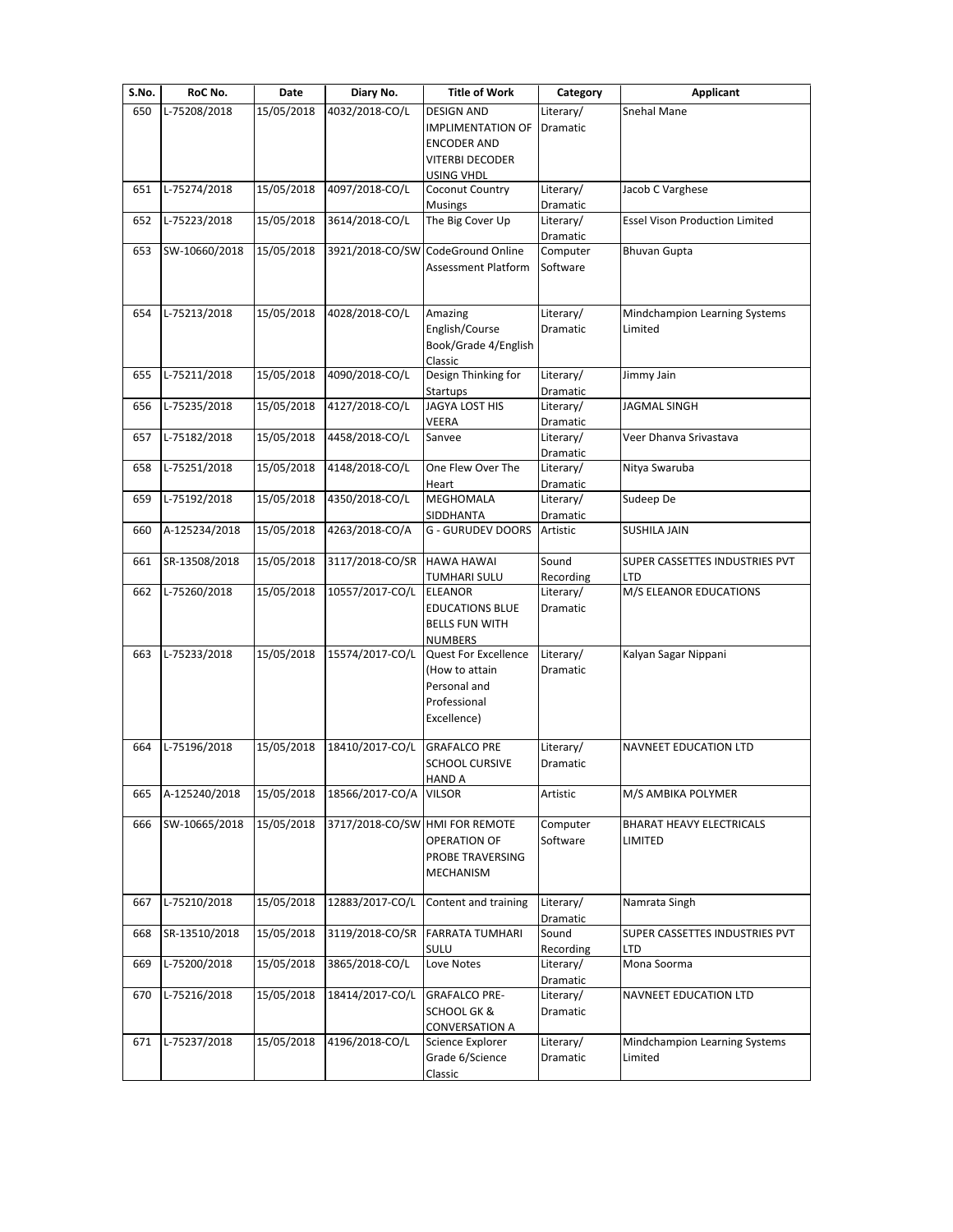| S.No. | RoC No.       | Date       | Diary No.                      | <b>Title of Work</b>              | Category              | <b>Applicant</b>                      |
|-------|---------------|------------|--------------------------------|-----------------------------------|-----------------------|---------------------------------------|
| 650   | L-75208/2018  | 15/05/2018 | 4032/2018-CO/L                 | <b>DESIGN AND</b>                 | Literary/             | Snehal Mane                           |
|       |               |            |                                | IMPLIMENTATION OF Dramatic        |                       |                                       |
|       |               |            |                                | <b>ENCODER AND</b>                |                       |                                       |
|       |               |            |                                | <b>VITERBI DECODER</b>            |                       |                                       |
| 651   | L-75274/2018  | 15/05/2018 | 4097/2018-CO/L                 | USING VHDL<br>Coconut Country     | Literary/             | Jacob C Varghese                      |
|       |               |            |                                | <b>Musings</b>                    | Dramatic              |                                       |
| 652   | L-75223/2018  | 15/05/2018 | 3614/2018-CO/L                 | The Big Cover Up                  | Literary/             | <b>Essel Vison Production Limited</b> |
|       |               |            |                                |                                   | Dramatic              |                                       |
| 653   | SW-10660/2018 | 15/05/2018 |                                | 3921/2018-CO/SW CodeGround Online | Computer              | <b>Bhuvan Gupta</b>                   |
|       |               |            |                                | Assessment Platform               | Software              |                                       |
|       |               |            |                                |                                   |                       |                                       |
| 654   | L-75213/2018  | 15/05/2018 | 4028/2018-CO/L                 | Amazing                           | Literary/             | Mindchampion Learning Systems         |
|       |               |            |                                | English/Course                    | Dramatic              | Limited                               |
|       |               |            |                                | Book/Grade 4/English              |                       |                                       |
|       |               |            |                                | Classic                           |                       |                                       |
| 655   | L-75211/2018  | 15/05/2018 | 4090/2018-CO/L                 | Design Thinking for               | Literary/             | Jimmy Jain                            |
|       |               |            |                                | Startups                          | Dramatic              |                                       |
| 656   | L-75235/2018  | 15/05/2018 | 4127/2018-CO/L                 | JAGYA LOST HIS                    | Literary/             | <b>JAGMAL SINGH</b>                   |
| 657   | L-75182/2018  | 15/05/2018 | 4458/2018-CO/L                 | VEERA<br>Sanvee                   | Dramatic<br>Literary/ | Veer Dhanva Srivastava                |
|       |               |            |                                |                                   | Dramatic              |                                       |
| 658   | L-75251/2018  | 15/05/2018 | 4148/2018-CO/L                 | One Flew Over The                 | Literary/             | Nitya Swaruba                         |
|       |               |            |                                | Heart                             | Dramatic              |                                       |
| 659   | L-75192/2018  | 15/05/2018 | 4350/2018-CO/L                 | MEGHOMALA                         | Literary/             | Sudeep De                             |
|       |               |            |                                | SIDDHANTA                         | Dramatic              |                                       |
| 660   | A-125234/2018 | 15/05/2018 | 4263/2018-CO/A                 | <b>G - GURUDEV DOORS</b>          | Artistic              | SUSHILA JAIN                          |
|       |               |            |                                |                                   |                       |                                       |
| 661   | SR-13508/2018 | 15/05/2018 | 3117/2018-CO/SR                | <b>HAWA HAWAI</b><br>TUMHARI SULU | Sound<br>Recording    | SUPER CASSETTES INDUSTRIES PVT<br>LTD |
| 662   | L-75260/2018  | 15/05/2018 | 10557/2017-CO/L                | <b>ELEANOR</b>                    | Literary/             | M/S ELEANOR EDUCATIONS                |
|       |               |            |                                | <b>EDUCATIONS BLUE</b>            | Dramatic              |                                       |
|       |               |            |                                | <b>BELLS FUN WITH</b>             |                       |                                       |
|       |               |            |                                | <b>NUMBERS</b>                    |                       |                                       |
| 663   | L-75233/2018  | 15/05/2018 | 15574/2017-CO/L                | Quest For Excellence              | Literary/             | Kalyan Sagar Nippani                  |
|       |               |            |                                | (How to attain                    | Dramatic              |                                       |
|       |               |            |                                | Personal and                      |                       |                                       |
|       |               |            |                                | Professional                      |                       |                                       |
|       |               |            |                                | Excellence)                       |                       |                                       |
| 664   | L-75196/2018  | 15/05/2018 | 18410/2017-CO/L                | <b>GRAFALCO PRE</b>               | Literary/             | <b>NAVNEET EDUCATION LTD</b>          |
|       |               |            |                                | <b>SCHOOL CURSIVE</b>             | <b>Dramatic</b>       |                                       |
|       |               |            |                                | <b>HAND A</b>                     |                       |                                       |
| 665   | A-125240/2018 | 15/05/2018 | 18566/2017-CO/A                | <b>VILSOR</b>                     | Artistic              | M/S AMBIKA POLYMER                    |
|       |               |            |                                |                                   |                       |                                       |
| 666   | SW-10665/2018 | 15/05/2018 | 3717/2018-CO/SW HMI FOR REMOTE | OPERATION OF                      | Computer<br>Software  | BHARAT HEAVY ELECTRICALS<br>LIMITED   |
|       |               |            |                                | PROBE TRAVERSING                  |                       |                                       |
|       |               |            |                                | MECHANISM                         |                       |                                       |
|       |               |            |                                |                                   |                       |                                       |
| 667   | L-75210/2018  | 15/05/2018 | 12883/2017-CO/L                | Content and training              | Literary/             | Namrata Singh                         |
|       |               |            |                                |                                   | Dramatic              |                                       |
| 668   | SR-13510/2018 | 15/05/2018 | 3119/2018-CO/SR                | <b>FARRATA TUMHARI</b>            | Sound                 | SUPER CASSETTES INDUSTRIES PVT        |
|       |               |            |                                | SULU                              | Recording             | LTD                                   |
| 669   | L-75200/2018  | 15/05/2018 | 3865/2018-CO/L                 | Love Notes                        | Literary/             | Mona Soorma                           |
| 670   | L-75216/2018  | 15/05/2018 | 18414/2017-CO/L                | <b>GRAFALCO PRE-</b>              | Dramatic<br>Literary/ | NAVNEET EDUCATION LTD                 |
|       |               |            |                                | <b>SCHOOL GK &amp;</b>            | Dramatic              |                                       |
|       |               |            |                                | CONVERSATION A                    |                       |                                       |
| 671   | L-75237/2018  | 15/05/2018 | 4196/2018-CO/L                 | Science Explorer                  | Literary/             | Mindchampion Learning Systems         |
|       |               |            |                                | Grade 6/Science                   | Dramatic              | Limited                               |
|       |               |            |                                | Classic                           |                       |                                       |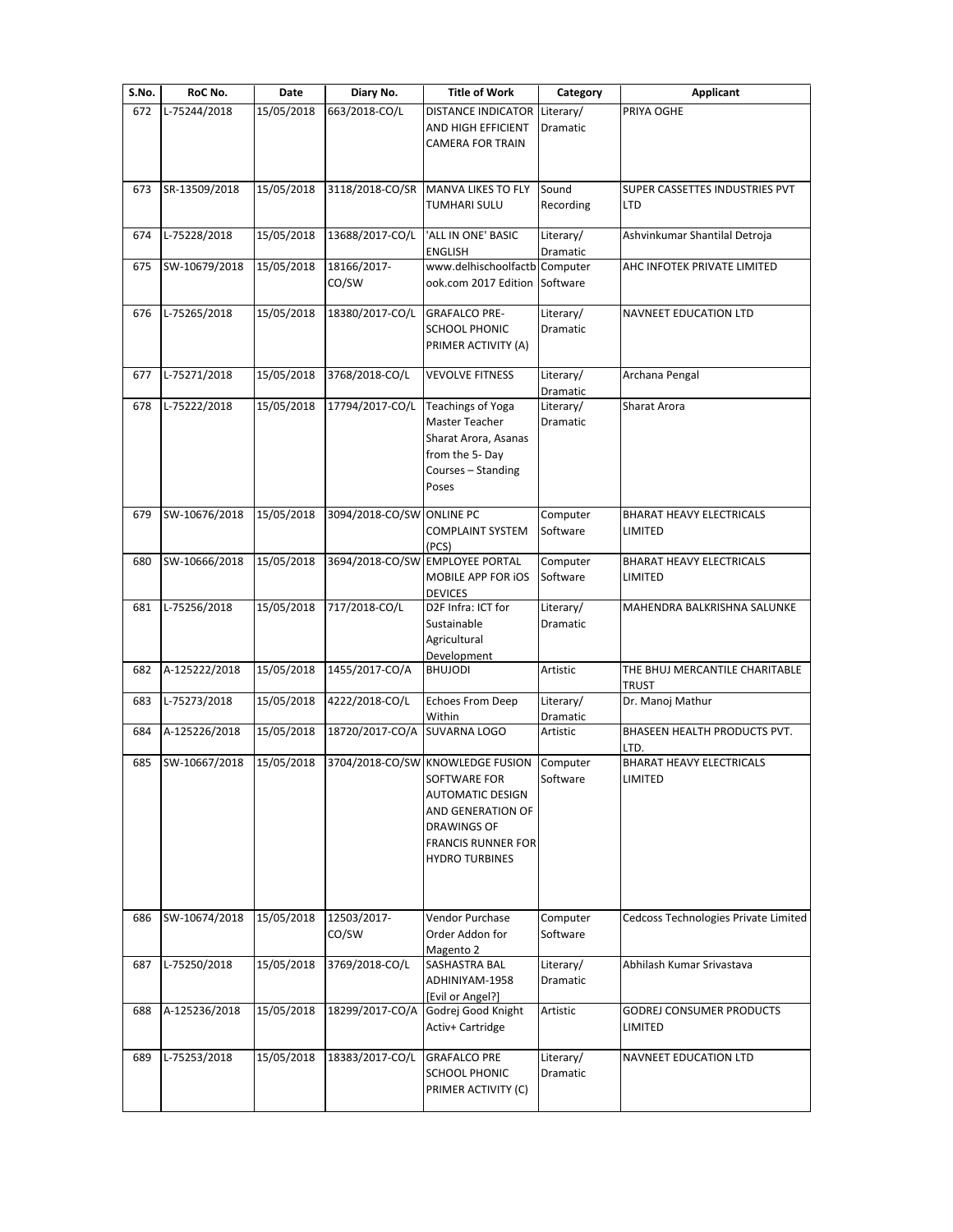| S.No. | RoC No.       | Date       | Diary No.                 | <b>Title of Work</b>                                                                                                                                                         | Category                     | <b>Applicant</b>                               |
|-------|---------------|------------|---------------------------|------------------------------------------------------------------------------------------------------------------------------------------------------------------------------|------------------------------|------------------------------------------------|
| 672   | L-75244/2018  | 15/05/2018 | 663/2018-CO/L             | <b>DISTANCE INDICATOR</b><br>AND HIGH EFFICIENT<br><b>CAMERA FOR TRAIN</b>                                                                                                   | Literary/<br><b>Dramatic</b> | PRIYA OGHE                                     |
| 673   | SR-13509/2018 | 15/05/2018 | 3118/2018-CO/SR           | <b>MANVA LIKES TO FLY</b><br>TUMHARI SULU                                                                                                                                    | Sound<br>Recording           | SUPER CASSETTES INDUSTRIES PVT<br>LTD          |
| 674   | L-75228/2018  | 15/05/2018 | 13688/2017-CO/L           | 'ALL IN ONE' BASIC<br><b>ENGLISH</b>                                                                                                                                         | Literary/<br>Dramatic        | Ashvinkumar Shantilal Detroja                  |
| 675   | SW-10679/2018 | 15/05/2018 | 18166/2017-<br>CO/SW      | www.delhischoolfactb<br>ook.com 2017 Edition                                                                                                                                 | Computer<br>Software         | AHC INFOTEK PRIVATE LIMITED                    |
| 676   | L-75265/2018  | 15/05/2018 | 18380/2017-CO/L           | <b>GRAFALCO PRE-</b><br><b>SCHOOL PHONIC</b><br>PRIMER ACTIVITY (A)                                                                                                          | Literary/<br>Dramatic        | <b>NAVNEET EDUCATION LTD</b>                   |
| 677   | L-75271/2018  | 15/05/2018 | 3768/2018-CO/L            | <b>VEVOLVE FITNESS</b>                                                                                                                                                       | Literary/<br>Dramatic        | Archana Pengal                                 |
| 678   | L-75222/2018  | 15/05/2018 | 17794/2017-CO/L           | <b>Teachings of Yoga</b><br>Master Teacher<br>Sharat Arora, Asanas<br>from the 5-Day<br>Courses - Standing<br>Poses                                                          | Literary/<br>Dramatic        | Sharat Arora                                   |
| 679   | SW-10676/2018 | 15/05/2018 | 3094/2018-CO/SW ONLINE PC | <b>COMPLAINT SYSTEM</b><br>(PCS)                                                                                                                                             | Computer<br>Software         | <b>BHARAT HEAVY ELECTRICALS</b><br>LIMITED     |
| 680   | SW-10666/2018 | 15/05/2018 |                           | 3694/2018-CO/SW EMPLOYEE PORTAL<br>MOBILE APP FOR IOS<br><b>DEVICES</b>                                                                                                      | Computer<br>Software         | BHARAT HEAVY ELECTRICALS<br>LIMITED            |
| 681   | L-75256/2018  | 15/05/2018 | 717/2018-CO/L             | D2F Infra: ICT for<br>Sustainable<br>Agricultural<br>Development                                                                                                             | Literary/<br>Dramatic        | MAHENDRA BALKRISHNA SALUNKE                    |
| 682   | A-125222/2018 | 15/05/2018 | 1455/2017-CO/A            | <b>BHUJODI</b>                                                                                                                                                               | Artistic                     | THE BHUJ MERCANTILE CHARITABLE<br><b>TRUST</b> |
| 683   | L-75273/2018  | 15/05/2018 | 4222/2018-CO/L            | <b>Echoes From Deep</b><br>Within                                                                                                                                            | Literary/<br>Dramatic        | Dr. Manoj Mathur                               |
| 684   | A-125226/2018 | 15/05/2018 | 18720/2017-CO/A           | <b>SUVARNA LOGO</b>                                                                                                                                                          | Artistic                     | BHASEEN HEALTH PRODUCTS PVT.<br>LTD.           |
| 685   | SW-10667/2018 | 15/05/2018 |                           | 3704/2018-CO/SW KNOWLEDGE FUSION<br><b>SOFTWARE FOR</b><br>AUTOMATIC DESIGN<br>AND GENERATION OF<br><b>DRAWINGS OF</b><br><b>FRANCIS RUNNER FOR</b><br><b>HYDRO TURBINES</b> | Computer<br>Software         | <b>BHARAT HEAVY ELECTRICALS</b><br>LIMITED     |
| 686   | SW-10674/2018 | 15/05/2018 | 12503/2017-<br>CO/SW      | Vendor Purchase<br>Order Addon for<br>Magento 2                                                                                                                              | Computer<br>Software         | Cedcoss Technologies Private Limited           |
| 687   | L-75250/2018  | 15/05/2018 | 3769/2018-CO/L            | SASHASTRA BAL<br>ADHINIYAM-1958<br>[Evil or Angel?]                                                                                                                          | Literary/<br>Dramatic        | Abhilash Kumar Srivastava                      |
| 688   | A-125236/2018 | 15/05/2018 | 18299/2017-CO/A           | Godrej Good Knight<br>Activ+ Cartridge                                                                                                                                       | Artistic                     | GODREJ CONSUMER PRODUCTS<br>LIMITED            |
| 689   | L-75253/2018  | 15/05/2018 | 18383/2017-CO/L           | <b>GRAFALCO PRE</b><br><b>SCHOOL PHONIC</b><br>PRIMER ACTIVITY (C)                                                                                                           | Literary/<br>Dramatic        | NAVNEET EDUCATION LTD                          |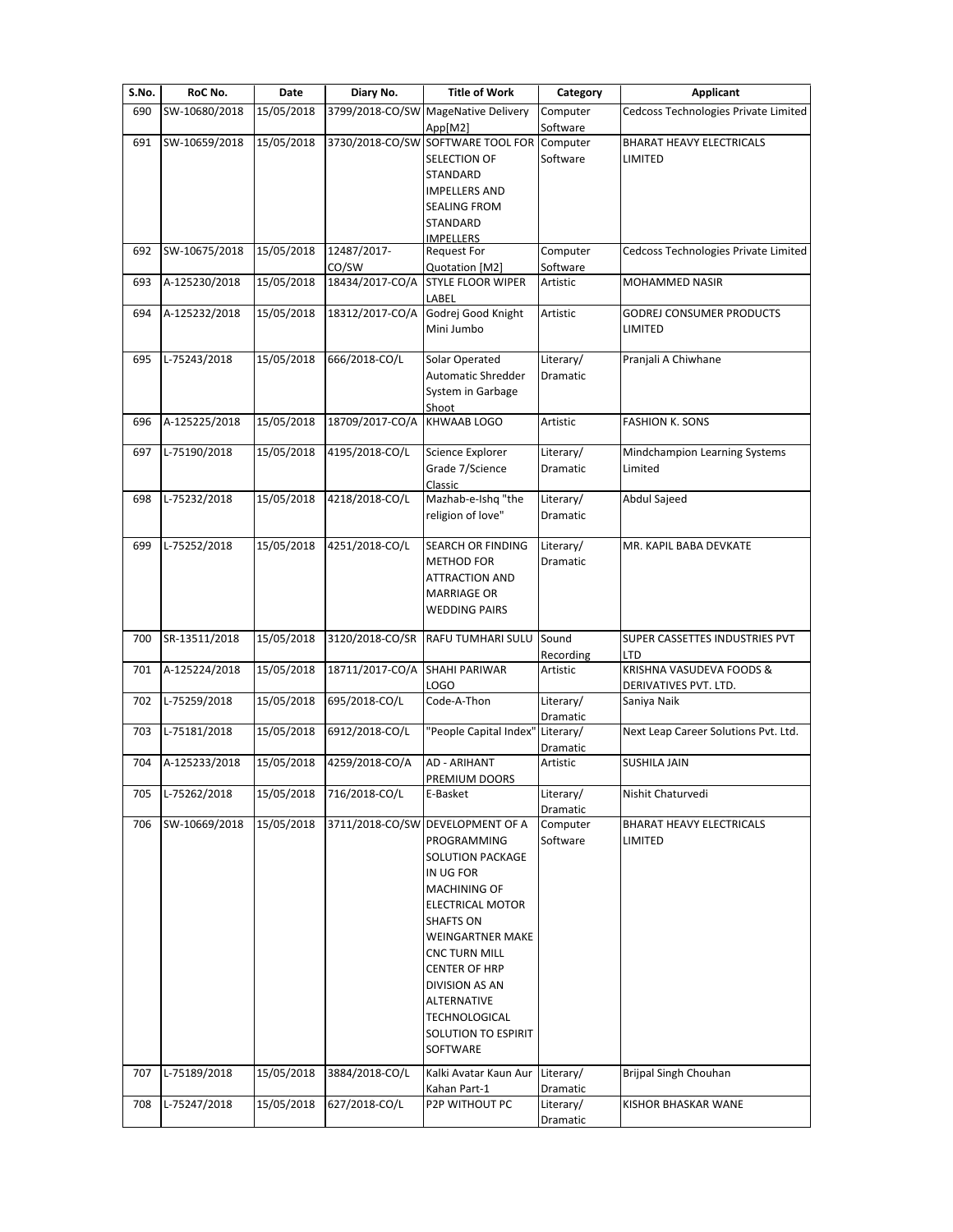| S.No. | RoC No.       | Date       | Diary No.       | <b>Title of Work</b>                           | Category              | <b>Applicant</b>                     |
|-------|---------------|------------|-----------------|------------------------------------------------|-----------------------|--------------------------------------|
| 690   | SW-10680/2018 | 15/05/2018 |                 | 3799/2018-CO/SW MageNative Delivery<br>App[M2] | Computer<br>Software  | Cedcoss Technologies Private Limited |
| 691   | SW-10659/2018 | 15/05/2018 |                 | 3730/2018-CO/SW SOFTWARE TOOL FOR              | Computer              | <b>BHARAT HEAVY ELECTRICALS</b>      |
|       |               |            |                 | SELECTION OF                                   | Software              | LIMITED                              |
|       |               |            |                 | STANDARD                                       |                       |                                      |
|       |               |            |                 | <b>IMPELLERS AND</b>                           |                       |                                      |
|       |               |            |                 | <b>SEALING FROM</b>                            |                       |                                      |
|       |               |            |                 | STANDARD                                       |                       |                                      |
|       |               |            |                 | <b>IMPELLERS</b>                               |                       |                                      |
| 692   | SW-10675/2018 | 15/05/2018 | 12487/2017-     | <b>Request For</b>                             | Computer              | Cedcoss Technologies Private Limited |
|       |               |            | CO/SW           | Quotation [M2]                                 | Software              |                                      |
| 693   | A-125230/2018 | 15/05/2018 | 18434/2017-CO/A | <b>STYLE FLOOR WIPER</b><br>LABEL              | Artistic              | MOHAMMED NASIR                       |
| 694   | A-125232/2018 | 15/05/2018 | 18312/2017-CO/A | Godrej Good Knight                             | Artistic              | GODREJ CONSUMER PRODUCTS             |
|       |               |            |                 | Mini Jumbo                                     |                       | LIMITED                              |
| 695   | L-75243/2018  | 15/05/2018 | 666/2018-CO/L   | Solar Operated                                 | Literary/             | Pranjali A Chiwhane                  |
|       |               |            |                 | Automatic Shredder                             | Dramatic              |                                      |
|       |               |            |                 | System in Garbage                              |                       |                                      |
|       |               |            |                 | Shoot                                          |                       |                                      |
| 696   | A-125225/2018 | 15/05/2018 | 18709/2017-CO/A | <b>KHWAAB LOGO</b>                             | Artistic              | <b>FASHION K. SONS</b>               |
|       |               |            |                 |                                                |                       |                                      |
| 697   | L-75190/2018  | 15/05/2018 | 4195/2018-CO/L  | Science Explorer                               | Literary/             | Mindchampion Learning Systems        |
|       |               |            |                 | Grade 7/Science                                | Dramatic              | Limited                              |
|       |               |            |                 | Classic                                        |                       |                                      |
| 698   | L-75232/2018  | 15/05/2018 | 4218/2018-CO/L  | Mazhab-e-Ishq "the                             | Literary/             | Abdul Sajeed                         |
|       |               |            |                 | religion of love"                              | Dramatic              |                                      |
|       |               |            |                 |                                                |                       |                                      |
| 699   | L-75252/2018  | 15/05/2018 | 4251/2018-CO/L  | SEARCH OR FINDING                              | Literary/             | MR. KAPIL BABA DEVKATE               |
|       |               |            |                 | <b>METHOD FOR</b>                              | Dramatic              |                                      |
|       |               |            |                 | <b>ATTRACTION AND</b>                          |                       |                                      |
|       |               |            |                 | <b>MARRIAGE OR</b>                             |                       |                                      |
|       |               |            |                 | <b>WEDDING PAIRS</b>                           |                       |                                      |
|       |               |            |                 |                                                |                       |                                      |
| 700   | SR-13511/2018 | 15/05/2018 | 3120/2018-CO/SR | <b>RAFU TUMHARI SULU</b>                       | Sound                 | SUPER CASSETTES INDUSTRIES PVT       |
|       |               |            |                 |                                                | Recording             | LTD                                  |
| 701   | A-125224/2018 | 15/05/2018 | 18711/2017-CO/A | <b>SHAHI PARIWAR</b>                           | Artistic              | KRISHNA VASUDEVA FOODS &             |
|       |               |            |                 | <b>LOGO</b>                                    |                       | DERIVATIVES PVT. LTD.                |
| 702   | L-75259/2018  | 15/05/2018 | 695/2018-CO/L   | Code-A-Thon                                    | Literary/             | Saniya Naik                          |
|       |               |            |                 |                                                | Dramatic              |                                      |
| 703   | L-75181/2018  | 15/05/2018 | 6912/2018-CO/L  | "People Capital Index"                         | Literary/             | Next Leap Career Solutions Pvt. Ltd. |
|       |               |            |                 |                                                | Dramatic              |                                      |
| 704   | A-125233/2018 | 15/05/2018 | 4259/2018-CO/A  | <b>AD - ARIHANT</b>                            | Artistic              | <b>SUSHILA JAIN</b>                  |
|       |               |            |                 | PREMIUM DOORS                                  |                       |                                      |
| 705   | L-75262/2018  | 15/05/2018 | 716/2018-CO/L   | E-Basket                                       | Literary/<br>Dramatic | Nishit Chaturvedi                    |
| 706   | SW-10669/2018 | 15/05/2018 |                 | 3711/2018-CO/SW DEVELOPMENT OF A               | Computer              | BHARAT HEAVY ELECTRICALS             |
|       |               |            |                 | PROGRAMMING                                    | Software              | LIMITED                              |
|       |               |            |                 | <b>SOLUTION PACKAGE</b>                        |                       |                                      |
|       |               |            |                 |                                                |                       |                                      |
|       |               |            |                 | IN UG FOR                                      |                       |                                      |
|       |               |            |                 | MACHINING OF                                   |                       |                                      |
|       |               |            |                 | ELECTRICAL MOTOR                               |                       |                                      |
|       |               |            |                 | <b>SHAFTS ON</b>                               |                       |                                      |
|       |               |            |                 | <b>WEINGARTNER MAKE</b>                        |                       |                                      |
|       |               |            |                 | <b>CNC TURN MILL</b>                           |                       |                                      |
|       |               |            |                 | <b>CENTER OF HRP</b>                           |                       |                                      |
|       |               |            |                 | DIVISION AS AN                                 |                       |                                      |
|       |               |            |                 | ALTERNATIVE                                    |                       |                                      |
|       |               |            |                 | TECHNOLOGICAL                                  |                       |                                      |
|       |               |            |                 | SOLUTION TO ESPIRIT                            |                       |                                      |
|       |               |            |                 | SOFTWARE                                       |                       |                                      |
| 707   | L-75189/2018  | 15/05/2018 | 3884/2018-CO/L  | Kalki Avatar Kaun Aur                          | Literary/             | Brijpal Singh Chouhan                |
|       |               |            |                 | Kahan Part-1                                   | Dramatic              |                                      |
| 708   | L-75247/2018  | 15/05/2018 | 627/2018-CO/L   | P2P WITHOUT PC                                 | Literary/             | KISHOR BHASKAR WANE                  |
|       |               |            |                 |                                                | Dramatic              |                                      |
|       |               |            |                 |                                                |                       |                                      |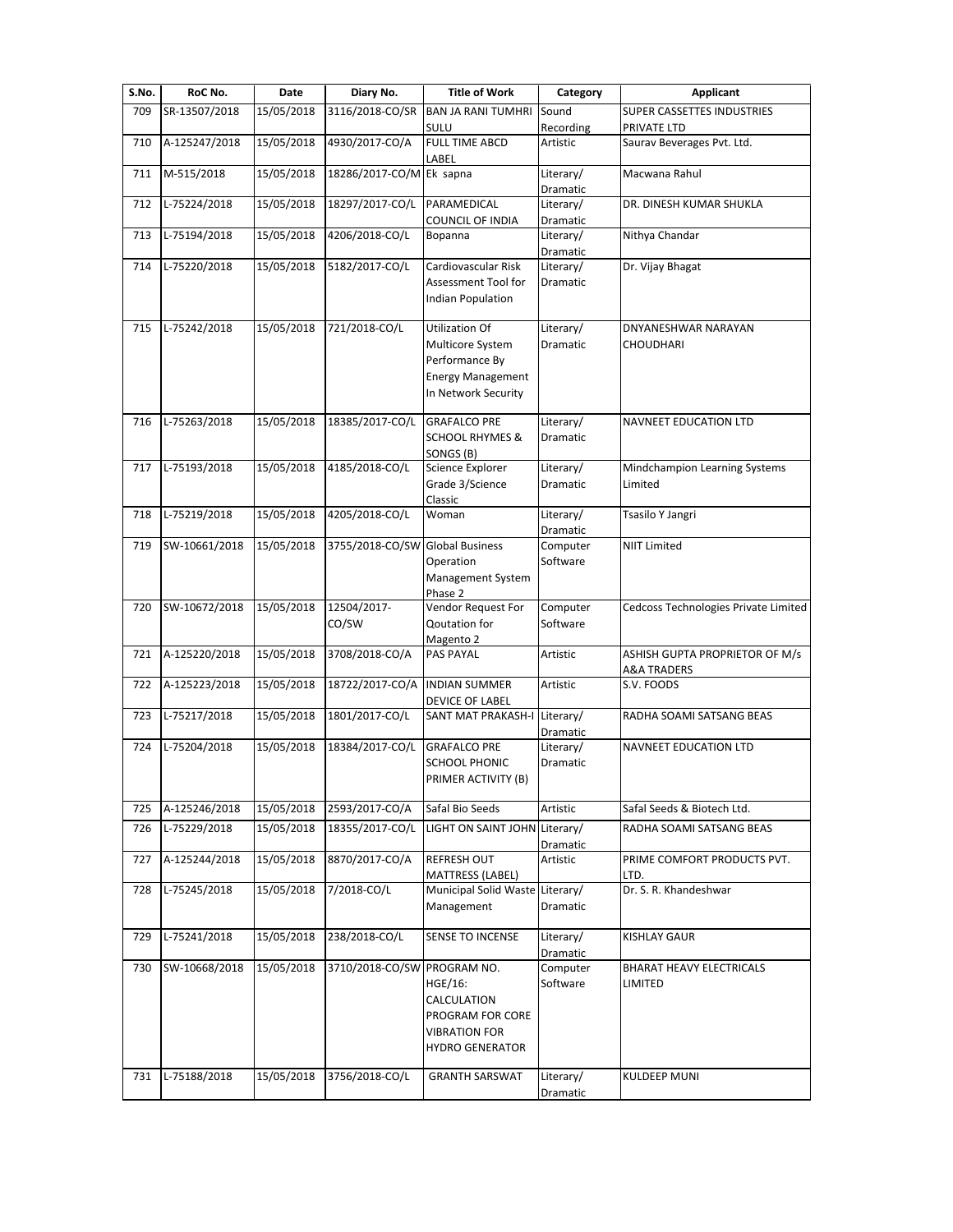| S.No. | RoC No.       | Date       | Diary No.                       | <b>Title of Work</b>                                                                                           | Category              | <b>Applicant</b>                                         |
|-------|---------------|------------|---------------------------------|----------------------------------------------------------------------------------------------------------------|-----------------------|----------------------------------------------------------|
| 709   | SR-13507/2018 | 15/05/2018 | 3116/2018-CO/SR                 | <b>BAN JA RANI TUMHRI</b>                                                                                      | Sound                 | SUPER CASSETTES INDUSTRIES                               |
|       |               |            |                                 | SULU                                                                                                           | Recording             | PRIVATE LTD                                              |
| 710   | A-125247/2018 | 15/05/2018 | 4930/2017-CO/A                  | <b>FULL TIME ABCD</b><br>LABEL                                                                                 | Artistic              | Saurav Beverages Pvt. Ltd.                               |
| 711   | M-515/2018    | 15/05/2018 | 18286/2017-CO/M Ek sapna        |                                                                                                                | Literary/<br>Dramatic | Macwana Rahul                                            |
| 712   | L-75224/2018  | 15/05/2018 | 18297/2017-CO/L                 | PARAMEDICAL<br><b>COUNCIL OF INDIA</b>                                                                         | Literary/<br>Dramatic | DR. DINESH KUMAR SHUKLA                                  |
| 713   | L-75194/2018  | 15/05/2018 | 4206/2018-CO/L                  | Bopanna                                                                                                        | Literary/<br>Dramatic | Nithya Chandar                                           |
| 714   | L-75220/2018  | 15/05/2018 | 5182/2017-CO/L                  | Cardiovascular Risk<br>Assessment Tool for<br><b>Indian Population</b>                                         | Literary/<br>Dramatic | Dr. Vijay Bhagat                                         |
| 715   | L-75242/2018  | 15/05/2018 | 721/2018-CO/L                   | <b>Utilization Of</b><br>Multicore System<br>Performance By<br><b>Energy Management</b><br>In Network Security | Literary/<br>Dramatic | DNYANESHWAR NARAYAN<br><b>CHOUDHARI</b>                  |
| 716   | L-75263/2018  | 15/05/2018 | 18385/2017-CO/L                 | <b>GRAFALCO PRE</b><br><b>SCHOOL RHYMES &amp;</b><br>SONGS (B)                                                 | Literary/<br>Dramatic | <b>NAVNEET EDUCATION LTD</b>                             |
| 717   | L-75193/2018  | 15/05/2018 | 4185/2018-CO/L                  | Science Explorer<br>Grade 3/Science<br>Classic                                                                 | Literary/<br>Dramatic | Mindchampion Learning Systems<br>Limited                 |
| 718   | L-75219/2018  | 15/05/2018 | 4205/2018-CO/L                  | Woman                                                                                                          | Literary/<br>Dramatic | Tsasilo Y Jangri                                         |
| 719   | SW-10661/2018 | 15/05/2018 | 3755/2018-CO/SW Global Business | Operation<br>Management System<br>Phase 2                                                                      | Computer<br>Software  | <b>NIIT Limited</b>                                      |
| 720   | SW-10672/2018 | 15/05/2018 | 12504/2017-<br>CO/SW            | Vendor Request For<br>Qoutation for<br>Magento 2                                                               | Computer<br>Software  | Cedcoss Technologies Private Limited                     |
| 721   | A-125220/2018 | 15/05/2018 | 3708/2018-CO/A                  | PAS PAYAL                                                                                                      | Artistic              | ASHISH GUPTA PROPRIETOR OF M/s<br><b>A&amp;A TRADERS</b> |
| 722   | A-125223/2018 | 15/05/2018 | 18722/2017-CO/A                 | <b>INDIAN SUMMER</b><br><b>DEVICE OF LABEL</b>                                                                 | Artistic              | S.V. FOODS                                               |
| 723   | L-75217/2018  | 15/05/2018 | 1801/2017-CO/L                  | SANT MAT PRAKASH-I Literary/                                                                                   | Dramatic              | RADHA SOAMI SATSANG BEAS                                 |
| 724   | L-75204/2018  | 15/05/2018 | 18384/2017-CO/L                 | <b>GRAFALCO PRE</b><br><b>SCHOOL PHONIC</b><br>PRIMER ACTIVITY (B)                                             | Literary/<br>Dramatic | <b>NAVNEET EDUCATION LTD</b>                             |
| 725   | A-125246/2018 | 15/05/2018 | 2593/2017-CO/A                  | Safal Bio Seeds                                                                                                | Artistic              | Safal Seeds & Biotech Ltd.                               |
| 726   | L-75229/2018  | 15/05/2018 | 18355/2017-CO/L                 | LIGHT ON SAINT JOHN Literary/                                                                                  | Dramatic              | RADHA SOAMI SATSANG BEAS                                 |
| 727   | A-125244/2018 | 15/05/2018 | 8870/2017-CO/A                  | <b>REFRESH OUT</b><br>MATTRESS (LABEL)                                                                         | Artistic              | PRIME COMFORT PRODUCTS PVT.<br>LTD.                      |
| 728   | L-75245/2018  | 15/05/2018 | 7/2018-CO/L                     | Municipal Solid Waste Literary/<br>Management                                                                  | Dramatic              | Dr. S. R. Khandeshwar                                    |
| 729   | L-75241/2018  | 15/05/2018 | 238/2018-CO/L                   | SENSE TO INCENSE                                                                                               | Literary/<br>Dramatic | <b>KISHLAY GAUR</b>                                      |
| 730   | SW-10668/2018 | 15/05/2018 | 3710/2018-CO/SW PROGRAM NO.     | HGE/16:<br>CALCULATION<br>PROGRAM FOR CORE<br><b>VIBRATION FOR</b><br><b>HYDRO GENERATOR</b>                   | Computer<br>Software  | BHARAT HEAVY ELECTRICALS<br>LIMITED                      |
| 731   | L-75188/2018  | 15/05/2018 | 3756/2018-CO/L                  | <b>GRANTH SARSWAT</b>                                                                                          | Literary/<br>Dramatic | <b>KULDEEP MUNI</b>                                      |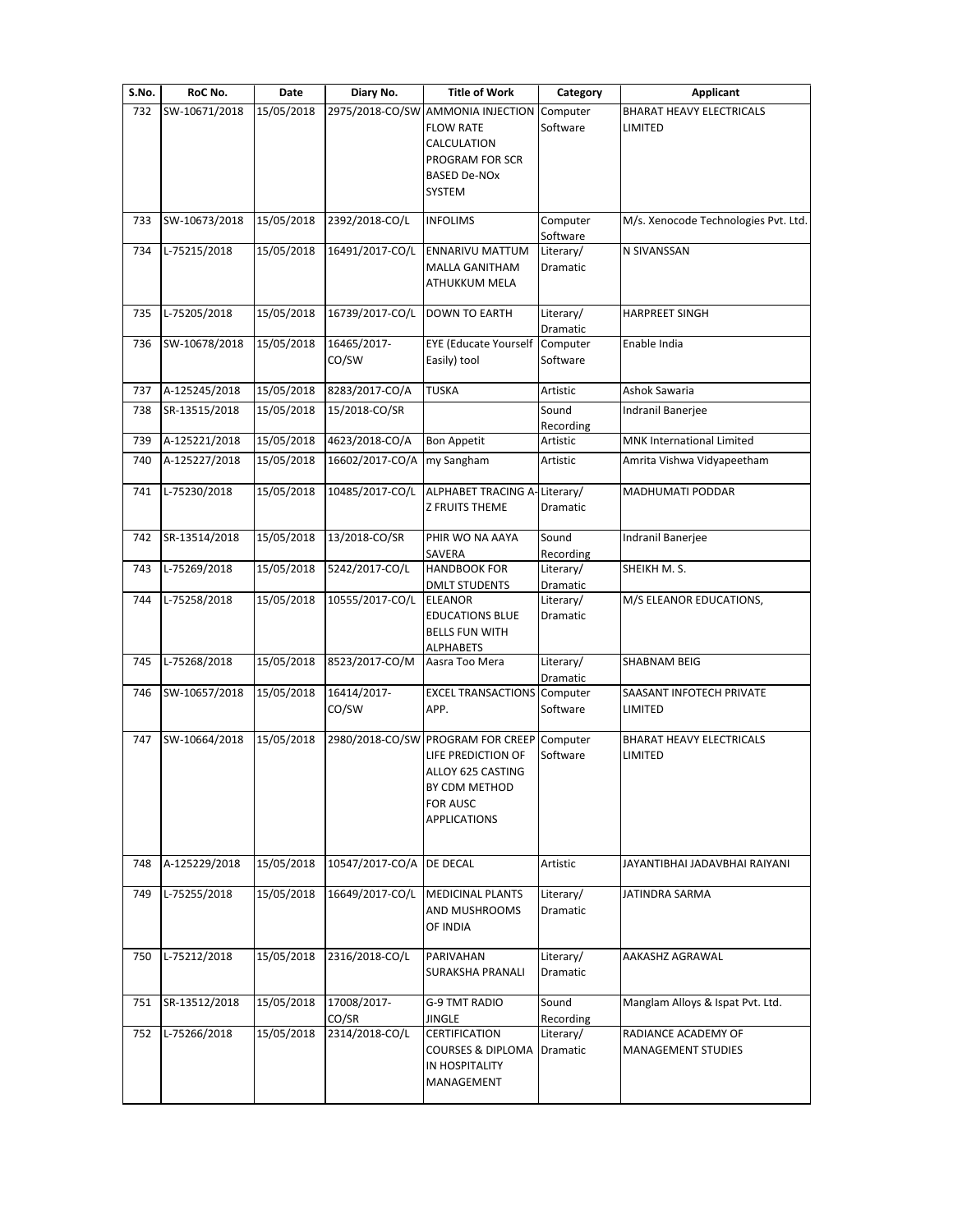| S.No. | RoC No.       | Date       | Diary No.       | <b>Title of Work</b>                                    | Category              | <b>Applicant</b>                           |
|-------|---------------|------------|-----------------|---------------------------------------------------------|-----------------------|--------------------------------------------|
| 732   | SW-10671/2018 | 15/05/2018 | 2975/2018-CO/SW | <b>AMMONIA INJECTION</b>                                | Computer              | <b>BHARAT HEAVY ELECTRICALS</b>            |
|       |               |            |                 | <b>FLOW RATE</b>                                        | Software              | LIMITED                                    |
|       |               |            |                 | CALCULATION                                             |                       |                                            |
|       |               |            |                 | PROGRAM FOR SCR<br><b>BASED De-NOx</b>                  |                       |                                            |
|       |               |            |                 | <b>SYSTEM</b>                                           |                       |                                            |
|       |               |            |                 |                                                         |                       |                                            |
| 733   | SW-10673/2018 | 15/05/2018 | 2392/2018-CO/L  | <b>INFOLIMS</b>                                         | Computer              | M/s. Xenocode Technologies Pvt. Ltd.       |
| 734   | L-75215/2018  | 15/05/2018 | 16491/2017-CO/L | ENNARIVU MATTUM                                         | Software<br>Literary/ | N SIVANSSAN                                |
|       |               |            |                 | <b>MALLA GANITHAM</b>                                   | Dramatic              |                                            |
|       |               |            |                 | ATHUKKUM MELA                                           |                       |                                            |
| 735   | L-75205/2018  | 15/05/2018 | 16739/2017-CO/L | <b>DOWN TO EARTH</b>                                    | Literary/             | <b>HARPREET SINGH</b>                      |
|       |               |            |                 |                                                         | Dramatic              |                                            |
| 736   | SW-10678/2018 | 15/05/2018 | 16465/2017-     | <b>EYE</b> (Educate Yourself Computer                   |                       | Enable India                               |
|       |               |            | CO/SW           | Easily) tool                                            | Software              |                                            |
| 737   | A-125245/2018 | 15/05/2018 | 8283/2017-CO/A  | <b>TUSKA</b>                                            | Artistic              | Ashok Sawaria                              |
| 738   | SR-13515/2018 | 15/05/2018 | 15/2018-CO/SR   |                                                         | Sound                 | Indranil Banerjee                          |
|       |               |            |                 |                                                         | Recording             |                                            |
| 739   | A-125221/2018 | 15/05/2018 | 4623/2018-CO/A  | <b>Bon Appetit</b>                                      | Artistic              | MNK International Limited                  |
| 740   | A-125227/2018 | 15/05/2018 | 16602/2017-CO/A | my Sangham                                              | Artistic              | Amrita Vishwa Vidyapeetham                 |
|       |               |            |                 |                                                         |                       |                                            |
| 741   | L-75230/2018  | 15/05/2018 | 10485/2017-CO/L | ALPHABET TRACING A-Literary/<br><b>Z FRUITS THEME</b>   | Dramatic              | MADHUMATI PODDAR                           |
|       |               |            |                 |                                                         |                       |                                            |
| 742   | SR-13514/2018 | 15/05/2018 | 13/2018-CO/SR   | PHIR WO NA AAYA                                         | Sound                 | Indranil Banerjee                          |
|       |               |            |                 | SAVERA                                                  | Recording             |                                            |
| 743   | L-75269/2018  | 15/05/2018 | 5242/2017-CO/L  | <b>HANDBOOK FOR</b>                                     | Literary/             | SHEIKH M.S.                                |
| 744   | L-75258/2018  | 15/05/2018 | 10555/2017-CO/L | <b>DMLT STUDENTS</b><br><b>ELEANOR</b>                  | Dramatic<br>Literary/ | M/S ELEANOR EDUCATIONS,                    |
|       |               |            |                 | <b>EDUCATIONS BLUE</b>                                  | Dramatic              |                                            |
|       |               |            |                 | <b>BELLS FUN WITH</b>                                   |                       |                                            |
|       |               |            |                 | <b>ALPHABETS</b>                                        |                       |                                            |
| 745   | L-75268/2018  | 15/05/2018 | 8523/2017-CO/M  | Aasra Too Mera                                          | Literary/<br>Dramatic | <b>SHABNAM BEIG</b>                        |
| 746   | SW-10657/2018 | 15/05/2018 | 16414/2017-     | <b>EXCEL TRANSACTIONS</b> Computer                      |                       | SAASANT INFOTECH PRIVATE                   |
|       |               |            | CO/SW           | APP.                                                    | Software              | LIMITED                                    |
|       |               |            |                 |                                                         |                       |                                            |
| 747   | SW-10664/2018 | 15/05/2018 |                 | 2980/2018-CO/SW PROGRAM FOR CREEP<br>LIFE PREDICTION OF | Computer<br>Software  | <b>BHARAT HEAVY ELECTRICALS</b><br>LIMITED |
|       |               |            |                 | ALLOY 625 CASTING                                       |                       |                                            |
|       |               |            |                 | BY CDM METHOD                                           |                       |                                            |
|       |               |            |                 | FOR AUSC                                                |                       |                                            |
|       |               |            |                 | <b>APPLICATIONS</b>                                     |                       |                                            |
|       |               |            |                 |                                                         |                       |                                            |
| 748   | A-125229/2018 | 15/05/2018 | 10547/2017-CO/A | DE DECAL                                                | Artistic              | JAYANTIBHAI JADAVBHAI RAIYANI              |
|       |               |            |                 |                                                         |                       |                                            |
| 749   | L-75255/2018  | 15/05/2018 | 16649/2017-CO/L | <b>MEDICINAL PLANTS</b>                                 | Literary/             | JATINDRA SARMA                             |
|       |               |            |                 | AND MUSHROOMS<br>OF INDIA                               | Dramatic              |                                            |
|       |               |            |                 |                                                         |                       |                                            |
| 750   | L-75212/2018  | 15/05/2018 | 2316/2018-CO/L  | PARIVAHAN                                               | Literary/             | AAKASHZ AGRAWAL                            |
|       |               |            |                 | SURAKSHA PRANALI                                        | Dramatic              |                                            |
| 751   | SR-13512/2018 | 15/05/2018 | 17008/2017-     | G-9 TMT RADIO                                           | Sound                 | Manglam Alloys & Ispat Pvt. Ltd.           |
|       |               |            | CO/SR           | JINGLE                                                  | Recording             |                                            |
| 752   | L-75266/2018  | 15/05/2018 | 2314/2018-CO/L  | CERTIFICATION                                           | Literary/             | RADIANCE ACADEMY OF                        |
|       |               |            |                 | <b>COURSES &amp; DIPLOMA</b>                            | Dramatic              | <b>MANAGEMENT STUDIES</b>                  |
|       |               |            |                 | IN HOSPITALITY                                          |                       |                                            |
|       |               |            |                 | MANAGEMENT                                              |                       |                                            |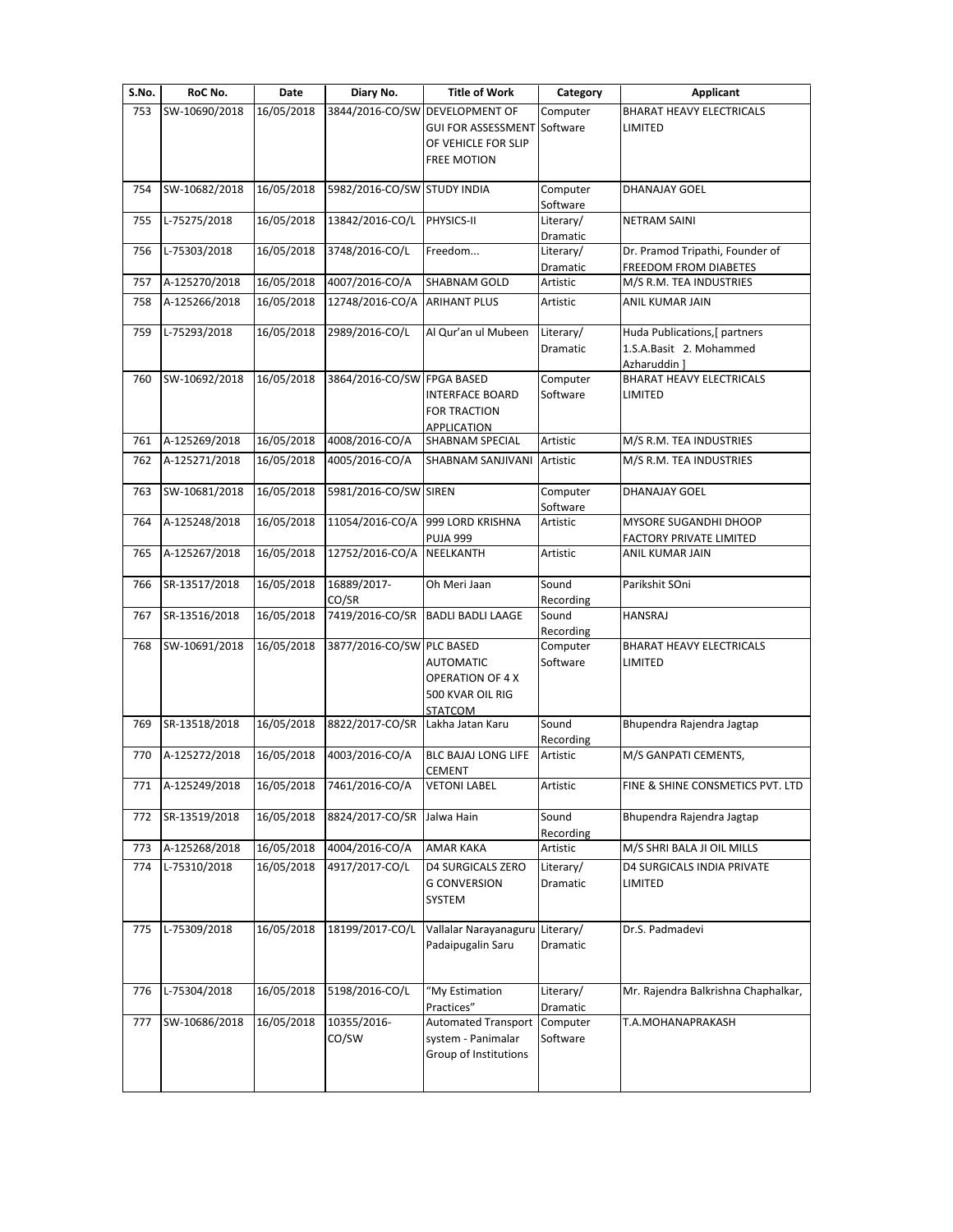| S.No. | RoC No.       | Date       | Diary No.                   | <b>Title of Work</b>                        | Category              | <b>Applicant</b>                                         |
|-------|---------------|------------|-----------------------------|---------------------------------------------|-----------------------|----------------------------------------------------------|
| 753   | SW-10690/2018 | 16/05/2018 |                             | 3844/2016-CO/SW DEVELOPMENT OF              | Computer              | <b>BHARAT HEAVY ELECTRICALS</b>                          |
|       |               |            |                             | <b>GUI FOR ASSESSMENT</b>                   | Software              | LIMITED                                                  |
|       |               |            |                             | OF VEHICLE FOR SLIP                         |                       |                                                          |
|       |               |            |                             | <b>FREE MOTION</b>                          |                       |                                                          |
| 754   | SW-10682/2018 | 16/05/2018 | 5982/2016-CO/SW STUDY INDIA |                                             | Computer              | DHANAJAY GOEL                                            |
|       |               |            |                             |                                             | Software              |                                                          |
| 755   | L-75275/2018  | 16/05/2018 | 13842/2016-CO/L             | PHYSICS-II                                  | Literary/             | <b>NETRAM SAINI</b>                                      |
|       |               |            |                             |                                             | Dramatic              |                                                          |
| 756   | L-75303/2018  | 16/05/2018 | 3748/2016-CO/L              | Freedom                                     | Literary/<br>Dramatic | Dr. Pramod Tripathi, Founder of<br>FREEDOM FROM DIABETES |
| 757   | A-125270/2018 | 16/05/2018 | 4007/2016-CO/A              | SHABNAM GOLD                                | Artistic              | M/S R.M. TEA INDUSTRIES                                  |
| 758   | A-125266/2018 | 16/05/2018 | 12748/2016-CO/A             | <b>ARIHANT PLUS</b>                         | Artistic              | ANIL KUMAR JAIN                                          |
|       |               |            |                             |                                             |                       |                                                          |
| 759   | L-75293/2018  | 16/05/2018 | 2989/2016-CO/L              | Al Qur'an ul Mubeen                         | Literary/             | Huda Publications, [ partners                            |
|       |               |            |                             |                                             | Dramatic              | 1.S.A.Basit 2. Mohammed                                  |
|       |               |            |                             |                                             |                       | Azharuddin]                                              |
| 760   | SW-10692/2018 | 16/05/2018 | 3864/2016-CO/SW FPGA BASED  |                                             | Computer              | <b>BHARAT HEAVY ELECTRICALS</b>                          |
|       |               |            |                             | <b>INTERFACE BOARD</b>                      | Software              | LIMITED                                                  |
|       |               |            |                             | FOR TRACTION                                |                       |                                                          |
|       |               |            |                             | APPLICATION                                 |                       |                                                          |
| 761   | A-125269/2018 | 16/05/2018 | 4008/2016-CO/A              | <b>SHABNAM SPECIAL</b>                      | Artistic              | M/S R.M. TEA INDUSTRIES                                  |
| 762   | A-125271/2018 | 16/05/2018 | 4005/2016-CO/A              | SHABNAM SANJIVANI                           | Artistic              | M/S R.M. TEA INDUSTRIES                                  |
| 763   | SW-10681/2018 | 16/05/2018 | 5981/2016-CO/SW SIREN       |                                             | Computer              | DHANAJAY GOEL                                            |
|       |               |            |                             |                                             | Software              |                                                          |
| 764   | A-125248/2018 | 16/05/2018 | 11054/2016-CO/A             | 999 LORD KRISHNA                            | Artistic              | MYSORE SUGANDHI DHOOP                                    |
|       |               |            |                             | <b>PUJA 999</b>                             |                       | FACTORY PRIVATE LIMITED                                  |
| 765   | A-125267/2018 | 16/05/2018 | 12752/2016-CO/A             | NEELKANTH                                   | Artistic              | ANIL KUMAR JAIN                                          |
| 766   | SR-13517/2018 | 16/05/2018 | 16889/2017-                 | Oh Meri Jaan                                | Sound                 | Parikshit SOni                                           |
|       |               |            | CO/SR                       |                                             | Recording             |                                                          |
| 767   | SR-13516/2018 | 16/05/2018 | 7419/2016-CO/SR             | <b>BADLI BADLI LAAGE</b>                    | Sound                 | <b>HANSRAJ</b>                                           |
|       |               |            |                             |                                             | Recording             |                                                          |
| 768   | SW-10691/2018 | 16/05/2018 | 3877/2016-CO/SW             | <b>PLC BASED</b>                            | Computer<br>Software  | BHARAT HEAVY ELECTRICALS<br>LIMITED                      |
|       |               |            |                             | <b>AUTOMATIC</b><br><b>OPERATION OF 4 X</b> |                       |                                                          |
|       |               |            |                             | 500 KVAR OIL RIG                            |                       |                                                          |
|       |               |            |                             | <b>STATCOM</b>                              |                       |                                                          |
| 769   | SR-13518/2018 | 16/05/2018 | 8822/2017-CO/SR             | Lakha Jatan Karu                            | Sound                 | Bhupendra Rajendra Jagtap                                |
|       |               |            |                             |                                             | Recording             |                                                          |
| 770   | A-125272/2018 | 16/05/2018 | 4003/2016-CO/A              | <b>BLC BAJAJ LONG LIFE</b>                  | Artistic              | M/S GANPATI CEMENTS,                                     |
|       |               |            |                             | CEMENT                                      |                       |                                                          |
| 771   | A-125249/2018 | 16/05/2018 | 7461/2016-CO/A              | <b>VETONI LABEL</b>                         | Artistic              | FINE & SHINE CONSMETICS PVT. LTD                         |
| 772   | SR-13519/2018 | 16/05/2018 | 8824/2017-CO/SR             | Jalwa Hain                                  | Sound                 | Bhupendra Rajendra Jagtap                                |
|       |               |            |                             |                                             | Recording             |                                                          |
| 773   | A-125268/2018 | 16/05/2018 | 4004/2016-CO/A              | <b>AMAR KAKA</b>                            | Artistic              | M/S SHRI BALA JI OIL MILLS                               |
| 774   | L-75310/2018  | 16/05/2018 | 4917/2017-CO/L              | <b>D4 SURGICALS ZERO</b>                    | Literary/             | D4 SURGICALS INDIA PRIVATE                               |
|       |               |            |                             | <b>G CONVERSION</b>                         | Dramatic              | LIMITED                                                  |
|       |               |            |                             | SYSTEM                                      |                       |                                                          |
|       |               |            |                             |                                             |                       |                                                          |
| 775   | L-75309/2018  | 16/05/2018 | 18199/2017-CO/L             | Vallalar Narayanaguru                       | Literary/             | Dr.S. Padmadevi                                          |
|       |               |            |                             | Padaipugalin Saru                           | Dramatic              |                                                          |
|       |               |            |                             |                                             |                       |                                                          |
| 776   | L-75304/2018  | 16/05/2018 | 5198/2016-CO/L              | "My Estimation                              | Literary/             | Mr. Rajendra Balkrishna Chaphalkar,                      |
|       |               |            |                             | Practices"                                  | Dramatic              |                                                          |
| 777   | SW-10686/2018 | 16/05/2018 | 10355/2016-                 | Automated Transport                         | Computer              | T.A.MOHANAPRAKASH                                        |
|       |               |            | CO/SW                       | system - Panimalar                          | Software              |                                                          |
|       |               |            |                             | Group of Institutions                       |                       |                                                          |
|       |               |            |                             |                                             |                       |                                                          |
|       |               |            |                             |                                             |                       |                                                          |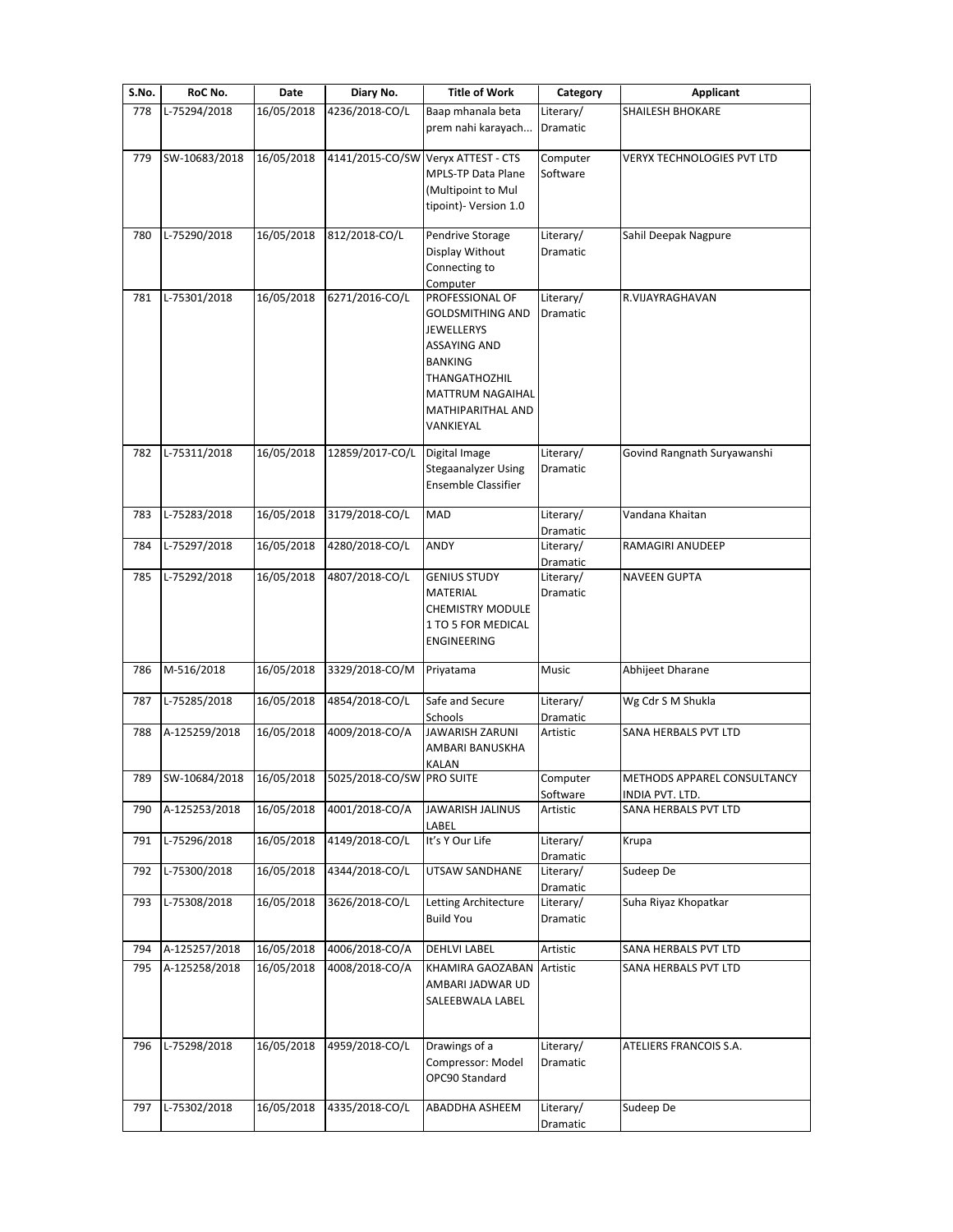| S.No. | RoC No.       | Date       | Diary No.                 | <b>Title of Work</b>                                                                                                                                                                          | Category                     | <b>Applicant</b>                               |
|-------|---------------|------------|---------------------------|-----------------------------------------------------------------------------------------------------------------------------------------------------------------------------------------------|------------------------------|------------------------------------------------|
| 778   | L-75294/2018  | 16/05/2018 | 4236/2018-CO/L            | Baap mhanala beta<br>prem nahi karayach                                                                                                                                                       | Literary/<br>Dramatic        | <b>SHAILESH BHOKARE</b>                        |
| 779   | SW-10683/2018 | 16/05/2018 |                           | 4141/2015-CO/SW Veryx ATTEST - CTS<br><b>MPLS-TP Data Plane</b><br>(Multipoint to Mul<br>tipoint)- Version 1.0                                                                                | Computer<br>Software         | VERYX TECHNOLOGIES PVT LTD                     |
| 780   | L-75290/2018  | 16/05/2018 | 812/2018-CO/L             | Pendrive Storage<br>Display Without<br>Connecting to<br>Computer                                                                                                                              | Literary/<br>Dramatic        | Sahil Deepak Nagpure                           |
| 781   | L-75301/2018  | 16/05/2018 | 6271/2016-CO/L            | PROFESSIONAL OF<br><b>GOLDSMITHING AND</b><br><b>JEWELLERYS</b><br><b>ASSAYING AND</b><br><b>BANKING</b><br><b>THANGATHOZHIL</b><br><b>MATTRUM NAGAIHAL</b><br>MATHIPARITHAL AND<br>VANKIEYAL | Literary/<br>Dramatic        | R.VIJAYRAGHAVAN                                |
| 782   | L-75311/2018  | 16/05/2018 | 12859/2017-CO/L           | Digital Image<br><b>Stegaanalyzer Using</b><br>Ensemble Classifier                                                                                                                            | Literary/<br><b>Dramatic</b> | Govind Rangnath Suryawanshi                    |
| 783   | L-75283/2018  | 16/05/2018 | 3179/2018-CO/L            | MAD                                                                                                                                                                                           | Literary/<br>Dramatic        | Vandana Khaitan                                |
| 784   | L-75297/2018  | 16/05/2018 | 4280/2018-CO/L            | ANDY                                                                                                                                                                                          | Literary/<br>Dramatic        | RAMAGIRI ANUDEEP                               |
| 785   | L-75292/2018  | 16/05/2018 | 4807/2018-CO/L            | <b>GENIUS STUDY</b><br>MATERIAL<br><b>CHEMISTRY MODULE</b><br>1 TO 5 FOR MEDICAL<br>ENGINEERING                                                                                               | Literary/<br>Dramatic        | <b>NAVEEN GUPTA</b>                            |
| 786   | M-516/2018    | 16/05/2018 | 3329/2018-CO/M            | Priyatama                                                                                                                                                                                     | Music                        | Abhijeet Dharane                               |
| 787   | L-75285/2018  | 16/05/2018 | 4854/2018-CO/L            | Safe and Secure<br>Schools                                                                                                                                                                    | Literary/<br>Dramatic        | Wg Cdr S M Shukla                              |
| 788   | A-125259/2018 | 16/05/2018 | 4009/2018-CO/A            | <b>JAWARISH ZARUNI</b><br>AMBARI BANUSKHA<br><b>KALAN</b>                                                                                                                                     | Artistic                     | SANA HERBALS PVT LTD                           |
| 789   | SW-10684/2018 | 16/05/2018 | 5025/2018-CO/SW PRO SUITE |                                                                                                                                                                                               | Computer<br>Software         | METHODS APPAREL CONSULTANCY<br>INDIA PVT. LTD. |
| 790   | A-125253/2018 | 16/05/2018 | 4001/2018-CO/A            | JAWARISH JALINUS<br>LABEL                                                                                                                                                                     | Artistic                     | SANA HERBALS PVT LTD                           |
| 791   | L-75296/2018  | 16/05/2018 | 4149/2018-CO/L            | It's Y Our Life                                                                                                                                                                               | Literary/<br>Dramatic        | Krupa                                          |
| 792   | L-75300/2018  | 16/05/2018 | 4344/2018-CO/L            | UTSAW SANDHANE                                                                                                                                                                                | Literary/<br>Dramatic        | Sudeep De                                      |
| 793   | L-75308/2018  | 16/05/2018 | 3626/2018-CO/L            | Letting Architecture<br><b>Build You</b>                                                                                                                                                      | Literary/<br>Dramatic        | Suha Riyaz Khopatkar                           |
| 794   | A-125257/2018 | 16/05/2018 | 4006/2018-CO/A            | <b>DEHLVI LABEL</b>                                                                                                                                                                           | Artistic                     | SANA HERBALS PVT LTD                           |
| 795   | A-125258/2018 | 16/05/2018 | 4008/2018-CO/A            | KHAMIRA GAOZABAN<br>AMBARI JADWAR UD<br>SALEEBWALA LABEL                                                                                                                                      | Artistic                     | SANA HERBALS PVT LTD                           |
| 796   | L-75298/2018  | 16/05/2018 | 4959/2018-CO/L            | Drawings of a<br>Compressor: Model<br>OPC90 Standard                                                                                                                                          | Literary/<br>Dramatic        | ATELIERS FRANCOIS S.A.                         |
| 797   | L-75302/2018  | 16/05/2018 | 4335/2018-CO/L            | ABADDHA ASHEEM                                                                                                                                                                                | Literary/<br>Dramatic        | Sudeep De                                      |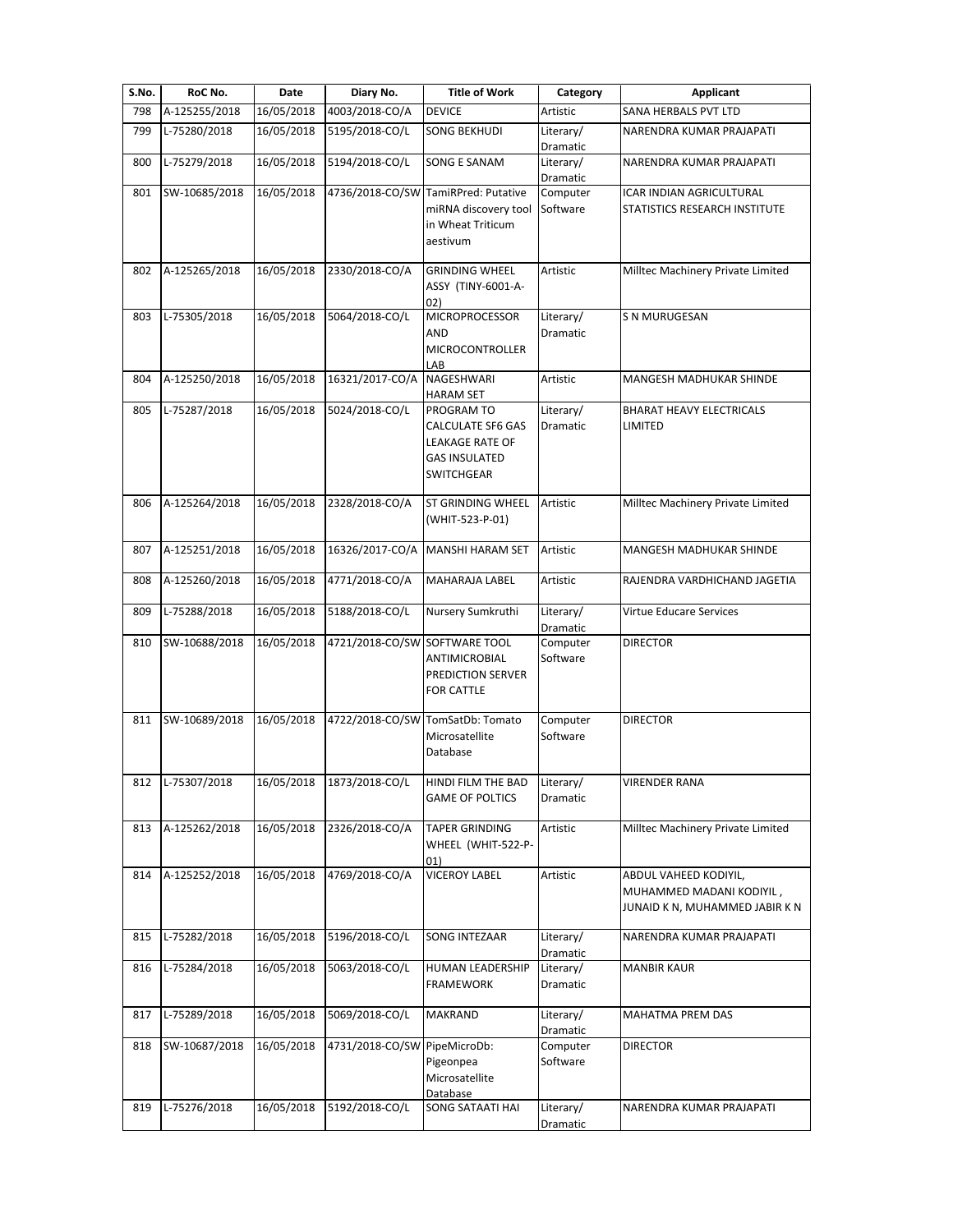| S.No. | RoC No.       | Date       | Diary No.                     | <b>Title of Work</b>                                                                                          | Category                     | Applicant                                                                           |
|-------|---------------|------------|-------------------------------|---------------------------------------------------------------------------------------------------------------|------------------------------|-------------------------------------------------------------------------------------|
| 798   | A-125255/2018 | 16/05/2018 | 4003/2018-CO/A                | <b>DEVICE</b>                                                                                                 | Artistic                     | SANA HERBALS PVT LTD                                                                |
| 799   | L-75280/2018  | 16/05/2018 | 5195/2018-CO/L                | <b>SONG BEKHUDI</b>                                                                                           | Literary/<br>Dramatic        | NARENDRA KUMAR PRAJAPATI                                                            |
| 800   | L-75279/2018  | 16/05/2018 | 5194/2018-CO/L                | <b>SONG E SANAM</b>                                                                                           | Literary/<br>Dramatic        | NARENDRA KUMAR PRAJAPATI                                                            |
| 801   | SW-10685/2018 | 16/05/2018 |                               | 4736/2018-CO/SW TamiRPred: Putative<br>miRNA discovery tool<br>in Wheat Triticum<br>aestivum                  | Computer<br>Software         | ICAR INDIAN AGRICULTURAL<br>STATISTICS RESEARCH INSTITUTE                           |
| 802   | A-125265/2018 | 16/05/2018 | 2330/2018-CO/A                | <b>GRINDING WHEEL</b><br>ASSY (TINY-6001-A-<br>02)                                                            | Artistic                     | Milltec Machinery Private Limited                                                   |
| 803   | L-75305/2018  | 16/05/2018 | 5064/2018-CO/L                | <b>MICROPROCESSOR</b><br>AND<br><b>MICROCONTROLLER</b><br>LAB                                                 | Literary/<br>Dramatic        | S N MURUGESAN                                                                       |
| 804   | A-125250/2018 | 16/05/2018 | 16321/2017-CO/A               | <b>NAGESHWARI</b><br><b>HARAM SET</b>                                                                         | Artistic                     | MANGESH MADHUKAR SHINDE                                                             |
| 805   | L-75287/2018  | 16/05/2018 | 5024/2018-CO/L                | PROGRAM TO<br><b>CALCULATE SF6 GAS</b><br><b>LEAKAGE RATE OF</b><br><b>GAS INSULATED</b><br><b>SWITCHGEAR</b> | Literary/<br><b>Dramatic</b> | <b>BHARAT HEAVY ELECTRICALS</b><br>LIMITED                                          |
| 806   | A-125264/2018 | 16/05/2018 | 2328/2018-CO/A                | <b>ST GRINDING WHEEL</b><br>(WHIT-523-P-01)                                                                   | Artistic                     | Milltec Machinery Private Limited                                                   |
| 807   | A-125251/2018 | 16/05/2018 | 16326/2017-CO/A               | <b>MANSHI HARAM SET</b>                                                                                       | Artistic                     | MANGESH MADHUKAR SHINDE                                                             |
| 808   | A-125260/2018 | 16/05/2018 | 4771/2018-CO/A                | <b>MAHARAJA LABEL</b>                                                                                         | Artistic                     | RAJENDRA VARDHICHAND JAGETIA                                                        |
| 809   | L-75288/2018  | 16/05/2018 | 5188/2018-CO/L                | Nursery Sumkruthi                                                                                             | Literary/<br>Dramatic        | Virtue Educare Services                                                             |
| 810   | SW-10688/2018 | 16/05/2018 | 4721/2018-CO/SW SOFTWARE TOOL | ANTIMICROBIAL<br><b>PREDICTION SERVER</b><br><b>FOR CATTLE</b>                                                | Computer<br>Software         | <b>DIRECTOR</b>                                                                     |
| 811   | SW-10689/2018 | 16/05/2018 |                               | 4722/2018-CO/SW TomSatDb: Tomato<br>Microsatellite<br>Database                                                | Computer<br>Software         | <b>DIRECTOR</b>                                                                     |
| 812   | L-75307/2018  | 16/05/2018 | 1873/2018-CO/L                | HINDI FILM THE BAD<br><b>GAME OF POLTICS</b>                                                                  | Literary/<br>Dramatic        | VIRENDER RANA                                                                       |
| 813   | A-125262/2018 | 16/05/2018 | 2326/2018-CO/A                | <b>TAPER GRINDING</b><br>WHEEL (WHIT-522-P-<br>01)                                                            | Artistic                     | Milltec Machinery Private Limited                                                   |
| 814   | A-125252/2018 | 16/05/2018 | 4769/2018-CO/A                | <b>VICEROY LABEL</b>                                                                                          | Artistic                     | ABDUL VAHEED KODIYIL,<br>MUHAMMED MADANI KODIYIL,<br>JUNAID K N, MUHAMMED JABIR K N |
| 815   | L-75282/2018  | 16/05/2018 | 5196/2018-CO/L                | SONG INTEZAAR                                                                                                 | Literary/<br>Dramatic        | NARENDRA KUMAR PRAJAPATI                                                            |
| 816   | L-75284/2018  | 16/05/2018 | 5063/2018-CO/L                | HUMAN LEADERSHIP<br><b>FRAMEWORK</b>                                                                          | Literary/<br>Dramatic        | <b>MANBIR KAUR</b>                                                                  |
| 817   | L-75289/2018  | 16/05/2018 | 5069/2018-CO/L                | <b>MAKRAND</b>                                                                                                | Literary/<br>Dramatic        | MAHATMA PREM DAS                                                                    |
| 818   | SW-10687/2018 | 16/05/2018 | 4731/2018-CO/SW PipeMicroDb:  | Pigeonpea<br>Microsatellite<br>Database                                                                       | Computer<br>Software         | <b>DIRECTOR</b>                                                                     |
| 819   | L-75276/2018  | 16/05/2018 | 5192/2018-CO/L                | SONG SATAATI HAI                                                                                              | Literary/<br>Dramatic        | NARENDRA KUMAR PRAJAPATI                                                            |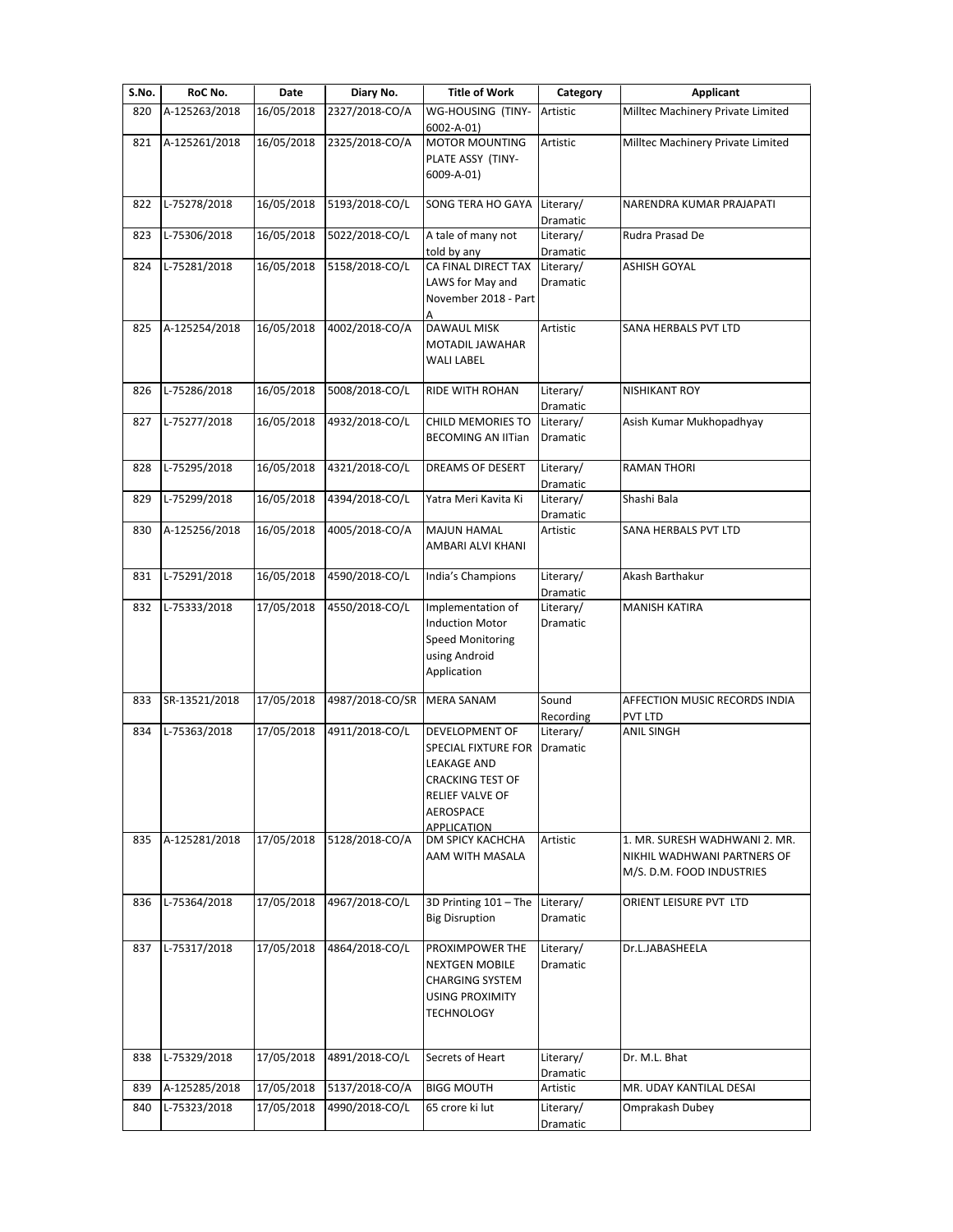| S.No. | RoC No.       | Date       | Diary No.       | <b>Title of Work</b>                                                                                                                                | Category                          | <b>Applicant</b>                                                                          |
|-------|---------------|------------|-----------------|-----------------------------------------------------------------------------------------------------------------------------------------------------|-----------------------------------|-------------------------------------------------------------------------------------------|
| 820   | A-125263/2018 | 16/05/2018 | 2327/2018-CO/A  | WG-HOUSING (TINY-                                                                                                                                   | Artistic                          | Milltec Machinery Private Limited                                                         |
| 821   | A-125261/2018 | 16/05/2018 | 2325/2018-CO/A  | 6002-A-01)<br><b>MOTOR MOUNTING</b><br>PLATE ASSY (TINY-<br>6009-A-01)                                                                              | Artistic                          | Milltec Machinery Private Limited                                                         |
| 822   | L-75278/2018  | 16/05/2018 | 5193/2018-CO/L  | SONG TERA HO GAYA                                                                                                                                   | Literary/                         | NARENDRA KUMAR PRAJAPATI                                                                  |
| 823   | L-75306/2018  | 16/05/2018 | 5022/2018-CO/L  | A tale of many not                                                                                                                                  | Dramatic<br>Literary/             | Rudra Prasad De                                                                           |
| 824   | L-75281/2018  | 16/05/2018 | 5158/2018-CO/L  | told by any<br>CA FINAL DIRECT TAX<br>LAWS for May and<br>November 2018 - Part<br>А                                                                 | Dramatic<br>Literary/<br>Dramatic | ASHISH GOYAL                                                                              |
| 825   | A-125254/2018 | 16/05/2018 | 4002/2018-CO/A  | <b>DAWAUL MISK</b><br><b>MOTADIL JAWAHAR</b><br><b>WALI LABEL</b>                                                                                   | Artistic                          | SANA HERBALS PVT LTD                                                                      |
| 826   | L-75286/2018  | 16/05/2018 | 5008/2018-CO/L  | <b>RIDE WITH ROHAN</b>                                                                                                                              | Literary/<br>Dramatic             | <b>NISHIKANT ROY</b>                                                                      |
| 827   | L-75277/2018  | 16/05/2018 | 4932/2018-CO/L  | <b>CHILD MEMORIES TO</b><br><b>BECOMING AN IITian</b>                                                                                               | Literary/<br><b>Dramatic</b>      | Asish Kumar Mukhopadhyay                                                                  |
| 828   | L-75295/2018  | 16/05/2018 | 4321/2018-CO/L  | DREAMS OF DESERT                                                                                                                                    | Literary/<br>Dramatic             | <b>RAMAN THORI</b>                                                                        |
| 829   | L-75299/2018  | 16/05/2018 | 4394/2018-CO/L  | Yatra Meri Kavita Ki                                                                                                                                | Literary/<br>Dramatic             | Shashi Bala                                                                               |
| 830   | A-125256/2018 | 16/05/2018 | 4005/2018-CO/A  | <b>MAJUN HAMAL</b><br>AMBARI ALVI KHANI                                                                                                             | Artistic                          | SANA HERBALS PVT LTD                                                                      |
| 831   | L-75291/2018  | 16/05/2018 | 4590/2018-CO/L  | India's Champions                                                                                                                                   | Literary/<br>Dramatic             | Akash Barthakur                                                                           |
| 832   | L-75333/2018  | 17/05/2018 | 4550/2018-CO/L  | Implementation of<br><b>Induction Motor</b><br><b>Speed Monitoring</b><br>using Android<br>Application                                              | Literary/<br>Dramatic             | <b>MANISH KATIRA</b>                                                                      |
| 833   | SR-13521/2018 | 17/05/2018 | 4987/2018-CO/SR | <b>MERA SANAM</b>                                                                                                                                   | Sound<br>Recording                | AFFECTION MUSIC RECORDS INDIA<br>PVT LTD                                                  |
| 834   | L-75363/2018  | 17/05/2018 | 4911/2018-CO/L  | <b>DEVELOPMENT OF</b><br><b>SPECIAL FIXTURE FOR</b><br>LEAKAGE AND<br><b>CRACKING TEST OF</b><br>RELIEF VALVE OF<br>AEROSPACE<br><b>APPLICATION</b> | Literary/<br>Dramatic             | ANIL SINGH                                                                                |
| 835   | A-125281/2018 | 17/05/2018 | 5128/2018-CO/A  | DM SPICY KACHCHA<br>AAM WITH MASALA                                                                                                                 | Artistic                          | 1. MR. SURESH WADHWANI 2. MR.<br>NIKHIL WADHWANI PARTNERS OF<br>M/S. D.M. FOOD INDUSTRIES |
| 836   | L-75364/2018  | 17/05/2018 | 4967/2018-CO/L  | 3D Printing 101 - The<br><b>Big Disruption</b>                                                                                                      | Literary/<br>Dramatic             | ORIENT LEISURE PVT LTD                                                                    |
| 837   | L-75317/2018  | 17/05/2018 | 4864/2018-CO/L  | PROXIMPOWER THE<br><b>NEXTGEN MOBILE</b><br><b>CHARGING SYSTEM</b><br><b>USING PROXIMITY</b><br><b>TECHNOLOGY</b>                                   | Literary/<br>Dramatic             | Dr.L.JABASHEELA                                                                           |
| 838   | L-75329/2018  | 17/05/2018 | 4891/2018-CO/L  | Secrets of Heart                                                                                                                                    | Literary/<br>Dramatic             | Dr. M.L. Bhat                                                                             |
| 839   | A-125285/2018 | 17/05/2018 | 5137/2018-CO/A  | <b>BIGG MOUTH</b>                                                                                                                                   | Artistic                          | MR. UDAY KANTILAL DESAI                                                                   |
| 840   | L-75323/2018  | 17/05/2018 | 4990/2018-CO/L  | 65 crore ki lut                                                                                                                                     | Literary/<br>Dramatic             | Omprakash Dubey                                                                           |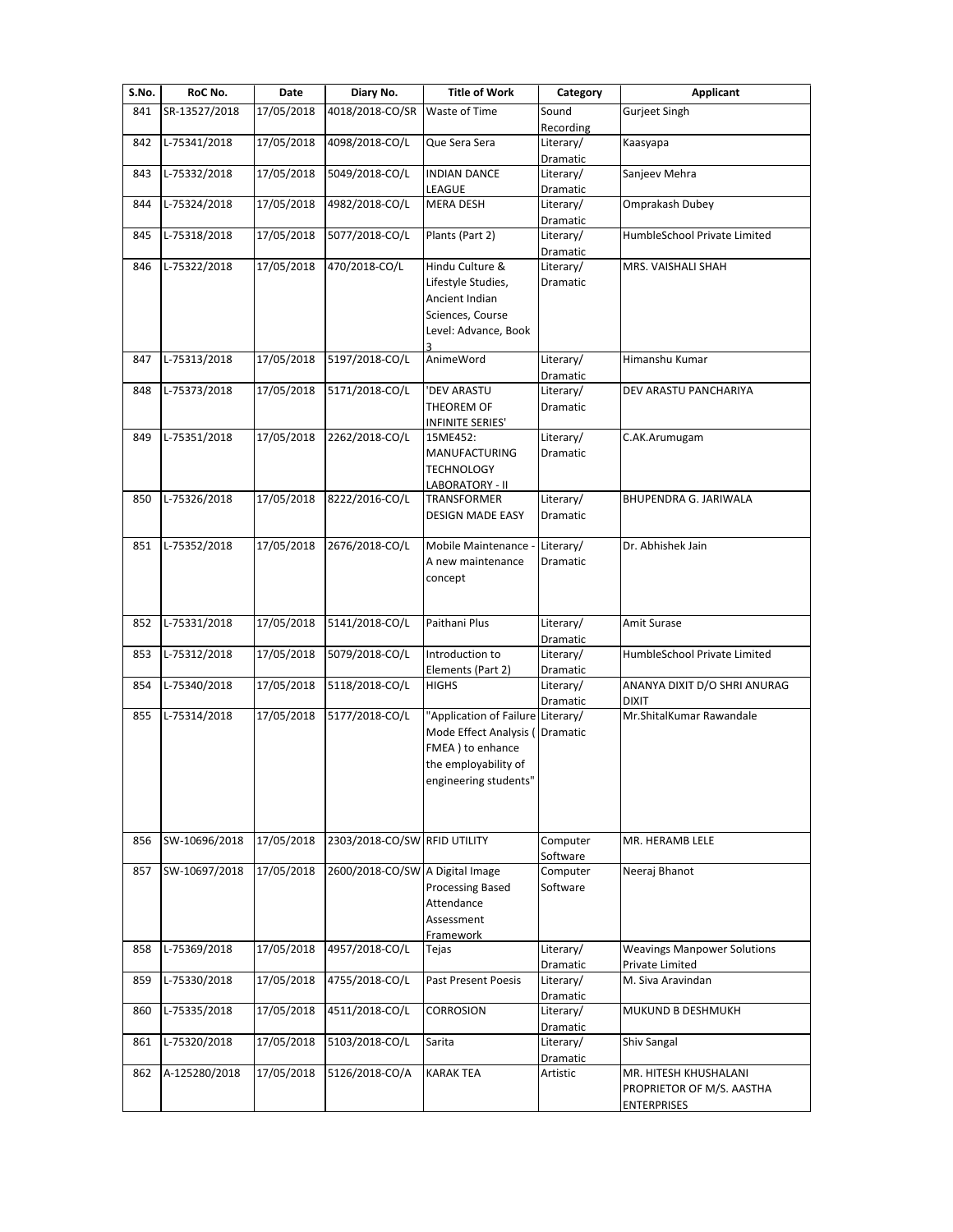| S.No. | RoC No.       | Date       | Diary No.                       | <b>Title of Work</b>                                                                                                   | Category              | Applicant                                                                |
|-------|---------------|------------|---------------------------------|------------------------------------------------------------------------------------------------------------------------|-----------------------|--------------------------------------------------------------------------|
| 841   | SR-13527/2018 | 17/05/2018 | 4018/2018-CO/SR                 | Waste of Time                                                                                                          | Sound<br>Recording    | <b>Gurjeet Singh</b>                                                     |
| 842   | L-75341/2018  | 17/05/2018 | 4098/2018-CO/L                  | Que Sera Sera                                                                                                          | Literary/<br>Dramatic | Kaasyapa                                                                 |
| 843   | L-75332/2018  | 17/05/2018 | 5049/2018-CO/L                  | <b>INDIAN DANCE</b><br>LEAGUE                                                                                          | Literary/<br>Dramatic | Sanjeev Mehra                                                            |
| 844   | L-75324/2018  | 17/05/2018 | 4982/2018-CO/L                  | <b>MERA DESH</b>                                                                                                       | Literary/<br>Dramatic | Omprakash Dubey                                                          |
| 845   | L-75318/2018  | 17/05/2018 | 5077/2018-CO/L                  | Plants (Part 2)                                                                                                        | Literary/<br>Dramatic | HumbleSchool Private Limited                                             |
| 846   | L-75322/2018  | 17/05/2018 | 470/2018-CO/L                   | Hindu Culture &<br>Lifestyle Studies,<br>Ancient Indian<br>Sciences, Course<br>Level: Advance, Book<br>3               | Literary/<br>Dramatic | MRS. VAISHALI SHAH                                                       |
| 847   | L-75313/2018  | 17/05/2018 | 5197/2018-CO/L                  | AnimeWord                                                                                                              | Literary/<br>Dramatic | Himanshu Kumar                                                           |
| 848   | L-75373/2018  | 17/05/2018 | 5171/2018-CO/L                  | 'DEV ARASTU<br>THEOREM OF<br>INFINITE SERIES'                                                                          | Literary/<br>Dramatic | DEV ARASTU PANCHARIYA                                                    |
| 849   | L-75351/2018  | 17/05/2018 | 2262/2018-CO/L                  | 15ME452:<br>MANUFACTURING<br><b>TECHNOLOGY</b><br>LABORATORY - II                                                      | Literary/<br>Dramatic | C.AK.Arumugam                                                            |
| 850   | L-75326/2018  | 17/05/2018 | 8222/2016-CO/L                  | TRANSFORMER<br><b>DESIGN MADE EASY</b>                                                                                 | Literary/<br>Dramatic | BHUPENDRA G. JARIWALA                                                    |
| 851   | L-75352/2018  | 17/05/2018 | 2676/2018-CO/L                  | Mobile Maintenance<br>A new maintenance<br>concept                                                                     | Literary/<br>Dramatic | Dr. Abhishek Jain                                                        |
| 852   | L-75331/2018  | 17/05/2018 | 5141/2018-CO/L                  | Paithani Plus                                                                                                          | Literary/<br>Dramatic | Amit Surase                                                              |
| 853   | L-75312/2018  | 17/05/2018 | 5079/2018-CO/L                  | Introduction to<br>Elements (Part 2)                                                                                   | Literary/<br>Dramatic | HumbleSchool Private Limited                                             |
| 854   | L-75340/2018  | 17/05/2018 | 5118/2018-CO/L                  | <b>HIGHS</b>                                                                                                           | Literary/<br>Dramatic | ANANYA DIXIT D/O SHRI ANURAG<br><b>DIXIT</b>                             |
| 855   | L-75314/2018  | 17/05/2018 | 5177/2018-CO/L                  | "Application of Failure<br>Mode Effect Analysis (<br>FMEA) to enhance<br>the employability of<br>engineering students" | Literary/<br>Dramatic | Mr.ShitalKumar Rawandale                                                 |
| 856   | SW-10696/2018 | 17/05/2018 | 2303/2018-CO/SW RFID UTILITY    |                                                                                                                        | Computer<br>Software  | MR. HERAMB LELE                                                          |
| 857   | SW-10697/2018 | 17/05/2018 | 2600/2018-CO/SW A Digital Image | <b>Processing Based</b><br>Attendance<br>Assessment<br>Framework                                                       | Computer<br>Software  | Neeraj Bhanot                                                            |
| 858   | L-75369/2018  | 17/05/2018 | 4957/2018-CO/L                  | Tejas                                                                                                                  | Literary/<br>Dramatic | <b>Weavings Manpower Solutions</b><br>Private Limited                    |
| 859   | L-75330/2018  | 17/05/2018 | 4755/2018-CO/L                  | <b>Past Present Poesis</b>                                                                                             | Literary/<br>Dramatic | M. Siva Aravindan                                                        |
| 860   | L-75335/2018  | 17/05/2018 | 4511/2018-CO/L                  | <b>CORROSION</b>                                                                                                       | Literary/<br>Dramatic | MUKUND B DESHMUKH                                                        |
| 861   | L-75320/2018  | 17/05/2018 | 5103/2018-CO/L                  | Sarita                                                                                                                 | Literary/<br>Dramatic | Shiv Sangal                                                              |
| 862   | A-125280/2018 | 17/05/2018 | 5126/2018-CO/A                  | <b>KARAK TEA</b>                                                                                                       | Artistic              | MR. HITESH KHUSHALANI<br>PROPRIETOR OF M/S. AASTHA<br><b>ENTERPRISES</b> |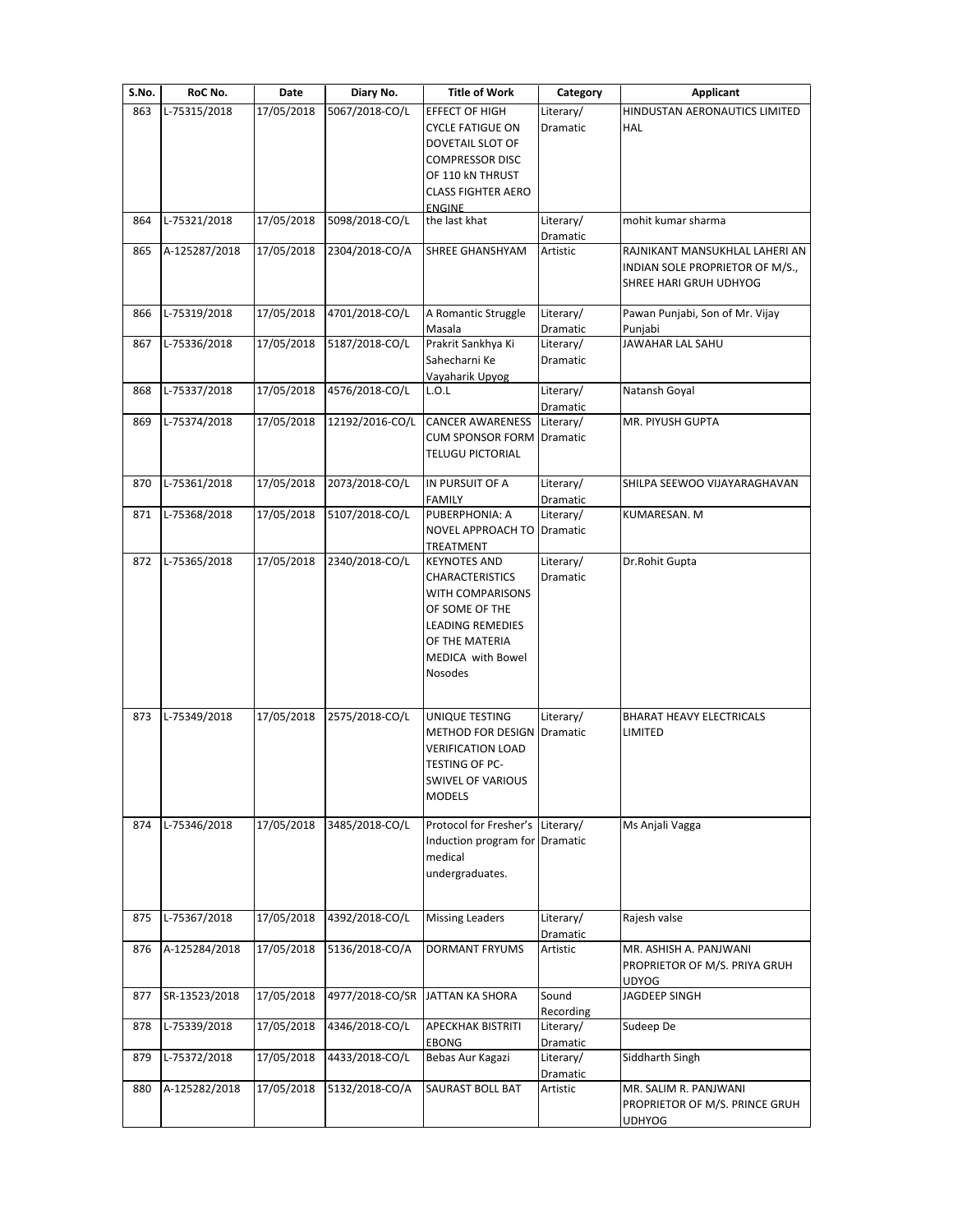| S.No. | RoC No.       | Date       | Diary No.       | <b>Title of Work</b>                                                                                                                                      | Category              | Applicant                                                                                   |
|-------|---------------|------------|-----------------|-----------------------------------------------------------------------------------------------------------------------------------------------------------|-----------------------|---------------------------------------------------------------------------------------------|
| 863   | L-75315/2018  | 17/05/2018 | 5067/2018-CO/L  | EFFECT OF HIGH<br><b>CYCLE FATIGUE ON</b><br>DOVETAIL SLOT OF                                                                                             | Literary/<br>Dramatic | HINDUSTAN AERONAUTICS LIMITED<br>HAL                                                        |
|       |               |            |                 | <b>COMPRESSOR DISC</b><br>OF 110 KN THRUST<br><b>CLASS FIGHTER AERO</b><br><b>ENGINE</b>                                                                  |                       |                                                                                             |
| 864   | L-75321/2018  | 17/05/2018 | 5098/2018-CO/L  | the last khat                                                                                                                                             | Literary/<br>Dramatic | mohit kumar sharma                                                                          |
| 865   | A-125287/2018 | 17/05/2018 | 2304/2018-CO/A  | SHREE GHANSHYAM                                                                                                                                           | Artistic              | RAJNIKANT MANSUKHLAL LAHERI AN<br>INDIAN SOLE PROPRIETOR OF M/S.,<br>SHREE HARI GRUH UDHYOG |
| 866   | L-75319/2018  | 17/05/2018 | 4701/2018-CO/L  | A Romantic Struggle<br>Masala                                                                                                                             | Literary/<br>Dramatic | Pawan Punjabi, Son of Mr. Vijay<br>Punjabi                                                  |
| 867   | L-75336/2018  | 17/05/2018 | 5187/2018-CO/L  | Prakrit Sankhya Ki<br>Sahecharni Ke<br>Vayaharik Upyog                                                                                                    | Literary/<br>Dramatic | JAWAHAR LAL SAHU                                                                            |
| 868   | L-75337/2018  | 17/05/2018 | 4576/2018-CO/L  | L.O.L                                                                                                                                                     | Literary/<br>Dramatic | Natansh Goyal                                                                               |
| 869   | L-75374/2018  | 17/05/2018 | 12192/2016-CO/L | <b>CANCER AWARENESS</b><br><b>CUM SPONSOR FORM</b><br><b>TELUGU PICTORIAL</b>                                                                             | Literary/<br>Dramatic | MR. PIYUSH GUPTA                                                                            |
| 870   | L-75361/2018  | 17/05/2018 | 2073/2018-CO/L  | IN PURSUIT OF A<br><b>FAMILY</b>                                                                                                                          | Literary/<br>Dramatic | SHILPA SEEWOO VIJAYARAGHAVAN                                                                |
| 871   | L-75368/2018  | 17/05/2018 | 5107/2018-CO/L  | PUBERPHONIA: A<br>NOVEL APPROACH TO<br>TREATMENT                                                                                                          | Literary/<br>Dramatic | KUMARESAN. M                                                                                |
| 872   | L-75365/2018  | 17/05/2018 | 2340/2018-CO/L  | <b>KEYNOTES AND</b><br><b>CHARACTERISTICS</b><br>WITH COMPARISONS<br>OF SOME OF THE<br>LEADING REMEDIES<br>OF THE MATERIA<br>MEDICA with Bowel<br>Nosodes | Literary/<br>Dramatic | Dr.Rohit Gupta                                                                              |
| 873   | L-75349/2018  | 17/05/2018 | 2575/2018-CO/L  | UNIQUE TESTING<br><b>METHOD FOR DESIGN Dramatic</b><br>VERIFICATION LOAD<br>TESTING OF PC-<br>SWIVEL OF VARIOUS<br>MODELS                                 | Literary/             | BHARAT HEAVY ELECTRICALS<br>LIMITED                                                         |
| 874   | L-75346/2018  | 17/05/2018 | 3485/2018-CO/L  | Protocol for Fresher's Literary/<br>Induction program for Dramatic<br>medical<br>undergraduates.                                                          |                       | Ms Anjali Vagga                                                                             |
| 875   | L-75367/2018  | 17/05/2018 | 4392/2018-CO/L  | <b>Missing Leaders</b>                                                                                                                                    | Literary/<br>Dramatic | Rajesh valse                                                                                |
| 876   | A-125284/2018 | 17/05/2018 | 5136/2018-CO/A  | <b>DORMANT FRYUMS</b>                                                                                                                                     | Artistic              | MR. ASHISH A. PANJWANI<br>PROPRIETOR OF M/S. PRIYA GRUH<br>UDYOG                            |
| 877   | SR-13523/2018 | 17/05/2018 | 4977/2018-CO/SR | JATTAN KA SHORA                                                                                                                                           | Sound<br>Recording    | JAGDEEP SINGH                                                                               |
| 878   | L-75339/2018  | 17/05/2018 | 4346/2018-CO/L  | <b>APECKHAK BISTRITI</b><br>EBONG                                                                                                                         | Literary/<br>Dramatic | Sudeep De                                                                                   |
| 879   | L-75372/2018  | 17/05/2018 | 4433/2018-CO/L  | Bebas Aur Kagazi                                                                                                                                          | Literary/<br>Dramatic | Siddharth Singh                                                                             |
| 880   | A-125282/2018 | 17/05/2018 | 5132/2018-CO/A  | SAURAST BOLL BAT                                                                                                                                          | Artistic              | MR. SALIM R. PANJWANI<br>PROPRIETOR OF M/S. PRINCE GRUH<br><b>UDHYOG</b>                    |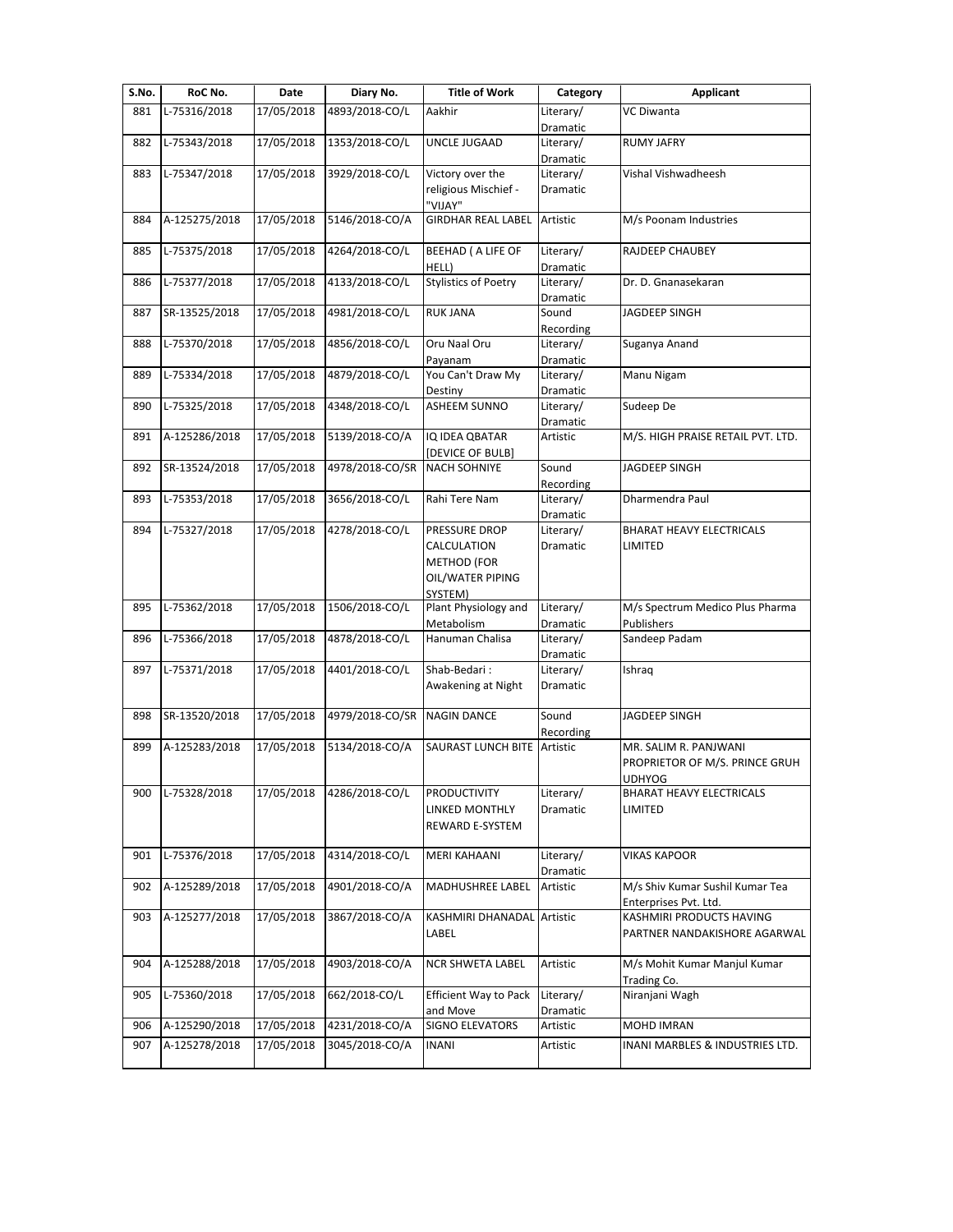| S.No. | RoC No.       | Date       | Diary No.                   | <b>Title of Work</b>         | Category              | <b>Applicant</b>                                |
|-------|---------------|------------|-----------------------------|------------------------------|-----------------------|-------------------------------------------------|
| 881   | L-75316/2018  | 17/05/2018 | 4893/2018-CO/L              | Aakhir                       | Literary/             | VC Diwanta                                      |
|       |               |            |                             |                              | Dramatic              |                                                 |
| 882   | L-75343/2018  | 17/05/2018 | 1353/2018-CO/L              | UNCLE JUGAAD                 | Literary/             | <b>RUMY JAFRY</b>                               |
|       |               |            |                             |                              | Dramatic              |                                                 |
| 883   | L-75347/2018  | 17/05/2018 | 3929/2018-CO/L              | Victory over the             | Literary/             | Vishal Vishwadheesh                             |
|       |               |            |                             | religious Mischief -         | Dramatic              |                                                 |
|       |               |            |                             | "VIJAY"                      |                       |                                                 |
| 884   | A-125275/2018 | 17/05/2018 | 5146/2018-CO/A              | <b>GIRDHAR REAL LABEL</b>    | Artistic              | M/s Poonam Industries                           |
| 885   | L-75375/2018  | 17/05/2018 | 4264/2018-CO/L              | <b>BEEHAD ( A LIFE OF</b>    | Literary/             | RAJDEEP CHAUBEY                                 |
|       |               |            |                             | HELL)                        | Dramatic              |                                                 |
| 886   | L-75377/2018  | 17/05/2018 | 4133/2018-CO/L              | <b>Stylistics of Poetry</b>  | Literary/             | Dr. D. Gnanasekaran                             |
|       |               |            |                             |                              | Dramatic              |                                                 |
| 887   | SR-13525/2018 | 17/05/2018 | 4981/2018-CO/L              | <b>RUK JANA</b>              | Sound                 | JAGDEEP SINGH                                   |
|       |               |            |                             |                              | Recording             |                                                 |
| 888   | L-75370/2018  | 17/05/2018 | 4856/2018-CO/L              | Oru Naal Oru                 | Literary/             | Suganya Anand                                   |
|       |               |            |                             | Payanam                      | Dramatic              |                                                 |
| 889   | L-75334/2018  | 17/05/2018 | 4879/2018-CO/L              | You Can't Draw My            | Literary/             | Manu Nigam                                      |
|       |               |            |                             | Destiny                      | Dramatic              |                                                 |
| 890   | L-75325/2018  | 17/05/2018 | 4348/2018-CO/L              | <b>ASHEEM SUNNO</b>          | Literary/             | Sudeep De                                       |
|       |               |            |                             |                              | Dramatic              |                                                 |
| 891   | A-125286/2018 | 17/05/2018 | 5139/2018-CO/A              | IQ IDEA QBATAR               | Artistic              | M/S. HIGH PRAISE RETAIL PVT. LTD.               |
|       |               |            |                             | <b>DEVICE OF BULB]</b>       |                       |                                                 |
| 892   | SR-13524/2018 | 17/05/2018 | 4978/2018-CO/SR             | <b>NACH SOHNIYE</b>          | Sound                 | <b>JAGDEEP SINGH</b>                            |
|       |               |            |                             |                              | Recording             |                                                 |
| 893   | L-75353/2018  | 17/05/2018 | 3656/2018-CO/L              | Rahi Tere Nam                | Literary/             | Dharmendra Paul                                 |
|       |               |            |                             |                              | Dramatic              |                                                 |
| 894   | L-75327/2018  | 17/05/2018 | 4278/2018-CO/L              | PRESSURE DROP                | Literary/             | BHARAT HEAVY ELECTRICALS                        |
|       |               |            |                             | CALCULATION                  | Dramatic              | LIMITED                                         |
|       |               |            |                             | <b>METHOD (FOR</b>           |                       |                                                 |
|       |               |            |                             | OIL/WATER PIPING             |                       |                                                 |
|       |               |            |                             | SYSTEM)                      |                       |                                                 |
| 895   | L-75362/2018  | 17/05/2018 | 1506/2018-CO/L              | Plant Physiology and         | Literary/             | M/s Spectrum Medico Plus Pharma                 |
|       |               |            |                             | Metabolism                   | Dramatic              | Publishers                                      |
| 896   | L-75366/2018  | 17/05/2018 | 4878/2018-CO/L              | Hanuman Chalisa              | Literary/             | Sandeep Padam                                   |
|       |               |            |                             |                              | Dramatic              |                                                 |
| 897   | L-75371/2018  | 17/05/2018 | 4401/2018-CO/L              | Shab-Bedari:                 | Literary/             | Ishraq                                          |
|       |               |            |                             | Awakening at Night           | Dramatic              |                                                 |
|       |               |            | 4979/2018-CO/SR NAGIN DANCE |                              | Sound                 |                                                 |
| 898   | SR-13520/2018 | 17/05/2018 |                             |                              |                       | JAGDEEP SINGH                                   |
| 899   | A-125283/2018 | 17/05/2018 | 5134/2018-CO/A              | <b>SAURAST LUNCH BITE</b>    | Recording<br>Artistic | MR. SALIM R. PANJWANI                           |
|       |               |            |                             |                              |                       |                                                 |
|       |               |            |                             |                              |                       | PROPRIETOR OF M/S. PRINCE GRUH<br><b>UDHYOG</b> |
| 900   | L-75328/2018  | 17/05/2018 | 4286/2018-CO/L              | <b>PRODUCTIVITY</b>          | Literary/             | BHARAT HEAVY ELECTRICALS                        |
|       |               |            |                             | LINKED MONTHLY               | Dramatic              | LIMITED                                         |
|       |               |            |                             | REWARD E-SYSTEM              |                       |                                                 |
|       |               |            |                             |                              |                       |                                                 |
| 901   | L-75376/2018  | 17/05/2018 | 4314/2018-CO/L              | MERI KAHAANI                 | Literary/             | VIKAS KAPOOR                                    |
|       |               |            |                             |                              | Dramatic              |                                                 |
| 902   | A-125289/2018 | 17/05/2018 | 4901/2018-CO/A              | MADHUSHREE LABEL             | Artistic              | M/s Shiv Kumar Sushil Kumar Tea                 |
|       |               |            |                             |                              |                       | Enterprises Pvt. Ltd.                           |
| 903   | A-125277/2018 | 17/05/2018 | 3867/2018-CO/A              | KASHMIRI DHANADAL Artistic   |                       | KASHMIRI PRODUCTS HAVING                        |
|       |               |            |                             | LABEL                        |                       | PARTNER NANDAKISHORE AGARWAL                    |
|       |               |            |                             |                              |                       |                                                 |
| 904   | A-125288/2018 | 17/05/2018 | 4903/2018-CO/A              | NCR SHWETA LABEL             | Artistic              | M/s Mohit Kumar Manjul Kumar                    |
|       |               |            |                             |                              |                       | Trading Co.                                     |
| 905   | L-75360/2018  | 17/05/2018 | 662/2018-CO/L               | <b>Efficient Way to Pack</b> | Literary/             | Niranjani Wagh                                  |
|       |               |            |                             | and Move                     | Dramatic              |                                                 |
| 906   | A-125290/2018 | 17/05/2018 | 4231/2018-CO/A              | <b>SIGNO ELEVATORS</b>       | Artistic              | MOHD IMRAN                                      |
| 907   | A-125278/2018 | 17/05/2018 | 3045/2018-CO/A              | <b>INANI</b>                 | Artistic              | INANI MARBLES & INDUSTRIES LTD.                 |
|       |               |            |                             |                              |                       |                                                 |
|       |               |            |                             |                              |                       |                                                 |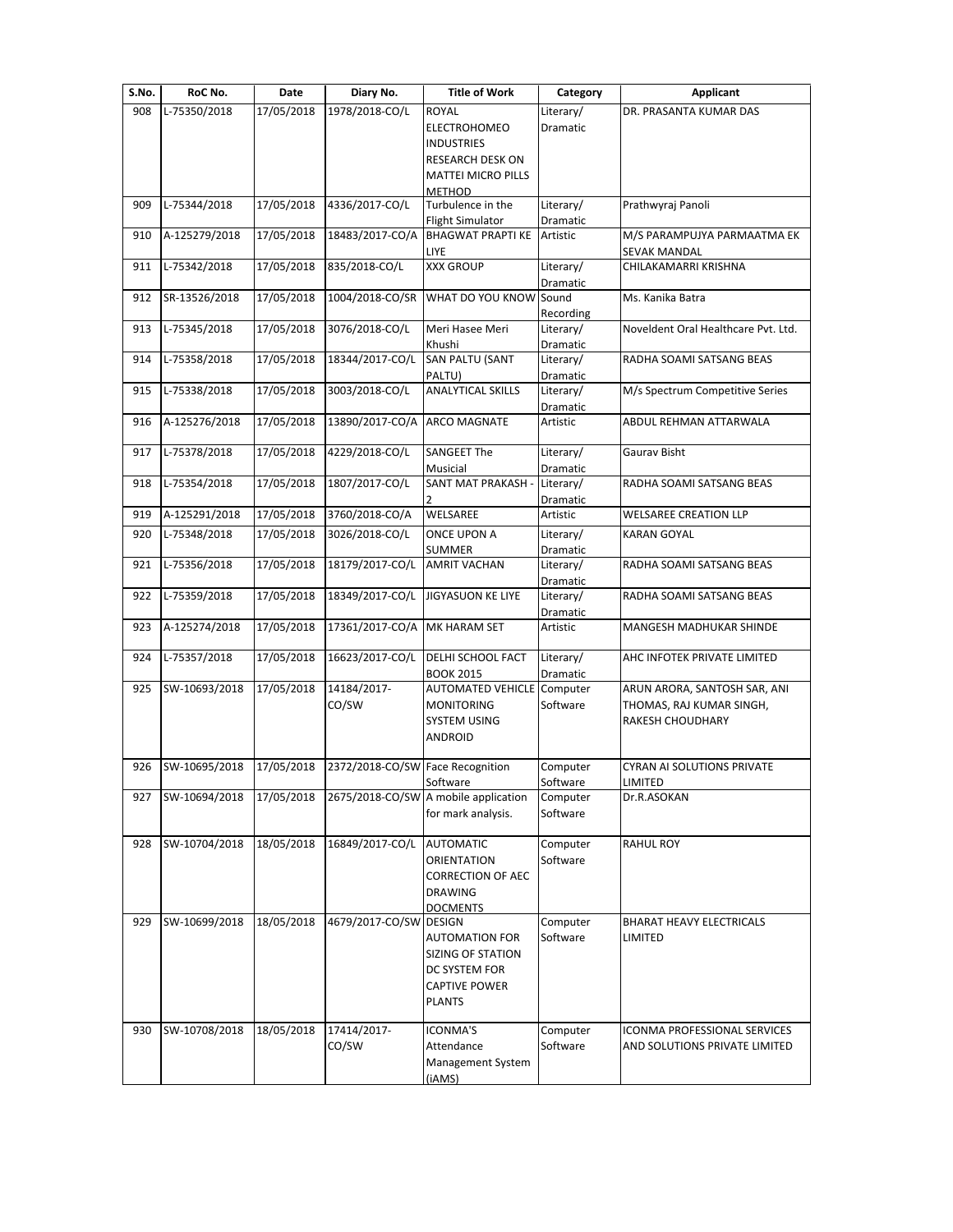| S.No. | RoC No.       | Date       | Diary No.                                                     | <b>Title of Work</b>                             | Category              | Applicant                           |
|-------|---------------|------------|---------------------------------------------------------------|--------------------------------------------------|-----------------------|-------------------------------------|
| 908   | L-75350/2018  | 17/05/2018 | 1978/2018-CO/L                                                | <b>ROYAL</b>                                     | Literary/             | DR. PRASANTA KUMAR DAS              |
|       |               |            |                                                               | <b>ELECTROHOMEO</b>                              | Dramatic              |                                     |
|       |               |            |                                                               | <b>INDUSTRIES</b>                                |                       |                                     |
|       |               |            |                                                               | <b>RESEARCH DESK ON</b>                          |                       |                                     |
|       |               |            |                                                               | <b>MATTEI MICRO PILLS</b><br><b>METHOD</b>       |                       |                                     |
| 909   | L-75344/2018  | 17/05/2018 | 4336/2017-CO/L                                                | Turbulence in the                                | Literary/             | Prathwyraj Panoli                   |
|       |               |            |                                                               | <b>Flight Simulator</b>                          | Dramatic              |                                     |
| 910   | A-125279/2018 | 17/05/2018 | 18483/2017-CO/A                                               | <b>BHAGWAT PRAPTI KE</b>                         | Artistic              | M/S PARAMPUJYA PARMAATMA EK         |
|       |               |            |                                                               | LIYE                                             |                       | <b>SEVAK MANDAL</b>                 |
| 911   | L-75342/2018  | 17/05/2018 | 835/2018-CO/L                                                 | <b>XXX GROUP</b>                                 | Literary/             | CHILAKAMARRI KRISHNA                |
| 912   | SR-13526/2018 | 17/05/2018 | 1004/2018-CO/SR                                               | WHAT DO YOU KNOW                                 | Dramatic<br>Sound     | Ms. Kanika Batra                    |
|       |               |            |                                                               |                                                  | Recording             |                                     |
| 913   | L-75345/2018  | 17/05/2018 | 3076/2018-CO/L                                                | Meri Hasee Meri                                  | Literary/             | Noveldent Oral Healthcare Pvt. Ltd. |
|       |               |            |                                                               | Khushi                                           | Dramatic              |                                     |
| 914   | L-75358/2018  | 17/05/2018 | 18344/2017-CO/L                                               | SAN PALTU (SANT                                  | Literary/             | RADHA SOAMI SATSANG BEAS            |
|       |               |            |                                                               | PALTU)                                           | Dramatic              |                                     |
| 915   | L-75338/2018  | 17/05/2018 | 3003/2018-CO/L                                                | <b>ANALYTICAL SKILLS</b>                         | Literary/             | M/s Spectrum Competitive Series     |
| 916   | A-125276/2018 | 17/05/2018 | 13890/2017-CO/A ARCO MAGNATE                                  |                                                  | Dramatic<br>Artistic  | ABDUL REHMAN ATTARWALA              |
|       |               |            |                                                               |                                                  |                       |                                     |
| 917   | L-75378/2018  | 17/05/2018 | 4229/2018-CO/L                                                | <b>SANGEET The</b>                               | Literary/             | Gaurav Bisht                        |
|       |               |            |                                                               | Musicial                                         | Dramatic              |                                     |
| 918   | L-75354/2018  | 17/05/2018 | 1807/2017-CO/L                                                | SANT MAT PRAKASH -                               | Literary/             | RADHA SOAMI SATSANG BEAS            |
|       |               |            |                                                               |                                                  | Dramatic              |                                     |
| 919   | A-125291/2018 | 17/05/2018 | 3760/2018-CO/A                                                | WELSAREE                                         | Artistic              | <b>WELSAREE CREATION LLP</b>        |
| 920   | L-75348/2018  | 17/05/2018 | 3026/2018-CO/L                                                | <b>ONCE UPON A</b>                               | Literary/             | <b>KARAN GOYAL</b>                  |
| 921   | L-75356/2018  | 17/05/2018 | 18179/2017-CO/L                                               | <b>SUMMER</b><br><b>AMRIT VACHAN</b>             | Dramatic<br>Literary/ | RADHA SOAMI SATSANG BEAS            |
|       |               |            |                                                               |                                                  | Dramatic              |                                     |
| 922   | L-75359/2018  | 17/05/2018 | 18349/2017-CO/L                                               | <b>JIGYASUON KE LIYE</b>                         | Literary/             | RADHA SOAMI SATSANG BEAS            |
|       |               |            |                                                               |                                                  | Dramatic              |                                     |
| 923   | A-125274/2018 | 17/05/2018 | 17361/2017-CO/A MK HARAM SET                                  |                                                  | Artistic              | MANGESH MADHUKAR SHINDE             |
|       |               |            |                                                               |                                                  |                       |                                     |
| 924   | L-75357/2018  | 17/05/2018 | 16623/2017-CO/L                                               | DELHI SCHOOL FACT<br><b>BOOK 2015</b>            | Literary/             | AHC INFOTEK PRIVATE LIMITED         |
| 925   | SW-10693/2018 | 17/05/2018 | 14184/2017-                                                   | <b>AUTOMATED VEHICLE</b>                         | Dramatic<br>Computer  | ARUN ARORA, SANTOSH SAR, ANI        |
|       |               |            | CO/SW                                                         | <b>MONITORING</b>                                | Software              | THOMAS, RAJ KUMAR SINGH,            |
|       |               |            |                                                               | <b>SYSTEM USING</b>                              |                       | RAKESH CHOUDHARY                    |
|       |               |            |                                                               | <b>ANDROID</b>                                   |                       |                                     |
|       |               |            |                                                               |                                                  |                       |                                     |
|       |               |            | 926 SW-10695/2018 17/05/2018 2372/2018-CO/SW Face Recognition |                                                  | Computer              | <b>CYRAN AI SOLUTIONS PRIVATE</b>   |
| 927   | SW-10694/2018 | 17/05/2018 |                                                               | Software<br>2675/2018-CO/SW A mobile application | Software<br>Computer  | LIMITED<br>Dr.R.ASOKAN              |
|       |               |            |                                                               | for mark analysis.                               | Software              |                                     |
|       |               |            |                                                               |                                                  |                       |                                     |
| 928   | SW-10704/2018 | 18/05/2018 | 16849/2017-CO/L                                               | <b>AUTOMATIC</b>                                 | Computer              | RAHUL ROY                           |
|       |               |            |                                                               | <b>ORIENTATION</b>                               | Software              |                                     |
|       |               |            |                                                               | <b>CORRECTION OF AEC</b>                         |                       |                                     |
|       |               |            |                                                               | <b>DRAWING</b>                                   |                       |                                     |
| 929   | SW-10699/2018 | 18/05/2018 | 4679/2017-CO/SW DESIGN                                        | <b>DOCMENTS</b>                                  | Computer              | BHARAT HEAVY ELECTRICALS            |
|       |               |            |                                                               | <b>AUTOMATION FOR</b>                            | Software              | LIMITED                             |
|       |               |            |                                                               | SIZING OF STATION                                |                       |                                     |
|       |               |            |                                                               | DC SYSTEM FOR                                    |                       |                                     |
|       |               |            |                                                               | <b>CAPTIVE POWER</b>                             |                       |                                     |
|       |               |            |                                                               | <b>PLANTS</b>                                    |                       |                                     |
|       |               |            |                                                               |                                                  |                       |                                     |
| 930   | SW-10708/2018 | 18/05/2018 | 17414/2017-                                                   | <b>ICONMA'S</b>                                  | Computer              | ICONMA PROFESSIONAL SERVICES        |
|       |               |            | CO/SW                                                         | Attendance                                       | Software              | AND SOLUTIONS PRIVATE LIMITED       |
|       |               |            |                                                               |                                                  |                       |                                     |
|       |               |            |                                                               | Management System<br>(iAMS)                      |                       |                                     |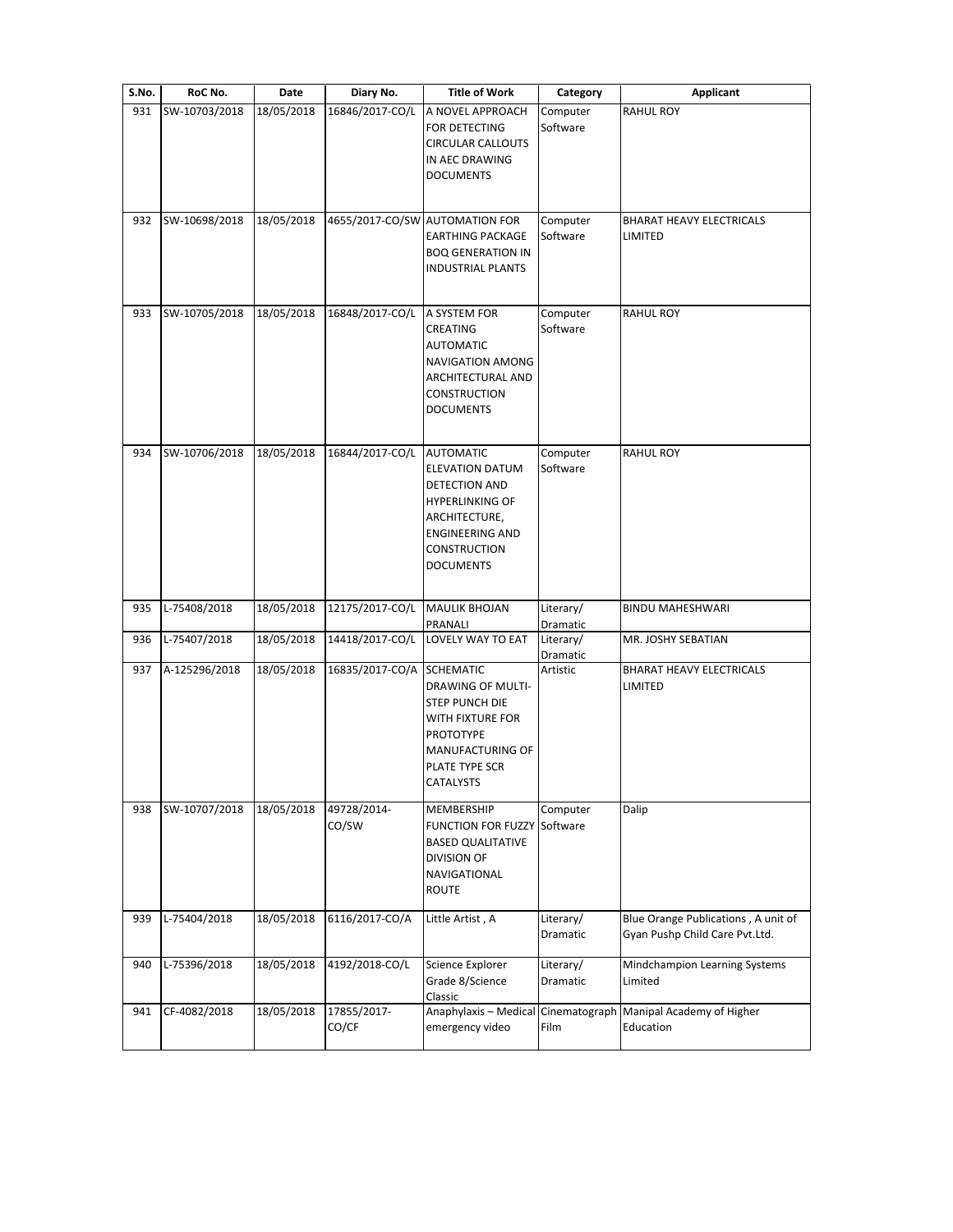| S.No. | RoC No.       | Date       | Diary No.            | <b>Title of Work</b>                                                                                                                                                        | Category              | <b>Applicant</b>                                                      |
|-------|---------------|------------|----------------------|-----------------------------------------------------------------------------------------------------------------------------------------------------------------------------|-----------------------|-----------------------------------------------------------------------|
| 931   | SW-10703/2018 | 18/05/2018 | 16846/2017-CO/L      | A NOVEL APPROACH<br>FOR DETECTING<br>CIRCULAR CALLOUTS<br>IN AEC DRAWING<br><b>DOCUMENTS</b>                                                                                | Computer<br>Software  | <b>RAHUL ROY</b>                                                      |
| 932   | SW-10698/2018 | 18/05/2018 |                      | 4655/2017-CO/SW AUTOMATION FOR<br><b>EARTHING PACKAGE</b><br><b>BOQ GENERATION IN</b><br><b>INDUSTRIAL PLANTS</b>                                                           | Computer<br>Software  | BHARAT HEAVY ELECTRICALS<br>LIMITED                                   |
| 933   | SW-10705/2018 | 18/05/2018 | 16848/2017-CO/L      | A SYSTEM FOR<br>CREATING<br><b>AUTOMATIC</b><br>NAVIGATION AMONG<br>ARCHITECTURAL AND<br><b>CONSTRUCTION</b><br><b>DOCUMENTS</b>                                            | Computer<br>Software  | <b>RAHUL ROY</b>                                                      |
| 934   | SW-10706/2018 | 18/05/2018 | 16844/2017-CO/L      | <b>AUTOMATIC</b><br><b>ELEVATION DATUM</b><br>DETECTION AND<br><b>HYPERLINKING OF</b><br>ARCHITECTURE,<br><b>ENGINEERING AND</b><br><b>CONSTRUCTION</b><br><b>DOCUMENTS</b> | Computer<br>Software  | <b>RAHUL ROY</b>                                                      |
| 935   | L-75408/2018  | 18/05/2018 | 12175/2017-CO/L      | <b>MAULIK BHOJAN</b><br>PRANALI                                                                                                                                             | Literary/<br>Dramatic | <b>BINDU MAHESHWARI</b>                                               |
| 936   | L-75407/2018  | 18/05/2018 | 14418/2017-CO/L      | LOVELY WAY TO EAT                                                                                                                                                           | Literary/<br>Dramatic | MR. JOSHY SEBATIAN                                                    |
| 937   | A-125296/2018 | 18/05/2018 | 16835/2017-CO/A      | <b>SCHEMATIC</b><br><b>DRAWING OF MULTI-</b><br><b>STEP PUNCH DIE</b><br>WITH FIXTURE FOR<br><b>PROTOTYPE</b><br>MANUFACTURING OF<br>PLATE TYPE SCR<br>CATALYSTS            | Artistic              | BHARAT HEAVY ELECTRICALS<br>LIMITED                                   |
| 938   | SW-10707/2018 | 18/05/2018 | 49728/2014-<br>CO/SW | MEMBERSHIP<br><b>FUNCTION FOR FUZZY</b><br><b>BASED QUALITATIVE</b><br><b>DIVISION OF</b><br>NAVIGATIONAL<br>ROUTE                                                          | Computer<br>Software  | Dalip                                                                 |
| 939   | L-75404/2018  | 18/05/2018 | 6116/2017-CO/A       | Little Artist, A                                                                                                                                                            | Literary/<br>Dramatic | Blue Orange Publications, A unit of<br>Gyan Pushp Child Care Pvt.Ltd. |
| 940   | L-75396/2018  | 18/05/2018 | 4192/2018-CO/L       | Science Explorer<br>Grade 8/Science<br>Classic                                                                                                                              | Literary/<br>Dramatic | Mindchampion Learning Systems<br>Limited                              |
| 941   | CF-4082/2018  | 18/05/2018 | 17855/2017-<br>CO/CF | Anaphylaxis - Medical<br>emergency video                                                                                                                                    | Film                  | Cinematograph Manipal Academy of Higher<br>Education                  |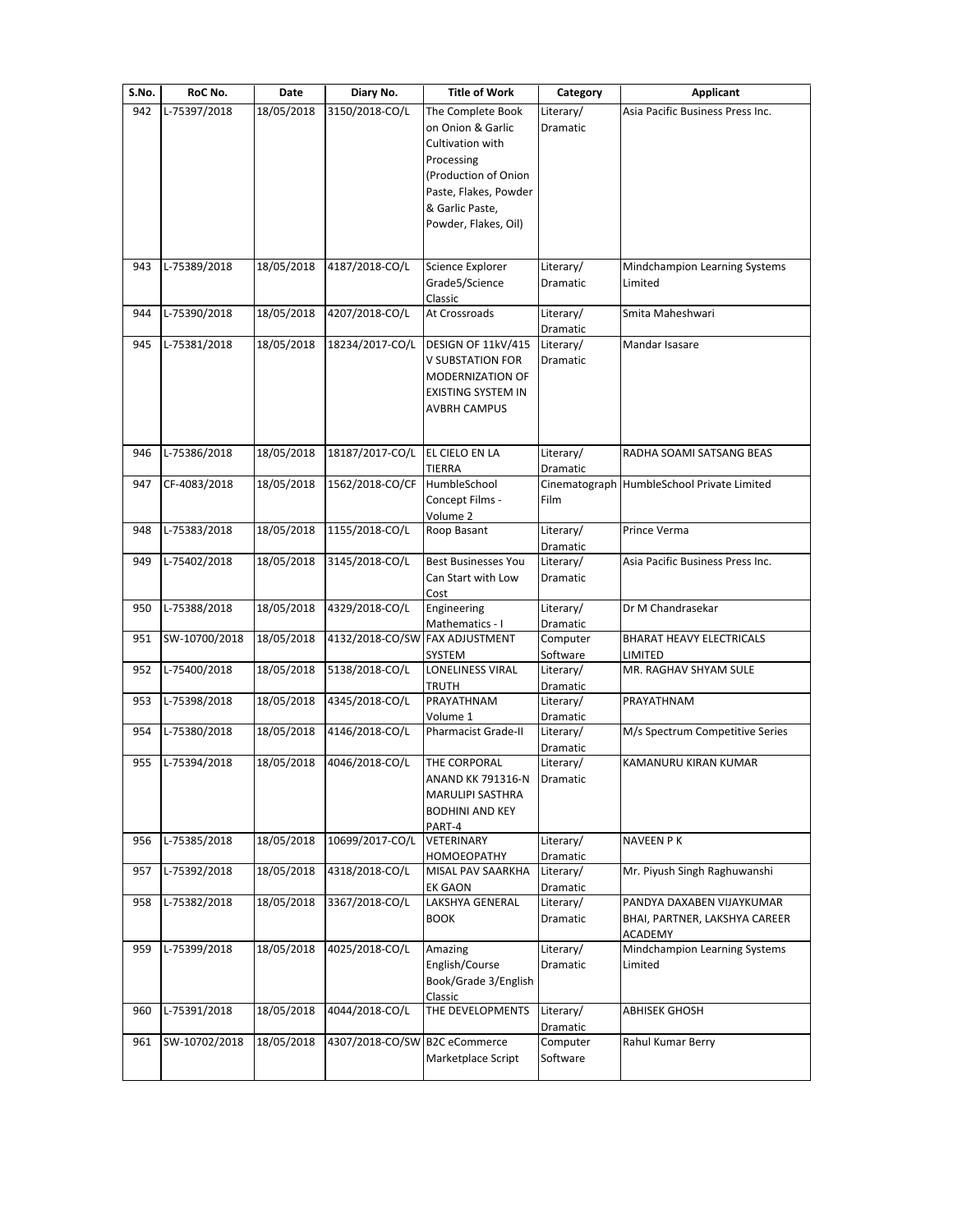| S.No. | RoC No.       | Date       | Diary No.                      | <b>Title of Work</b>                                                                                                                                                 | Category                     | <b>Applicant</b>                                                      |
|-------|---------------|------------|--------------------------------|----------------------------------------------------------------------------------------------------------------------------------------------------------------------|------------------------------|-----------------------------------------------------------------------|
| 942   | L-75397/2018  | 18/05/2018 | 3150/2018-CO/L                 | The Complete Book<br>on Onion & Garlic<br>Cultivation with<br>Processing<br>(Production of Onion<br>Paste, Flakes, Powder<br>& Garlic Paste,<br>Powder, Flakes, Oil) | Literary/<br>Dramatic        | Asia Pacific Business Press Inc.                                      |
| 943   | L-75389/2018  | 18/05/2018 | 4187/2018-CO/L                 | Science Explorer<br>Grade5/Science<br>Classic                                                                                                                        | Literary/<br><b>Dramatic</b> | Mindchampion Learning Systems<br>Limited                              |
| 944   | L-75390/2018  | 18/05/2018 | 4207/2018-CO/L                 | At Crossroads                                                                                                                                                        | Literary/<br>Dramatic        | Smita Maheshwari                                                      |
| 945   | L-75381/2018  | 18/05/2018 | 18234/2017-CO/L                | DESIGN OF 11kV/415<br><b>V SUBSTATION FOR</b><br><b>MODERNIZATION OF</b><br><b>EXISTING SYSTEM IN</b><br><b>AVBRH CAMPUS</b>                                         | Literary/<br>Dramatic        | Mandar Isasare                                                        |
| 946   | L-75386/2018  | 18/05/2018 | 18187/2017-CO/L                | <b>EL CIELO EN LA</b>                                                                                                                                                | Literary/                    | RADHA SOAMI SATSANG BEAS                                              |
| 947   | CF-4083/2018  | 18/05/2018 | 1562/2018-CO/CF                | <b>TIERRA</b><br>HumbleSchool<br>Concept Films -<br>Volume 2                                                                                                         | Dramatic<br>Film             | Cinematograph HumbleSchool Private Limited                            |
| 948   | L-75383/2018  | 18/05/2018 | 1155/2018-CO/L                 | Roop Basant                                                                                                                                                          | Literary/<br>Dramatic        | Prince Verma                                                          |
| 949   | L-75402/2018  | 18/05/2018 | 3145/2018-CO/L                 | <b>Best Businesses You</b><br>Can Start with Low<br>Cost                                                                                                             | Literary/<br>Dramatic        | Asia Pacific Business Press Inc.                                      |
| 950   | L-75388/2018  | 18/05/2018 | 4329/2018-CO/L                 | Engineering<br>Mathematics - I                                                                                                                                       | Literary/<br>Dramatic        | Dr M Chandrasekar                                                     |
| 951   | SW-10700/2018 | 18/05/2018 | 4132/2018-CO/SW FAX ADJUSTMENT | SYSTEM                                                                                                                                                               | Computer<br>Software         | <b>BHARAT HEAVY ELECTRICALS</b><br>LIMITED                            |
| 952   | L-75400/2018  | 18/05/2018 | 5138/2018-CO/L                 | LONELINESS VIRAL<br>TRUTH                                                                                                                                            | Literary/<br>Dramatic        | MR. RAGHAV SHYAM SULE                                                 |
| 953   | L-75398/2018  | 18/05/2018 | 4345/2018-CO/L                 | PRAYATHNAM<br>Volume 1                                                                                                                                               | Literary/<br>Dramatic        | PRAYATHNAM                                                            |
| 954   | L-75380/2018  | 18/05/2018 | 4146/2018-CO/L                 | <b>Pharmacist Grade-II</b>                                                                                                                                           | Literary/<br>Dramatic        | M/s Spectrum Competitive Series                                       |
| 955   | L-75394/2018  | 18/05/2018 | 4046/2018-CO/L                 | THE CORPORAL<br>ANAND KK 791316-N<br>MARULIPI SASTHRA<br><b>BODHINI AND KEY</b><br>PART-4                                                                            | Literary/<br>Dramatic        | KAMANURU KIRAN KUMAR                                                  |
| 956   | L-75385/2018  | 18/05/2018 | 10699/2017-CO/L                | VETERINARY<br>HOMOEOPATHY                                                                                                                                            | Literary/<br>Dramatic        | NAVEEN P K                                                            |
| 957   | L-75392/2018  | 18/05/2018 | 4318/2018-CO/L                 | MISAL PAV SAARKHA<br>EK GAON                                                                                                                                         | Literary/<br>Dramatic        | Mr. Piyush Singh Raghuwanshi                                          |
| 958   | L-75382/2018  | 18/05/2018 | 3367/2018-CO/L                 | LAKSHYA GENERAL<br><b>BOOK</b>                                                                                                                                       | Literary/<br><b>Dramatic</b> | PANDYA DAXABEN VIJAYKUMAR<br>BHAI, PARTNER, LAKSHYA CAREER<br>ACADEMY |
| 959   | L-75399/2018  | 18/05/2018 | 4025/2018-CO/L                 | Amazing<br>English/Course<br>Book/Grade 3/English<br>Classic                                                                                                         | Literary/<br>Dramatic        | Mindchampion Learning Systems<br>Limited                              |
| 960   | L-75391/2018  | 18/05/2018 | 4044/2018-CO/L                 | THE DEVELOPMENTS                                                                                                                                                     | Literary/<br>Dramatic        | ABHISEK GHOSH                                                         |
| 961   | SW-10702/2018 | 18/05/2018 | 4307/2018-CO/SW B2C eCommerce  | Marketplace Script                                                                                                                                                   | Computer<br>Software         | Rahul Kumar Berry                                                     |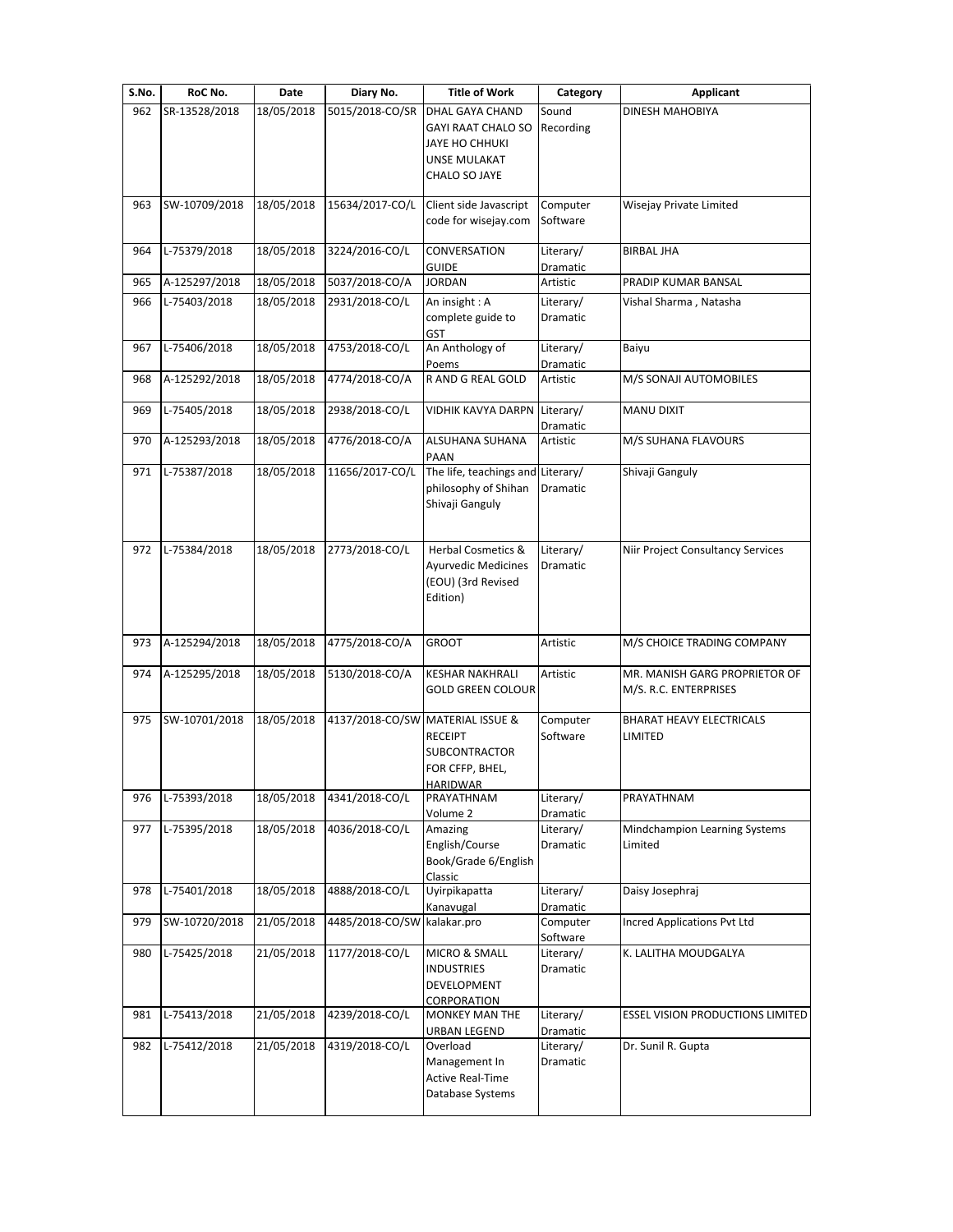| S.No. | RoC No.       | Date       | Diary No.                        | <b>Title of Work</b>                    | Category              | <b>Applicant</b>                        |
|-------|---------------|------------|----------------------------------|-----------------------------------------|-----------------------|-----------------------------------------|
| 962   | SR-13528/2018 | 18/05/2018 | 5015/2018-CO/SR                  | DHAL GAYA CHAND                         | Sound                 | <b>DINESH MAHOBIYA</b>                  |
|       |               |            |                                  | <b>GAYI RAAT CHALO SO</b>               | Recording             |                                         |
|       |               |            |                                  | JAYE HO CHHUKI<br>UNSE MULAKAT          |                       |                                         |
|       |               |            |                                  | CHALO SO JAYE                           |                       |                                         |
|       |               |            |                                  |                                         |                       |                                         |
| 963   | SW-10709/2018 | 18/05/2018 | 15634/2017-CO/L                  | Client side Javascript                  | Computer              | Wisejay Private Limited                 |
|       |               |            |                                  | code for wisejay.com                    | Software              |                                         |
| 964   | L-75379/2018  | 18/05/2018 | 3224/2016-CO/L                   | CONVERSATION                            | Literary/             | <b>BIRBAL JHA</b>                       |
|       |               |            |                                  | <b>GUIDE</b>                            | Dramatic              |                                         |
| 965   | A-125297/2018 | 18/05/2018 | 5037/2018-CO/A                   | <b>JORDAN</b>                           | Artistic              | PRADIP KUMAR BANSAL                     |
| 966   | L-75403/2018  | 18/05/2018 | 2931/2018-CO/L                   | An insight: A                           | Literary/             | Vishal Sharma, Natasha                  |
|       |               |            |                                  | complete guide to<br>GST                | Dramatic              |                                         |
| 967   | L-75406/2018  | 18/05/2018 | 4753/2018-CO/L                   | An Anthology of                         | Literary/             | Baiyu                                   |
|       |               |            |                                  | Poems                                   | Dramatic              |                                         |
| 968   | A-125292/2018 | 18/05/2018 | 4774/2018-CO/A                   | R AND G REAL GOLD                       | Artistic              | M/S SONAJI AUTOMOBILES                  |
| 969   | L-75405/2018  | 18/05/2018 | 2938/2018-CO/L                   | <b>VIDHIK KAVYA DARPN</b>               | Literary/             | MANU DIXIT                              |
|       |               |            |                                  |                                         | Dramatic              |                                         |
| 970   | A-125293/2018 | 18/05/2018 | 4776/2018-CO/A                   | <b>ALSUHANA SUHANA</b>                  | Artistic              | M/S SUHANA FLAVOURS                     |
|       |               |            |                                  | PAAN                                    |                       |                                         |
| 971   | L-75387/2018  | 18/05/2018 | 11656/2017-CO/L                  | The life, teachings and                 | Literary/             | Shivaji Ganguly                         |
|       |               |            |                                  | philosophy of Shihan<br>Shivaji Ganguly | Dramatic              |                                         |
|       |               |            |                                  |                                         |                       |                                         |
|       |               |            |                                  |                                         |                       |                                         |
| 972   | L-75384/2018  | 18/05/2018 | 2773/2018-CO/L                   | <b>Herbal Cosmetics &amp;</b>           | Literary/             | Niir Project Consultancy Services       |
|       |               |            |                                  | <b>Ayurvedic Medicines</b>              | Dramatic              |                                         |
|       |               |            |                                  | (EOU) (3rd Revised<br>Edition)          |                       |                                         |
|       |               |            |                                  |                                         |                       |                                         |
|       |               |            |                                  |                                         |                       |                                         |
| 973   | A-125294/2018 | 18/05/2018 | 4775/2018-CO/A                   | <b>GROOT</b>                            | Artistic              | M/S CHOICE TRADING COMPANY              |
| 974   | A-125295/2018 | 18/05/2018 | 5130/2018-CO/A                   | <b>KESHAR NAKHRALI</b>                  | Artistic              | MR. MANISH GARG PROPRIETOR OF           |
|       |               |            |                                  | <b>GOLD GREEN COLOUR</b>                |                       | M/S. R.C. ENTERPRISES                   |
|       |               |            |                                  |                                         |                       |                                         |
| 975   | SW-10701/2018 | 18/05/2018 | 4137/2018-CO/SW MATERIAL ISSUE & |                                         | Computer              | <b>BHARAT HEAVY ELECTRICALS</b>         |
|       |               |            |                                  | <b>RECEIPT</b><br>SUBCONTRACTOR         | Software              | LIMITED                                 |
|       |               |            |                                  | FOR CFFP, BHEL,                         |                       |                                         |
|       |               |            |                                  | HARIDWAR                                |                       |                                         |
| 976   | L-75393/2018  | 18/05/2018 | 4341/2018-CO/L                   | PRAYATHNAM                              | Literary/             | PRAYATHNAM                              |
| 977   | L-75395/2018  | 18/05/2018 | 4036/2018-CO/L                   | Volume 2<br>Amazing                     | Dramatic<br>Literary/ | Mindchampion Learning Systems           |
|       |               |            |                                  | English/Course                          | Dramatic              | Limited                                 |
|       |               |            |                                  | Book/Grade 6/English                    |                       |                                         |
|       |               |            |                                  | Classic                                 |                       |                                         |
| 978   | L-75401/2018  | 18/05/2018 | 4888/2018-CO/L                   | Uyirpikapatta                           | Literary/             | Daisy Josephraj                         |
| 979   | SW-10720/2018 | 21/05/2018 | 4485/2018-CO/SW kalakar.pro      | Kanavugal                               | Dramatic<br>Computer  | <b>Incred Applications Pvt Ltd</b>      |
|       |               |            |                                  |                                         | Software              |                                         |
| 980   | L-75425/2018  | 21/05/2018 | 1177/2018-CO/L                   | MICRO & SMALL                           | Literary/             | K. LALITHA MOUDGALYA                    |
|       |               |            |                                  | <b>INDUSTRIES</b>                       | Dramatic              |                                         |
|       |               |            |                                  | DEVELOPMENT                             |                       |                                         |
| 981   | L-75413/2018  | 21/05/2018 | 4239/2018-CO/L                   | CORPORATION<br>MONKEY MAN THE           | Literary/             | <b>ESSEL VISION PRODUCTIONS LIMITED</b> |
|       |               |            |                                  | URBAN LEGEND                            | Dramatic              |                                         |
| 982   | L-75412/2018  | 21/05/2018 | 4319/2018-CO/L                   | Overload                                | Literary/             | Dr. Sunil R. Gupta                      |
|       |               |            |                                  | Management In                           | Dramatic              |                                         |
|       |               |            |                                  | <b>Active Real-Time</b>                 |                       |                                         |
|       |               |            |                                  | Database Systems                        |                       |                                         |
|       |               |            |                                  |                                         |                       |                                         |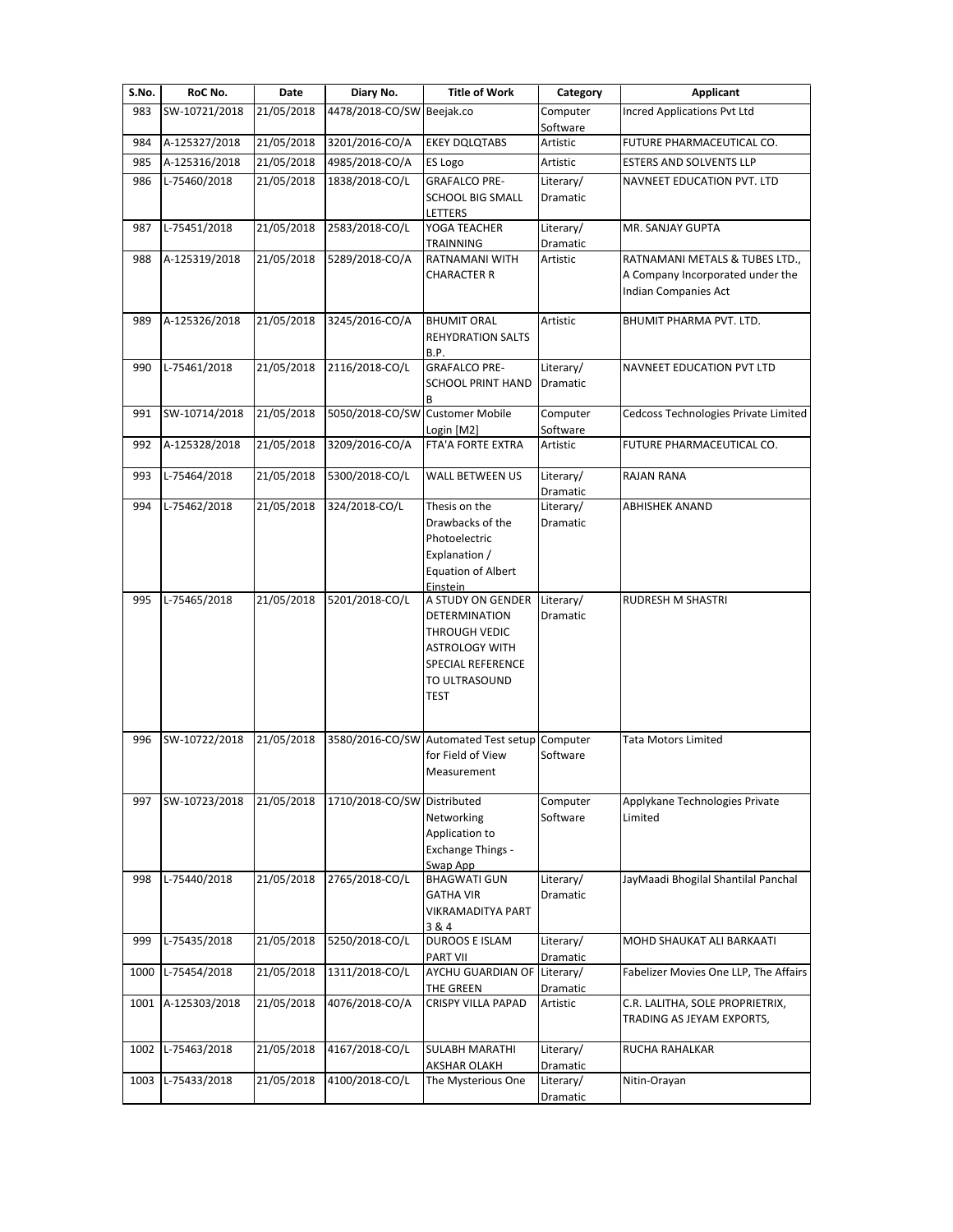| S.No. | RoC No.            | Date       | Diary No.                       | <b>Title of Work</b>                                                                                                | Category              | <b>Applicant</b>                                             |
|-------|--------------------|------------|---------------------------------|---------------------------------------------------------------------------------------------------------------------|-----------------------|--------------------------------------------------------------|
|       | SW-10721/2018      | 21/05/2018 |                                 |                                                                                                                     | Computer              | <b>Incred Applications Pvt Ltd</b>                           |
| 983   |                    |            | 4478/2018-CO/SW Beejak.co       |                                                                                                                     | Software              |                                                              |
| 984   | A-125327/2018      | 21/05/2018 | 3201/2016-CO/A                  | <b>EKEY DQLQTABS</b>                                                                                                | Artistic              | FUTURE PHARMACEUTICAL CO.                                    |
| 985   | A-125316/2018      | 21/05/2018 | 4985/2018-CO/A                  | ES Logo                                                                                                             | Artistic              | <b>ESTERS AND SOLVENTS LLP</b>                               |
| 986   | L-75460/2018       | 21/05/2018 | 1838/2018-CO/L                  | <b>GRAFALCO PRE-</b>                                                                                                | Literary/             | NAVNEET EDUCATION PVT. LTD                                   |
|       |                    |            |                                 | <b>SCHOOL BIG SMALL</b><br>LETTERS                                                                                  | Dramatic              |                                                              |
| 987   | L-75451/2018       | 21/05/2018 | 2583/2018-CO/L                  | YOGA TEACHER<br>TRAINNING                                                                                           | Literary/<br>Dramatic | MR. SANJAY GUPTA                                             |
| 988   | A-125319/2018      | 21/05/2018 | 5289/2018-CO/A                  | RATNAMANI WITH                                                                                                      | Artistic              | RATNAMANI METALS & TUBES LTD.,                               |
|       |                    |            |                                 | <b>CHARACTER R</b>                                                                                                  |                       | A Company Incorporated under the<br>Indian Companies Act     |
| 989   | A-125326/2018      | 21/05/2018 | 3245/2016-CO/A                  | <b>BHUMIT ORAL</b><br><b>REHYDRATION SALTS</b><br>B.P.                                                              | Artistic              | BHUMIT PHARMA PVT. LTD.                                      |
| 990   | L-75461/2018       | 21/05/2018 | 2116/2018-CO/L                  | <b>GRAFALCO PRE-</b>                                                                                                | Literary/             | NAVNEET EDUCATION PVT LTD                                    |
|       |                    |            |                                 | <b>SCHOOL PRINT HAND</b><br>B                                                                                       | Dramatic              |                                                              |
| 991   | SW-10714/2018      | 21/05/2018 | 5050/2018-CO/SW Customer Mobile |                                                                                                                     | Computer<br>Software  | Cedcoss Technologies Private Limited                         |
| 992   | A-125328/2018      | 21/05/2018 | 3209/2016-CO/A                  | Login [M2]<br>FTA'A FORTE EXTRA                                                                                     | Artistic              | FUTURE PHARMACEUTICAL CO.                                    |
| 993   | L-75464/2018       | 21/05/2018 | 5300/2018-CO/L                  | WALL BETWEEN US                                                                                                     | Literary/             | RAJAN RANA                                                   |
|       |                    | 21/05/2018 | 324/2018-CO/L                   | Thesis on the                                                                                                       | Dramatic              |                                                              |
| 994   | L-75462/2018       |            |                                 | Drawbacks of the<br>Photoelectric<br>Explanation /<br><b>Equation of Albert</b><br>Einstein                         | Literary/<br>Dramatic | ABHISHEK ANAND                                               |
| 995   | L-75465/2018       | 21/05/2018 | 5201/2018-CO/L                  | A STUDY ON GENDER                                                                                                   | Literary/             | RUDRESH M SHASTRI                                            |
|       |                    |            |                                 | DETERMINATION<br>THROUGH VEDIC<br><b>ASTROLOGY WITH</b><br><b>SPECIAL REFERENCE</b><br>TO ULTRASOUND<br><b>TEST</b> | Dramatic              |                                                              |
| 996   | SW-10722/2018      | 21/05/2018 |                                 | 3580/2016-CO/SW Automated Test setup<br>for Field of View<br>Measurement                                            | Computer<br>Software  | <b>Tata Motors Limited</b>                                   |
| 997   | SW-10723/2018      | 21/05/2018 | 1710/2018-CO/SW Distributed     | Networking<br>Application to<br><b>Exchange Things -</b><br>Swap App                                                | Computer<br>Software  | Applykane Technologies Private<br>Limited                    |
| 998   | L-75440/2018       | 21/05/2018 | 2765/2018-CO/L                  | <b>BHAGWATI GUN</b><br><b>GATHA VIR</b><br><b>VIKRAMADITYA PART</b><br>3&4                                          | Literary/<br>Dramatic | JayMaadi Bhogilal Shantilal Panchal                          |
| 999   | L-75435/2018       | 21/05/2018 | 5250/2018-CO/L                  | <b>DUROOS E ISLAM</b><br><b>PART VII</b>                                                                            | Literary/<br>Dramatic | MOHD SHAUKAT ALI BARKAATI                                    |
| 1000  | L-75454/2018       | 21/05/2018 | 1311/2018-CO/L                  | AYCHU GUARDIAN OF<br>THE GREEN                                                                                      | Literary/<br>Dramatic | Fabelizer Movies One LLP, The Affairs                        |
|       | 1001 A-125303/2018 | 21/05/2018 | 4076/2018-CO/A                  | <b>CRISPY VILLA PAPAD</b>                                                                                           | Artistic              | C.R. LALITHA, SOLE PROPRIETRIX,<br>TRADING AS JEYAM EXPORTS, |
| 1002  | L-75463/2018       | 21/05/2018 | 4167/2018-CO/L                  | <b>SULABH MARATHI</b><br><b>AKSHAR OLAKH</b>                                                                        | Literary/<br>Dramatic | RUCHA RAHALKAR                                               |
| 1003  | L-75433/2018       | 21/05/2018 | 4100/2018-CO/L                  | The Mysterious One                                                                                                  | Literary/<br>Dramatic | Nitin-Orayan                                                 |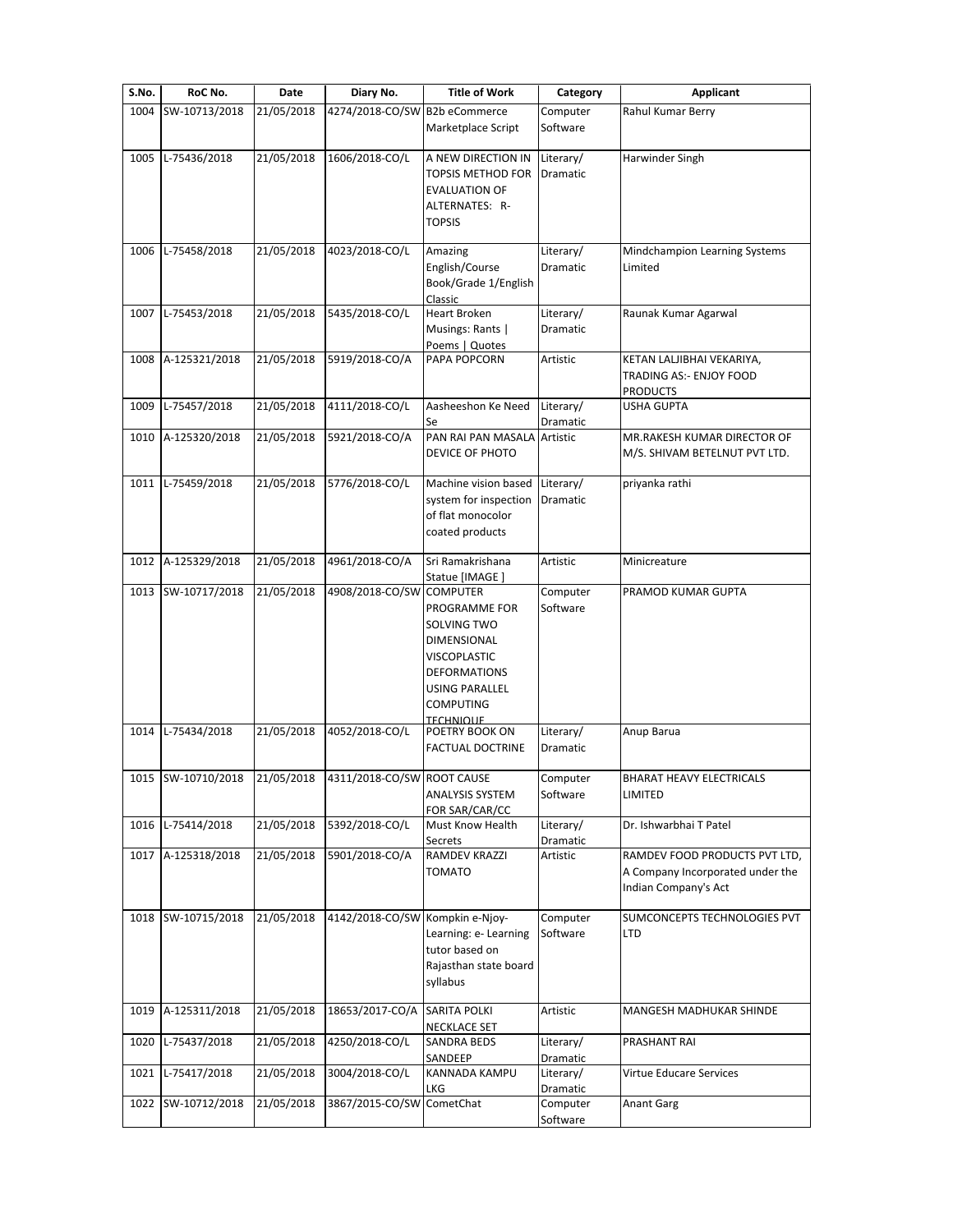| S.No. | RoC No.            | <b>Date</b> | Diary No.                       | <b>Title of Work</b>                                                                                                                                       | Category                     | Applicant                                                                                 |
|-------|--------------------|-------------|---------------------------------|------------------------------------------------------------------------------------------------------------------------------------------------------------|------------------------------|-------------------------------------------------------------------------------------------|
| 1004  | SW-10713/2018      | 21/05/2018  | 4274/2018-CO/SW B2b eCommerce   | Marketplace Script                                                                                                                                         | Computer<br>Software         | Rahul Kumar Berry                                                                         |
| 1005  | L-75436/2018       | 21/05/2018  | 1606/2018-CO/L                  | A NEW DIRECTION IN<br><b>TOPSIS METHOD FOR</b><br><b>EVALUATION OF</b><br>ALTERNATES: R-<br><b>TOPSIS</b>                                                  | Literary/<br>Dramatic        | Harwinder Singh                                                                           |
| 1006  | L-75458/2018       | 21/05/2018  | 4023/2018-CO/L                  | Amazing<br>English/Course<br>Book/Grade 1/English<br>Classic                                                                                               | Literary/<br>Dramatic        | Mindchampion Learning Systems<br>Limited                                                  |
| 1007  | L-75453/2018       | 21/05/2018  | 5435/2018-CO/L                  | Heart Broken<br>Musings: Rants  <br>Poems   Quotes                                                                                                         | Literary/<br>Dramatic        | Raunak Kumar Agarwal                                                                      |
| 1008  | A-125321/2018      | 21/05/2018  | 5919/2018-CO/A                  | PAPA POPCORN                                                                                                                                               | Artistic                     | KETAN LALJIBHAI VEKARIYA,<br><b>TRADING AS:- ENJOY FOOD</b><br><b>PRODUCTS</b>            |
| 1009  | L-75457/2018       | 21/05/2018  | 4111/2018-CO/L                  | Aasheeshon Ke Need<br>Se                                                                                                                                   | Literary/<br>Dramatic        | <b>USHA GUPTA</b>                                                                         |
| 1010  | A-125320/2018      | 21/05/2018  | 5921/2018-CO/A                  | PAN RAI PAN MASALA Artistic<br><b>DEVICE OF PHOTO</b>                                                                                                      |                              | MR.RAKESH KUMAR DIRECTOR OF<br>M/S. SHIVAM BETELNUT PVT LTD.                              |
| 1011  | L-75459/2018       | 21/05/2018  | 5776/2018-CO/L                  | Machine vision based<br>system for inspection<br>of flat monocolor<br>coated products                                                                      | Literary/<br>Dramatic        | priyanka rathi                                                                            |
| 1012  | A-125329/2018      | 21/05/2018  | 4961/2018-CO/A                  | Sri Ramakrishana<br>Statue [IMAGE ]                                                                                                                        | Artistic                     | Minicreature                                                                              |
| 1013  | SW-10717/2018      | 21/05/2018  | 4908/2018-CO/SW COMPUTER        | PROGRAMME FOR<br>SOLVING TWO<br>DIMENSIONAL<br><b>VISCOPLASTIC</b><br><b>DEFORMATIONS</b><br><b>USING PARALLEL</b><br><b>COMPUTING</b><br><b>TECHNIOUE</b> | Computer<br>Software         | PRAMOD KUMAR GUPTA                                                                        |
| 1014  | L-75434/2018       | 21/05/2018  | 4052/2018-CO/L                  | POETRY BOOK ON<br><b>FACTUAL DOCTRINE</b>                                                                                                                  | Literary/<br><b>Dramatic</b> | Anup Barua                                                                                |
|       | 1015 SW-10710/2018 | 21/05/2018  | 4311/2018-CO/SW ROOT CAUSE      | <b>ANALYSIS SYSTEM</b><br>FOR SAR/CAR/CC                                                                                                                   | Computer<br>Software         | BHARAT HEAVY ELECTRICALS<br>LIMITED                                                       |
| 1016  | L-75414/2018       | 21/05/2018  | 5392/2018-CO/L                  | Must Know Health<br>Secrets                                                                                                                                | Literary/<br>Dramatic        | Dr. Ishwarbhai T Patel                                                                    |
| 1017  | A-125318/2018      | 21/05/2018  | 5901/2018-CO/A                  | <b>RAMDEV KRAZZI</b><br><b>TOMATO</b>                                                                                                                      | Artistic                     | RAMDEV FOOD PRODUCTS PVT LTD,<br>A Company Incorporated under the<br>Indian Company's Act |
| 1018  | SW-10715/2018      | 21/05/2018  | 4142/2018-CO/SW Kompkin e-Njoy- | Learning: e- Learning<br>tutor based on<br>Rajasthan state board<br>syllabus                                                                               | Computer<br>Software         | SUMCONCEPTS TECHNOLOGIES PVT<br>LTD                                                       |
| 1019  | A-125311/2018      | 21/05/2018  | 18653/2017-CO/A                 | <b>SARITA POLKI</b><br><b>NECKLACE SET</b>                                                                                                                 | Artistic                     | MANGESH MADHUKAR SHINDE                                                                   |
| 1020  | L-75437/2018       | 21/05/2018  | 4250/2018-CO/L                  | <b>SANDRA BEDS</b><br>SANDEEP                                                                                                                              | Literary/<br>Dramatic        | PRASHANT RAI                                                                              |
| 1021  | L-75417/2018       | 21/05/2018  | 3004/2018-CO/L                  | KANNADA KAMPU<br>LKG                                                                                                                                       | Literary/<br>Dramatic        | Virtue Educare Services                                                                   |
| 1022  | SW-10712/2018      | 21/05/2018  | 3867/2015-CO/SW CometChat       |                                                                                                                                                            | Computer<br>Software         | <b>Anant Garg</b>                                                                         |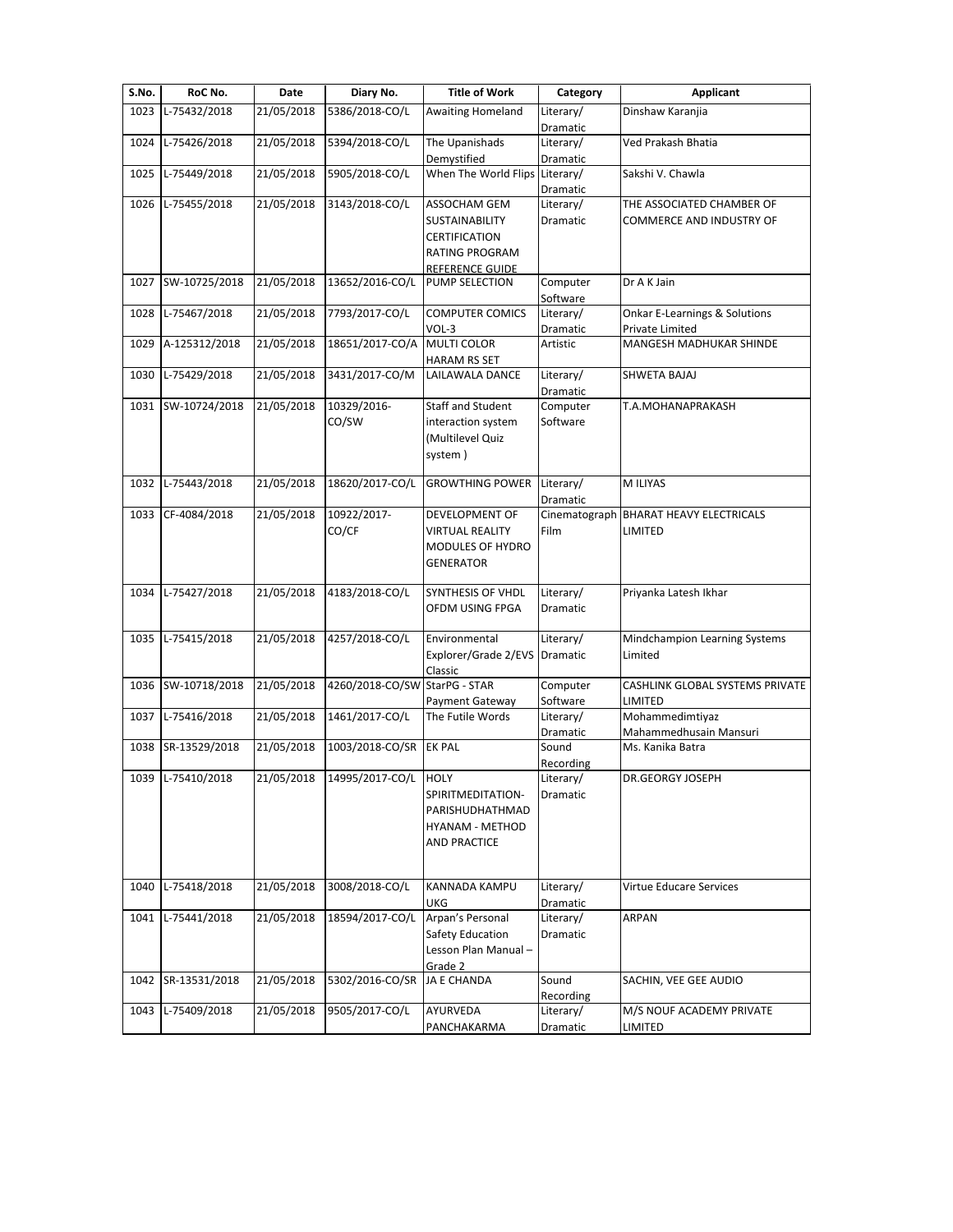| S.No. | RoC No.           | Date       | Diary No.                     | <b>Title of Work</b>               | Category               | <b>Applicant</b>                         |
|-------|-------------------|------------|-------------------------------|------------------------------------|------------------------|------------------------------------------|
| 1023  | L-75432/2018      | 21/05/2018 | 5386/2018-CO/L                | <b>Awaiting Homeland</b>           | Literary/<br>Dramatic  | Dinshaw Karanjia                         |
| 1024  | L-75426/2018      | 21/05/2018 | 5394/2018-CO/L                | The Upanishads                     | Literary/              | Ved Prakash Bhatia                       |
|       |                   |            |                               | Demystified                        | Dramatic               |                                          |
| 1025  | L-75449/2018      | 21/05/2018 | 5905/2018-CO/L                | When The World Flips               | Literary/              | Sakshi V. Chawla                         |
| 1026  | L-75455/2018      | 21/05/2018 | 3143/2018-CO/L                | ASSOCHAM GEM                       | Dramatic<br>Literary/  | THE ASSOCIATED CHAMBER OF                |
|       |                   |            |                               | SUSTAINABILITY                     | Dramatic               | COMMERCE AND INDUSTRY OF                 |
|       |                   |            |                               | <b>CERTIFICATION</b>               |                        |                                          |
|       |                   |            |                               | RATING PROGRAM                     |                        |                                          |
|       |                   |            |                               | REFERENCE GUIDE                    |                        |                                          |
| 1027  | SW-10725/2018     | 21/05/2018 | 13652/2016-CO/L               | PUMP SELECTION                     | Computer               | Dr A K Jain                              |
|       |                   |            |                               |                                    | Software               |                                          |
| 1028  | L-75467/2018      | 21/05/2018 | 7793/2017-CO/L                | <b>COMPUTER COMICS</b>             | Literary/              | <b>Onkar E-Learnings &amp; Solutions</b> |
|       |                   |            |                               | $VOL-3$                            | Dramatic               | Private Limited                          |
| 1029  | A-125312/2018     | 21/05/2018 | 18651/2017-CO/A               | <b>MULTI COLOR</b><br>HARAM RS SET | Artistic               | MANGESH MADHUKAR SHINDE                  |
| 1030  | L-75429/2018      | 21/05/2018 | 3431/2017-CO/M                | LAILAWALA DANCE                    | Literary/              | SHWETA BAJAJ                             |
|       |                   |            |                               |                                    | Dramatic               |                                          |
| 1031  | SW-10724/2018     | 21/05/2018 | 10329/2016-                   | <b>Staff and Student</b>           | Computer               | T.A.MOHANAPRAKASH                        |
|       |                   |            | CO/SW                         | interaction system                 | Software               |                                          |
|       |                   |            |                               | Multilevel Quiz)                   |                        |                                          |
|       |                   |            |                               | system)                            |                        |                                          |
| 1032  | L-75443/2018      | 21/05/2018 | 18620/2017-CO/L               | <b>GROWTHING POWER</b>             | Literary/              | M ILIYAS                                 |
|       |                   |            |                               |                                    | Dramatic               |                                          |
| 1033  | CF-4084/2018      | 21/05/2018 | 10922/2017-                   | DEVELOPMENT OF                     | Cinematograph          | <b>BHARAT HEAVY ELECTRICALS</b>          |
|       |                   |            | CO/CF                         | VIRTUAL REALITY                    | Film                   | LIMITED                                  |
|       |                   |            |                               | MODULES OF HYDRO                   |                        |                                          |
|       |                   |            |                               | <b>GENERATOR</b>                   |                        |                                          |
|       |                   |            |                               |                                    |                        |                                          |
| 1034  | L-75427/2018      | 21/05/2018 | 4183/2018-CO/L                | SYNTHESIS OF VHDL                  | Literary/              | Priyanka Latesh Ikhar                    |
|       |                   |            |                               | OFDM USING FPGA                    | Dramatic               |                                          |
| 1035  | L-75415/2018      | 21/05/2018 | 4257/2018-CO/L                | Environmental                      | Literary/              | Mindchampion Learning Systems            |
|       |                   |            |                               | Explorer/Grade 2/EVS               | Dramatic               | Limited                                  |
|       |                   |            |                               | Classic                            |                        |                                          |
| 1036  | SW-10718/2018     | 21/05/2018 | 4260/2018-CO/SW StarPG - STAR |                                    | Computer               | CASHLINK GLOBAL SYSTEMS PRIVATE          |
|       |                   |            |                               | Payment Gateway                    | Software               | LIMITED                                  |
| 1037  | L-75416/2018      | 21/05/2018 | 1461/2017-CO/L                | The Futile Words                   | Literary/              | Mohammedimtiyaz                          |
|       |                   |            |                               |                                    | Dramatic               | Mahammedhusain Mansuri                   |
| 1038  | SR-13529/2018     | 21/05/2018 | 1003/2018-CO/SR               | <b>EK PAL</b>                      | Sound                  | Ms. Kanika Batra                         |
|       | 1039 L-75410/2018 | 21/05/2018 | 14995/2017-CO/L HOLY          |                                    | Recording<br>Literary/ | DR.GEORGY JOSEPH                         |
|       |                   |            |                               | SPIRITMEDITATION-                  | Dramatic               |                                          |
|       |                   |            |                               | PARISHUDHATHMAD                    |                        |                                          |
|       |                   |            |                               | HYANAM - METHOD                    |                        |                                          |
|       |                   |            |                               | AND PRACTICE                       |                        |                                          |
|       |                   |            |                               |                                    |                        |                                          |
| 1040  | L-75418/2018      | 21/05/2018 | 3008/2018-CO/L                | KANNADA KAMPU                      | Literary/              | Virtue Educare Services                  |
|       |                   |            |                               | UKG                                | Dramatic               |                                          |
| 1041  | L-75441/2018      | 21/05/2018 | 18594/2017-CO/L               | Arpan's Personal                   | Literary/              | <b>ARPAN</b>                             |
|       |                   |            |                               | Safety Education                   | Dramatic               |                                          |
|       |                   |            |                               | Lesson Plan Manual-                |                        |                                          |
|       |                   |            |                               | Grade 2                            |                        |                                          |
| 1042  | SR-13531/2018     | 21/05/2018 | 5302/2016-CO/SR               | JA E CHANDA                        | Sound                  | SACHIN, VEE GEE AUDIO                    |
| 1043  | L-75409/2018      | 21/05/2018 | 9505/2017-CO/L                | AYURVEDA                           | Recording<br>Literary/ | M/S NOUF ACADEMY PRIVATE                 |
|       |                   |            |                               | PANCHAKARMA                        | Dramatic               | LIMITED                                  |
|       |                   |            |                               |                                    |                        |                                          |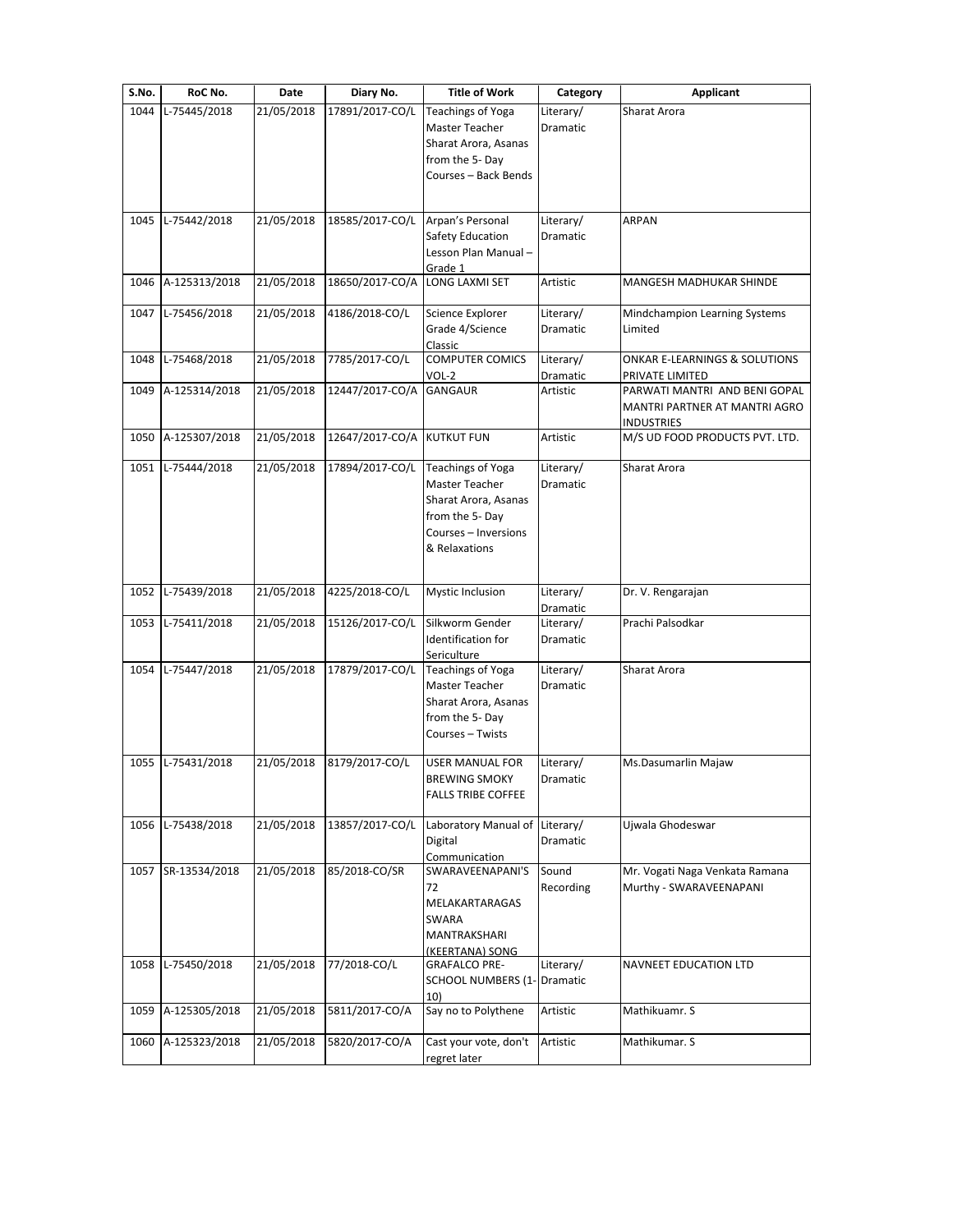| S.No. | RoC No.       | Date       | Diary No.       | <b>Title of Work</b>      | Category  | <b>Applicant</b>               |
|-------|---------------|------------|-----------------|---------------------------|-----------|--------------------------------|
| 1044  | L-75445/2018  | 21/05/2018 | 17891/2017-CO/L | Teachings of Yoga         | Literary/ | <b>Sharat Arora</b>            |
|       |               |            |                 | Master Teacher            | Dramatic  |                                |
|       |               |            |                 | Sharat Arora, Asanas      |           |                                |
|       |               |            |                 | from the 5-Day            |           |                                |
|       |               |            |                 | Courses – Back Bends      |           |                                |
|       |               |            |                 |                           |           |                                |
| 1045  | L-75442/2018  | 21/05/2018 | 18585/2017-CO/L | Arpan's Personal          | Literary/ | <b>ARPAN</b>                   |
|       |               |            |                 | Safety Education          | Dramatic  |                                |
|       |               |            |                 | Lesson Plan Manual -      |           |                                |
|       |               |            |                 | Grade 1                   |           |                                |
| 1046  | A-125313/2018 | 21/05/2018 | 18650/2017-CO/A | LONG LAXMI SET            | Artistic  | MANGESH MADHUKAR SHINDE        |
|       |               |            |                 |                           |           |                                |
| 1047  | L-75456/2018  | 21/05/2018 | 4186/2018-CO/L  | Science Explorer          | Literary/ | Mindchampion Learning Systems  |
|       |               |            |                 | Grade 4/Science           | Dramatic  | Limited                        |
|       |               |            |                 | Classic                   |           |                                |
| 1048  | L-75468/2018  | 21/05/2018 | 7785/2017-CO/L  | <b>COMPUTER COMICS</b>    | Literary/ | ONKAR E-LEARNINGS & SOLUTIONS  |
|       |               |            |                 | VOL-2                     | Dramatic  | PRIVATE LIMITED                |
| 1049  | A-125314/2018 | 21/05/2018 | 12447/2017-CO/A | <b>GANGAUR</b>            | Artistic  | PARWATI MANTRI AND BENI GOPAL  |
|       |               |            |                 |                           |           | MANTRI PARTNER AT MANTRI AGRO  |
|       |               |            |                 |                           |           | <b>INDUSTRIES</b>              |
| 1050  | A-125307/2018 | 21/05/2018 | 12647/2017-CO/A | <b>KUTKUT FUN</b>         | Artistic  | M/S UD FOOD PRODUCTS PVT. LTD. |
|       |               |            |                 |                           |           |                                |
| 1051  | L-75444/2018  | 21/05/2018 | 17894/2017-CO/L | <b>Teachings of Yoga</b>  | Literary/ | Sharat Arora                   |
|       |               |            |                 | Master Teacher            | Dramatic  |                                |
|       |               |            |                 | Sharat Arora, Asanas      |           |                                |
|       |               |            |                 | from the 5-Day            |           |                                |
|       |               |            |                 | Courses - Inversions      |           |                                |
|       |               |            |                 | & Relaxations             |           |                                |
|       |               |            |                 |                           |           |                                |
| 1052  | L-75439/2018  | 21/05/2018 | 4225/2018-CO/L  | Mystic Inclusion          | Literary/ | Dr. V. Rengarajan              |
|       |               |            |                 |                           | Dramatic  |                                |
| 1053  | L-75411/2018  | 21/05/2018 | 15126/2017-CO/L | Silkworm Gender           | Literary/ | Prachi Palsodkar               |
|       |               |            |                 | Identification for        | Dramatic  |                                |
|       |               |            |                 | Sericulture               |           |                                |
| 1054  | L-75447/2018  | 21/05/2018 | 17879/2017-CO/L | Teachings of Yoga         | Literary/ | Sharat Arora                   |
|       |               |            |                 | Master Teacher            | Dramatic  |                                |
|       |               |            |                 | Sharat Arora, Asanas      |           |                                |
|       |               |            |                 | from the 5-Day            |           |                                |
|       |               |            |                 | Courses - Twists          |           |                                |
|       |               |            |                 |                           |           |                                |
| 1055  | L-75431/2018  | 21/05/2018 | 8179/2017-CO/L  | USER MANUAL FOR           | Literary/ | Ms.Dasumarlin Majaw            |
|       |               |            |                 | <b>BREWING SMOKY</b>      | Dramatic  |                                |
|       |               |            |                 | <b>FALLS TRIBE COFFEE</b> |           |                                |
|       |               |            |                 |                           |           |                                |
| 1056  | L-75438/2018  | 21/05/2018 | 13857/2017-CO/L | Laboratory Manual of      | Literary/ | Ujwala Ghodeswar               |
|       |               |            |                 | Digital                   | Dramatic  |                                |
|       |               |            |                 | Communication             |           |                                |
| 1057  | SR-13534/2018 | 21/05/2018 | 85/2018-CO/SR   | SWARAVEENAPANI'S          | Sound     | Mr. Vogati Naga Venkata Ramana |
|       |               |            |                 | 72                        | Recording | Murthy - SWARAVEENAPANI        |
|       |               |            |                 | MELAKARTARAGAS            |           |                                |
|       |               |            |                 | SWARA                     |           |                                |
|       |               |            |                 | MANTRAKSHARI              |           |                                |
|       |               |            |                 | (KEERTANA) SONG           |           |                                |
| 1058  | L-75450/2018  | 21/05/2018 | 77/2018-CO/L    | <b>GRAFALCO PRE-</b>      | Literary/ | NAVNEET EDUCATION LTD          |
|       |               |            |                 | SCHOOL NUMBERS (1-        | Dramatic  |                                |
|       |               |            |                 | 10)                       |           |                                |
| 1059  | A-125305/2018 | 21/05/2018 | 5811/2017-CO/A  | Say no to Polythene       | Artistic  | Mathikuamr. S                  |
|       |               |            |                 |                           |           |                                |
| 1060  | A-125323/2018 | 21/05/2018 | 5820/2017-CO/A  | Cast your vote, don't     | Artistic  | Mathikumar. S                  |
|       |               |            |                 | regret later              |           |                                |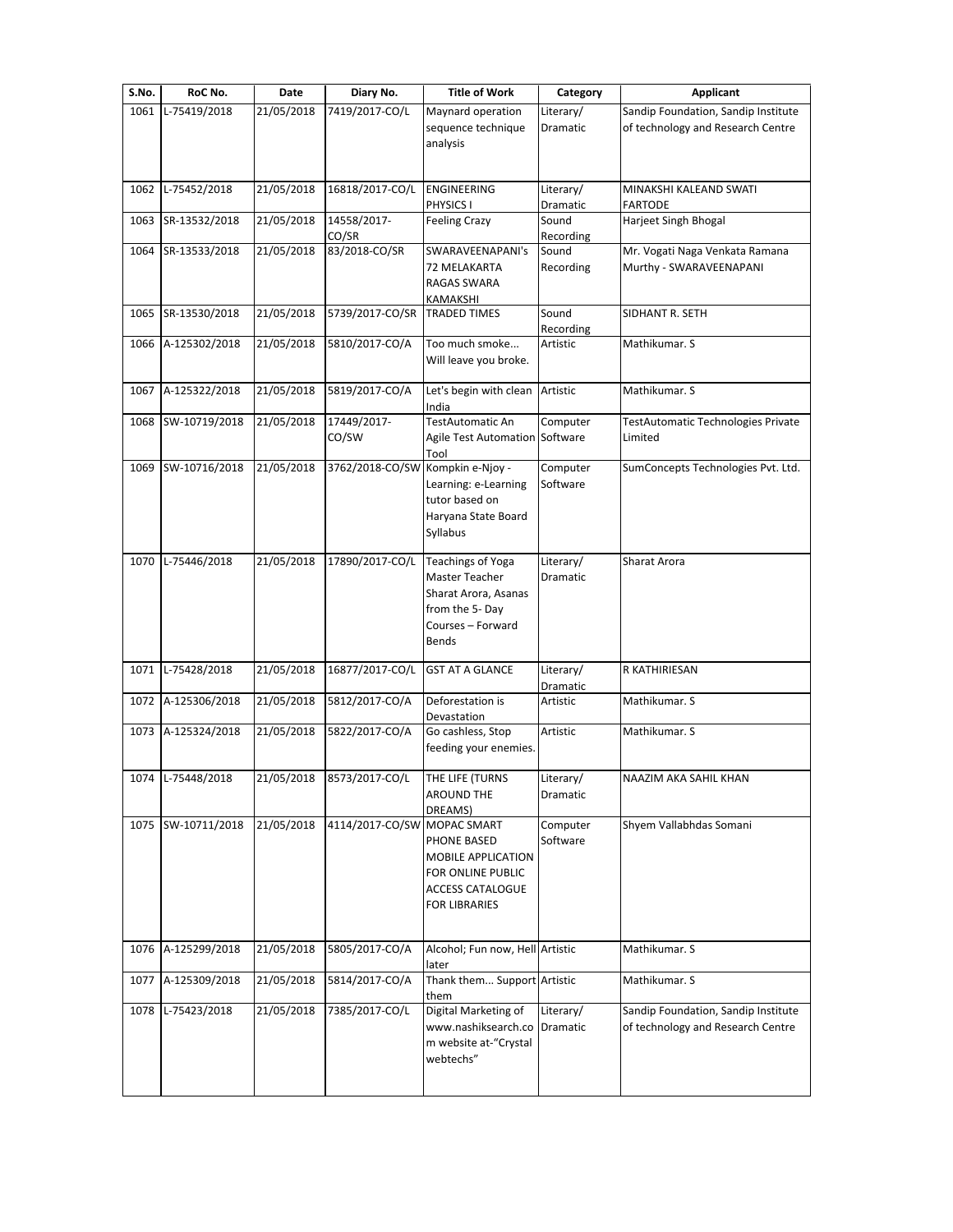| S.No. | RoC No.            | Date       | Diary No.       | <b>Title of Work</b>                                 | Category           | <b>Applicant</b>                                                         |
|-------|--------------------|------------|-----------------|------------------------------------------------------|--------------------|--------------------------------------------------------------------------|
| 1061  | L-75419/2018       | 21/05/2018 | 7419/2017-CO/L  | Maynard operation                                    | Literary/          | Sandip Foundation, Sandip Institute                                      |
|       |                    |            |                 | sequence technique<br>analysis                       | <b>Dramatic</b>    | of technology and Research Centre                                        |
|       |                    |            |                 |                                                      |                    |                                                                          |
| 1062  | L-75452/2018       | 21/05/2018 | 16818/2017-CO/L | ENGINEERING                                          | Literary/          | MINAKSHI KALEAND SWATI                                                   |
|       |                    |            |                 | PHYSICS I                                            | Dramatic           | <b>FARTODE</b>                                                           |
| 1063  | SR-13532/2018      | 21/05/2018 | 14558/2017-     | <b>Feeling Crazy</b>                                 | Sound              | Harjeet Singh Bhogal                                                     |
|       |                    |            | CO/SR           |                                                      | Recording          |                                                                          |
| 1064  | SR-13533/2018      | 21/05/2018 | 83/2018-CO/SR   | SWARAVEENAPANI's<br>72 MELAKARTA                     | Sound<br>Recording | Mr. Vogati Naga Venkata Ramana<br>Murthy - SWARAVEENAPANI                |
|       |                    |            |                 | RAGAS SWARA                                          |                    |                                                                          |
|       |                    |            |                 | KAMAKSHI                                             |                    |                                                                          |
| 1065  | SR-13530/2018      | 21/05/2018 | 5739/2017-CO/SR | <b>TRADED TIMES</b>                                  | Sound<br>Recording | SIDHANT R. SETH                                                          |
| 1066  | A-125302/2018      | 21/05/2018 | 5810/2017-CO/A  | Too much smoke                                       | Artistic           | Mathikumar. S                                                            |
|       |                    |            |                 | Will leave you broke.                                |                    |                                                                          |
|       |                    | 21/05/2018 | 5819/2017-CO/A  | Let's begin with clean                               |                    |                                                                          |
| 1067  | A-125322/2018      |            |                 | India                                                | Artistic           | Mathikumar. S                                                            |
| 1068  | SW-10719/2018      | 21/05/2018 | 17449/2017-     | <b>TestAutomatic An</b>                              | Computer           | TestAutomatic Technologies Private                                       |
|       |                    |            | CO/SW           | Agile Test Automation Software                       |                    | Limited                                                                  |
| 1069  | SW-10716/2018      | 21/05/2018 | 3762/2018-CO/SW | Tool<br>Kompkin e-Njoy -                             | Computer           | SumConcepts Technologies Pvt. Ltd.                                       |
|       |                    |            |                 | Learning: e-Learning                                 | Software           |                                                                          |
|       |                    |            |                 | tutor based on                                       |                    |                                                                          |
|       |                    |            |                 | Haryana State Board                                  |                    |                                                                          |
|       |                    |            |                 | Syllabus                                             |                    |                                                                          |
| 1070  | L-75446/2018       | 21/05/2018 | 17890/2017-CO/L | Teachings of Yoga                                    | Literary/          | Sharat Arora                                                             |
|       |                    |            |                 | Master Teacher                                       | Dramatic           |                                                                          |
|       |                    |            |                 | Sharat Arora, Asanas                                 |                    |                                                                          |
|       |                    |            |                 | from the 5-Day<br>Courses - Forward                  |                    |                                                                          |
|       |                    |            |                 | Bends                                                |                    |                                                                          |
|       | 1071 L-75428/2018  | 21/05/2018 | 16877/2017-CO/L | <b>GST AT A GLANCE</b>                               | Literary/          | R KATHIRIESAN                                                            |
|       |                    |            |                 |                                                      | Dramatic           |                                                                          |
| 1072  | A-125306/2018      | 21/05/2018 | 5812/2017-CO/A  | Deforestation is                                     | Artistic           | Mathikumar. S                                                            |
|       | 1073 A-125324/2018 | 21/05/2018 | 5822/2017-CO/A  | Devastation<br>Go cashless, Stop                     | Artistic           | Mathikumar. S                                                            |
|       |                    |            |                 | feeding your enemies.                                |                    |                                                                          |
|       |                    |            |                 |                                                      |                    |                                                                          |
|       | 1074 L-75448/2018  | 21/05/2018 | 8573/2017-CO/L  | THE LIFE (TURNS                                      | Literary/          | NAAZIM AKA SAHIL KHAN                                                    |
|       |                    |            |                 | <b>AROUND THE</b><br>DREAMS)                         | Dramatic           |                                                                          |
|       | 1075 SW-10711/2018 | 21/05/2018 | 4114/2017-CO/SW | MOPAC SMART                                          | Computer           | Shyem Vallabhdas Somani                                                  |
|       |                    |            |                 | PHONE BASED                                          | Software           |                                                                          |
|       |                    |            |                 | MOBILE APPLICATION                                   |                    |                                                                          |
|       |                    |            |                 | FOR ONLINE PUBLIC<br><b>ACCESS CATALOGUE</b>         |                    |                                                                          |
|       |                    |            |                 | <b>FOR LIBRARIES</b>                                 |                    |                                                                          |
|       |                    |            |                 |                                                      |                    |                                                                          |
| 1076  | A-125299/2018      | 21/05/2018 | 5805/2017-CO/A  | Alcohol; Fun now, Hell Artistic                      |                    | Mathikumar. S                                                            |
| 1077  | A-125309/2018      | 21/05/2018 | 5814/2017-CO/A  | later<br>Thank them Support Artistic                 |                    | Mathikumar. S                                                            |
|       |                    |            |                 | them                                                 |                    |                                                                          |
| 1078  | L-75423/2018       | 21/05/2018 | 7385/2017-CO/L  | Digital Marketing of<br>www.nashiksearch.co Dramatic | Literary/          | Sandip Foundation, Sandip Institute<br>of technology and Research Centre |
|       |                    |            |                 | m website at-"Crystal                                |                    |                                                                          |
|       |                    |            |                 | webtechs"                                            |                    |                                                                          |
|       |                    |            |                 |                                                      |                    |                                                                          |
|       |                    |            |                 |                                                      |                    |                                                                          |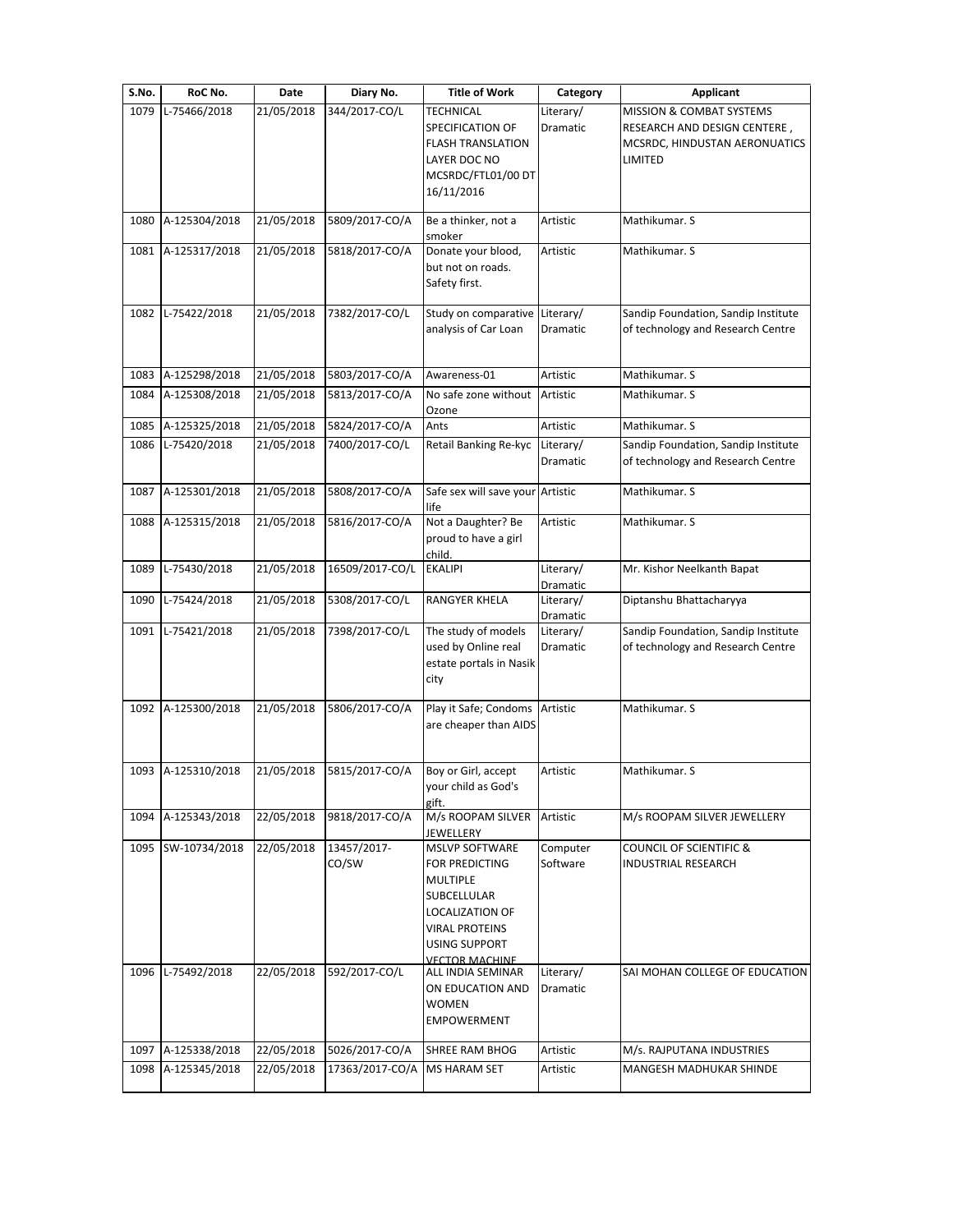| S.No. | RoC No.            | Date       | Diary No.                                     | <b>Title of Work</b>                                                                                                                                                   | Category                     | <b>Applicant</b>                                                                                     |
|-------|--------------------|------------|-----------------------------------------------|------------------------------------------------------------------------------------------------------------------------------------------------------------------------|------------------------------|------------------------------------------------------------------------------------------------------|
| 1079  | L-75466/2018       | 21/05/2018 | 344/2017-CO/L                                 | <b>TECHNICAL</b><br>SPECIFICATION OF<br><b>FLASH TRANSLATION</b><br>LAYER DOC NO<br>MCSRDC/FTL01/00 DT<br>16/11/2016                                                   | Literary/<br>Dramatic        | MISSION & COMBAT SYSTEMS<br>RESEARCH AND DESIGN CENTERE,<br>MCSRDC, HINDUSTAN AERONUATICS<br>LIMITED |
| 1080  | A-125304/2018      | 21/05/2018 | 5809/2017-CO/A                                | Be a thinker, not a<br>smoker                                                                                                                                          | Artistic                     | Mathikumar. S                                                                                        |
| 1081  | A-125317/2018      | 21/05/2018 | 5818/2017-CO/A                                | Donate your blood,<br>but not on roads.<br>Safety first.                                                                                                               | Artistic                     | Mathikumar. S                                                                                        |
| 1082  | L-75422/2018       | 21/05/2018 | 7382/2017-CO/L                                | Study on comparative<br>analysis of Car Loan                                                                                                                           | Literary/<br>Dramatic        | Sandip Foundation, Sandip Institute<br>of technology and Research Centre                             |
| 1083  | A-125298/2018      | 21/05/2018 | 5803/2017-CO/A                                | Awareness-01                                                                                                                                                           | Artistic                     | Mathikumar. S                                                                                        |
| 1084  | A-125308/2018      | 21/05/2018 | 5813/2017-CO/A                                | No safe zone without<br>Ozone                                                                                                                                          | Artistic                     | Mathikumar. S                                                                                        |
| 1085  | A-125325/2018      | 21/05/2018 | 5824/2017-CO/A                                | Ants                                                                                                                                                                   | Artistic                     | Mathikumar. S                                                                                        |
| 1086  | L-75420/2018       | 21/05/2018 | 7400/2017-CO/L                                | Retail Banking Re-kyc                                                                                                                                                  | Literary/<br><b>Dramatic</b> | Sandip Foundation, Sandip Institute<br>of technology and Research Centre                             |
| 1087  | A-125301/2018      | 21/05/2018 | 5808/2017-CO/A                                | Safe sex will save your Artistic<br>life                                                                                                                               |                              | Mathikumar. S                                                                                        |
| 1088  | A-125315/2018      | 21/05/2018 | 5816/2017-CO/A                                | Not a Daughter? Be<br>proud to have a girl<br>child.                                                                                                                   | Artistic                     | Mathikumar. S                                                                                        |
| 1089  | L-75430/2018       | 21/05/2018 | 16509/2017-CO/L                               | <b>EKALIPI</b>                                                                                                                                                         | Literary/<br>Dramatic        | Mr. Kishor Neelkanth Bapat                                                                           |
| 1090  | L-75424/2018       | 21/05/2018 | 5308/2017-CO/L                                | RANGYER KHELA                                                                                                                                                          | Literary/<br>Dramatic        | Diptanshu Bhattacharyya                                                                              |
| 1091  | L-75421/2018       | 21/05/2018 | 7398/2017-CO/L                                | The study of models<br>used by Online real<br>estate portals in Nasik<br>city                                                                                          | Literary/<br>Dramatic        | Sandip Foundation, Sandip Institute<br>of technology and Research Centre                             |
|       | 1092 A-125300/2018 | 21/05/2018 | 5806/2017-CO/A                                | Play it Safe; Condoms<br>are cheaper than AIDS                                                                                                                         | Artistic                     | Mathikumar. S                                                                                        |
|       | 1093 A-125310/2018 |            | 21/05/2018 5815/2017-CO/A Boy or Girl, accept | your child as God's<br>gift.                                                                                                                                           | Artistic                     | Mathikumar. S                                                                                        |
|       | 1094 A-125343/2018 | 22/05/2018 | 9818/2017-CO/A                                | M/s ROOPAM SILVER<br>JEWELLERY                                                                                                                                         | Artistic                     | M/s ROOPAM SILVER JEWELLERY                                                                          |
| 1095  | SW-10734/2018      | 22/05/2018 | 13457/2017-<br>CO/SW                          | <b>MSLVP SOFTWARE</b><br><b>FOR PREDICTING</b><br>MULTIPLE<br>SUBCELLULAR<br>LOCALIZATION OF<br><b>VIRAL PROTEINS</b><br><b>USING SUPPORT</b><br><b>VECTOR MACHINE</b> | Computer<br>Software         | <b>COUNCIL OF SCIENTIFIC &amp;</b><br><b>INDUSTRIAL RESEARCH</b>                                     |
| 1096  | L-75492/2018       | 22/05/2018 | 592/2017-CO/L                                 | ALL INDIA SEMINAR<br>ON EDUCATION AND<br><b>WOMEN</b><br><b>EMPOWERMENT</b>                                                                                            | Literary/<br>Dramatic        | SAI MOHAN COLLEGE OF EDUCATION                                                                       |
|       |                    | 22/05/2018 | 5026/2017-CO/A                                | <b>SHREE RAM BHOG</b>                                                                                                                                                  | Artistic                     | M/s. RAJPUTANA INDUSTRIES                                                                            |
|       | 1097 A-125338/2018 |            |                                               |                                                                                                                                                                        |                              |                                                                                                      |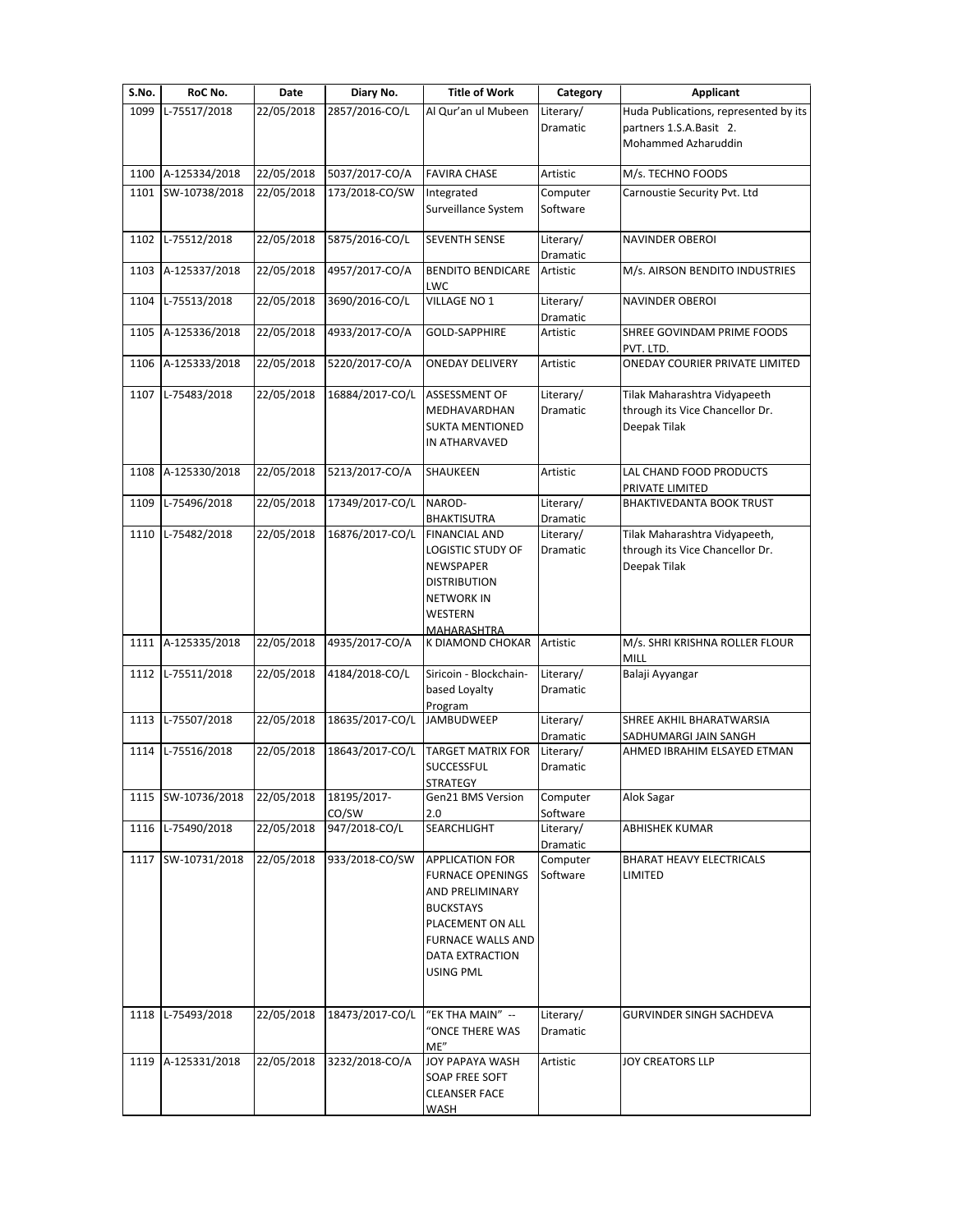| S.No. | RoC No.            | Date       | Diary No.            | <b>Title of Work</b>                                                                                                                                                            | Category                          | <b>Applicant</b>                                                                        |
|-------|--------------------|------------|----------------------|---------------------------------------------------------------------------------------------------------------------------------------------------------------------------------|-----------------------------------|-----------------------------------------------------------------------------------------|
| 1099  | L-75517/2018       | 22/05/2018 | 2857/2016-CO/L       | Al Qur'an ul Mubeen                                                                                                                                                             | Literary/<br>Dramatic             | Huda Publications, represented by its<br>partners 1.S.A.Basit 2.<br>Mohammed Azharuddin |
| 1100  | A-125334/2018      | 22/05/2018 | 5037/2017-CO/A       | <b>FAVIRA CHASE</b>                                                                                                                                                             | Artistic                          | M/s. TECHNO FOODS                                                                       |
|       | 1101 SW-10738/2018 | 22/05/2018 | 173/2018-CO/SW       | Integrated<br>Surveillance System                                                                                                                                               | Computer<br>Software              | Carnoustie Security Pvt. Ltd                                                            |
|       | 1102 L-75512/2018  | 22/05/2018 | 5875/2016-CO/L       | <b>SEVENTH SENSE</b>                                                                                                                                                            | Literary/<br>Dramatic             | <b>NAVINDER OBEROI</b>                                                                  |
| 1103  | A-125337/2018      | 22/05/2018 | 4957/2017-CO/A       | <b>BENDITO BENDICARE</b><br>LWC                                                                                                                                                 | Artistic                          | M/s. AIRSON BENDITO INDUSTRIES                                                          |
| 1104  | L-75513/2018       | 22/05/2018 | 3690/2016-CO/L       | VILLAGE NO 1                                                                                                                                                                    | Literary/<br>Dramatic             | <b>NAVINDER OBEROI</b>                                                                  |
| 1105  | A-125336/2018      | 22/05/2018 | 4933/2017-CO/A       | GOLD-SAPPHIRE                                                                                                                                                                   | Artistic                          | SHREE GOVINDAM PRIME FOODS<br>PVT. LTD.                                                 |
| 1106  | A-125333/2018      | 22/05/2018 | 5220/2017-CO/A       | <b>ONEDAY DELIVERY</b>                                                                                                                                                          | Artistic                          | ONEDAY COURIER PRIVATE LIMITED                                                          |
| 1107  | L-75483/2018       | 22/05/2018 | 16884/2017-CO/L      | ASSESSMENT OF<br>MEDHAVARDHAN<br><b>SUKTA MENTIONED</b><br>IN ATHARVAVED                                                                                                        | Literary/<br>Dramatic             | Tilak Maharashtra Vidyapeeth<br>through its Vice Chancellor Dr.<br>Deepak Tilak         |
| 1108  | A-125330/2018      | 22/05/2018 | 5213/2017-CO/A       | SHAUKEEN                                                                                                                                                                        | Artistic                          | LAL CHAND FOOD PRODUCTS<br>PRIVATE LIMITED                                              |
| 1109  | L-75496/2018       | 22/05/2018 | 17349/2017-CO/L      | NAROD-                                                                                                                                                                          | Literary/                         | BHAKTIVEDANTA BOOK TRUST                                                                |
| 1110  | L-75482/2018       | 22/05/2018 | 16876/2017-CO/L      | BHAKTISUTRA<br><b>FINANCIAL AND</b><br>LOGISTIC STUDY OF<br>NEWSPAPER<br><b>DISTRIBUTION</b><br><b>NETWORK IN</b><br>WESTERN                                                    | Dramatic<br>Literary/<br>Dramatic | Tilak Maharashtra Vidyapeeth,<br>through its Vice Chancellor Dr.<br>Deepak Tilak        |
| 1111  | A-125335/2018      | 22/05/2018 | 4935/2017-CO/A       | <b>MAHARASHTRA</b><br>K DIAMOND CHOKAR                                                                                                                                          | Artistic                          | M/s. SHRI KRISHNA ROLLER FLOUR<br>MILL                                                  |
| 1112  | L-75511/2018       | 22/05/2018 | 4184/2018-CO/L       | Siricoin - Blockchain-<br>based Loyalty<br>Program                                                                                                                              | Literary/<br>Dramatic             | Balaji Ayyangar                                                                         |
| 1113  | L-75507/2018       | 22/05/2018 | 18635/2017-CO/L      | <b>JAMBUDWEEP</b>                                                                                                                                                               | Literary/                         | SHREE AKHIL BHARATWARSIA                                                                |
| 1114  | L-75516/2018       | 22/05/2018 | 18643/2017-CO/L      | <b>TARGET MATRIX FOR</b><br><b>SUCCESSFUL</b>                                                                                                                                   | Dramatic<br>Literary/<br>Dramatic | SADHUMARGI JAIN SANGH<br>AHMED IBRAHIM ELSAYED ETMAN                                    |
|       | 1115 SW-10736/2018 | 22/05/2018 | 18195/2017-<br>CO/SW | <b>STRATEGY</b><br>Gen21 BMS Version<br>2.0                                                                                                                                     | Computer<br>Software              | Alok Sagar                                                                              |
|       | 1116 L-75490/2018  | 22/05/2018 | 947/2018-CO/L        | <b>SEARCHLIGHT</b>                                                                                                                                                              | Literary/<br>Dramatic             | ABHISHEK KUMAR                                                                          |
|       | 1117 SW-10731/2018 | 22/05/2018 | 933/2018-CO/SW       | <b>APPLICATION FOR</b><br><b>FURNACE OPENINGS</b><br>AND PRELIMINARY<br><b>BUCKSTAYS</b><br>PLACEMENT ON ALL<br><b>FURNACE WALLS AND</b><br>DATA EXTRACTION<br><b>USING PML</b> | Computer<br>Software              | BHARAT HEAVY ELECTRICALS<br>LIMITED                                                     |
|       | 1118 L-75493/2018  | 22/05/2018 | 18473/2017-CO/L      | "EK THA MAIN" --<br>"ONCE THERE WAS<br>ME"                                                                                                                                      | Literary/<br>Dramatic             | GURVINDER SINGH SACHDEVA                                                                |
|       | 1119 A-125331/2018 | 22/05/2018 | 3232/2018-CO/A       | JOY PAPAYA WASH<br>SOAP FREE SOFT<br><b>CLEANSER FACE</b><br>WASH                                                                                                               | Artistic                          | <b>JOY CREATORS LLP</b>                                                                 |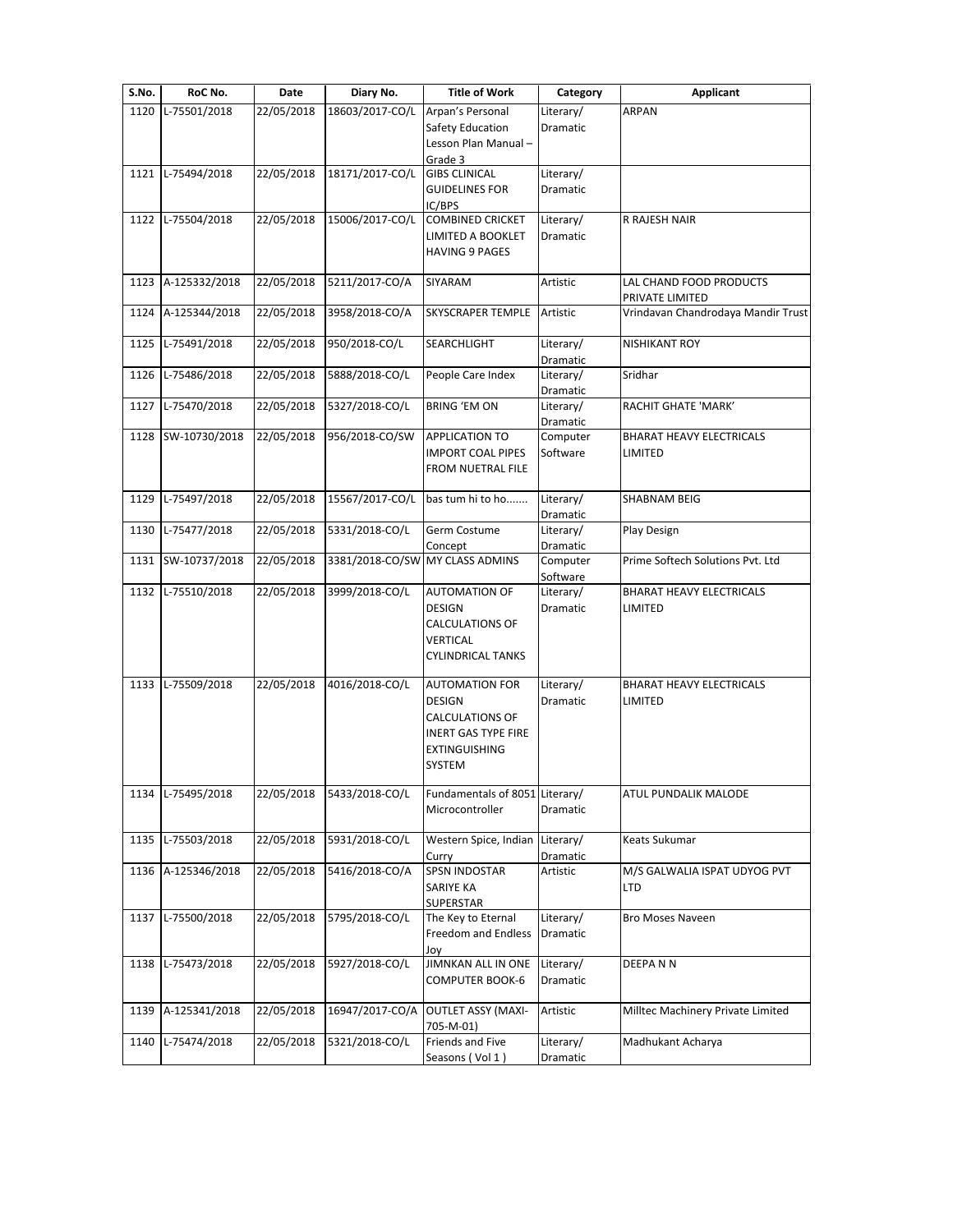| S.No. | RoC No.           | Date       | Diary No.       | <b>Title of Work</b>            | Category  | <b>Applicant</b>                   |
|-------|-------------------|------------|-----------------|---------------------------------|-----------|------------------------------------|
| 1120  | L-75501/2018      | 22/05/2018 | 18603/2017-CO/L | Arpan's Personal                | Literary/ | ARPAN                              |
|       |                   |            |                 | Safety Education                | Dramatic  |                                    |
|       |                   |            |                 | Lesson Plan Manual-             |           |                                    |
|       | 1121 L-75494/2018 | 22/05/2018 | 18171/2017-CO/L | Grade 3<br><b>GIBS CLINICAL</b> | Literary/ |                                    |
|       |                   |            |                 | <b>GUIDELINES FOR</b>           | Dramatic  |                                    |
|       |                   |            |                 | IC/BPS                          |           |                                    |
| 1122  | L-75504/2018      | 22/05/2018 | 15006/2017-CO/L | <b>COMBINED CRICKET</b>         | Literary/ | R RAJESH NAIR                      |
|       |                   |            |                 | <b>LIMITED A BOOKLET</b>        | Dramatic  |                                    |
|       |                   |            |                 | <b>HAVING 9 PAGES</b>           |           |                                    |
|       |                   |            |                 |                                 |           |                                    |
| 1123  | A-125332/2018     | 22/05/2018 | 5211/2017-CO/A  | SIYARAM                         | Artistic  | LAL CHAND FOOD PRODUCTS            |
|       |                   |            |                 |                                 |           | PRIVATE LIMITED                    |
| 1124  | A-125344/2018     | 22/05/2018 | 3958/2018-CO/A  | <b>SKYSCRAPER TEMPLE</b>        | Artistic  | Vrindavan Chandrodaya Mandir Trust |
| 1125  | L-75491/2018      | 22/05/2018 | 950/2018-CO/L   | SEARCHLIGHT                     | Literary/ | NISHIKANT ROY                      |
|       |                   |            |                 |                                 | Dramatic  |                                    |
| 1126  | L-75486/2018      | 22/05/2018 | 5888/2018-CO/L  | People Care Index               | Literary/ | Sridhar                            |
|       |                   |            |                 |                                 | Dramatic  |                                    |
| 1127  | L-75470/2018      | 22/05/2018 | 5327/2018-CO/L  | <b>BRING 'EM ON</b>             | Literary/ | RACHIT GHATE 'MARK'                |
|       |                   |            |                 |                                 | Dramatic  |                                    |
| 1128  | SW-10730/2018     | 22/05/2018 | 956/2018-CO/SW  | <b>APPLICATION TO</b>           | Computer  | <b>BHARAT HEAVY ELECTRICALS</b>    |
|       |                   |            |                 | <b>IMPORT COAL PIPES</b>        | Software  | LIMITED                            |
|       |                   |            |                 | <b>FROM NUETRAL FILE</b>        |           |                                    |
|       |                   | 22/05/2018 |                 |                                 | Literary/ | <b>SHABNAM BEIG</b>                |
| 1129  | L-75497/2018      |            | 15567/2017-CO/L | bas tum hi to ho                | Dramatic  |                                    |
| 1130  | L-75477/2018      | 22/05/2018 | 5331/2018-CO/L  | Germ Costume                    | Literary/ | Play Design                        |
|       |                   |            |                 | Concept                         | Dramatic  |                                    |
| 1131  | SW-10737/2018     | 22/05/2018 |                 | 3381/2018-CO/SW MY CLASS ADMINS | Computer  | Prime Softech Solutions Pvt. Ltd   |
|       |                   |            |                 |                                 | Software  |                                    |
| 1132  | L-75510/2018      | 22/05/2018 | 3999/2018-CO/L  | <b>AUTOMATION OF</b>            | Literary/ | BHARAT HEAVY ELECTRICALS           |
|       |                   |            |                 | DESIGN                          | Dramatic  | LIMITED                            |
|       |                   |            |                 | <b>CALCULATIONS OF</b>          |           |                                    |
|       |                   |            |                 | <b>VERTICAL</b>                 |           |                                    |
|       |                   |            |                 | <b>CYLINDRICAL TANKS</b>        |           |                                    |
| 1133  | L-75509/2018      | 22/05/2018 | 4016/2018-CO/L  | <b>AUTOMATION FOR</b>           | Literary/ | <b>BHARAT HEAVY ELECTRICALS</b>    |
|       |                   |            |                 | <b>DESIGN</b>                   | Dramatic  | <b>LIMITED</b>                     |
|       |                   |            |                 | CALCULATIONS OF                 |           |                                    |
|       |                   |            |                 | <b>INERT GAS TYPE FIRE</b>      |           |                                    |
|       |                   |            |                 | <b>EXTINGUISHING</b>            |           |                                    |
|       |                   |            |                 | SYSTEM                          |           |                                    |
|       |                   |            |                 |                                 |           |                                    |
|       | 1134 L-75495/2018 | 22/05/2018 | 5433/2018-CO/L  | Fundamentals of 8051 Literary/  |           | ATUL PUNDALIK MALODE               |
|       |                   |            |                 | Microcontroller                 | Dramatic  |                                    |
| 1135  | L-75503/2018      | 22/05/2018 | 5931/2018-CO/L  | Western Spice, Indian           | Literary/ | Keats Sukumar                      |
|       |                   |            |                 | Curry                           | Dramatic  |                                    |
| 1136  | A-125346/2018     | 22/05/2018 | 5416/2018-CO/A  | <b>SPSN INDOSTAR</b>            | Artistic  | M/S GALWALIA ISPAT UDYOG PVT       |
|       |                   |            |                 | SARIYE KA                       |           | LTD                                |
|       |                   |            |                 | SUPERSTAR                       |           |                                    |
| 1137  | L-75500/2018      | 22/05/2018 | 5795/2018-CO/L  | The Key to Eternal              | Literary/ | Bro Moses Naveen                   |
|       |                   |            |                 | Freedom and Endless             | Dramatic  |                                    |
|       |                   |            |                 | Joy                             |           |                                    |
| 1138  | L-75473/2018      | 22/05/2018 | 5927/2018-CO/L  | JIMNKAN ALL IN ONE              | Literary/ | DEEPANN                            |
|       |                   |            |                 | <b>COMPUTER BOOK-6</b>          | Dramatic  |                                    |
| 1139  | A-125341/2018     | 22/05/2018 | 16947/2017-CO/A | <b>OUTLET ASSY (MAXI-</b>       | Artistic  | Milltec Machinery Private Limited  |
|       |                   |            |                 |                                 |           |                                    |
|       |                   |            |                 |                                 |           |                                    |
| 1140  | L-75474/2018      | 22/05/2018 | 5321/2018-CO/L  | 705-M-01)<br>Friends and Five   | Literary/ | Madhukant Acharya                  |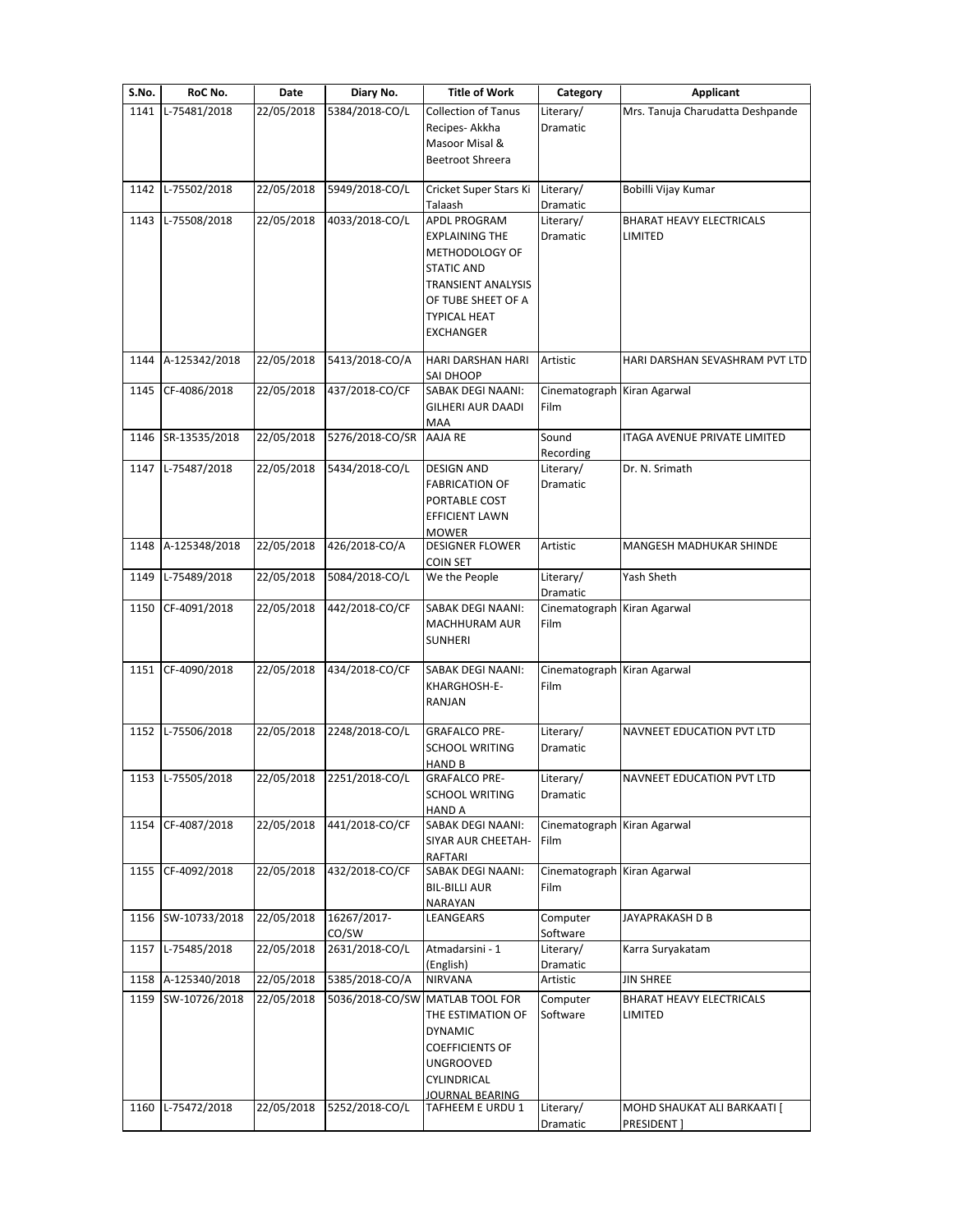| S.No. | RoC No.            | Date       | Diary No.                 | <b>Title of Work</b>                                                                                                                                         | Category                            | <b>Applicant</b>                           |
|-------|--------------------|------------|---------------------------|--------------------------------------------------------------------------------------------------------------------------------------------------------------|-------------------------------------|--------------------------------------------|
| 1141  | L-75481/2018       | 22/05/2018 | 5384/2018-CO/L            | <b>Collection of Tanus</b><br>Recipes-Akkha<br>Masoor Misal &<br>Beetroot Shreera                                                                            | Literary/<br>Dramatic               | Mrs. Tanuja Charudatta Deshpande           |
| 1142  | L-75502/2018       | 22/05/2018 | 5949/2018-CO/L            | Cricket Super Stars Ki<br>Talaash                                                                                                                            | Literary/<br>Dramatic               | Bobilli Vijay Kumar                        |
| 1143  | L-75508/2018       | 22/05/2018 | 4033/2018-CO/L            | APDL PROGRAM<br><b>EXPLAINING THE</b><br>METHODOLOGY OF<br><b>STATIC AND</b><br>TRANSIENT ANALYSIS<br>OF TUBE SHEET OF A<br>TYPICAL HEAT<br><b>EXCHANGER</b> | Literary/<br>Dramatic               | <b>BHARAT HEAVY ELECTRICALS</b><br>LIMITED |
|       | 1144 A-125342/2018 | 22/05/2018 | 5413/2018-CO/A            | HARI DARSHAN HARI<br>SAI DHOOP                                                                                                                               | Artistic                            | HARI DARSHAN SEVASHRAM PVT LTD             |
| 1145  | CF-4086/2018       | 22/05/2018 | 437/2018-CO/CF            | SABAK DEGI NAANI:<br>GILHERI AUR DAADI<br>MAA                                                                                                                | Cinematograph Kiran Agarwal<br>Film |                                            |
|       | 1146 SR-13535/2018 | 22/05/2018 | 5276/2018-CO/SR           | AAJA RE                                                                                                                                                      | Sound<br>Recording                  | <b>ITAGA AVENUE PRIVATE LIMITED</b>        |
|       | 1147 L-75487/2018  | 22/05/2018 | 5434/2018-CO/L            | <b>DESIGN AND</b><br><b>FABRICATION OF</b><br>PORTABLE COST<br><b>EFFICIENT LAWN</b><br>MOWER                                                                | Literary/<br>Dramatic               | Dr. N. Srimath                             |
|       | 1148 A-125348/2018 | 22/05/2018 | 426/2018-CO/A             | <b>DESIGNER FLOWER</b><br><b>COIN SET</b>                                                                                                                    | Artistic                            | MANGESH MADHUKAR SHINDE                    |
| 1149  | L-75489/2018       | 22/05/2018 | 5084/2018-CO/L            | We the People                                                                                                                                                | Literary/<br>Dramatic               | Yash Sheth                                 |
|       | 1150 CF-4091/2018  | 22/05/2018 | 442/2018-CO/CF            | SABAK DEGI NAANI:<br>MACHHURAM AUR<br><b>SUNHERI</b>                                                                                                         | Cinematograph<br>Film               | Kiran Agarwal                              |
|       | 1151 CF-4090/2018  | 22/05/2018 | 434/2018-CO/CF            | SABAK DEGI NAANI:<br>KHARGHOSH-E-<br>RANJAN                                                                                                                  | Cinematograph Kiran Agarwal<br>Film |                                            |
|       | 1152 L-75506/2018  | 22/05/2018 | 2248/2018-CO/L            | <b>GRAFALCO PRE-</b><br><b>SCHOOL WRITING</b><br>HAND B                                                                                                      | Literary/<br>Dramatic               | NAVNEET EDUCATION PVT LTD                  |
|       | 1153 L-75505/2018  |            | 22/05/2018 2251/2018-CO/L | <b>GRAFALCO PRE-</b><br><b>SCHOOL WRITING</b><br><b>HAND A</b>                                                                                               | Literary/<br>Dramatic               | NAVNEET EDUCATION PVT LTD                  |
|       | 1154 CF-4087/2018  | 22/05/2018 | 441/2018-CO/CF            | SABAK DEGI NAANI:<br>SIYAR AUR CHEETAH-<br>RAFTARI                                                                                                           | Cinematograph<br>Film               | Kiran Agarwal                              |
|       | 1155 CF-4092/2018  | 22/05/2018 | 432/2018-CO/CF            | SABAK DEGI NAANI:<br><b>BIL-BILLI AUR</b><br>NARAYAN                                                                                                         | Cinematograph Kiran Agarwal<br>Film |                                            |
|       | 1156 SW-10733/2018 | 22/05/2018 | 16267/2017-<br>CO/SW      | LEANGEARS                                                                                                                                                    | Computer<br>Software                | JAYAPRAKASH D B                            |
|       | 1157 L-75485/2018  | 22/05/2018 | 2631/2018-CO/L            | Atmadarsini - 1<br>(English)                                                                                                                                 | Literary/<br>Dramatic               | Karra Suryakatam                           |
|       | 1158 A-125340/2018 | 22/05/2018 | 5385/2018-CO/A            | <b>NIRVANA</b>                                                                                                                                               | Artistic                            | <b>JIN SHREE</b>                           |
|       | 1159 SW-10726/2018 | 22/05/2018 | 5036/2018-CO/SW           | MATLAB TOOL FOR<br>THE ESTIMATION OF<br><b>DYNAMIC</b><br>COEFFICIENTS OF<br>UNGROOVED<br>CYLINDRICAL                                                        | Computer<br>Software                | BHARAT HEAVY ELECTRICALS<br>LIMITED        |
| 1160  | L-75472/2018       | 22/05/2018 | 5252/2018-CO/L            | <u>JOURNAL BEARING</u><br>TAFHEEM E URDU 1                                                                                                                   | Literary/                           | MOHD SHAUKAT ALI BARKAATI [                |
|       |                    |            |                           |                                                                                                                                                              | Dramatic                            | PRESIDENT]                                 |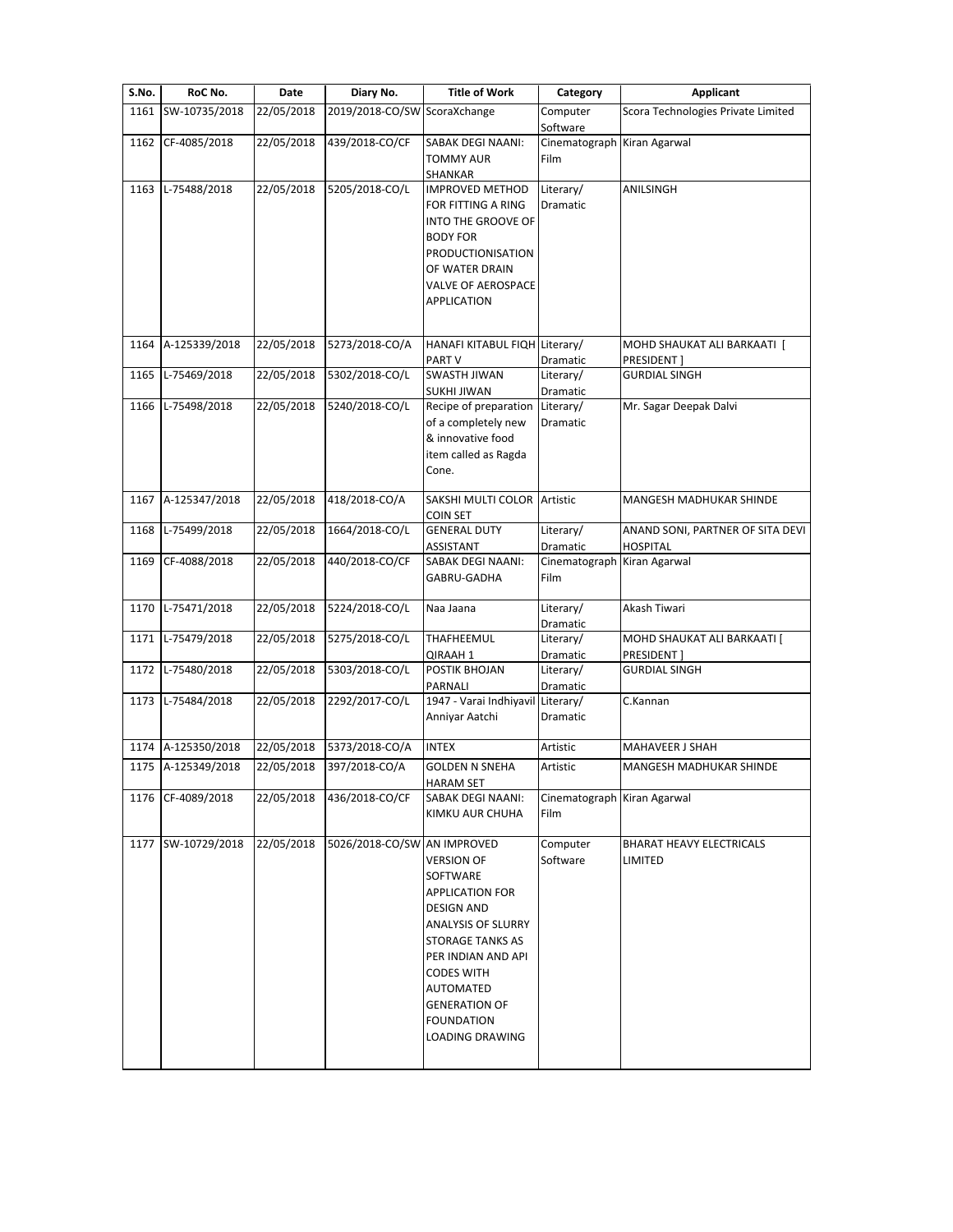| S.No. | RoC No.            | Date       | Diary No.                    | <b>Title of Work</b>                                                                                                                                                                                                                                  | Category                                        | Applicant                                           |
|-------|--------------------|------------|------------------------------|-------------------------------------------------------------------------------------------------------------------------------------------------------------------------------------------------------------------------------------------------------|-------------------------------------------------|-----------------------------------------------------|
| 1161  | SW-10735/2018      | 22/05/2018 | 2019/2018-CO/SW ScoraXchange |                                                                                                                                                                                                                                                       | Computer                                        | Scora Technologies Private Limited                  |
| 1162  | CF-4085/2018       | 22/05/2018 | 439/2018-CO/CF               | SABAK DEGI NAANI:<br><b>TOMMY AUR</b><br>SHANKAR                                                                                                                                                                                                      | Software<br>Cinematograph Kiran Agarwal<br>Film |                                                     |
| 1163  | L-75488/2018       | 22/05/2018 | 5205/2018-CO/L               | <b>IMPROVED METHOD</b><br>FOR FITTING A RING<br>INTO THE GROOVE OF<br><b>BODY FOR</b><br>PRODUCTIONISATION<br>OF WATER DRAIN<br><b>VALVE OF AEROSPACE</b><br>APPLICATION                                                                              | Literary/<br>Dramatic                           | ANILSINGH                                           |
| 1164  | A-125339/2018      | 22/05/2018 | 5273/2018-CO/A               | HANAFI KITABUL FIQH Literary/<br>PART V                                                                                                                                                                                                               | Dramatic                                        | MOHD SHAUKAT ALI BARKAATI [<br>PRESIDENT]           |
| 1165  | L-75469/2018       | 22/05/2018 | 5302/2018-CO/L               | <b>SWASTH JIWAN</b><br><b>SUKHI JIWAN</b>                                                                                                                                                                                                             | Literary/<br>Dramatic                           | <b>GURDIAL SINGH</b>                                |
| 1166  | L-75498/2018       | 22/05/2018 | 5240/2018-CO/L               | Recipe of preparation<br>of a completely new<br>& innovative food<br>item called as Ragda<br>Cone.                                                                                                                                                    | Literary/<br>Dramatic                           | Mr. Sagar Deepak Dalvi                              |
| 1167  | A-125347/2018      | 22/05/2018 | 418/2018-CO/A                | SAKSHI MULTI COLOR Artistic<br><b>COIN SET</b>                                                                                                                                                                                                        |                                                 | <b>MANGESH MADHUKAR SHINDE</b>                      |
| 1168  | L-75499/2018       | 22/05/2018 | 1664/2018-CO/L               | <b>GENERAL DUTY</b><br>ASSISTANT                                                                                                                                                                                                                      | Literary/<br>Dramatic                           | ANAND SONI, PARTNER OF SITA DEVI<br><b>HOSPITAL</b> |
| 1169  | CF-4088/2018       | 22/05/2018 | 440/2018-CO/CF               | <b>SABAK DEGI NAANI:</b><br>GABRU-GADHA                                                                                                                                                                                                               | Cinematograph Kiran Agarwal<br>Film             |                                                     |
| 1170  | L-75471/2018       | 22/05/2018 | 5224/2018-CO/L               | Naa Jaana                                                                                                                                                                                                                                             | Literary/<br>Dramatic                           | Akash Tiwari                                        |
| 1171  | L-75479/2018       | 22/05/2018 | 5275/2018-CO/L               | THAFHEEMUL<br>QIRAAH 1                                                                                                                                                                                                                                | Literary/<br>Dramatic                           | MOHD SHAUKAT ALI BARKAATI [<br>PRESIDENT]           |
| 1172  | L-75480/2018       | 22/05/2018 | 5303/2018-CO/L               | POSTIK BHOJAN<br>PARNALI                                                                                                                                                                                                                              | Literary/<br>Dramatic                           | <b>GURDIAL SINGH</b>                                |
| 1173  | L-75484/2018       | 22/05/2018 | 2292/2017-CO/L               | 1947 - Varai Indhiyavil Literary/<br>Anniyar Aatchi                                                                                                                                                                                                   | <b>Dramatic</b>                                 | C.Kannan                                            |
|       | 1174 A-125350/2018 |            | 22/05/2018 5373/2018-CO/A    | <b>INTEX</b>                                                                                                                                                                                                                                          | Artistic                                        | MAHAVEER J SHAH                                     |
|       | 1175 A-125349/2018 |            | 22/05/2018 397/2018-CO/A     | <b>GOLDEN N SNEHA</b><br><b>HARAM SET</b>                                                                                                                                                                                                             | Artistic                                        | MANGESH MADHUKAR SHINDE                             |
|       | 1176 CF-4089/2018  | 22/05/2018 | 436/2018-CO/CF               | SABAK DEGI NAANI:<br>KIMKU AUR CHUHA                                                                                                                                                                                                                  | Cinematograph Kiran Agarwal<br>Film             |                                                     |
| 1177  | SW-10729/2018      | 22/05/2018 | 5026/2018-CO/SW AN IMPROVED  | <b>VERSION OF</b><br>SOFTWARE<br><b>APPLICATION FOR</b><br><b>DESIGN AND</b><br><b>ANALYSIS OF SLURRY</b><br>STORAGE TANKS AS<br>PER INDIAN AND API<br><b>CODES WITH</b><br>AUTOMATED<br><b>GENERATION OF</b><br><b>FOUNDATION</b><br>LOADING DRAWING | Computer<br>Software                            | BHARAT HEAVY ELECTRICALS<br>LIMITED                 |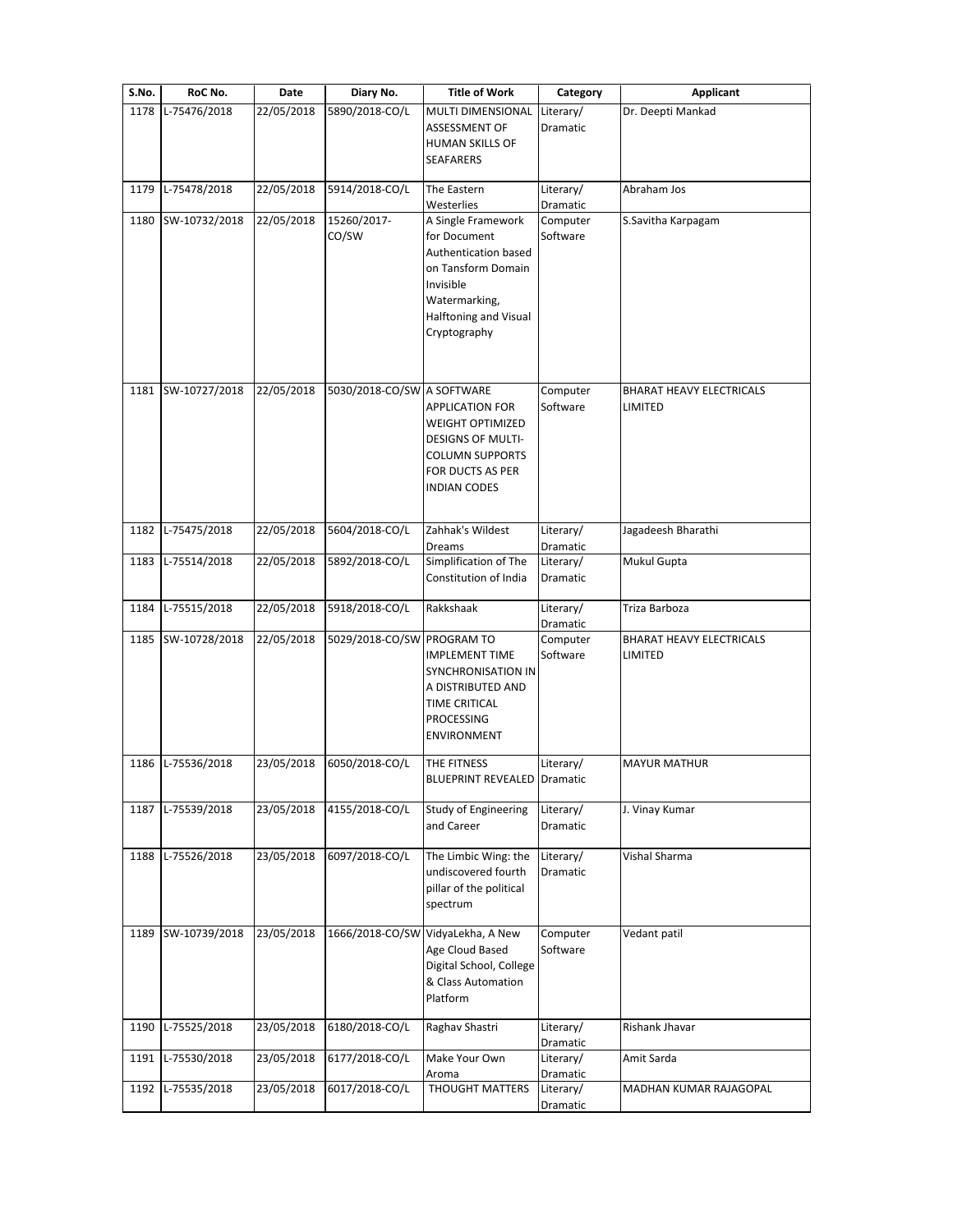| S.No. | RoC No.           | Date       | Diary No.                  | <b>Title of Work</b>                                                                                                                                           | Category              | Applicant                                         |
|-------|-------------------|------------|----------------------------|----------------------------------------------------------------------------------------------------------------------------------------------------------------|-----------------------|---------------------------------------------------|
| 1178  | L-75476/2018      | 22/05/2018 | 5890/2018-CO/L             | <b>MULTI DIMENSIONAL</b><br>ASSESSMENT OF                                                                                                                      | Literary/<br>Dramatic | Dr. Deepti Mankad                                 |
|       |                   |            |                            | HUMAN SKILLS OF<br><b>SEAFARERS</b>                                                                                                                            |                       |                                                   |
| 1179  | L-75478/2018      | 22/05/2018 | 5914/2018-CO/L             | The Eastern<br>Westerlies                                                                                                                                      | Literary/<br>Dramatic | Abraham Jos                                       |
| 1180  | SW-10732/2018     | 22/05/2018 | 15260/2017-<br>CO/SW       | A Single Framework<br>for Document<br>Authentication based<br>on Tansform Domain<br>Invisible<br>Watermarking,<br><b>Halftoning and Visual</b><br>Cryptography | Computer<br>Software  | S.Savitha Karpagam                                |
| 1181  | SW-10727/2018     | 22/05/2018 | 5030/2018-CO/SW A SOFTWARE | <b>APPLICATION FOR</b><br><b>WEIGHT OPTIMIZED</b><br><b>DESIGNS OF MULTI-</b><br><b>COLUMN SUPPORTS</b><br>FOR DUCTS AS PER<br><b>INDIAN CODES</b>             | Computer<br>Software  | <b>BHARAT HEAVY ELECTRICALS</b><br><b>LIMITED</b> |
| 1182  | L-75475/2018      | 22/05/2018 | 5604/2018-CO/L             | Zahhak's Wildest<br>Dreams                                                                                                                                     | Literary/<br>Dramatic | Jagadeesh Bharathi                                |
| 1183  | L-75514/2018      | 22/05/2018 | 5892/2018-CO/L             | Simplification of The<br>Constitution of India                                                                                                                 | Literary/<br>Dramatic | Mukul Gupta                                       |
| 1184  | L-75515/2018      | 22/05/2018 | 5918/2018-CO/L             | Rakkshaak                                                                                                                                                      | Literary/<br>Dramatic | Triza Barboza                                     |
| 1185  | SW-10728/2018     | 22/05/2018 | 5029/2018-CO/SW PROGRAM TO | <b>IMPLEMENT TIME</b><br><b>SYNCHRONISATION IN</b><br>A DISTRIBUTED AND<br>TIME CRITICAL<br>PROCESSING<br>ENVIRONMENT                                          | Computer<br>Software  | <b>BHARAT HEAVY ELECTRICALS</b><br>LIMITED        |
|       | 1186 L-75536/2018 |            | 23/05/2018 6050/2018-CO/L  | THE FITNESS<br><b>BLUEPRINT REVEALED Dramatic</b>                                                                                                              | Literary/             | <b>MAYUR MATHUR</b>                               |
| 1187  | L-75539/2018      | 23/05/2018 | 4155/2018-CO/L             | Study of Engineering<br>and Career                                                                                                                             | Literary/<br>Dramatic | J. Vinay Kumar                                    |
| 1188  | L-75526/2018      | 23/05/2018 | 6097/2018-CO/L             | The Limbic Wing: the<br>undiscovered fourth<br>pillar of the political<br>spectrum                                                                             | Literary/<br>Dramatic | Vishal Sharma                                     |
| 1189  | SW-10739/2018     | 23/05/2018 | 1666/2018-CO/SW            | VidyaLekha, A New<br>Age Cloud Based<br>Digital School, College<br>& Class Automation<br>Platform                                                              | Computer<br>Software  | Vedant patil                                      |
| 1190  | L-75525/2018      | 23/05/2018 | 6180/2018-CO/L             | Raghav Shastri                                                                                                                                                 | Literary/<br>Dramatic | Rishank Jhavar                                    |
| 1191  | L-75530/2018      | 23/05/2018 | 6177/2018-CO/L             | Make Your Own<br>Aroma                                                                                                                                         | Literary/<br>Dramatic | Amit Sarda                                        |
|       | 1192 L-75535/2018 | 23/05/2018 | 6017/2018-CO/L             | <b>THOUGHT MATTERS</b>                                                                                                                                         | Literary/<br>Dramatic | MADHAN KUMAR RAJAGOPAL                            |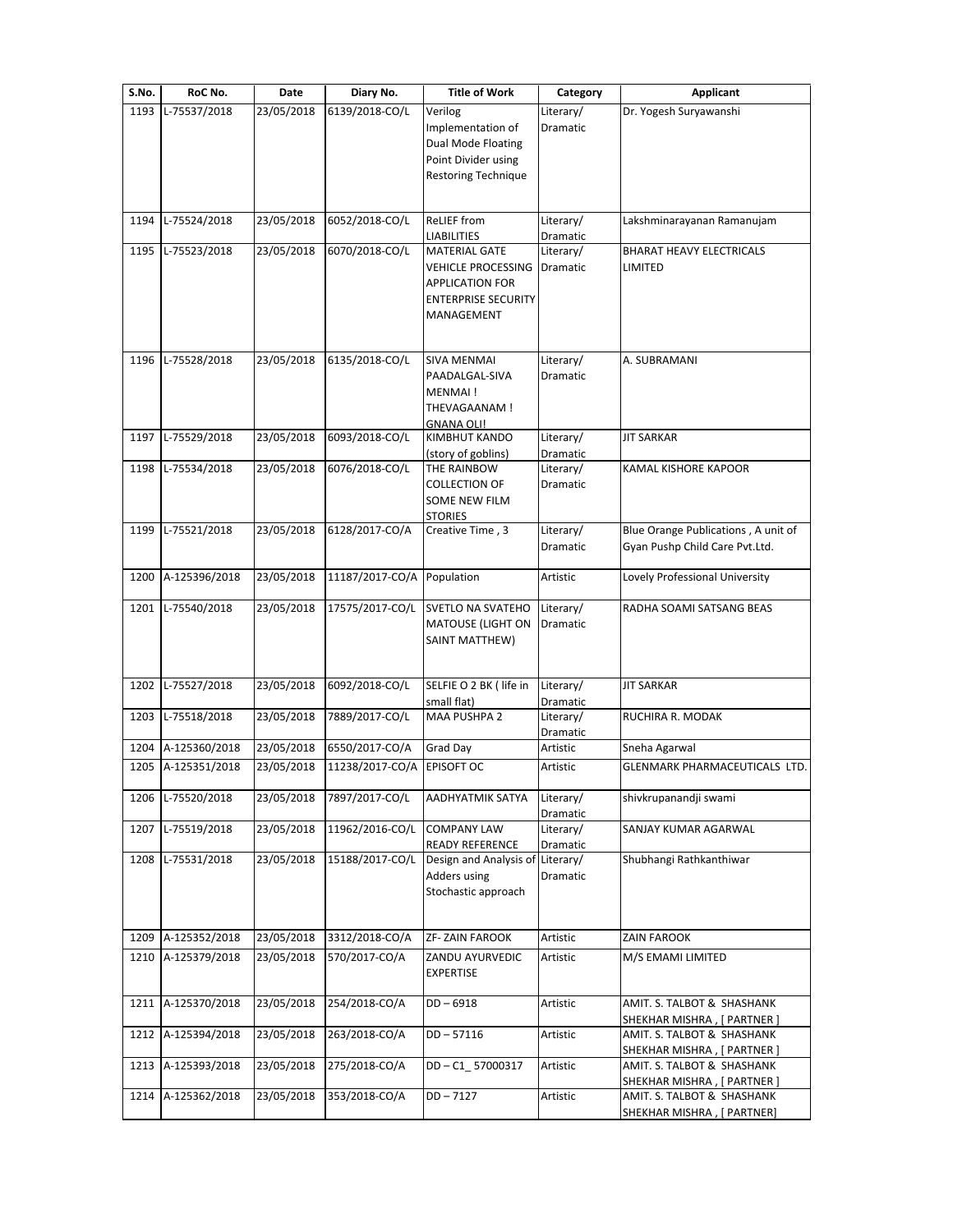| S.No. | RoC No.            | Date       | Diary No.                  | <b>Title of Work</b>                                                                                                    | Category                     | Applicant                                                             |
|-------|--------------------|------------|----------------------------|-------------------------------------------------------------------------------------------------------------------------|------------------------------|-----------------------------------------------------------------------|
| 1193  | L-75537/2018       | 23/05/2018 | 6139/2018-CO/L             | Verilog<br>Implementation of<br>Dual Mode Floating<br>Point Divider using<br>Restoring Technique                        | Literary/<br><b>Dramatic</b> | Dr. Yogesh Suryawanshi                                                |
| 1194  | L-75524/2018       | 23/05/2018 | 6052/2018-CO/L             | <b>ReLIEF</b> from<br><b>LIABILITIES</b>                                                                                | Literary/<br>Dramatic        | Lakshminarayanan Ramanujam                                            |
| 1195  | L-75523/2018       | 23/05/2018 | 6070/2018-CO/L             | <b>MATERIAL GATE</b><br><b>VEHICLE PROCESSING</b><br><b>APPLICATION FOR</b><br><b>ENTERPRISE SECURITY</b><br>MANAGEMENT | Literary/<br>Dramatic        | <b>BHARAT HEAVY ELECTRICALS</b><br>LIMITED                            |
| 1196  | L-75528/2018       | 23/05/2018 | 6135/2018-CO/L             | <b>SIVA MENMAI</b><br>PAADALGAL-SIVA<br>MENMAI!<br>THEVAGAANAM !<br><b>GNANA OLI!</b>                                   | Literary/<br>Dramatic        | A. SUBRAMANI                                                          |
| 1197  | L-75529/2018       | 23/05/2018 | 6093/2018-CO/L             | <b>KIMBHUT KANDO</b><br>(story of goblins)                                                                              | Literary/<br>Dramatic        | <b>JIT SARKAR</b>                                                     |
| 1198  | L-75534/2018       | 23/05/2018 | 6076/2018-CO/L             | THE RAINBOW<br><b>COLLECTION OF</b><br><b>SOME NEW FILM</b><br><b>STORIES</b>                                           | Literary/<br>Dramatic        | KAMAL KISHORE KAPOOR                                                  |
| 1199  | L-75521/2018       | 23/05/2018 | 6128/2017-CO/A             | Creative Time, 3                                                                                                        | Literary/<br>Dramatic        | Blue Orange Publications, A unit of<br>Gyan Pushp Child Care Pvt.Ltd. |
| 1200  | A-125396/2018      | 23/05/2018 | 11187/2017-CO/A            | Population                                                                                                              | Artistic                     | Lovely Professional University                                        |
| 1201  | L-75540/2018       | 23/05/2018 | 17575/2017-CO/L            | <b>SVETLO NA SVATEHO</b><br><b>MATOUSE (LIGHT ON</b><br>SAINT MATTHEW)                                                  | Literary/<br>Dramatic        | RADHA SOAMI SATSANG BEAS                                              |
| 1202  | L-75527/2018       | 23/05/2018 | 6092/2018-CO/L             | SELFIE O 2 BK ( life in<br>small flat)                                                                                  | Literary/<br>Dramatic        | <b>JIT SARKAR</b>                                                     |
| 1203  | L-75518/2018       | 23/05/2018 | 7889/2017-CO/L             | <b>MAA PUSHPA 2</b>                                                                                                     | Literary/<br>Dramatic        | RUCHIRA R. MODAK                                                      |
|       | 1204 A-125360/2018 | 23/05/2018 | 6550/2017-CO/A             | Grad Day                                                                                                                | Artistic                     | Sneha Agarwal                                                         |
|       | 1205 A-125351/2018 | 23/05/2018 | 11238/2017-CO/A EPISOFT OC |                                                                                                                         | Artistic                     | GLENMARK PHARMACEUTICALS LTD.                                         |
| 1206  | L-75520/2018       | 23/05/2018 | 7897/2017-CO/L             | AADHYATMIK SATYA                                                                                                        | Literary/<br>Dramatic        | shivkrupanandji swami                                                 |
| 1207  | L-75519/2018       | 23/05/2018 | 11962/2016-CO/L            | <b>COMPANY LAW</b><br><b>READY REFERENCE</b>                                                                            | Literary/<br>Dramatic        | SANJAY KUMAR AGARWAL                                                  |
| 1208  | L-75531/2018       | 23/05/2018 | 15188/2017-CO/L            | Design and Analysis of<br>Adders using<br>Stochastic approach                                                           | Literary/<br>Dramatic        | Shubhangi Rathkanthiwar                                               |
| 1209  | A-125352/2018      | 23/05/2018 | 3312/2018-CO/A             | ZF-ZAIN FAROOK                                                                                                          | Artistic                     | <b>ZAIN FAROOK</b>                                                    |
| 1210  | A-125379/2018      | 23/05/2018 | 570/2017-CO/A              | ZANDU AYURVEDIC<br><b>EXPERTISE</b>                                                                                     | Artistic                     | M/S EMAMI LIMITED                                                     |
| 1211  | A-125370/2018      | 23/05/2018 | 254/2018-CO/A              | $DD - 6918$                                                                                                             | Artistic                     | AMIT. S. TALBOT & SHASHANK<br>SHEKHAR MISHRA, [ PARTNER ]             |
| 1212  | A-125394/2018      | 23/05/2018 | 263/2018-CO/A              | $DD - 57116$                                                                                                            | Artistic                     | AMIT. S. TALBOT & SHASHANK<br>SHEKHAR MISHRA, [ PARTNER ]             |
| 1213  | A-125393/2018      | 23/05/2018 | 275/2018-CO/A              | DD-C1_57000317                                                                                                          | Artistic                     | AMIT. S. TALBOT & SHASHANK<br>SHEKHAR MISHRA, [ PARTNER ]             |
|       | A-125362/2018      | 23/05/2018 | 353/2018-CO/A              | $DD - 7127$                                                                                                             | Artistic                     |                                                                       |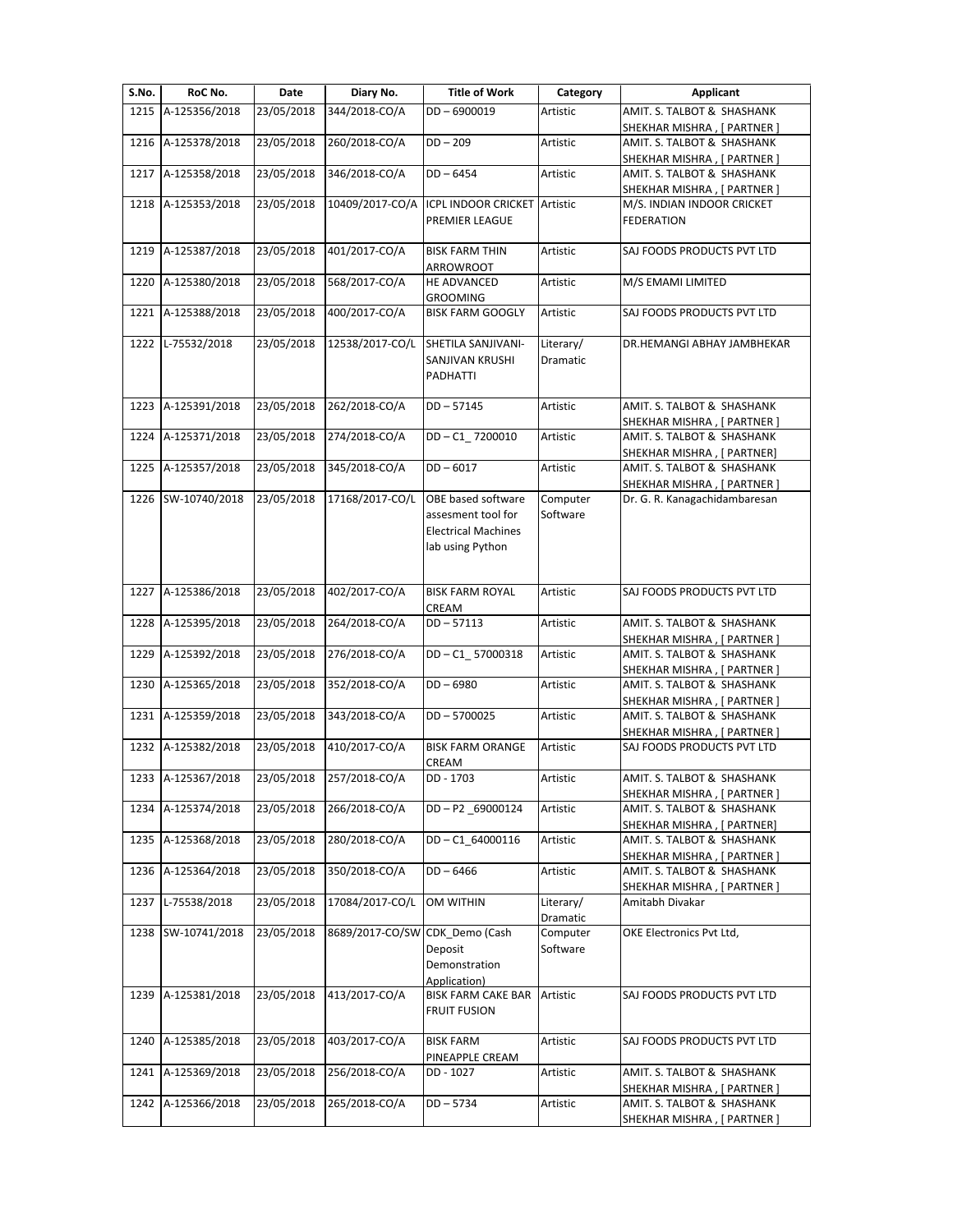| S.No. | RoC No.            | Date       | Diary No.                      | <b>Title of Work</b>       | Category  | <b>Applicant</b>                                             |
|-------|--------------------|------------|--------------------------------|----------------------------|-----------|--------------------------------------------------------------|
| 1215  | A-125356/2018      | 23/05/2018 | 344/2018-CO/A                  | DD-6900019                 | Artistic  | AMIT. S. TALBOT & SHASHANK                                   |
|       |                    |            |                                |                            |           | SHEKHAR MISHRA, [ PARTNER ]                                  |
| 1216  | A-125378/2018      | 23/05/2018 | 260/2018-CO/A                  | $DD - 209$                 | Artistic  | AMIT. S. TALBOT & SHASHANK                                   |
|       |                    |            |                                |                            |           | SHEKHAR MISHRA, [ PARTNER ]                                  |
|       | 1217 A-125358/2018 | 23/05/2018 | 346/2018-CO/A                  | $DD - 6454$                | Artistic  | AMIT. S. TALBOT & SHASHANK                                   |
|       |                    |            |                                |                            |           | SHEKHAR MISHRA, [ PARTNER ]                                  |
| 1218  | A-125353/2018      | 23/05/2018 | 10409/2017-CO/A                | ICPL INDOOR CRICKET        | Artistic  | M/S. INDIAN INDOOR CRICKET                                   |
|       |                    |            |                                | PREMIER LEAGUE             |           | <b>FEDERATION</b>                                            |
|       |                    |            |                                |                            |           |                                                              |
| 1219  | A-125387/2018      | 23/05/2018 | 401/2017-CO/A                  | <b>BISK FARM THIN</b>      | Artistic  | SAJ FOODS PRODUCTS PVT LTD                                   |
|       |                    |            |                                | ARROWROOT                  |           |                                                              |
| 1220  | A-125380/2018      | 23/05/2018 | 568/2017-CO/A                  | HE ADVANCED                | Artistic  | M/S EMAMI LIMITED                                            |
|       |                    |            |                                | <b>GROOMING</b>            |           |                                                              |
|       | 1221 A-125388/2018 | 23/05/2018 | 400/2017-CO/A                  | <b>BISK FARM GOOGLY</b>    | Artistic  | SAJ FOODS PRODUCTS PVT LTD                                   |
|       |                    |            |                                |                            |           |                                                              |
| 1222  | L-75532/2018       | 23/05/2018 | 12538/2017-CO/L                | SHETILA SANJIVANI-         | Literary/ | DR.HEMANGI ABHAY JAMBHEKAR                                   |
|       |                    |            |                                | SANJIVAN KRUSHI            | Dramatic  |                                                              |
|       |                    |            |                                | PADHATTI                   |           |                                                              |
|       |                    |            |                                |                            |           |                                                              |
| 1223  | A-125391/2018      | 23/05/2018 | 262/2018-CO/A                  | $DD - 57145$               | Artistic  | AMIT. S. TALBOT & SHASHANK                                   |
|       |                    |            |                                |                            |           | SHEKHAR MISHRA, [ PARTNER ]                                  |
| 1224  | A-125371/2018      | 23/05/2018 | 274/2018-CO/A                  | DD-C1 7200010              | Artistic  | AMIT. S. TALBOT & SHASHANK                                   |
|       |                    |            |                                |                            |           | SHEKHAR MISHRA, [ PARTNER]                                   |
| 1225  | A-125357/2018      | 23/05/2018 | 345/2018-CO/A                  | $DD - 6017$                | Artistic  | AMIT. S. TALBOT & SHASHANK                                   |
|       |                    |            |                                |                            |           |                                                              |
| 1226  | SW-10740/2018      | 23/05/2018 | 17168/2017-CO/L                | OBE based software         |           | SHEKHAR MISHRA, [ PARTNER ]<br>Dr. G. R. Kanagachidambaresan |
|       |                    |            |                                |                            | Computer  |                                                              |
|       |                    |            |                                | assesment tool for         | Software  |                                                              |
|       |                    |            |                                | <b>Electrical Machines</b> |           |                                                              |
|       |                    |            |                                | lab using Python           |           |                                                              |
|       |                    |            |                                |                            |           |                                                              |
|       |                    |            |                                |                            |           |                                                              |
| 1227  | A-125386/2018      | 23/05/2018 | 402/2017-CO/A                  | <b>BISK FARM ROYAL</b>     | Artistic  | SAJ FOODS PRODUCTS PVT LTD                                   |
|       |                    |            |                                | CREAM                      |           |                                                              |
| 1228  | A-125395/2018      | 23/05/2018 | 264/2018-CO/A                  | $DD - 57113$               | Artistic  | AMIT. S. TALBOT & SHASHANK                                   |
|       |                    |            |                                |                            |           | SHEKHAR MISHRA, [ PARTNER ]                                  |
| 1229  | A-125392/2018      | 23/05/2018 | 276/2018-CO/A                  | DD-C1 57000318             | Artistic  | AMIT. S. TALBOT & SHASHANK                                   |
|       |                    |            |                                |                            |           | SHEKHAR MISHRA , [ PARTNER ]                                 |
| 1230  | A-125365/2018      | 23/05/2018 | 352/2018-CO/A                  | $DD - 6980$                | Artistic  | AMIT. S. TALBOT & SHASHANK                                   |
|       |                    |            |                                |                            |           | SHEKHAR MISHRA, [ PARTNER ]                                  |
|       | 1231 A-125359/2018 | 23/05/2018 | 343/2018-CO/A                  | $DD - 5700025$             | Artistic  | AMIT. S. TALBOT & SHASHANK                                   |
|       |                    |            |                                |                            |           | SHEKHAR MISHRA, [ PARTNER ]                                  |
|       | 1232 A-125382/2018 | 23/05/2018 | 410/2017-CO/A                  | <b>BISK FARM ORANGE</b>    | Artistic  | SAJ FOODS PRODUCTS PVT LTD                                   |
|       |                    |            |                                | CREAM                      |           |                                                              |
|       | 1233 A-125367/2018 | 23/05/2018 | 257/2018-CO/A                  | DD - 1703                  | Artistic  | AMIT. S. TALBOT & SHASHANK                                   |
|       |                    |            |                                |                            |           | SHEKHAR MISHRA, [ PARTNER ]                                  |
| 1234  | A-125374/2018      | 23/05/2018 | 266/2018-CO/A                  | $DD - P2$ _69000124        | Artistic  | AMIT. S. TALBOT & SHASHANK                                   |
|       |                    |            |                                |                            |           | SHEKHAR MISHRA, [ PARTNER]                                   |
| 1235  | A-125368/2018      | 23/05/2018 | 280/2018-CO/A                  | DD-C1 64000116             | Artistic  | AMIT. S. TALBOT & SHASHANK                                   |
|       |                    |            |                                |                            |           | SHEKHAR MISHRA, [ PARTNER ]                                  |
| 1236  | A-125364/2018      | 23/05/2018 | 350/2018-CO/A                  | $DD - 6466$                |           | AMIT. S. TALBOT & SHASHANK                                   |
|       |                    |            |                                |                            | Artistic  |                                                              |
|       |                    |            |                                |                            |           | SHEKHAR MISHRA, [ PARTNER ]                                  |
| 1237  | L-75538/2018       | 23/05/2018 | 17084/2017-CO/L                | <b>OM WITHIN</b>           | Literary/ | Amitabh Divakar                                              |
|       |                    |            |                                |                            | Dramatic  |                                                              |
| 1238  | SW-10741/2018      | 23/05/2018 | 8689/2017-CO/SW CDK_Demo (Cash |                            | Computer  | OKE Electronics Pvt Ltd,                                     |
|       |                    |            |                                | Deposit                    | Software  |                                                              |
|       |                    |            |                                | Demonstration              |           |                                                              |
|       |                    |            |                                | Application)               |           |                                                              |
|       | 1239 A-125381/2018 | 23/05/2018 | 413/2017-CO/A                  | <b>BISK FARM CAKE BAR</b>  | Artistic  | SAJ FOODS PRODUCTS PVT LTD                                   |
|       |                    |            |                                | <b>FRUIT FUSION</b>        |           |                                                              |
|       |                    |            |                                |                            |           |                                                              |
| 1240  | A-125385/2018      | 23/05/2018 | 403/2017-CO/A                  | <b>BISK FARM</b>           | Artistic  | SAJ FOODS PRODUCTS PVT LTD                                   |
|       |                    |            |                                | PINEAPPLE CREAM            |           |                                                              |
| 1241  | A-125369/2018      | 23/05/2018 | 256/2018-CO/A                  | DD - 1027                  | Artistic  | AMIT. S. TALBOT & SHASHANK                                   |
|       |                    |            |                                |                            |           | SHEKHAR MISHRA, [ PARTNER ]                                  |
| 1242  | A-125366/2018      | 23/05/2018 | 265/2018-CO/A                  | $DD - 5734$                | Artistic  | AMIT. S. TALBOT & SHASHANK                                   |
|       |                    |            |                                |                            |           |                                                              |
|       |                    |            |                                |                            |           | SHEKHAR MISHRA, [ PARTNER ]                                  |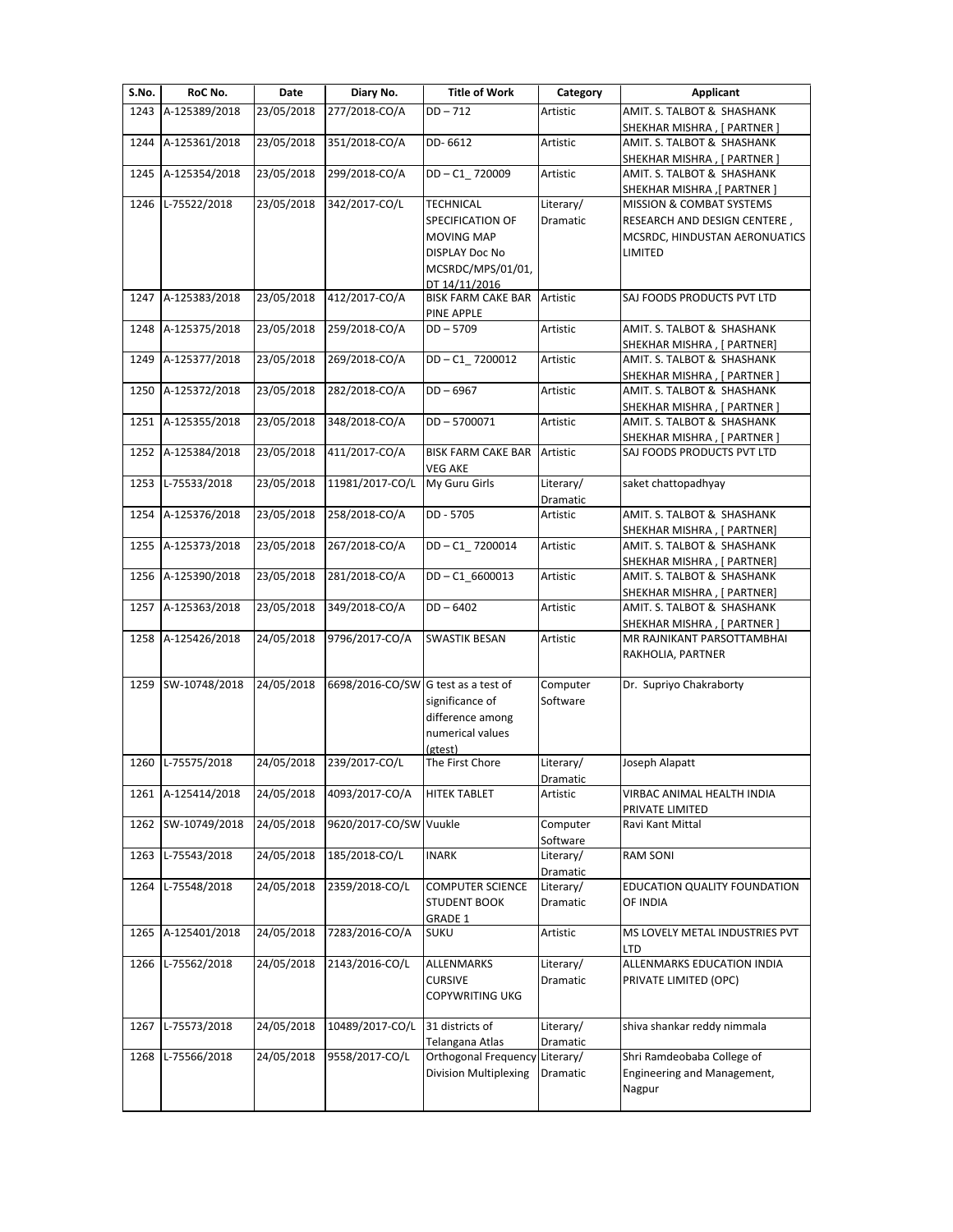| S.No. | RoC No.            | Date       | Diary No.              | <b>Title of Work</b>                 | Category        | Applicant                                                 |
|-------|--------------------|------------|------------------------|--------------------------------------|-----------------|-----------------------------------------------------------|
| 1243  | A-125389/2018      | 23/05/2018 | 277/2018-CO/A          | $DD - 712$                           | Artistic        | AMIT. S. TALBOT & SHASHANK                                |
| 1244  | A-125361/2018      | 23/05/2018 | 351/2018-CO/A          | DD-6612                              | Artistic        | SHEKHAR MISHRA, [ PARTNER ]<br>AMIT. S. TALBOT & SHASHANK |
|       |                    |            |                        |                                      |                 | SHEKHAR MISHRA , [ PARTNER ]                              |
| 1245  | A-125354/2018      | 23/05/2018 | 299/2018-CO/A          | DD-C1 720009                         | Artistic        | AMIT. S. TALBOT & SHASHANK                                |
|       |                    |            |                        |                                      |                 | SHEKHAR MISHRA ,[ PARTNER ]                               |
| 1246  | L-75522/2018       | 23/05/2018 | 342/2017-CO/L          | <b>TECHNICAL</b>                     | Literary/       | MISSION & COMBAT SYSTEMS                                  |
|       |                    |            |                        | SPECIFICATION OF                     | Dramatic        | RESEARCH AND DESIGN CENTERE,                              |
|       |                    |            |                        | <b>MOVING MAP</b>                    |                 | MCSRDC, HINDUSTAN AERONUATICS                             |
|       |                    |            |                        | DISPLAY Doc No                       |                 | LIMITED                                                   |
|       |                    |            |                        | MCSRDC/MPS/01/01,                    |                 |                                                           |
|       |                    |            |                        | DT 14/11/2016                        |                 |                                                           |
| 1247  | A-125383/2018      | 23/05/2018 | 412/2017-CO/A          | <b>BISK FARM CAKE BAR</b>            | Artistic        | SAJ FOODS PRODUCTS PVT LTD                                |
|       |                    |            |                        | PINE APPLE                           |                 |                                                           |
| 1248  | A-125375/2018      | 23/05/2018 | 259/2018-CO/A          | $DD - 5709$                          | Artistic        | AMIT. S. TALBOT & SHASHANK                                |
|       |                    |            |                        |                                      |                 | SHEKHAR MISHRA , [ PARTNER]                               |
|       | 1249 A-125377/2018 | 23/05/2018 | 269/2018-CO/A          | DD-C1_7200012                        | Artistic        | AMIT. S. TALBOT & SHASHANK                                |
|       |                    |            |                        |                                      |                 | SHEKHAR MISHRA, [ PARTNER ]                               |
| 1250  | A-125372/2018      | 23/05/2018 | 282/2018-CO/A          | $DD - 6967$                          | Artistic        | AMIT. S. TALBOT & SHASHANK                                |
|       |                    |            |                        |                                      |                 | SHEKHAR MISHRA, [ PARTNER ]                               |
|       | 1251 A-125355/2018 | 23/05/2018 | 348/2018-CO/A          | DD-5700071                           | Artistic        | AMIT. S. TALBOT & SHASHANK                                |
|       |                    |            |                        |                                      |                 | SHEKHAR MISHRA, [ PARTNER ]                               |
|       | 1252 A-125384/2018 | 23/05/2018 | 411/2017-CO/A          | <b>BISK FARM CAKE BAR</b><br>VEG AKE | Artistic        | SAJ FOODS PRODUCTS PVT LTD                                |
| 1253  | L-75533/2018       | 23/05/2018 | 11981/2017-CO/L        | My Guru Girls                        | Literary/       | saket chattopadhyay                                       |
|       |                    |            |                        |                                      | Dramatic        |                                                           |
| 1254  | A-125376/2018      | 23/05/2018 | 258/2018-CO/A          | DD - 5705                            | Artistic        | AMIT. S. TALBOT & SHASHANK                                |
|       |                    |            | 267/2018-CO/A          | DD-C1 7200014                        |                 | SHEKHAR MISHRA, [ PARTNER]                                |
| 1255  | A-125373/2018      | 23/05/2018 |                        |                                      | Artistic        | AMIT. S. TALBOT & SHASHANK                                |
| 1256  | A-125390/2018      | 23/05/2018 | 281/2018-CO/A          | DD-C1_6600013                        | Artistic        | SHEKHAR MISHRA, [ PARTNER]<br>AMIT. S. TALBOT & SHASHANK  |
|       |                    |            |                        |                                      |                 |                                                           |
|       | 1257 A-125363/2018 | 23/05/2018 | 349/2018-CO/A          | $DD - 6402$                          | Artistic        | SHEKHAR MISHRA , [ PARTNER]<br>AMIT. S. TALBOT & SHASHANK |
|       |                    |            |                        |                                      |                 | SHEKHAR MISHRA, [ PARTNER ]                               |
|       | 1258 A-125426/2018 | 24/05/2018 | 9796/2017-CO/A         | SWASTIK BESAN                        | Artistic        | MR RAJNIKANT PARSOTTAMBHAI                                |
|       |                    |            |                        |                                      |                 | RAKHOLIA, PARTNER                                         |
|       |                    |            |                        |                                      |                 |                                                           |
| 1259  | SW-10748/2018      | 24/05/2018 | 6698/2016-CO/SW        | G test as a test of                  | Computer        | Dr. Supriyo Chakraborty                                   |
|       |                    |            |                        | significance of                      | Software        |                                                           |
|       |                    |            |                        | difference among                     |                 |                                                           |
|       |                    |            |                        | numerical values                     |                 |                                                           |
|       |                    |            |                        | (gtest)                              |                 |                                                           |
|       | 1260 L-75575/2018  | 24/05/2018 | 239/2017-CO/L          | The First Chore                      | Literary/       | Joseph Alapatt                                            |
|       |                    |            |                        |                                      | <b>Dramatic</b> |                                                           |
|       | 1261 A-125414/2018 | 24/05/2018 | 4093/2017-CO/A         | <b>HITEK TABLET</b>                  | Artistic        | VIRBAC ANIMAL HEALTH INDIA                                |
|       |                    |            |                        |                                      |                 | PRIVATE LIMITED                                           |
| 1262  | SW-10749/2018      | 24/05/2018 | 9620/2017-CO/SW Vuukle |                                      | Computer        | Ravi Kant Mittal                                          |
|       |                    |            |                        |                                      | Software        |                                                           |
| 1263  | L-75543/2018       | 24/05/2018 | 185/2018-CO/L          | <b>INARK</b>                         | Literary/       | RAM SONI                                                  |
|       |                    |            |                        |                                      | Dramatic        |                                                           |
| 1264  | L-75548/2018       | 24/05/2018 | 2359/2018-CO/L         | <b>COMPUTER SCIENCE</b>              | Literary/       | EDUCATION QUALITY FOUNDATION                              |
|       |                    |            |                        | <b>STUDENT BOOK</b>                  | Dramatic        | OF INDIA                                                  |
|       |                    |            |                        | GRADE 1                              |                 |                                                           |
| 1265  | A-125401/2018      | 24/05/2018 | 7283/2016-CO/A         | <b>SUKU</b>                          | Artistic        | MS LOVELY METAL INDUSTRIES PVT                            |
|       |                    |            |                        |                                      |                 | LTD                                                       |
|       | 1266 L-75562/2018  | 24/05/2018 | 2143/2016-CO/L         | ALLENMARKS                           | Literary/       | ALLENMARKS EDUCATION INDIA                                |
|       |                    |            |                        | <b>CURSIVE</b>                       | Dramatic        | PRIVATE LIMITED (OPC)                                     |
|       |                    |            |                        | <b>COPYWRITING UKG</b>               |                 |                                                           |
| 1267  | L-75573/2018       | 24/05/2018 | 10489/2017-CO/L        | 31 districts of                      | Literary/       | shiva shankar reddy nimmala                               |
|       |                    |            |                        | Telangana Atlas                      | Dramatic        |                                                           |
| 1268  | L-75566/2018       | 24/05/2018 | 9558/2017-CO/L         | Orthogonal Frequency                 | Literary/       | Shri Ramdeobaba College of                                |
|       |                    |            |                        | Division Multiplexing                | Dramatic        | Engineering and Management,                               |
|       |                    |            |                        |                                      |                 | Nagpur                                                    |
|       |                    |            |                        |                                      |                 |                                                           |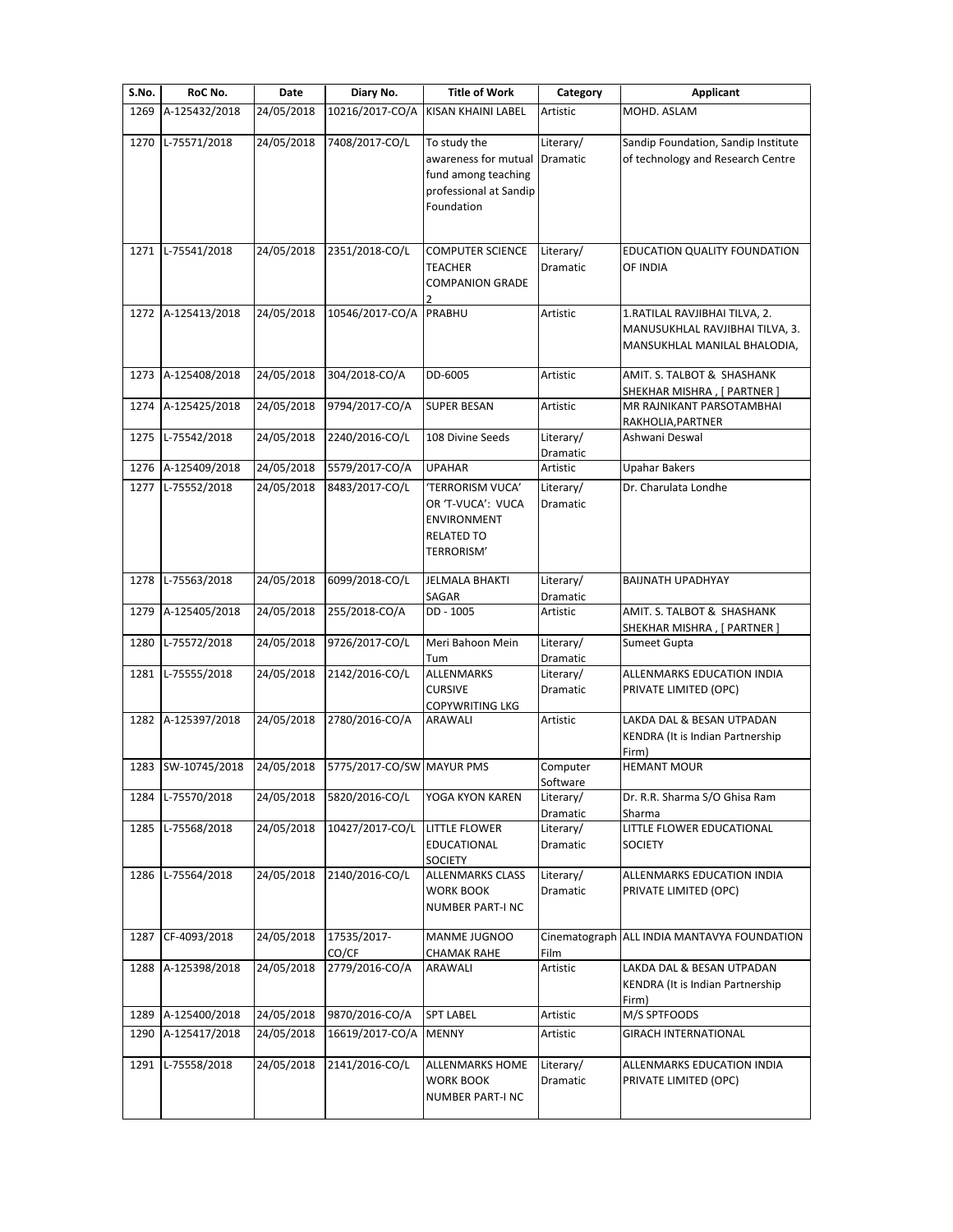| S.No. | RoC No.            | Date       | Diary No.                 | <b>Title of Work</b>                                                                                | Category              | Applicant                                                                                        |
|-------|--------------------|------------|---------------------------|-----------------------------------------------------------------------------------------------------|-----------------------|--------------------------------------------------------------------------------------------------|
| 1269  | A-125432/2018      | 24/05/2018 | 10216/2017-CO/A           | KISAN KHAINI LABEL                                                                                  | Artistic              | MOHD. ASLAM                                                                                      |
| 1270  | L-75571/2018       | 24/05/2018 | 7408/2017-CO/L            | To study the<br>awareness for mutual<br>fund among teaching<br>professional at Sandip<br>Foundation | Literary/<br>Dramatic | Sandip Foundation, Sandip Institute<br>of technology and Research Centre                         |
|       | 1271 L-75541/2018  | 24/05/2018 | 2351/2018-CO/L            | <b>COMPUTER SCIENCE</b><br>TEACHER<br><b>COMPANION GRADE</b>                                        | Literary/<br>Dramatic | EDUCATION QUALITY FOUNDATION<br>OF INDIA                                                         |
| 1272  | A-125413/2018      | 24/05/2018 | 10546/2017-CO/A           | PRABHU                                                                                              | Artistic              | 1.RATILAL RAVJIBHAI TILVA, 2.<br>MANUSUKHLAL RAVJIBHAI TILVA, 3.<br>MANSUKHLAL MANILAL BHALODIA, |
| 1273  | A-125408/2018      | 24/05/2018 | 304/2018-CO/A             | DD-6005                                                                                             | Artistic              | AMIT. S. TALBOT & SHASHANK<br>SHEKHAR MISHRA, [ PARTNER ]                                        |
| 1274  | A-125425/2018      | 24/05/2018 | 9794/2017-CO/A            | <b>SUPER BESAN</b>                                                                                  | Artistic              | MR RAJNIKANT PARSOTAMBHAI<br>RAKHOLIA, PARTNER                                                   |
| 1275  | L-75542/2018       | 24/05/2018 | 2240/2016-CO/L            | 108 Divine Seeds                                                                                    | Literary/<br>Dramatic | Ashwani Deswal                                                                                   |
| 1276  | A-125409/2018      | 24/05/2018 | 5579/2017-CO/A            | <b>UPAHAR</b>                                                                                       | Artistic              | <b>Upahar Bakers</b>                                                                             |
| 1277  | L-75552/2018       | 24/05/2018 | 8483/2017-CO/L            | 'TERRORISM VUCA'<br>OR 'T-VUCA': VUCA<br>ENVIRONMENT<br><b>RELATED TO</b><br>TERRORISM'             | Literary/<br>Dramatic | Dr. Charulata Londhe                                                                             |
| 1278  | L-75563/2018       | 24/05/2018 | 6099/2018-CO/L            | <b>JELMALA BHAKTI</b><br>SAGAR                                                                      | Literary/<br>Dramatic | <b>BAIJNATH UPADHYAY</b>                                                                         |
| 1279  | A-125405/2018      | 24/05/2018 | 255/2018-CO/A             | DD - 1005                                                                                           | Artistic              | AMIT. S. TALBOT & SHASHANK<br>SHEKHAR MISHRA , [ PARTNER ]                                       |
| 1280  | L-75572/2018       | 24/05/2018 | 9726/2017-CO/L            | Meri Bahoon Mein<br>Tum                                                                             | Literary/<br>Dramatic | Sumeet Gupta                                                                                     |
| 1281  | L-75555/2018       | 24/05/2018 | 2142/2016-CO/L            | ALLENMARKS<br><b>CURSIVE</b><br><b>COPYWRITING LKG</b>                                              | Literary/<br>Dramatic | ALLENMARKS EDUCATION INDIA<br>PRIVATE LIMITED (OPC)                                              |
| 1282  | A-125397/2018      | 24/05/2018 | 2780/2016-CO/A            | ARAWALI                                                                                             | Artistic              | LAKDA DAL & BESAN UTPADAN<br>KENDRA (It is Indian Partnership<br>Firm)                           |
|       | 1283 SW-10745/2018 | 24/05/2018 | 5775/2017-CO/SW MAYUR PMS |                                                                                                     | Computer<br>Software  | <b>HEMANT MOUR</b>                                                                               |
| 1284  | L-75570/2018       | 24/05/2018 | 5820/2016-CO/L            | YOGA KYON KAREN                                                                                     | Literary/<br>Dramatic | Dr. R.R. Sharma S/O Ghisa Ram<br>Sharma                                                          |
| 1285  | L-75568/2018       | 24/05/2018 | 10427/2017-CO/L           | <b>LITTLE FLOWER</b><br>EDUCATIONAL<br>SOCIETY                                                      | Literary/<br>Dramatic | LITTLE FLOWER EDUCATIONAL<br><b>SOCIETY</b>                                                      |
| 1286  | L-75564/2018       | 24/05/2018 | 2140/2016-CO/L            | <b>ALLENMARKS CLASS</b><br>WORK BOOK<br><b>NUMBER PART-I NC</b>                                     | Literary/<br>Dramatic | ALLENMARKS EDUCATION INDIA<br>PRIVATE LIMITED (OPC)                                              |
| 1287  | CF-4093/2018       | 24/05/2018 | 17535/2017-<br>CO/CF      | MANME JUGNOO<br><b>CHAMAK RAHE</b>                                                                  | Cinematograph<br>Film | ALL INDIA MANTAVYA FOUNDATION                                                                    |
| 1288  | A-125398/2018      | 24/05/2018 | 2779/2016-CO/A            | ARAWALI                                                                                             | Artistic              | LAKDA DAL & BESAN UTPADAN<br>KENDRA (It is Indian Partnership<br>Firm)                           |
| 1289  | A-125400/2018      | 24/05/2018 | 9870/2016-CO/A            | <b>SPT LABEL</b>                                                                                    | Artistic              | M/S SPTFOODS                                                                                     |
| 1290  | A-125417/2018      | 24/05/2018 | 16619/2017-CO/A           | <b>MENNY</b>                                                                                        | Artistic              | <b>GIRACH INTERNATIONAL</b>                                                                      |
| 1291  | L-75558/2018       | 24/05/2018 | 2141/2016-CO/L            | <b>ALLENMARKS HOME</b><br>WORK BOOK<br><b>NUMBER PART-I NC</b>                                      | Literary/<br>Dramatic | ALLENMARKS EDUCATION INDIA<br>PRIVATE LIMITED (OPC)                                              |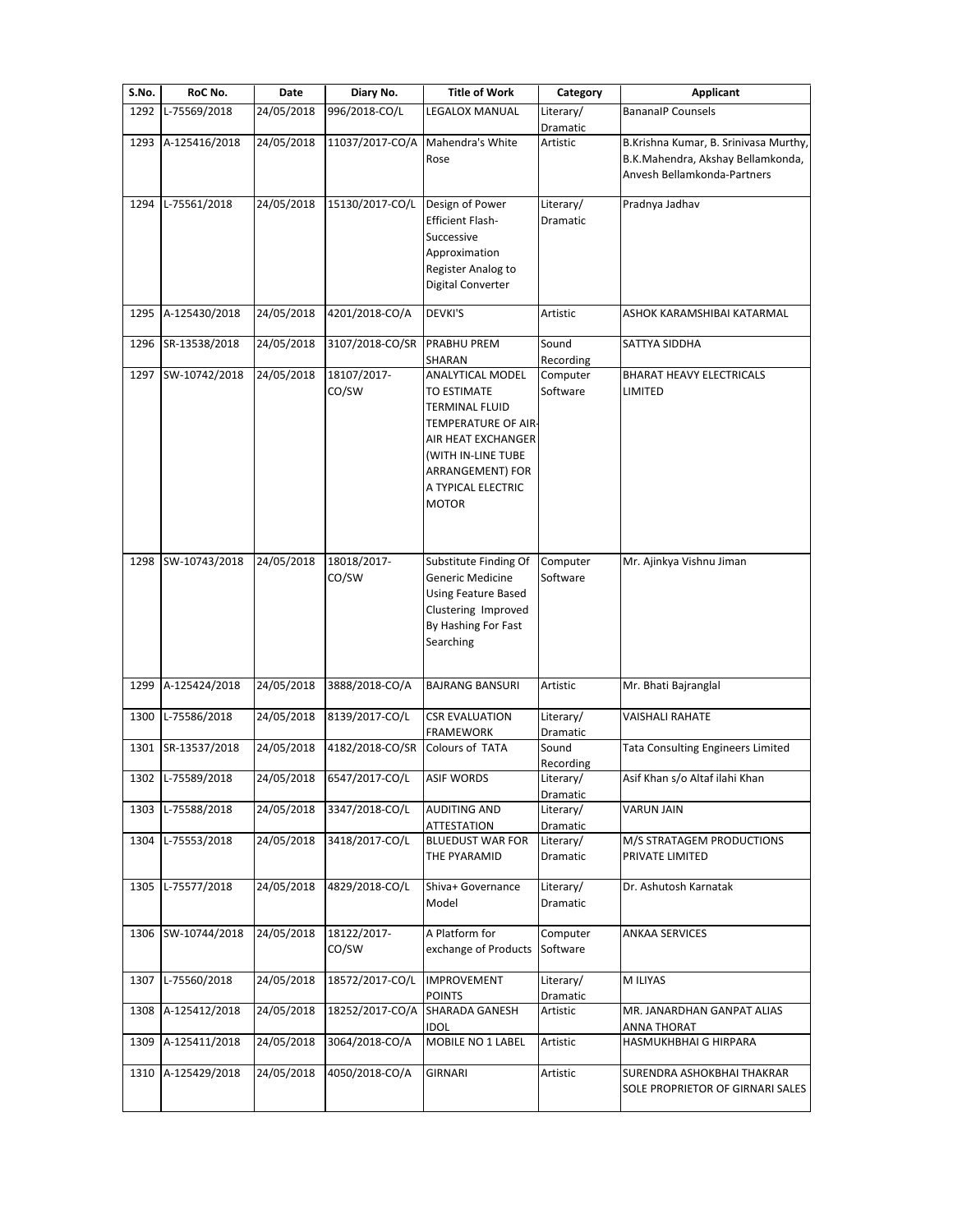| S.No. | RoC No.            | Date       | Diary No.            | <b>Title of Work</b>                                                                                                                                                           | Category              | <b>Applicant</b>                                                                                          |
|-------|--------------------|------------|----------------------|--------------------------------------------------------------------------------------------------------------------------------------------------------------------------------|-----------------------|-----------------------------------------------------------------------------------------------------------|
| 1292  | L-75569/2018       | 24/05/2018 | 996/2018-CO/L        | LEGALOX MANUAL                                                                                                                                                                 | Literary/<br>Dramatic | <b>BananalP Counsels</b>                                                                                  |
| 1293  | A-125416/2018      | 24/05/2018 | 11037/2017-CO/A      | Mahendra's White<br>Rose                                                                                                                                                       | Artistic              | B.Krishna Kumar, B. Srinivasa Murthy,<br>B.K.Mahendra, Akshay Bellamkonda,<br>Anvesh Bellamkonda-Partners |
| 1294  | L-75561/2018       | 24/05/2018 | 15130/2017-CO/L      | Design of Power<br><b>Efficient Flash-</b><br>Successive<br>Approximation<br>Register Analog to<br>Digital Converter                                                           | Literary/<br>Dramatic | Pradnya Jadhav                                                                                            |
| 1295  | A-125430/2018      | 24/05/2018 | 4201/2018-CO/A       | DEVKI'S                                                                                                                                                                        | Artistic              | ASHOK KARAMSHIBAI KATARMAL                                                                                |
| 1296  | SR-13538/2018      | 24/05/2018 | 3107/2018-CO/SR      | <b>PRABHU PREM</b><br>SHARAN                                                                                                                                                   | Sound<br>Recording    | SATTYA SIDDHA                                                                                             |
|       | 1297 SW-10742/2018 | 24/05/2018 | 18107/2017-<br>CO/SW | ANALYTICAL MODEL<br>TO ESTIMATE<br>TERMINAL FLUID<br>TEMPERATURE OF AIR-<br>AIR HEAT EXCHANGER<br>(WITH IN-LINE TUBE<br>ARRANGEMENT) FOR<br>A TYPICAL ELECTRIC<br><b>MOTOR</b> | Computer<br>Software  | <b>BHARAT HEAVY ELECTRICALS</b><br>LIMITED                                                                |
| 1298  | SW-10743/2018      | 24/05/2018 | 18018/2017-<br>CO/SW | Substitute Finding Of<br>Generic Medicine<br>Using Feature Based<br>Clustering Improved<br>By Hashing For Fast<br>Searching                                                    | Computer<br>Software  | Mr. Ajinkya Vishnu Jiman                                                                                  |
| 1299  | A-125424/2018      | 24/05/2018 | 3888/2018-CO/A       | <b>BAJRANG BANSURI</b>                                                                                                                                                         | Artistic              | Mr. Bhati Bajranglal                                                                                      |
| 1300  | L-75586/2018       | 24/05/2018 | 8139/2017-CO/L       | <b>CSR EVALUATION</b><br>FRAMEWORK                                                                                                                                             | Literary/<br>Dramatic | <b>VAISHALI RAHATE</b>                                                                                    |
| 1301  | SR-13537/2018      | 24/05/2018 | 4182/2018-CO/SR      | Colours of TATA                                                                                                                                                                | Sound<br>Recording    | <b>Tata Consulting Engineers Limited</b>                                                                  |
|       | 1302 L-75589/2018  | 24/05/2018 | 6547/2017-CO/L       | <b>ASIF WORDS</b>                                                                                                                                                              | Literary/<br>Dramatic | Asif Khan s/o Altaf ilahi Khan                                                                            |
| 1303  | L-75588/2018       | 24/05/2018 | 3347/2018-CO/L       | <b>AUDITING AND</b><br><b>ATTESTATION</b>                                                                                                                                      | Literary/<br>Dramatic | <b>VARUN JAIN</b>                                                                                         |
| 1304  | L-75553/2018       | 24/05/2018 | 3418/2017-CO/L       | <b>BLUEDUST WAR FOR</b><br>THE PYARAMID                                                                                                                                        | Literary/<br>Dramatic | M/S STRATAGEM PRODUCTIONS<br>PRIVATE LIMITED                                                              |
| 1305  | L-75577/2018       | 24/05/2018 | 4829/2018-CO/L       | Shiva+ Governance<br>Model                                                                                                                                                     | Literary/<br>Dramatic | Dr. Ashutosh Karnatak                                                                                     |
|       | 1306 SW-10744/2018 | 24/05/2018 | 18122/2017-<br>CO/SW | A Platform for<br>exchange of Products                                                                                                                                         | Computer<br>Software  | ANKAA SERVICES                                                                                            |
|       | 1307 L-75560/2018  | 24/05/2018 | 18572/2017-CO/L      | <b>IMPROVEMENT</b><br><b>POINTS</b>                                                                                                                                            | Literary/<br>Dramatic | M ILIYAS                                                                                                  |
| 1308  | A-125412/2018      | 24/05/2018 | 18252/2017-CO/A      | SHARADA GANESH<br><b>IDOL</b>                                                                                                                                                  | Artistic              | MR. JANARDHAN GANPAT ALIAS<br>ANNA THORAT                                                                 |
| 1309  | A-125411/2018      | 24/05/2018 | 3064/2018-CO/A       | MOBILE NO 1 LABEL                                                                                                                                                              | Artistic              | HASMUKHBHAI G HIRPARA                                                                                     |
|       | 1310 A-125429/2018 | 24/05/2018 | 4050/2018-CO/A       | <b>GIRNARI</b>                                                                                                                                                                 | Artistic              | SURENDRA ASHOKBHAI THAKRAR<br>SOLE PROPRIETOR OF GIRNARI SALES                                            |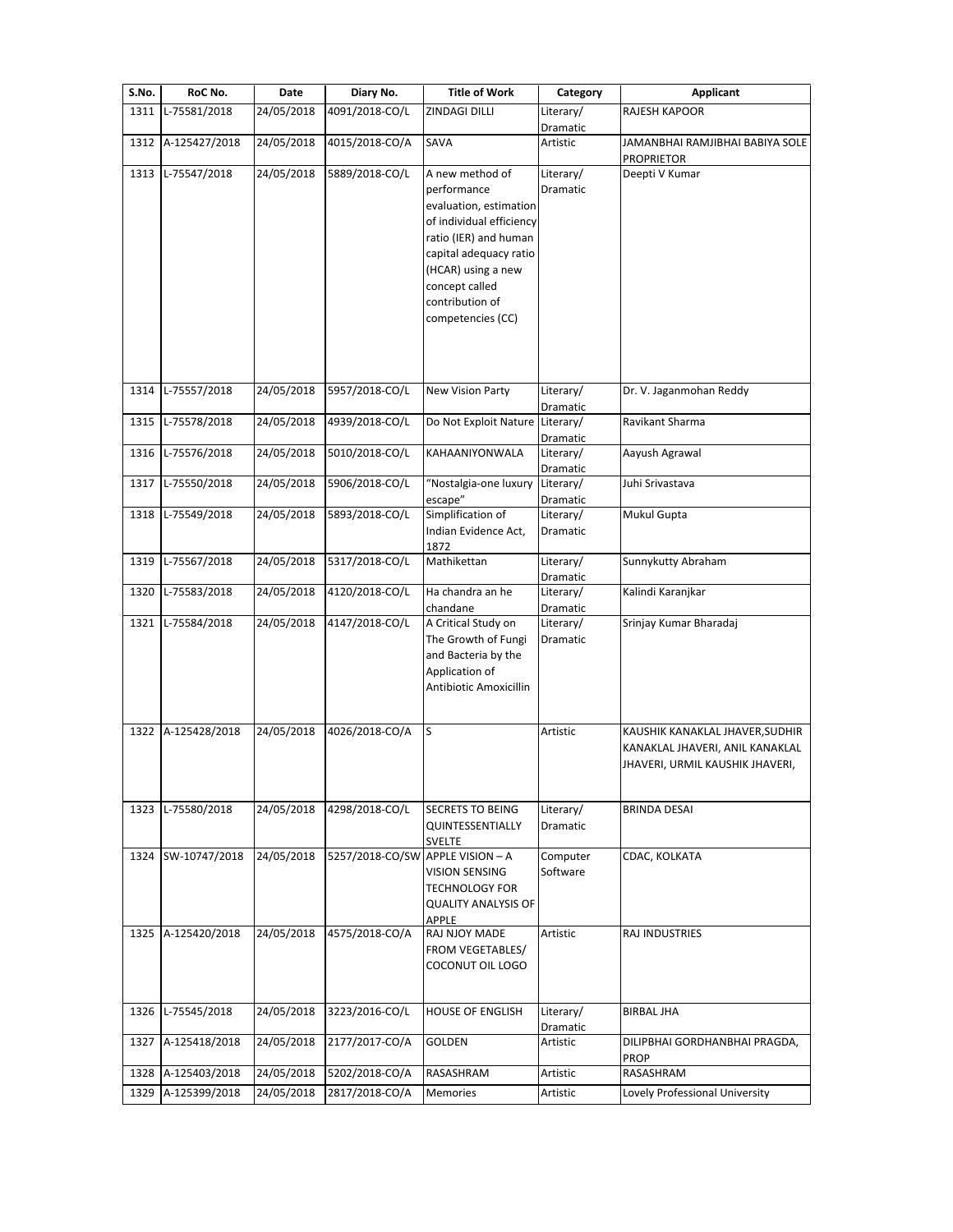| S.No. | RoC No.            | Date       | Diary No.                        | <b>Title of Work</b>                                                                                                                                                                                                    | Category              | <b>Applicant</b>                                                                                      |
|-------|--------------------|------------|----------------------------------|-------------------------------------------------------------------------------------------------------------------------------------------------------------------------------------------------------------------------|-----------------------|-------------------------------------------------------------------------------------------------------|
| 1311  | L-75581/2018       | 24/05/2018 | 4091/2018-CO/L                   | ZINDAGI DILLI                                                                                                                                                                                                           | Literary/<br>Dramatic | RAJESH KAPOOR                                                                                         |
| 1312  | A-125427/2018      | 24/05/2018 | 4015/2018-CO/A                   | SAVA                                                                                                                                                                                                                    | Artistic              | JAMANBHAI RAMJIBHAI BABIYA SOLE<br><b>PROPRIETOR</b>                                                  |
| 1313  | L-75547/2018       | 24/05/2018 | 5889/2018-CO/L                   | A new method of<br>performance<br>evaluation, estimation<br>of individual efficiency<br>ratio (IER) and human<br>capital adequacy ratio<br>(HCAR) using a new<br>concept called<br>contribution of<br>competencies (CC) | Literary/<br>Dramatic | Deepti V Kumar                                                                                        |
| 1314  | L-75557/2018       | 24/05/2018 | 5957/2018-CO/L                   | New Vision Party                                                                                                                                                                                                        | Literary/<br>Dramatic | Dr. V. Jaganmohan Reddy                                                                               |
| 1315  | L-75578/2018       | 24/05/2018 | 4939/2018-CO/L                   | Do Not Exploit Nature                                                                                                                                                                                                   | Literary/<br>Dramatic | Ravikant Sharma                                                                                       |
| 1316  | L-75576/2018       | 24/05/2018 | 5010/2018-CO/L                   | KAHAANIYONWALA                                                                                                                                                                                                          | Literary/<br>Dramatic | Aayush Agrawal                                                                                        |
| 1317  | L-75550/2018       | 24/05/2018 | 5906/2018-CO/L                   | "Nostalgia-one luxury<br>escape"                                                                                                                                                                                        | Literary/<br>Dramatic | Juhi Srivastava                                                                                       |
| 1318  | L-75549/2018       | 24/05/2018 | 5893/2018-CO/L                   | Simplification of<br>Indian Evidence Act,<br>1872                                                                                                                                                                       | Literary/<br>Dramatic | Mukul Gupta                                                                                           |
| 1319  | L-75567/2018       | 24/05/2018 | 5317/2018-CO/L                   | Mathikettan                                                                                                                                                                                                             | Literary/<br>Dramatic | Sunnykutty Abraham                                                                                    |
| 1320  | L-75583/2018       | 24/05/2018 | 4120/2018-CO/L                   | Ha chandra an he<br>chandane                                                                                                                                                                                            | Literary/<br>Dramatic | Kalindi Karanjkar                                                                                     |
| 1321  | L-75584/2018       | 24/05/2018 | 4147/2018-CO/L                   | A Critical Study on<br>The Growth of Fungi<br>and Bacteria by the<br>Application of<br>Antibiotic Amoxicillin                                                                                                           | Literary/<br>Dramatic | Srinjay Kumar Bharadaj                                                                                |
|       | 1322 A-125428/2018 | 24/05/2018 | 4026/2018-CO/A                   | ls                                                                                                                                                                                                                      | Artistic              | KAUSHIK KANAKLAL JHAVER, SUDHIR<br>KANAKLAL JHAVERI, ANIL KANAKLAL<br>JHAVERI, URMIL KAUSHIK JHAVERI, |
| 1323  | L-75580/2018       | 24/05/2018 | 4298/2018-CO/L                   | <b>SECRETS TO BEING</b><br>QUINTESSENTIALLY<br><b>SVELTE</b>                                                                                                                                                            | Literary/<br>Dramatic | <b>BRINDA DESAI</b>                                                                                   |
| 1324  | SW-10747/2018      | 24/05/2018 | 5257/2018-CO/SW APPLE VISION - A | VISION SENSING<br><b>TECHNOLOGY FOR</b><br><b>QUALITY ANALYSIS OF</b><br>APPLE                                                                                                                                          | Computer<br>Software  | CDAC, KOLKATA                                                                                         |
|       | 1325 A-125420/2018 | 24/05/2018 | 4575/2018-CO/A                   | RAJ NJOY MADE<br>FROM VEGETABLES/<br>COCONUT OIL LOGO                                                                                                                                                                   | Artistic              | RAJ INDUSTRIES                                                                                        |
| 1326  | L-75545/2018       | 24/05/2018 | 3223/2016-CO/L                   | <b>HOUSE OF ENGLISH</b>                                                                                                                                                                                                 | Literary/<br>Dramatic | <b>BIRBAL JHA</b>                                                                                     |
| 1327  | A-125418/2018      | 24/05/2018 | 2177/2017-CO/A                   | GOLDEN                                                                                                                                                                                                                  | Artistic              | DILIPBHAI GORDHANBHAI PRAGDA,<br>PROP                                                                 |
| 1328  | A-125403/2018      | 24/05/2018 | 5202/2018-CO/A                   | RASASHRAM                                                                                                                                                                                                               | Artistic              | RASASHRAM                                                                                             |
| 1329  | A-125399/2018      | 24/05/2018 | 2817/2018-CO/A                   | Memories                                                                                                                                                                                                                | Artistic              | Lovely Professional University                                                                        |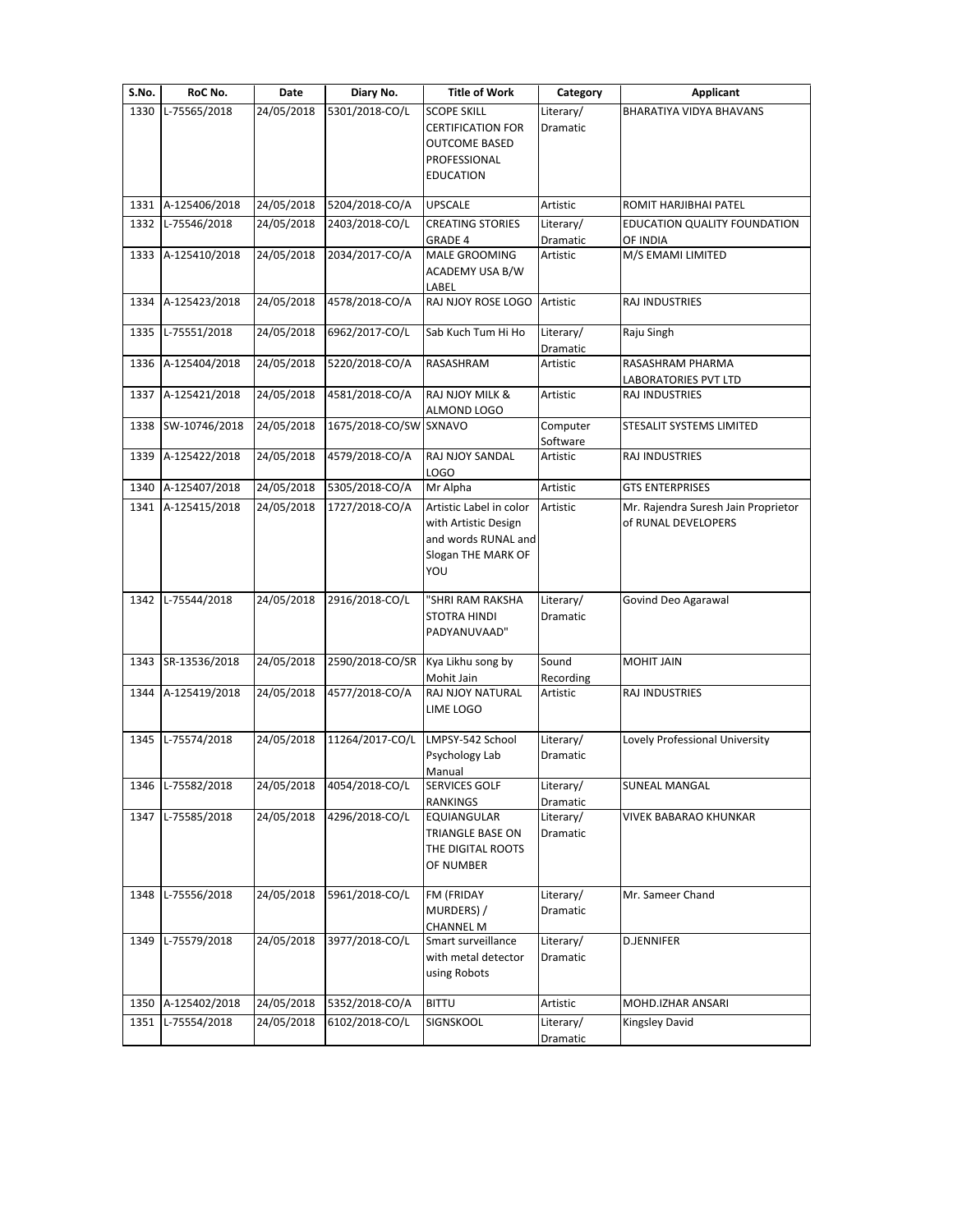| S.No. | RoC No.            | Date       | Diary No.              | <b>Title of Work</b>                                                                                       | Category              | <b>Applicant</b>                                           |
|-------|--------------------|------------|------------------------|------------------------------------------------------------------------------------------------------------|-----------------------|------------------------------------------------------------|
| 1330  | L-75565/2018       | 24/05/2018 | 5301/2018-CO/L         | <b>SCOPE SKILL</b><br><b>CERTIFICATION FOR</b><br><b>OUTCOME BASED</b><br>PROFESSIONAL<br><b>EDUCATION</b> | Literary/<br>Dramatic | BHARATIYA VIDYA BHAVANS                                    |
|       | 1331 A-125406/2018 | 24/05/2018 | 5204/2018-CO/A         | <b>UPSCALE</b>                                                                                             | Artistic              | ROMIT HARJIBHAI PATEL                                      |
|       | 1332 L-75546/2018  | 24/05/2018 | 2403/2018-CO/L         | <b>CREATING STORIES</b>                                                                                    | Literary/             | EDUCATION QUALITY FOUNDATION                               |
|       | 1333 A-125410/2018 | 24/05/2018 | 2034/2017-CO/A         | GRADE 4<br><b>MALE GROOMING</b><br>ACADEMY USA B/W<br>LABEL                                                | Dramatic<br>Artistic  | OF INDIA<br>M/S EMAMI LIMITED                              |
| 1334  | A-125423/2018      | 24/05/2018 | 4578/2018-CO/A         | RAJ NJOY ROSE LOGO                                                                                         | Artistic              | RAJ INDUSTRIES                                             |
|       | 1335 L-75551/2018  | 24/05/2018 | 6962/2017-CO/L         | Sab Kuch Tum Hi Ho                                                                                         | Literary/<br>Dramatic | Raju Singh                                                 |
|       | 1336 A-125404/2018 | 24/05/2018 | 5220/2018-CO/A         | RASASHRAM                                                                                                  | Artistic              | RASASHRAM PHARMA<br>LABORATORIES PVT LTD                   |
|       | 1337 A-125421/2018 | 24/05/2018 | 4581/2018-CO/A         | <b>RAJ NJOY MILK &amp;</b><br>ALMOND LOGO                                                                  | Artistic              | RAJ INDUSTRIES                                             |
| 1338  | SW-10746/2018      | 24/05/2018 | 1675/2018-CO/SW SXNAVO |                                                                                                            | Computer<br>Software  | STESALIT SYSTEMS LIMITED                                   |
| 1339  | A-125422/2018      | 24/05/2018 | 4579/2018-CO/A         | RAJ NJOY SANDAL<br>LOGO                                                                                    | Artistic              | RAJ INDUSTRIES                                             |
| 1340  | A-125407/2018      | 24/05/2018 | 5305/2018-CO/A         | Mr Alpha                                                                                                   | Artistic              | <b>GTS ENTERPRISES</b>                                     |
|       | 1341 A-125415/2018 | 24/05/2018 | 1727/2018-CO/A         | Artistic Label in color<br>with Artistic Design<br>and words RUNAL and<br>Slogan THE MARK OF<br>YOU        | Artistic              | Mr. Rajendra Suresh Jain Proprietor<br>of RUNAL DEVELOPERS |
|       | 1342 L-75544/2018  | 24/05/2018 | 2916/2018-CO/L         | "SHRI RAM RAKSHA<br><b>STOTRA HINDI</b><br>PADYANUVAAD"                                                    | Literary/<br>Dramatic | Govind Deo Agarawal                                        |
| 1343  | SR-13536/2018      | 24/05/2018 | 2590/2018-CO/SR        | Kya Likhu song by<br>Mohit Jain                                                                            | Sound<br>Recording    | MOHIT JAIN                                                 |
| 1344  | A-125419/2018      | 24/05/2018 | 4577/2018-CO/A         | RAJ NJOY NATURAL<br>LIME LOGO                                                                              | Artistic              | RAJ INDUSTRIES                                             |
|       | 1345 L-75574/2018  | 24/05/2018 | 11264/2017-CO/L        | LMPSY-542 School<br>Psychology Lab<br>Manual                                                               | Literary/<br>Dramatic | Lovely Professional University                             |
| 1346  | L-75582/2018       | 24/05/2018 | 4054/2018-CO/L         | <b>SERVICES GOLF</b><br>RANKINGS                                                                           | Literary/<br>Dramatic | SUNEAL MANGAL                                              |
| 1347  | L-75585/2018       | 24/05/2018 | 4296/2018-CO/L         | EQUIANGULAR<br>TRIANGLE BASE ON<br>THE DIGITAL ROOTS<br>OF NUMBER                                          | Literary/<br>Dramatic | VIVEK BABARAO KHUNKAR                                      |
| 1348  | L-75556/2018       | 24/05/2018 | 5961/2018-CO/L         | FM (FRIDAY<br>MURDERS) /<br><b>CHANNEL M</b>                                                               | Literary/<br>Dramatic | Mr. Sameer Chand                                           |
| 1349  | L-75579/2018       | 24/05/2018 | 3977/2018-CO/L         | Smart surveillance<br>with metal detector<br>using Robots                                                  | Literary/<br>Dramatic | <b>D.JENNIFER</b>                                          |
| 1350  | A-125402/2018      | 24/05/2018 | 5352/2018-CO/A         | <b>BITTU</b>                                                                                               | Artistic              | MOHD.IZHAR ANSARI                                          |
| 1351  | L-75554/2018       | 24/05/2018 | 6102/2018-CO/L         | SIGNSKOOL                                                                                                  | Literary/<br>Dramatic | Kingsley David                                             |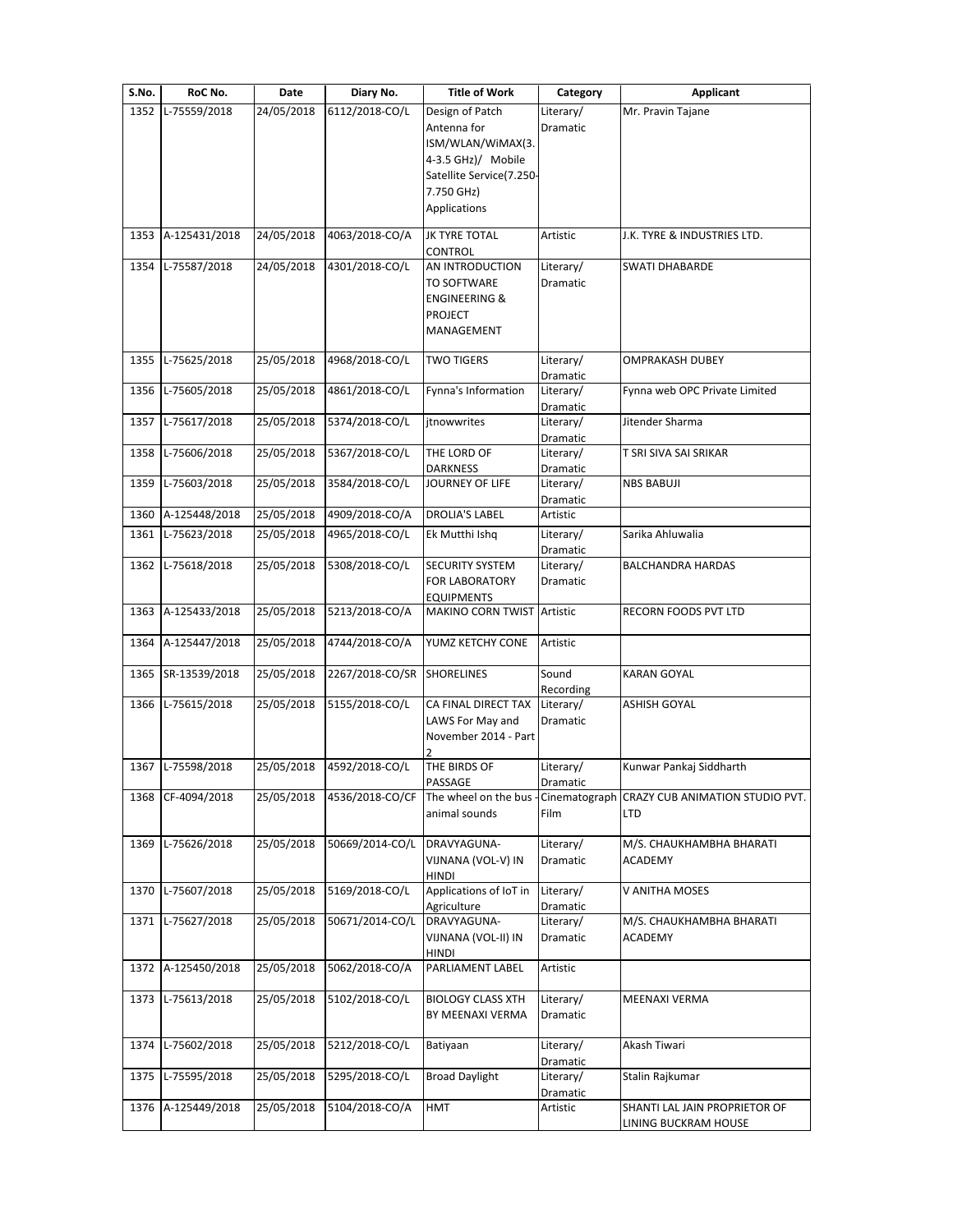| S.No. | RoC No.            | Date       | Diary No.       | <b>Title of Work</b>                                                                                                                | Category                     | <b>Applicant</b>                                      |
|-------|--------------------|------------|-----------------|-------------------------------------------------------------------------------------------------------------------------------------|------------------------------|-------------------------------------------------------|
| 1352  | L-75559/2018       | 24/05/2018 | 6112/2018-CO/L  | Design of Patch<br>Antenna for<br>ISM/WLAN/WiMAX(3.<br>4-3.5 GHz)/ Mobile<br>Satellite Service(7.250-<br>7.750 GHz)<br>Applications | Literary/<br><b>Dramatic</b> | Mr. Pravin Tajane                                     |
| 1353  | A-125431/2018      | 24/05/2018 | 4063/2018-CO/A  | JK TYRE TOTAL<br>CONTROL                                                                                                            | Artistic                     | J.K. TYRE & INDUSTRIES LTD.                           |
| 1354  | L-75587/2018       | 24/05/2018 | 4301/2018-CO/L  | AN INTRODUCTION<br>TO SOFTWARE<br><b>ENGINEERING &amp;</b><br><b>PROJECT</b><br>MANAGEMENT                                          | Literary/<br>Dramatic        | <b>SWATI DHABARDE</b>                                 |
| 1355  | L-75625/2018       | 25/05/2018 | 4968/2018-CO/L  | <b>TWO TIGERS</b>                                                                                                                   | Literary/<br>Dramatic        | <b>OMPRAKASH DUBEY</b>                                |
| 1356  | L-75605/2018       | 25/05/2018 | 4861/2018-CO/L  | Fynna's Information                                                                                                                 | Literary/<br>Dramatic        | Fynna web OPC Private Limited                         |
| 1357  | L-75617/2018       | 25/05/2018 | 5374/2018-CO/L  | jtnowwrites                                                                                                                         | Literary/<br>Dramatic        | Jitender Sharma                                       |
| 1358  | L-75606/2018       | 25/05/2018 | 5367/2018-CO/L  | THE LORD OF<br><b>DARKNESS</b>                                                                                                      | Literary/<br>Dramatic        | T SRI SIVA SAI SRIKAR                                 |
| 1359  | L-75603/2018       | 25/05/2018 | 3584/2018-CO/L  | JOURNEY OF LIFE                                                                                                                     | Literary/<br>Dramatic        | <b>NBS BABUJI</b>                                     |
| 1360  | A-125448/2018      | 25/05/2018 | 4909/2018-CO/A  | DROLIA'S LABEL                                                                                                                      | Artistic                     |                                                       |
| 1361  | L-75623/2018       | 25/05/2018 | 4965/2018-CO/L  | Ek Mutthi Ishq                                                                                                                      | Literary/<br>Dramatic        | Sarika Ahluwalia                                      |
| 1362  | L-75618/2018       | 25/05/2018 | 5308/2018-CO/L  | <b>SECURITY SYSTEM</b><br><b>FOR LABORATORY</b><br><b>EQUIPMENTS</b>                                                                | Literary/<br>Dramatic        | <b>BALCHANDRA HARDAS</b>                              |
| 1363  | A-125433/2018      | 25/05/2018 | 5213/2018-CO/A  | MAKINO CORN TWIST                                                                                                                   | Artistic                     | RECORN FOODS PVT LTD                                  |
| 1364  | A-125447/2018      | 25/05/2018 | 4744/2018-CO/A  | YUMZ KETCHY CONE                                                                                                                    | Artistic                     |                                                       |
| 1365  | SR-13539/2018      | 25/05/2018 | 2267/2018-CO/SR | <b>SHORELINES</b>                                                                                                                   | Sound<br>Recording           | <b>KARAN GOYAL</b>                                    |
| 1366  | L-75615/2018       | 25/05/2018 | 5155/2018-CO/L  | CA FINAL DIRECT TAX<br>LAWS For May and<br>November 2014 - Part                                                                     | Literary/<br>Dramatic        | <b>ASHISH GOYAL</b>                                   |
|       | 1367 L-75598/2018  | 25/05/2018 | 4592/2018-CO/L  | THE BIRDS OF<br>PASSAGE                                                                                                             | Literary/<br>Dramatic        | Kunwar Pankaj Siddharth                               |
| 1368  | CF-4094/2018       | 25/05/2018 | 4536/2018-CO/CF | The wheel on the bus<br>animal sounds                                                                                               | Film                         | Cinematograph CRAZY CUB ANIMATION STUDIO PVT.<br>LTD  |
| 1369  | L-75626/2018       | 25/05/2018 | 50669/2014-CO/L | DRAVYAGUNA-<br>VIJNANA (VOL-V) IN<br><b>HINDI</b>                                                                                   | Literary/<br>Dramatic        | M/S. CHAUKHAMBHA BHARATI<br>ACADEMY                   |
| 1370  | L-75607/2018       | 25/05/2018 | 5169/2018-CO/L  | Applications of IoT in<br>Agriculture                                                                                               | Literary/<br>Dramatic        | V ANITHA MOSES                                        |
|       | 1371 L-75627/2018  | 25/05/2018 | 50671/2014-CO/L | DRAVYAGUNA-<br>VIJNANA (VOL-II) IN<br><b>HINDI</b>                                                                                  | Literary/<br>Dramatic        | M/S. CHAUKHAMBHA BHARATI<br>ACADEMY                   |
|       | 1372 A-125450/2018 | 25/05/2018 | 5062/2018-CO/A  | PARLIAMENT LABEL                                                                                                                    | Artistic                     |                                                       |
| 1373  | L-75613/2018       | 25/05/2018 | 5102/2018-CO/L  | <b>BIOLOGY CLASS XTH</b><br>BY MEENAXI VERMA                                                                                        | Literary/<br>Dramatic        | MEENAXI VERMA                                         |
| 1374  | L-75602/2018       | 25/05/2018 | 5212/2018-CO/L  | Batiyaan                                                                                                                            | Literary/<br>Dramatic        | Akash Tiwari                                          |
| 1375  | L-75595/2018       | 25/05/2018 | 5295/2018-CO/L  | <b>Broad Daylight</b>                                                                                                               | Literary/<br>Dramatic        | Stalin Rajkumar                                       |
| 1376  | A-125449/2018      | 25/05/2018 | 5104/2018-CO/A  | <b>HMT</b>                                                                                                                          | Artistic                     | SHANTI LAL JAIN PROPRIETOR OF<br>LINING BUCKRAM HOUSE |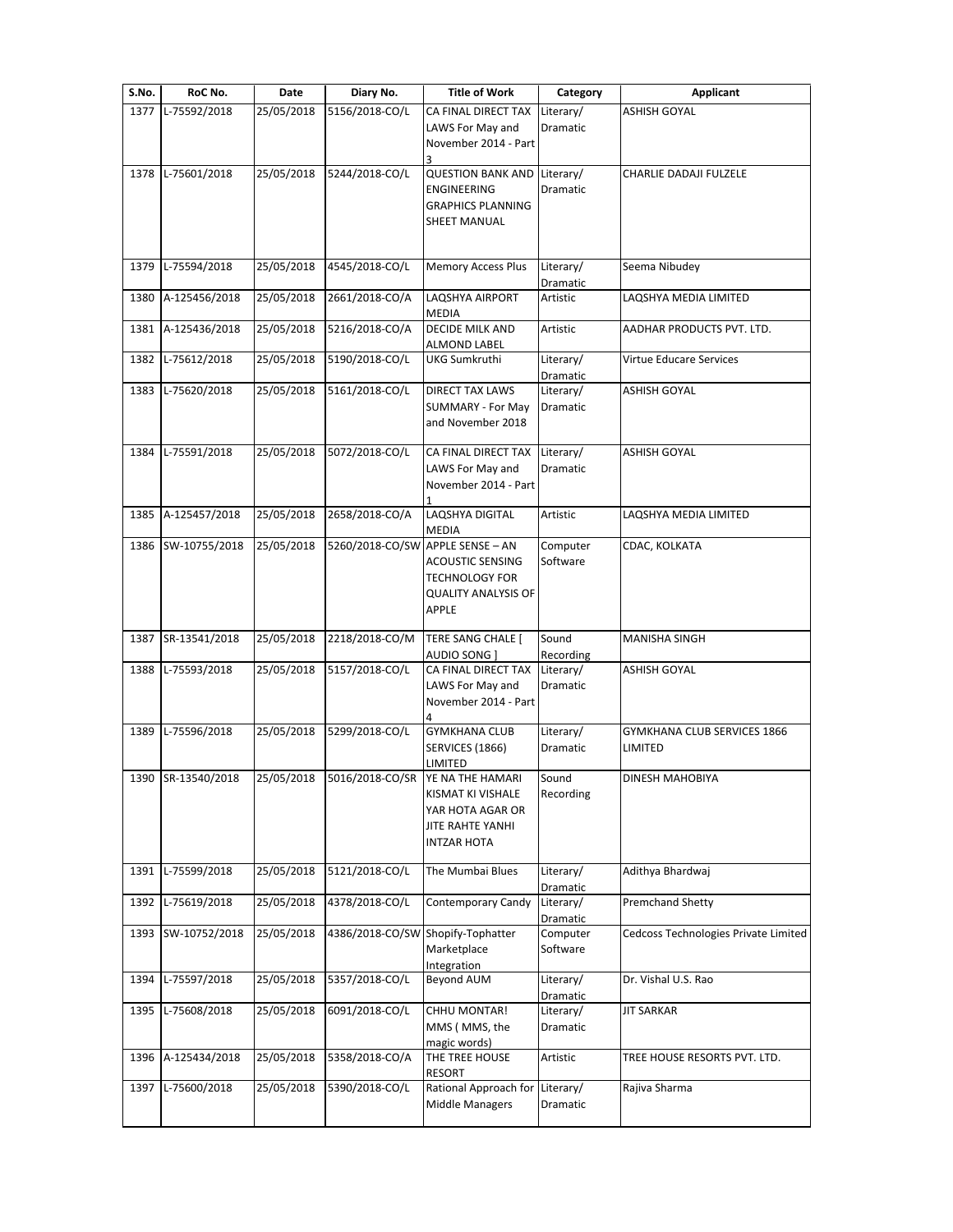| S.No. | RoC No.            | Date       | Diary No.                         | <b>Title of Work</b>                                                                                       | Category              | <b>Applicant</b>                       |
|-------|--------------------|------------|-----------------------------------|------------------------------------------------------------------------------------------------------------|-----------------------|----------------------------------------|
| 1377  | L-75592/2018       | 25/05/2018 | 5156/2018-CO/L                    | CA FINAL DIRECT TAX<br>LAWS For May and<br>November 2014 - Part                                            | Literary/<br>Dramatic | <b>ASHISH GOYAL</b>                    |
| 1378  | L-75601/2018       | 25/05/2018 | 5244/2018-CO/L                    | <b>QUESTION BANK AND</b><br>ENGINEERING<br><b>GRAPHICS PLANNING</b><br>SHEET MANUAL                        | Literary/<br>Dramatic | CHARLIE DADAJI FULZELE                 |
| 1379  | L-75594/2018       | 25/05/2018 | 4545/2018-CO/L                    | <b>Memory Access Plus</b>                                                                                  | Literary/<br>Dramatic | Seema Nibudey                          |
| 1380  | A-125456/2018      | 25/05/2018 | 2661/2018-CO/A                    | LAQSHYA AIRPORT<br><b>MEDIA</b>                                                                            | Artistic              | LAQSHYA MEDIA LIMITED                  |
| 1381  | A-125436/2018      | 25/05/2018 | 5216/2018-CO/A                    | DECIDE MILK AND<br>ALMOND LABEL                                                                            | Artistic              | AADHAR PRODUCTS PVT. LTD.              |
| 1382  | L-75612/2018       | 25/05/2018 | 5190/2018-CO/L                    | UKG Sumkruthi                                                                                              | Literary/<br>Dramatic | Virtue Educare Services                |
| 1383  | L-75620/2018       | 25/05/2018 | 5161/2018-CO/L                    | <b>DIRECT TAX LAWS</b><br>SUMMARY - For May<br>and November 2018                                           | Literary/<br>Dramatic | <b>ASHISH GOYAL</b>                    |
| 1384  | L-75591/2018       | 25/05/2018 | 5072/2018-CO/L                    | CA FINAL DIRECT TAX<br>LAWS For May and<br>November 2014 - Part                                            | Literary/<br>Dramatic | <b>ASHISH GOYAL</b>                    |
| 1385  | A-125457/2018      | 25/05/2018 | 2658/2018-CO/A                    | LAQSHYA DIGITAL<br><b>MEDIA</b>                                                                            | Artistic              | LAQSHYA MEDIA LIMITED                  |
| 1386  | SW-10755/2018      | 25/05/2018 | 5260/2018-CO/SW APPLE SENSE - AN  | <b>ACOUSTIC SENSING</b><br><b>TECHNOLOGY FOR</b><br><b>QUALITY ANALYSIS OF</b><br>APPLE                    | Computer<br>Software  | CDAC, KOLKATA                          |
| 1387  | SR-13541/2018      | 25/05/2018 | 2218/2018-CO/M                    | TERE SANG CHALE [<br>AUDIO SONG ]                                                                          | Sound<br>Recording    | <b>MANISHA SINGH</b>                   |
| 1388  | L-75593/2018       | 25/05/2018 | 5157/2018-CO/L                    | CA FINAL DIRECT TAX<br>LAWS For May and<br>November 2014 - Part                                            | Literary/<br>Dramatic | ASHISH GOYAL                           |
| 1389  | L-75596/2018       | 25/05/2018 | 5299/2018-CO/L                    | <b>GYMKHANA CLUB</b><br><b>SERVICES (1866)</b><br>LIMITED                                                  | Literary/<br>Dramatic | GYMKHANA CLUB SERVICES 1866<br>LIMITED |
|       | 1390 SR-13540/2018 | 25/05/2018 | 5016/2018-CO/SR                   | <b>YE NA THE HAMARI</b><br>KISMAT KI VISHALE<br>YAR HOTA AGAR OR<br>JITE RAHTE YANHI<br><b>INTZAR HOTA</b> | Sound<br>Recording    | DINESH MAHOBIYA                        |
| 1391  | L-75599/2018       | 25/05/2018 | 5121/2018-CO/L                    | The Mumbai Blues                                                                                           | Literary/<br>Dramatic | Adithya Bhardwaj                       |
| 1392  | L-75619/2018       | 25/05/2018 | 4378/2018-CO/L                    | Contemporary Candy                                                                                         | Literary/<br>Dramatic | <b>Premchand Shetty</b>                |
|       | 1393 SW-10752/2018 | 25/05/2018 | 4386/2018-CO/SW Shopify-Tophatter | Marketplace<br>Integration                                                                                 | Computer<br>Software  | Cedcoss Technologies Private Limited   |
| 1394  | L-75597/2018       | 25/05/2018 | 5357/2018-CO/L                    | <b>Beyond AUM</b>                                                                                          | Literary/<br>Dramatic | Dr. Vishal U.S. Rao                    |
| 1395  | L-75608/2018       | 25/05/2018 | 6091/2018-CO/L                    | CHHU MONTAR!<br>MMS (MMS, the<br>magic words)                                                              | Literary/<br>Dramatic | <b>JIT SARKAR</b>                      |
| 1396  | A-125434/2018      | 25/05/2018 | 5358/2018-CO/A                    | THE TREE HOUSE<br><b>RESORT</b>                                                                            | Artistic              | TREE HOUSE RESORTS PVT. LTD.           |
| 1397  | L-75600/2018       | 25/05/2018 | 5390/2018-CO/L                    | Rational Approach for<br><b>Middle Managers</b>                                                            | Literary/<br>Dramatic | Rajiva Sharma                          |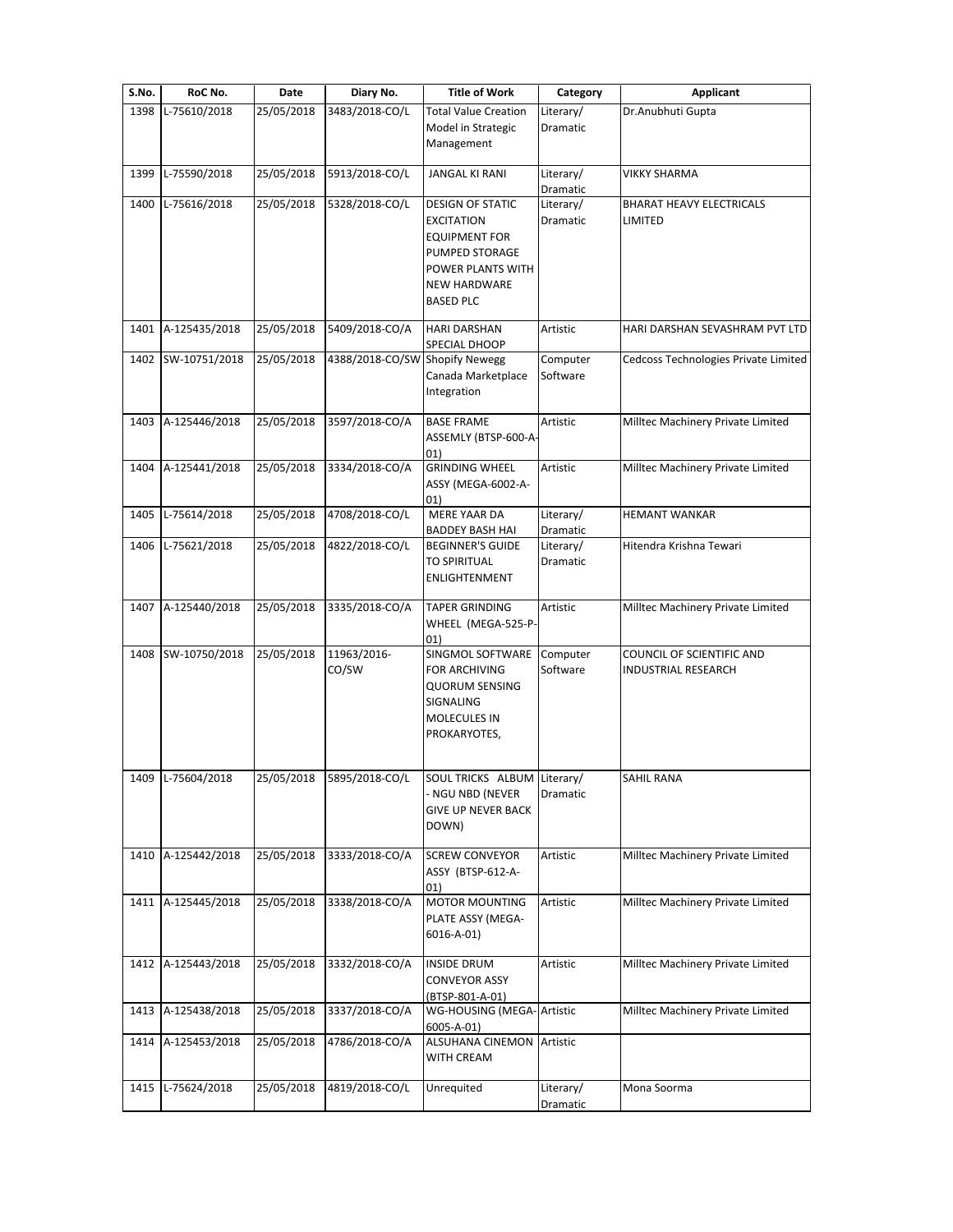| S.No. | RoC No.            | Date       | Diary No.                      | <b>Title of Work</b>                                                                                                                                   | Category              | Applicant                                               |
|-------|--------------------|------------|--------------------------------|--------------------------------------------------------------------------------------------------------------------------------------------------------|-----------------------|---------------------------------------------------------|
| 1398  | L-75610/2018       | 25/05/2018 | 3483/2018-CO/L                 | <b>Total Value Creation</b><br>Model in Strategic<br>Management                                                                                        | Literary/<br>Dramatic | Dr.Anubhuti Gupta                                       |
| 1399  | L-75590/2018       | 25/05/2018 | 5913/2018-CO/L                 | JANGAL KI RANI                                                                                                                                         | Literary/<br>Dramatic | <b>VIKKY SHARMA</b>                                     |
| 1400  | L-75616/2018       | 25/05/2018 | 5328/2018-CO/L                 | <b>DESIGN OF STATIC</b><br><b>EXCITATION</b><br><b>EQUIPMENT FOR</b><br>PUMPED STORAGE<br>POWER PLANTS WITH<br><b>NEW HARDWARE</b><br><b>BASED PLC</b> | Literary/<br>Dramatic | BHARAT HEAVY ELECTRICALS<br>LIMITED                     |
|       | 1401 A-125435/2018 | 25/05/2018 | 5409/2018-CO/A                 | <b>HARI DARSHAN</b><br>SPECIAL DHOOP                                                                                                                   | Artistic              | HARI DARSHAN SEVASHRAM PVT LTD                          |
| 1402  | SW-10751/2018      | 25/05/2018 | 4388/2018-CO/SW Shopify Newegg | Canada Marketplace<br>Integration                                                                                                                      | Computer<br>Software  | Cedcoss Technologies Private Limited                    |
| 1403  | A-125446/2018      | 25/05/2018 | 3597/2018-CO/A                 | <b>BASE FRAME</b><br>ASSEMLY (BTSP-600-A-<br>01)                                                                                                       | Artistic              | Milltec Machinery Private Limited                       |
| 1404  | A-125441/2018      | 25/05/2018 | 3334/2018-CO/A                 | <b>GRINDING WHEEL</b><br>ASSY (MEGA-6002-A-<br>01)                                                                                                     | Artistic              | Milltec Machinery Private Limited                       |
| 1405  | L-75614/2018       | 25/05/2018 | 4708/2018-CO/L                 | <b>MERE YAAR DA</b><br>BADDEY BASH HAI                                                                                                                 | Literary/<br>Dramatic | <b>HEMANT WANKAR</b>                                    |
| 1406  | L-75621/2018       | 25/05/2018 | 4822/2018-CO/L                 | <b>BEGINNER'S GUIDE</b><br><b>TO SPIRITUAL</b><br>ENLIGHTENMENT                                                                                        | Literary/<br>Dramatic | Hitendra Krishna Tewari                                 |
|       | 1407 A-125440/2018 | 25/05/2018 | 3335/2018-CO/A                 | <b>TAPER GRINDING</b><br>WHEEL (MEGA-525-P-<br>01)                                                                                                     | Artistic              | Milltec Machinery Private Limited                       |
| 1408  | SW-10750/2018      | 25/05/2018 | 11963/2016-<br>CO/SW           | SINGMOL SOFTWARE<br>FOR ARCHIVING<br><b>QUORUM SENSING</b><br>SIGNALING<br><b>MOLECULES IN</b><br>PROKARYOTES,                                         | Computer<br>Software  | COUNCIL OF SCIENTIFIC AND<br><b>INDUSTRIAL RESEARCH</b> |
| 1409  | L-75604/2018       | 25/05/2018 | 5895/2018-CO/L                 | SOUL TRICKS ALBUM Literary/<br>NGU NBD (NEVER<br><b>GIVE UP NEVER BACK</b><br>DOWN)                                                                    | Dramatic              | SAHIL RANA                                              |
| 1410  | A-125442/2018      | 25/05/2018 | 3333/2018-CO/A                 | <b>SCREW CONVEYOR</b><br>ASSY (BTSP-612-A-<br>01)                                                                                                      | Artistic              | Milltec Machinery Private Limited                       |
| 1411  | A-125445/2018      | 25/05/2018 | 3338/2018-CO/A                 | <b>MOTOR MOUNTING</b><br>PLATE ASSY (MEGA-<br>6016-A-01)                                                                                               | Artistic              | Milltec Machinery Private Limited                       |
| 1412  | A-125443/2018      | 25/05/2018 | 3332/2018-CO/A                 | <b>INSIDE DRUM</b><br><b>CONVEYOR ASSY</b><br>(BTSP-801-A-01)                                                                                          | Artistic              | Milltec Machinery Private Limited                       |
| 1413  | A-125438/2018      | 25/05/2018 | 3337/2018-CO/A                 | WG-HOUSING (MEGA- Artistic<br>6005-A-01)                                                                                                               |                       | Milltec Machinery Private Limited                       |
| 1414  | A-125453/2018      | 25/05/2018 | 4786/2018-CO/A                 | ALSUHANA CINEMON<br>WITH CREAM                                                                                                                         | Artistic              |                                                         |
| 1415  | L-75624/2018       | 25/05/2018 | 4819/2018-CO/L                 | Unrequited                                                                                                                                             | Literary/<br>Dramatic | Mona Soorma                                             |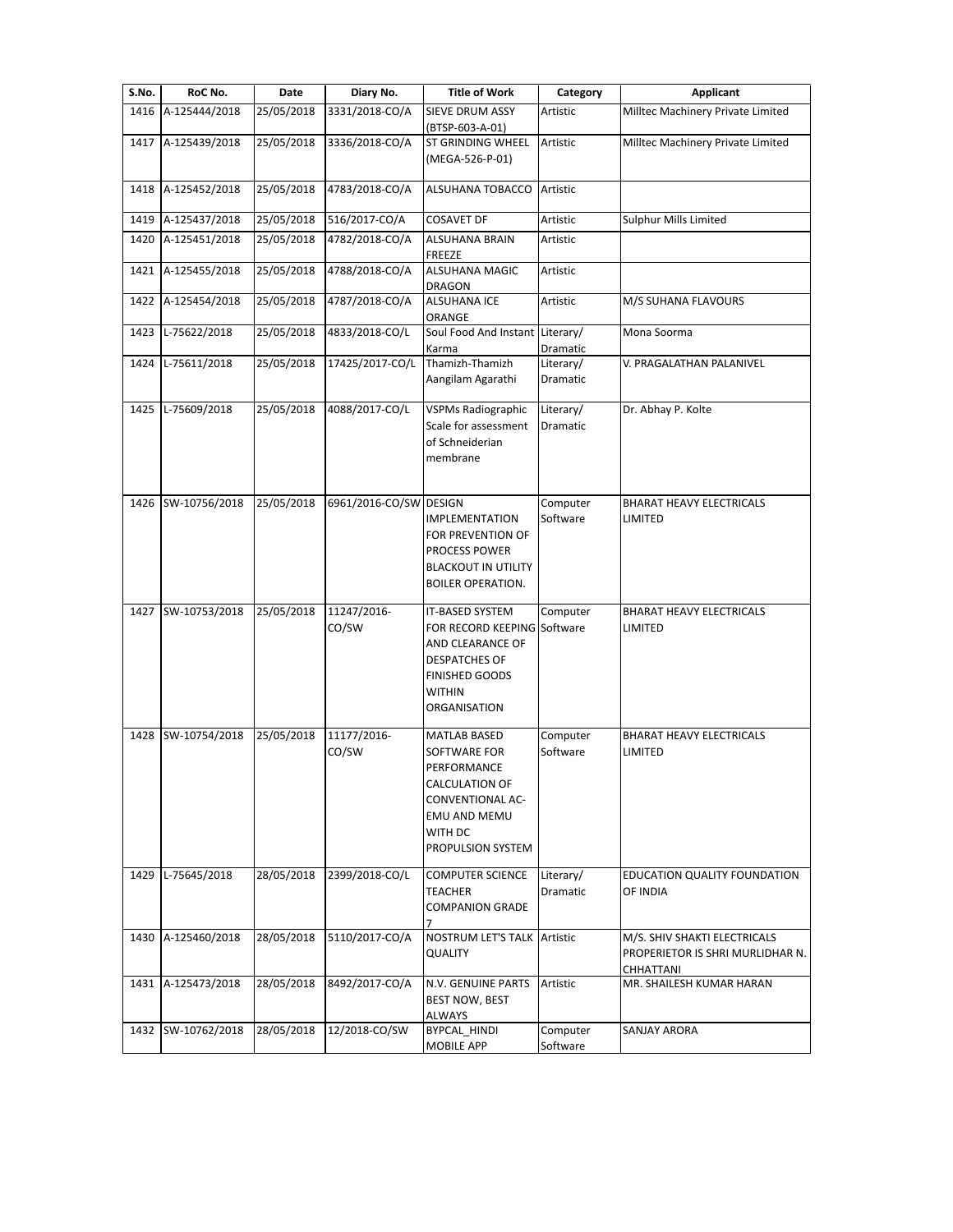| S.No. | RoC No.            | Date       | Diary No.              | <b>Title of Work</b>                      | Category  | Applicant                             |
|-------|--------------------|------------|------------------------|-------------------------------------------|-----------|---------------------------------------|
| 1416  | A-125444/2018      | 25/05/2018 | 3331/2018-CO/A         | SIEVE DRUM ASSY                           | Artistic  | Milltec Machinery Private Limited     |
|       |                    |            |                        | (BTSP-603-A-01)                           |           |                                       |
| 1417  | A-125439/2018      | 25/05/2018 | 3336/2018-CO/A         | ST GRINDING WHEEL                         | Artistic  | Milltec Machinery Private Limited     |
|       |                    |            |                        | (MEGA-526-P-01)                           |           |                                       |
| 1418  | A-125452/2018      | 25/05/2018 | 4783/2018-CO/A         | ALSUHANA TOBACCO                          | Artistic  |                                       |
|       |                    |            |                        |                                           |           |                                       |
|       | 1419 A-125437/2018 | 25/05/2018 | 516/2017-CO/A          | <b>COSAVET DF</b>                         | Artistic  | Sulphur Mills Limited                 |
| 1420  | A-125451/2018      | 25/05/2018 | 4782/2018-CO/A         | <b>ALSUHANA BRAIN</b><br>FREEZE           | Artistic  |                                       |
| 1421  | A-125455/2018      | 25/05/2018 | 4788/2018-CO/A         | ALSUHANA MAGIC                            | Artistic  |                                       |
|       |                    |            |                        | <b>DRAGON</b>                             |           |                                       |
| 1422  | A-125454/2018      | 25/05/2018 | 4787/2018-CO/A         | <b>ALSUHANA ICE</b>                       | Artistic  | M/S SUHANA FLAVOURS                   |
| 1423  | L-75622/2018       | 25/05/2018 | 4833/2018-CO/L         | ORANGE<br>Soul Food And Instant Literary/ |           | Mona Soorma                           |
|       |                    |            |                        | Karma                                     | Dramatic  |                                       |
| 1424  | L-75611/2018       | 25/05/2018 | 17425/2017-CO/L        | Thamizh-Thamizh                           | Literary/ | V. PRAGALATHAN PALANIVEL              |
|       |                    |            |                        | Aangilam Agarathi                         | Dramatic  |                                       |
| 1425  | L-75609/2018       | 25/05/2018 | 4088/2017-CO/L         | <b>VSPMs Radiographic</b>                 | Literary/ | Dr. Abhay P. Kolte                    |
|       |                    |            |                        | Scale for assessment                      | Dramatic  |                                       |
|       |                    |            |                        | of Schneiderian                           |           |                                       |
|       |                    |            |                        | membrane                                  |           |                                       |
|       |                    |            |                        |                                           |           |                                       |
| 1426  | SW-10756/2018      | 25/05/2018 | 6961/2016-CO/SW DESIGN |                                           | Computer  | <b>BHARAT HEAVY ELECTRICALS</b>       |
|       |                    |            |                        | <b>IMPLEMENTATION</b>                     | Software  | LIMITED                               |
|       |                    |            |                        | FOR PREVENTION OF<br>PROCESS POWER        |           |                                       |
|       |                    |            |                        | <b>BLACKOUT IN UTILITY</b>                |           |                                       |
|       |                    |            |                        | <b>BOILER OPERATION.</b>                  |           |                                       |
| 1427  | SW-10753/2018      | 25/05/2018 | 11247/2016-            | IT-BASED SYSTEM                           | Computer  | <b>BHARAT HEAVY ELECTRICALS</b>       |
|       |                    |            | CO/SW                  | FOR RECORD KEEPING Software               |           | LIMITED                               |
|       |                    |            |                        | AND CLEARANCE OF                          |           |                                       |
|       |                    |            |                        | <b>DESPATCHES OF</b>                      |           |                                       |
|       |                    |            |                        | <b>FINISHED GOODS</b>                     |           |                                       |
|       |                    |            |                        | <b>WITHIN</b><br>ORGANISATION             |           |                                       |
|       |                    |            |                        |                                           |           |                                       |
| 1428  | SW-10754/2018      | 25/05/2018 | 11177/2016-            | <b>MATLAB BASED</b>                       | Computer  | <b>BHARAT HEAVY ELECTRICALS</b>       |
|       |                    |            | CO/SW                  | SOFTWARE FOR<br>PERFORMANCE               | Software  | LIMITED                               |
|       |                    |            |                        | CALCULATION OF                            |           |                                       |
|       |                    |            |                        | CONVENTIONAL AC-                          |           |                                       |
|       |                    |            |                        | <b>EMU AND MEMU</b>                       |           |                                       |
|       |                    |            |                        | WITH DC                                   |           |                                       |
|       |                    |            |                        | PROPULSION SYSTEM                         |           |                                       |
|       | 1429 L-75645/2018  | 28/05/2018 | 2399/2018-CO/L         | <b>COMPUTER SCIENCE</b>                   | Literary/ | EDUCATION QUALITY FOUNDATION          |
|       |                    |            |                        | <b>TEACHER</b><br><b>COMPANION GRADE</b>  | Dramatic  | OF INDIA                              |
|       |                    |            |                        |                                           |           |                                       |
| 1430  | A-125460/2018      | 28/05/2018 | 5110/2017-CO/A         | NOSTRUM LET'S TALK Artistic               |           | M/S. SHIV SHAKTI ELECTRICALS          |
|       |                    |            |                        | <b>QUALITY</b>                            |           | PROPERIETOR IS SHRI MURLIDHAR N.      |
|       | 1431 A-125473/2018 | 28/05/2018 | 8492/2017-CO/A         | N.V. GENUINE PARTS                        | Artistic  | CHHATTANI<br>MR. SHAILESH KUMAR HARAN |
|       |                    |            |                        | <b>BEST NOW, BEST</b>                     |           |                                       |
|       |                    |            |                        | <b>ALWAYS</b>                             |           |                                       |
|       | 1432 SW-10762/2018 | 28/05/2018 | 12/2018-CO/SW          | BYPCAL_HINDI                              | Computer  | SANJAY ARORA                          |
|       |                    |            |                        | MOBILE APP                                | Software  |                                       |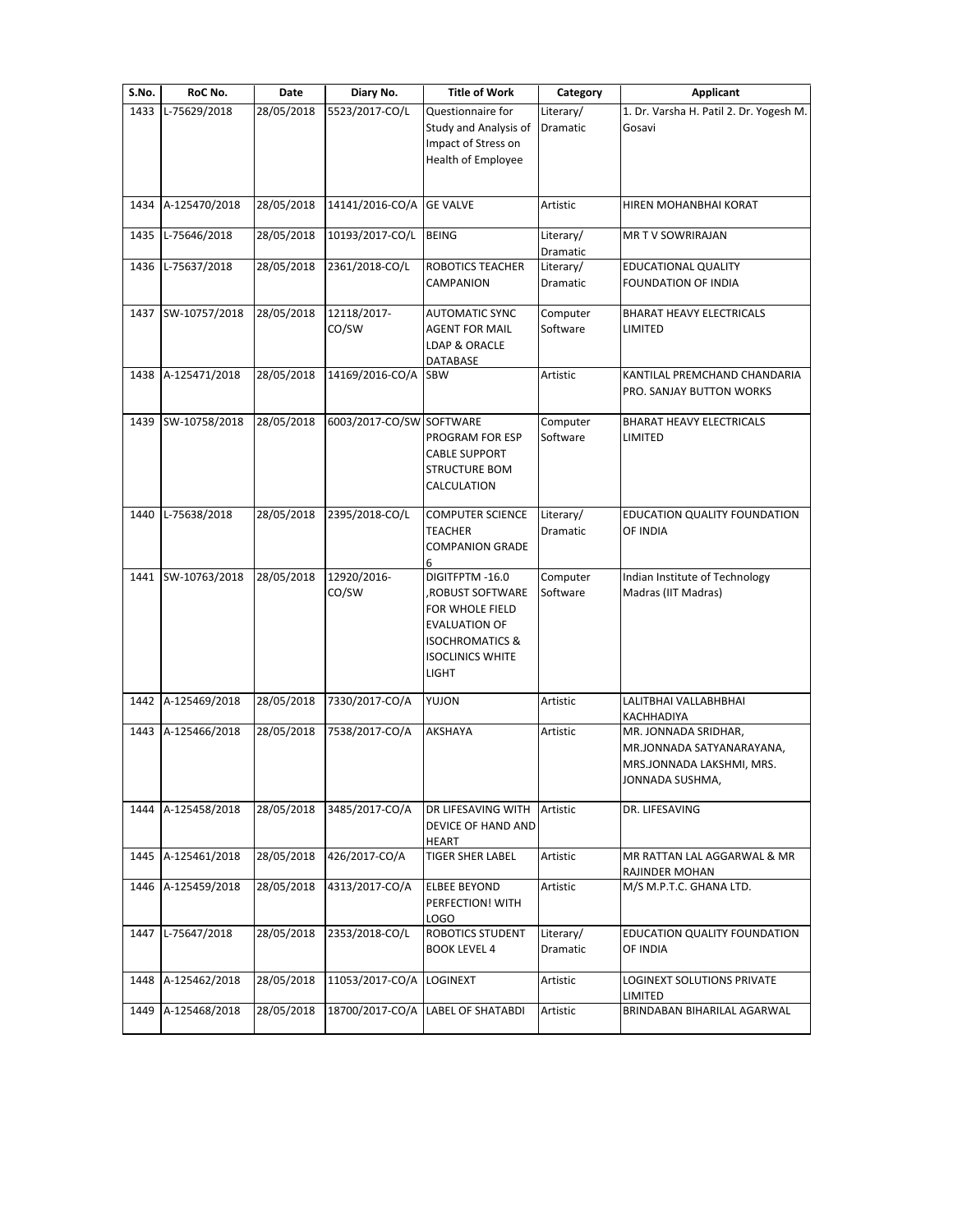| S.No. | RoC No.            | <b>Date</b> | Diary No.                | <b>Title of Work</b>                                                                                                                                   | Category                     | Applicant                                                                                         |
|-------|--------------------|-------------|--------------------------|--------------------------------------------------------------------------------------------------------------------------------------------------------|------------------------------|---------------------------------------------------------------------------------------------------|
| 1433  | L-75629/2018       | 28/05/2018  | 5523/2017-CO/L           | Questionnaire for<br>Study and Analysis of<br>Impact of Stress on<br>Health of Employee                                                                | Literary/<br>Dramatic        | 1. Dr. Varsha H. Patil 2. Dr. Yogesh M.<br>Gosavi                                                 |
| 1434  | A-125470/2018      | 28/05/2018  | 14141/2016-CO/A          | <b>GE VALVE</b>                                                                                                                                        | Artistic                     | HIREN MOHANBHAI KORAT                                                                             |
| 1435  | L-75646/2018       | 28/05/2018  | 10193/2017-CO/L          | <b>BEING</b>                                                                                                                                           | Literary/<br>Dramatic        | MR T V SOWRIRAJAN                                                                                 |
| 1436  | L-75637/2018       | 28/05/2018  | 2361/2018-CO/L           | <b>ROBOTICS TEACHER</b><br>CAMPANION                                                                                                                   | Literary/<br>Dramatic        | <b>EDUCATIONAL QUALITY</b><br>FOUNDATION OF INDIA                                                 |
| 1437  | SW-10757/2018      | 28/05/2018  | 12118/2017-<br>CO/SW     | <b>AUTOMATIC SYNC</b><br><b>AGENT FOR MAIL</b><br>LDAP & ORACLE<br>DATABASE                                                                            | Computer<br>Software         | <b>BHARAT HEAVY ELECTRICALS</b><br>LIMITED                                                        |
| 1438  | A-125471/2018      | 28/05/2018  | 14169/2016-CO/A          | <b>SBW</b>                                                                                                                                             | Artistic                     | KANTILAL PREMCHAND CHANDARIA<br>PRO. SANJAY BUTTON WORKS                                          |
| 1439  | SW-10758/2018      | 28/05/2018  | 6003/2017-CO/SW SOFTWARE | PROGRAM FOR ESP<br><b>CABLE SUPPORT</b><br><b>STRUCTURE BOM</b><br>CALCULATION                                                                         | Computer<br>Software         | <b>BHARAT HEAVY ELECTRICALS</b><br>LIMITED                                                        |
| 1440  | L-75638/2018       | 28/05/2018  | 2395/2018-CO/L           | <b>COMPUTER SCIENCE</b><br><b>TEACHER</b><br><b>COMPANION GRADE</b><br>6                                                                               | Literary/<br><b>Dramatic</b> | <b>EDUCATION QUALITY FOUNDATION</b><br>OF INDIA                                                   |
| 1441  | SW-10763/2018      | 28/05/2018  | 12920/2016-<br>CO/SW     | DIGITFPTM-16.0<br>ROBUST SOFTWARE,<br>FOR WHOLE FIELD<br><b>EVALUATION OF</b><br><b>ISOCHROMATICS &amp;</b><br><b>ISOCLINICS WHITE</b><br><b>LIGHT</b> | Computer<br>Software         | Indian Institute of Technology<br>Madras (IIT Madras)                                             |
|       | 1442 A-125469/2018 | 28/05/2018  | 7330/2017-CO/A           | YUJON                                                                                                                                                  | Artistic                     | LALITBHAI VALLABHBHAI<br>KACHHADIYA                                                               |
| 1443  | A-125466/2018      | 28/05/2018  | 7538/2017-CO/A           | AKSHAYA                                                                                                                                                | Artistic                     | MR. JONNADA SRIDHAR,<br>MR.JONNADA SATYANARAYANA,<br>MRS.JONNADA LAKSHMI, MRS.<br>JONNADA SUSHMA, |
| 1444  | A-125458/2018      | 28/05/2018  | 3485/2017-CO/A           | DR LIFESAVING WITH<br>DEVICE OF HAND AND<br>HEART                                                                                                      | Artistic                     | DR. LIFESAVING                                                                                    |
| 1445  | A-125461/2018      | 28/05/2018  | 426/2017-CO/A            | <b>TIGER SHER LABEL</b>                                                                                                                                | Artistic                     | MR RATTAN LAL AGGARWAL & MR<br>RAJINDER MOHAN                                                     |
| 1446  | A-125459/2018      | 28/05/2018  | 4313/2017-CO/A           | <b>ELBEE BEYOND</b><br>PERFECTION! WITH<br><b>LOGO</b>                                                                                                 | Artistic                     | M/S M.P.T.C. GHANA LTD.                                                                           |
| 1447  | L-75647/2018       | 28/05/2018  | 2353/2018-CO/L           | ROBOTICS STUDENT<br><b>BOOK LEVEL 4</b>                                                                                                                | Literary/<br>Dramatic        | EDUCATION QUALITY FOUNDATION<br>OF INDIA                                                          |
| 1448  | A-125462/2018      | 28/05/2018  | 11053/2017-CO/A          | <b>LOGINEXT</b>                                                                                                                                        | Artistic                     | LOGINEXT SOLUTIONS PRIVATE<br>LIMITED                                                             |
| 1449  | A-125468/2018      | 28/05/2018  | 18700/2017-CO/A          | <b>LABEL OF SHATABDI</b>                                                                                                                               | Artistic                     | BRINDABAN BIHARILAL AGARWAL                                                                       |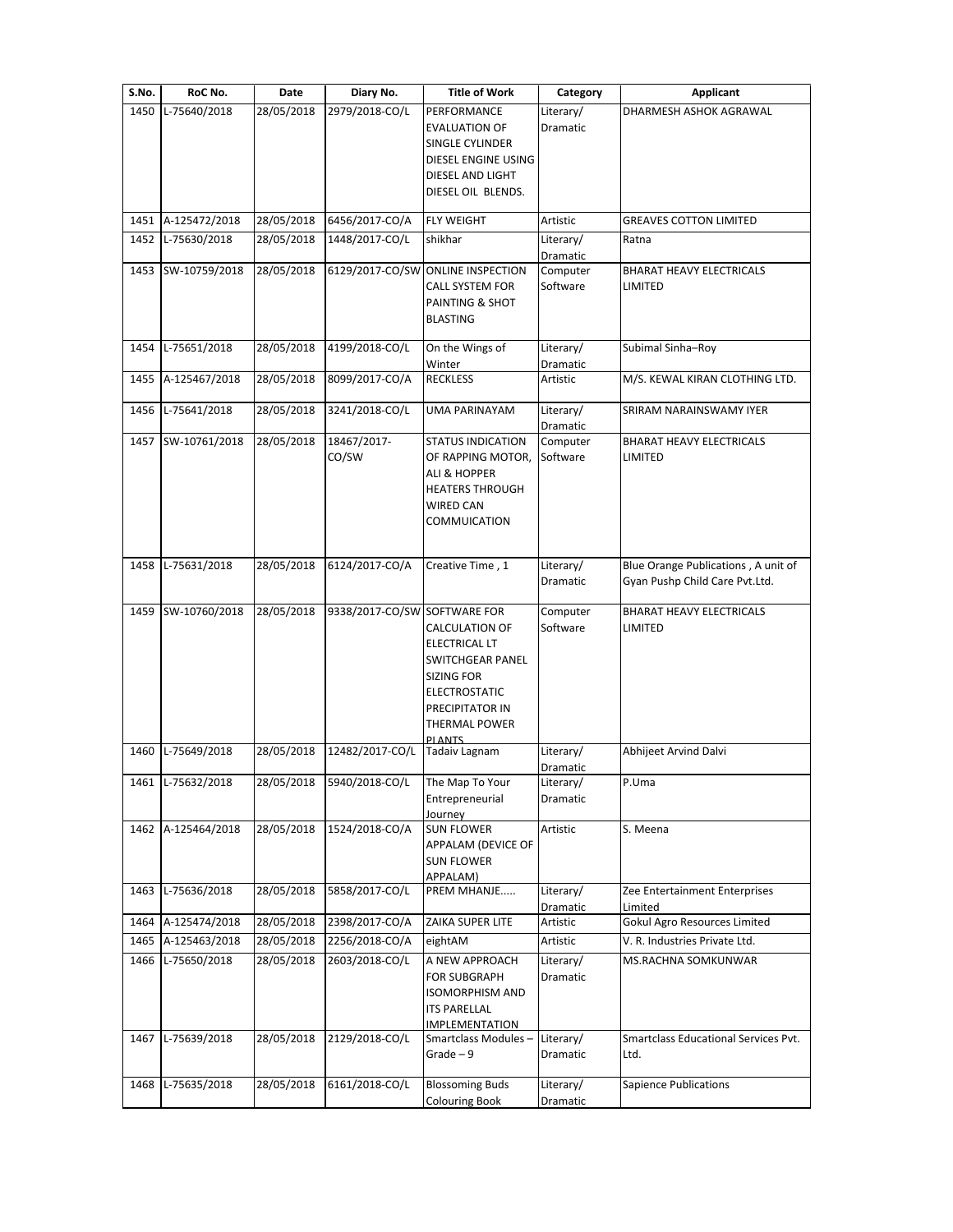| S.No. | RoC No.            | Date       | Diary No.                    | <b>Title of Work</b>                                                                                                                            | Category              | <b>Applicant</b>                                                      |
|-------|--------------------|------------|------------------------------|-------------------------------------------------------------------------------------------------------------------------------------------------|-----------------------|-----------------------------------------------------------------------|
| 1450  | L-75640/2018       | 28/05/2018 | 2979/2018-CO/L               | PERFORMANCE<br><b>EVALUATION OF</b><br>SINGLE CYLINDER<br>DIESEL ENGINE USING<br>DIESEL AND LIGHT<br>DIESEL OIL BLENDS.                         | Literary/<br>Dramatic | DHARMESH ASHOK AGRAWAL                                                |
|       | 1451 A-125472/2018 | 28/05/2018 | 6456/2017-CO/A               | <b>FLY WEIGHT</b>                                                                                                                               | Artistic              | <b>GREAVES COTTON LIMITED</b>                                         |
| 1452  | L-75630/2018       | 28/05/2018 | 1448/2017-CO/L               | shikhar                                                                                                                                         | Literary/<br>Dramatic | Ratna                                                                 |
|       | 1453 SW-10759/2018 | 28/05/2018 |                              | 6129/2017-CO/SW ONLINE INSPECTION<br><b>CALL SYSTEM FOR</b><br>PAINTING & SHOT<br><b>BLASTING</b>                                               | Computer<br>Software  | BHARAT HEAVY ELECTRICALS<br>LIMITED                                   |
| 1454  | L-75651/2018       | 28/05/2018 | 4199/2018-CO/L               | On the Wings of<br>Winter                                                                                                                       | Literary/<br>Dramatic | Subimal Sinha-Roy                                                     |
| 1455  | A-125467/2018      | 28/05/2018 | 8099/2017-CO/A               | <b>RECKLESS</b>                                                                                                                                 | Artistic              | M/S. KEWAL KIRAN CLOTHING LTD.                                        |
| 1456  | L-75641/2018       | 28/05/2018 | 3241/2018-CO/L               | <b>UMA PARINAYAM</b>                                                                                                                            | Literary/<br>Dramatic | SRIRAM NARAINSWAMY IYER                                               |
|       | 1457 SW-10761/2018 | 28/05/2018 | 18467/2017-<br>CO/SW         | <b>STATUS INDICATION</b><br>OF RAPPING MOTOR,<br>ALI & HOPPER<br><b>HEATERS THROUGH</b><br><b>WIRED CAN</b><br>COMMUICATION                     | Computer<br>Software  | <b>BHARAT HEAVY ELECTRICALS</b><br>LIMITED                            |
| 1458  | L-75631/2018       | 28/05/2018 | 6124/2017-CO/A               | Creative Time, 1                                                                                                                                | Literary/<br>Dramatic | Blue Orange Publications, A unit of<br>Gyan Pushp Child Care Pvt.Ltd. |
|       | 1459 SW-10760/2018 | 28/05/2018 | 9338/2017-CO/SW SOFTWARE FOR | <b>CALCULATION OF</b><br>ELECTRICAL LT<br>SWITCHGEAR PANEL<br>SIZING FOR<br>ELECTROSTATIC<br>PRECIPITATOR IN<br>THERMAL POWER<br><b>PI ANTS</b> | Computer<br>Software  | <b>BHARAT HEAVY ELECTRICALS</b><br>LIMITED                            |
| 1460  | L-75649/2018       | 28/05/2018 | 12482/2017-CO/L              | Tadaiv Lagnam                                                                                                                                   | Literary/<br>Dramatic | Abhijeet Arvind Dalvi                                                 |
|       | 1461 L-75632/2018  | 28/05/2018 | 5940/2018-CO/L               | The Map To Your<br>Entrepreneurial<br>Journey                                                                                                   | Literary/<br>Dramatic | P.Uma                                                                 |
|       | 1462 A-125464/2018 | 28/05/2018 | 1524/2018-CO/A               | <b>SUN FLOWER</b><br>APPALAM (DEVICE OF<br><b>SUN FLOWER</b><br>APPALAM)                                                                        | Artistic              | S. Meena                                                              |
| 1463  | L-75636/2018       | 28/05/2018 | 5858/2017-CO/L               | PREM MHANJE                                                                                                                                     | Literary/<br>Dramatic | Zee Entertainment Enterprises<br>Limited                              |
|       | 1464 A-125474/2018 | 28/05/2018 | 2398/2017-CO/A               | ZAIKA SUPER LITE                                                                                                                                | Artistic              | Gokul Agro Resources Limited                                          |
| 1465  | A-125463/2018      | 28/05/2018 | 2256/2018-CO/A               | eightAM                                                                                                                                         | Artistic              | V. R. Industries Private Ltd.                                         |
| 1466  | L-75650/2018       | 28/05/2018 | 2603/2018-CO/L               | A NEW APPROACH<br><b>FOR SUBGRAPH</b><br><b>ISOMORPHISM AND</b><br><b>ITS PARELLAL</b><br><b>IMPLEMENTATION</b>                                 | Literary/<br>Dramatic | MS.RACHNA SOMKUNWAR                                                   |
|       | 1467 L-75639/2018  | 28/05/2018 | 2129/2018-CO/L               | Smartclass Modules-<br>$Grade - 9$                                                                                                              | Literary/<br>Dramatic | Smartclass Educational Services Pvt.<br>Ltd.                          |
| 1468  | L-75635/2018       | 28/05/2018 | 6161/2018-CO/L               | <b>Blossoming Buds</b><br><b>Colouring Book</b>                                                                                                 | Literary/<br>Dramatic | Sapience Publications                                                 |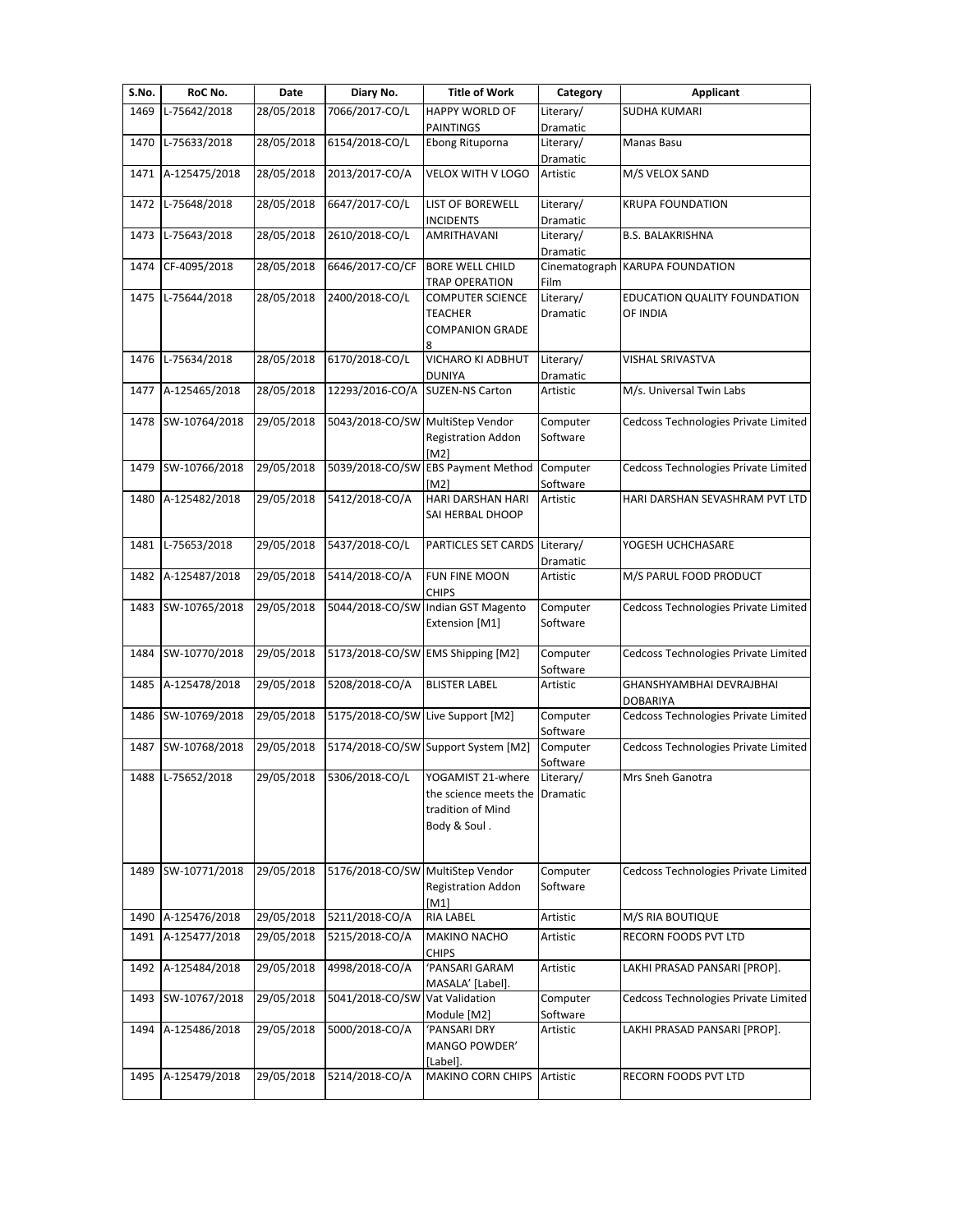| S.No. | RoC No.            | Date                    | Diary No.                         | <b>Title of Work</b>                                                                     | Category              | <b>Applicant</b>                            |
|-------|--------------------|-------------------------|-----------------------------------|------------------------------------------------------------------------------------------|-----------------------|---------------------------------------------|
| 1469  | L-75642/2018       | 28/05/2018              | 7066/2017-CO/L                    | HAPPY WORLD OF                                                                           | Literary/             | <b>SUDHA KUMARI</b>                         |
|       |                    |                         |                                   | PAINTINGS                                                                                | Dramatic              |                                             |
| 1470  | L-75633/2018       | 28/05/2018              | 6154/2018-CO/L                    | Ebong Rituporna                                                                          | Literary/<br>Dramatic | Manas Basu                                  |
| 1471  | A-125475/2018      | 28/05/2018              | 2013/2017-CO/A                    | VELOX WITH V LOGO                                                                        | Artistic              | M/S VELOX SAND                              |
| 1472  | L-75648/2018       | 28/05/2018              | 6647/2017-CO/L                    | LIST OF BOREWELL<br><b>INCIDENTS</b>                                                     | Literary/<br>Dramatic | <b>KRUPA FOUNDATION</b>                     |
| 1473  | L-75643/2018       | 28/05/2018              | 2610/2018-CO/L                    | AMRITHAVANI                                                                              | Literary/<br>Dramatic | <b>B.S. BALAKRISHNA</b>                     |
| 1474  | CF-4095/2018       | 28/05/2018              | 6646/2017-CO/CF                   | <b>BORE WELL CHILD</b><br><b>TRAP OPERATION</b>                                          | Cinematograph<br>Film | <b>KARUPA FOUNDATION</b>                    |
| 1475  | L-75644/2018       | 28/05/2018              | 2400/2018-CO/L                    | <b>COMPUTER SCIENCE</b><br><b>TEACHER</b><br><b>COMPANION GRADE</b><br>8                 | Literary/<br>Dramatic | EDUCATION QUALITY FOUNDATION<br>OF INDIA    |
| 1476  | L-75634/2018       | 28/05/2018              | 6170/2018-CO/L                    | VICHARO KI ADBHUT<br><b>DUNIYA</b>                                                       | Literary/<br>Dramatic | VISHAL SRIVASTVA                            |
| 1477  | A-125465/2018      | 28/05/2018              | 12293/2016-CO/A                   | <b>SUZEN-NS Carton</b>                                                                   | Artistic              | M/s. Universal Twin Labs                    |
| 1478  | SW-10764/2018      | 29/05/2018              | 5043/2018-CO/SW                   | MultiStep Vendor<br><b>Registration Addon</b><br>[M2]                                    | Computer<br>Software  | Cedcoss Technologies Private Limited        |
| 1479  | SW-10766/2018      | 29/05/2018              | 5039/2018-CO/SW                   | <b>EBS Payment Method</b><br>[M2]                                                        | Computer<br>Software  | Cedcoss Technologies Private Limited        |
| 1480  | A-125482/2018      | 29/05/2018              | 5412/2018-CO/A                    | HARI DARSHAN HARI<br>SAI HERBAL DHOOP                                                    | Artistic              | HARI DARSHAN SEVASHRAM PVT LTD              |
| 1481  | L-75653/2018       | $\overline{29}/05/2018$ | 5437/2018-CO/L                    | PARTICLES SET CARDS                                                                      | Literary/<br>Dramatic | YOGESH UCHCHASARE                           |
| 1482  | A-125487/2018      | 29/05/2018              | 5414/2018-CO/A                    | FUN FINE MOON<br><b>CHIPS</b>                                                            | Artistic              | M/S PARUL FOOD PRODUCT                      |
| 1483  | SW-10765/2018      | 29/05/2018              | 5044/2018-CO/SW                   | Indian GST Magento<br>Extension [M1]                                                     | Computer<br>Software  | Cedcoss Technologies Private Limited        |
| 1484  | SW-10770/2018      | 29/05/2018              | 5173/2018-CO/SW EMS Shipping [M2] |                                                                                          | Computer<br>Software  | Cedcoss Technologies Private Limited        |
| 1485  | A-125478/2018      | 29/05/2018              | 5208/2018-CO/A                    | <b>BLISTER LABEL</b>                                                                     | Artistic              | GHANSHYAMBHAI DEVRAJBHAI<br><b>DOBARIYA</b> |
| 1486  | SW-10769/2018      | 29/05/2018              | 5175/2018-CO/SW Live Support [M2] |                                                                                          | Computer<br>Software  | Cedcoss Technologies Private Limited        |
| 1487  | SW-10768/2018      | 29/05/2018              |                                   | 5174/2018-CO/SW Support System [M2]                                                      | Computer<br>Software  | Cedcoss Technologies Private Limited        |
|       | 1488 L-75652/2018  | 29/05/2018              | 5306/2018-CO/L                    | YOGAMIST 21-where<br>the science meets the Dramatic<br>tradition of Mind<br>Body & Soul. | Literary/             | Mrs Sneh Ganotra                            |
| 1489  | SW-10771/2018      | 29/05/2018              | 5176/2018-CO/SW                   | MultiStep Vendor<br><b>Registration Addon</b><br>[M1]                                    | Computer<br>Software  | Cedcoss Technologies Private Limited        |
| 1490  | A-125476/2018      | 29/05/2018              | 5211/2018-CO/A                    | <b>RIA LABEL</b>                                                                         | Artistic              | M/S RIA BOUTIQUE                            |
| 1491  | A-125477/2018      | 29/05/2018              | 5215/2018-CO/A                    | <b>MAKINO NACHO</b><br><b>CHIPS</b>                                                      | Artistic              | RECORN FOODS PVT LTD                        |
| 1492  | A-125484/2018      | 29/05/2018              | 4998/2018-CO/A                    | 'PANSARI GARAM                                                                           | Artistic              | LAKHI PRASAD PANSARI [PROP].                |
| 1493  | SW-10767/2018      | 29/05/2018              | 5041/2018-CO/SW                   | MASALA' [Label].<br>Vat Validation<br>Module [M2]                                        | Computer<br>Software  | Cedcoss Technologies Private Limited        |
| 1494  | A-125486/2018      | 29/05/2018              | 5000/2018-CO/A                    | 'PANSARI DRY<br>MANGO POWDER'                                                            | Artistic              | LAKHI PRASAD PANSARI [PROP].                |
|       | 1495 A-125479/2018 | 29/05/2018              | 5214/2018-CO/A                    | [Label].<br>MAKINO CORN CHIPS                                                            | Artistic              | RECORN FOODS PVT LTD                        |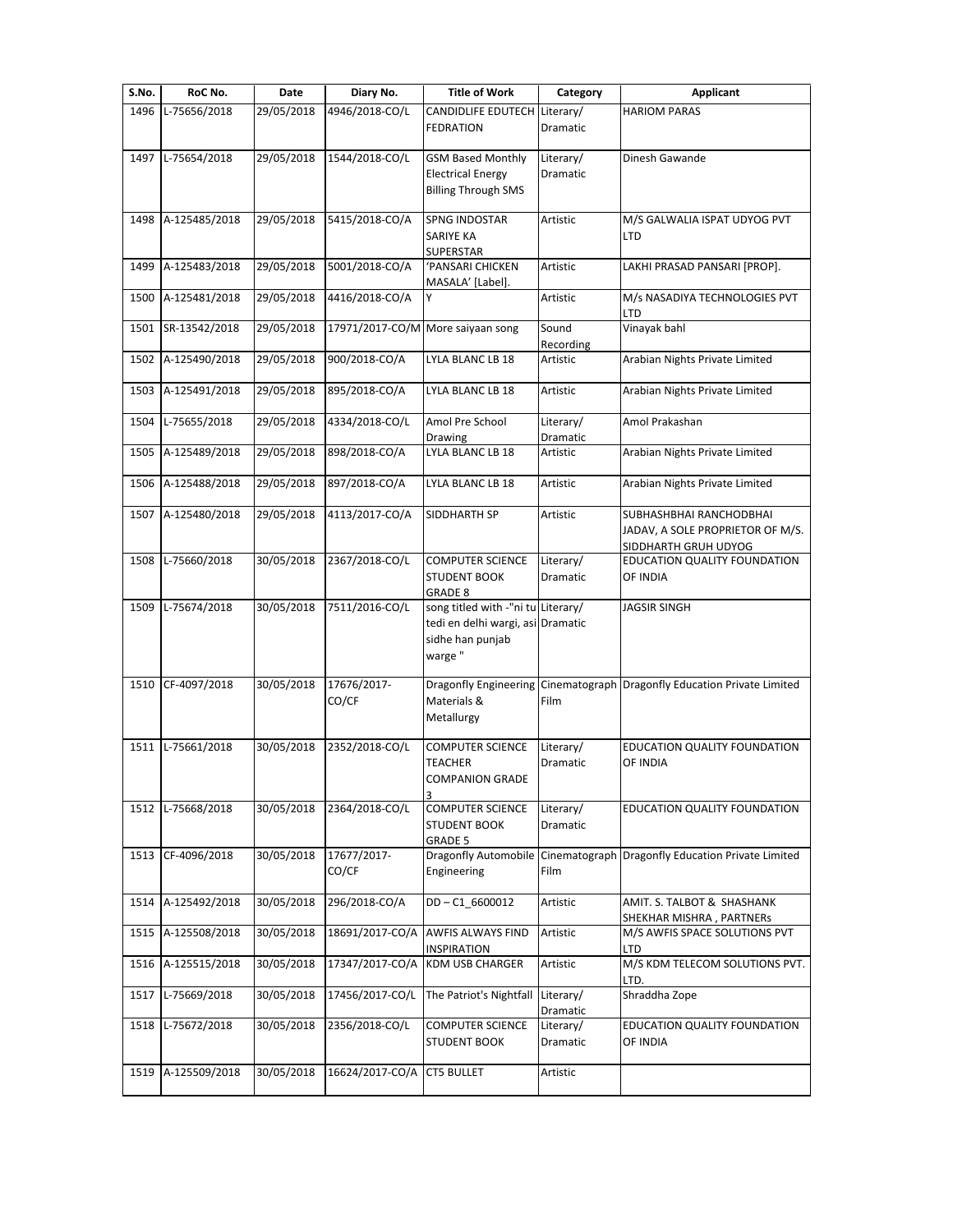| S.No. | RoC No.           | Date       | Diary No.                         | <b>Title of Work</b>               | Category             | Applicant                                         |
|-------|-------------------|------------|-----------------------------------|------------------------------------|----------------------|---------------------------------------------------|
| 1496  | L-75656/2018      | 29/05/2018 | 4946/2018-CO/L                    | <b>CANDIDLIFE EDUTECH</b>          | Literary/            | <b>HARIOM PARAS</b>                               |
|       |                   |            |                                   | <b>FEDRATION</b>                   | <b>Dramatic</b>      |                                                   |
|       |                   |            |                                   |                                    |                      |                                                   |
| 1497  | L-75654/2018      | 29/05/2018 | 1544/2018-CO/L                    | <b>GSM Based Monthly</b>           | Literary/            | Dinesh Gawande                                    |
|       |                   |            |                                   | <b>Electrical Energy</b>           | Dramatic             |                                                   |
|       |                   |            |                                   | <b>Billing Through SMS</b>         |                      |                                                   |
| 1498  | A-125485/2018     | 29/05/2018 | 5415/2018-CO/A                    | <b>SPNG INDOSTAR</b>               | Artistic             | M/S GALWALIA ISPAT UDYOG PVT                      |
|       |                   |            |                                   | SARIYE KA                          |                      | <b>LTD</b>                                        |
|       |                   |            |                                   | <b>SUPERSTAR</b>                   |                      |                                                   |
| 1499  | A-125483/2018     | 29/05/2018 | 5001/2018-CO/A                    | <b>PANSARI CHICKEN</b>             | Artistic             | LAKHI PRASAD PANSARI [PROP].                      |
|       |                   |            |                                   | MASALA' [Label].                   |                      |                                                   |
| 1500  | A-125481/2018     | 29/05/2018 | 4416/2018-CO/A                    |                                    | Artistic             | M/s NASADIYA TECHNOLOGIES PVT                     |
|       |                   |            |                                   |                                    |                      | LTD                                               |
| 1501  | SR-13542/2018     | 29/05/2018 | 17971/2017-CO/M More saiyaan song |                                    | Sound                | Vinayak bahl                                      |
|       |                   |            |                                   |                                    | Recording            |                                                   |
| 1502  | A-125490/2018     | 29/05/2018 | 900/2018-CO/A                     | LYLA BLANC LB 18                   | Artistic             | Arabian Nights Private Limited                    |
|       |                   |            |                                   |                                    |                      |                                                   |
| 1503  | A-125491/2018     | 29/05/2018 | 895/2018-CO/A                     | LYLA BLANC LB 18                   | Artistic             | Arabian Nights Private Limited                    |
|       |                   |            |                                   |                                    | Literary/            |                                                   |
| 1504  | L-75655/2018      | 29/05/2018 | 4334/2018-CO/L                    | Amol Pre School                    |                      | Amol Prakashan                                    |
| 1505  | A-125489/2018     | 29/05/2018 | 898/2018-CO/A                     | Drawing<br>LYLA BLANC LB 18        | Dramatic<br>Artistic | Arabian Nights Private Limited                    |
|       |                   |            |                                   |                                    |                      |                                                   |
| 1506  | A-125488/2018     | 29/05/2018 | 897/2018-CO/A                     | LYLA BLANC LB 18                   | Artistic             | Arabian Nights Private Limited                    |
|       |                   |            |                                   |                                    |                      |                                                   |
| 1507  | A-125480/2018     | 29/05/2018 | 4113/2017-CO/A                    | SIDDHARTH SP                       | Artistic             | SUBHASHBHAI RANCHODBHAI                           |
|       |                   |            |                                   |                                    |                      | JADAV, A SOLE PROPRIETOR OF M/S.                  |
|       |                   |            |                                   |                                    |                      | SIDDHARTH GRUH UDYOG                              |
| 1508  | L-75660/2018      | 30/05/2018 | 2367/2018-CO/L                    | <b>COMPUTER SCIENCE</b>            | Literary/            | EDUCATION QUALITY FOUNDATION                      |
|       |                   |            |                                   | <b>STUDENT BOOK</b>                | Dramatic             | OF INDIA                                          |
|       |                   |            |                                   | <b>GRADE 8</b>                     |                      |                                                   |
| 1509  | L-75674/2018      | 30/05/2018 | 7511/2016-CO/L                    | song titled with -"ni tu Literary/ |                      | <b>JAGSIR SINGH</b>                               |
|       |                   |            |                                   | tedi en delhi wargi, asi           | Dramatic             |                                                   |
|       |                   |            |                                   | sidhe han punjab                   |                      |                                                   |
|       |                   |            |                                   | warge "                            |                      |                                                   |
|       |                   |            |                                   |                                    |                      |                                                   |
| 1510  | CF-4097/2018      | 30/05/2018 | 17676/2017-                       | <b>Dragonfly Engineering</b>       |                      | Cinematograph Dragonfly Education Private Limited |
|       |                   |            | CO/CF                             | Materials &                        | Film                 |                                                   |
|       |                   |            |                                   | Metallurgy                         |                      |                                                   |
| 1511  | L-75661/2018      | 30/05/2018 | 2352/2018-CO/L                    | <b>COMPUTER SCIENCE</b>            | Literary/            | EDUCATION QUALITY FOUNDATION                      |
|       |                   |            |                                   | TEACHER                            | <b>Dramatic</b>      | OF INDIA                                          |
|       |                   |            |                                   | <b>COMPANION GRADE</b>             |                      |                                                   |
|       |                   |            |                                   | 3                                  |                      |                                                   |
| 1512  | L-75668/2018      | 30/05/2018 | 2364/2018-CO/L                    | <b>COMPUTER SCIENCE</b>            | Literary/            | EDUCATION QUALITY FOUNDATION                      |
|       |                   |            |                                   | <b>STUDENT BOOK</b>                | Dramatic             |                                                   |
|       |                   |            |                                   | GRADE 5                            |                      |                                                   |
|       | 1513 CF-4096/2018 | 30/05/2018 | 17677/2017-                       | Dragonfly Automobile               |                      | Cinematograph Dragonfly Education Private Limited |
|       |                   |            | CO/CF                             | Engineering                        | Film                 |                                                   |
|       |                   |            |                                   |                                    |                      |                                                   |
| 1514  | A-125492/2018     | 30/05/2018 | 296/2018-CO/A                     | DD-C1_6600012                      | Artistic             | AMIT. S. TALBOT & SHASHANK                        |
|       |                   |            |                                   |                                    |                      | SHEKHAR MISHRA, PARTNERs                          |
| 1515  | A-125508/2018     | 30/05/2018 |                                   | 18691/2017-CO/A AWFIS ALWAYS FIND  | Artistic             | M/S AWFIS SPACE SOLUTIONS PVT                     |
|       |                   |            |                                   | <b>INSPIRATION</b>                 |                      | LTD                                               |
| 1516  | A-125515/2018     | 30/05/2018 | 17347/2017-CO/A                   | <b>KDM USB CHARGER</b>             | Artistic             | M/S KDM TELECOM SOLUTIONS PVT.                    |
|       |                   |            |                                   |                                    |                      | LTD.                                              |
| 1517  | L-75669/2018      | 30/05/2018 | 17456/2017-CO/L                   | The Patriot's Nightfall            | Literary/            | Shraddha Zope                                     |
|       |                   |            |                                   |                                    | Dramatic             |                                                   |
| 1518  | L-75672/2018      | 30/05/2018 | 2356/2018-CO/L                    | <b>COMPUTER SCIENCE</b>            | Literary/            | EDUCATION QUALITY FOUNDATION                      |
|       |                   |            |                                   | <b>STUDENT BOOK</b>                | Dramatic             | OF INDIA                                          |
|       | A-125509/2018     | 30/05/2018 | 16624/2017-CO/A                   | <b>CT5 BULLET</b>                  |                      |                                                   |
| 1519  |                   |            |                                   |                                    | Artistic             |                                                   |
|       |                   |            |                                   |                                    |                      |                                                   |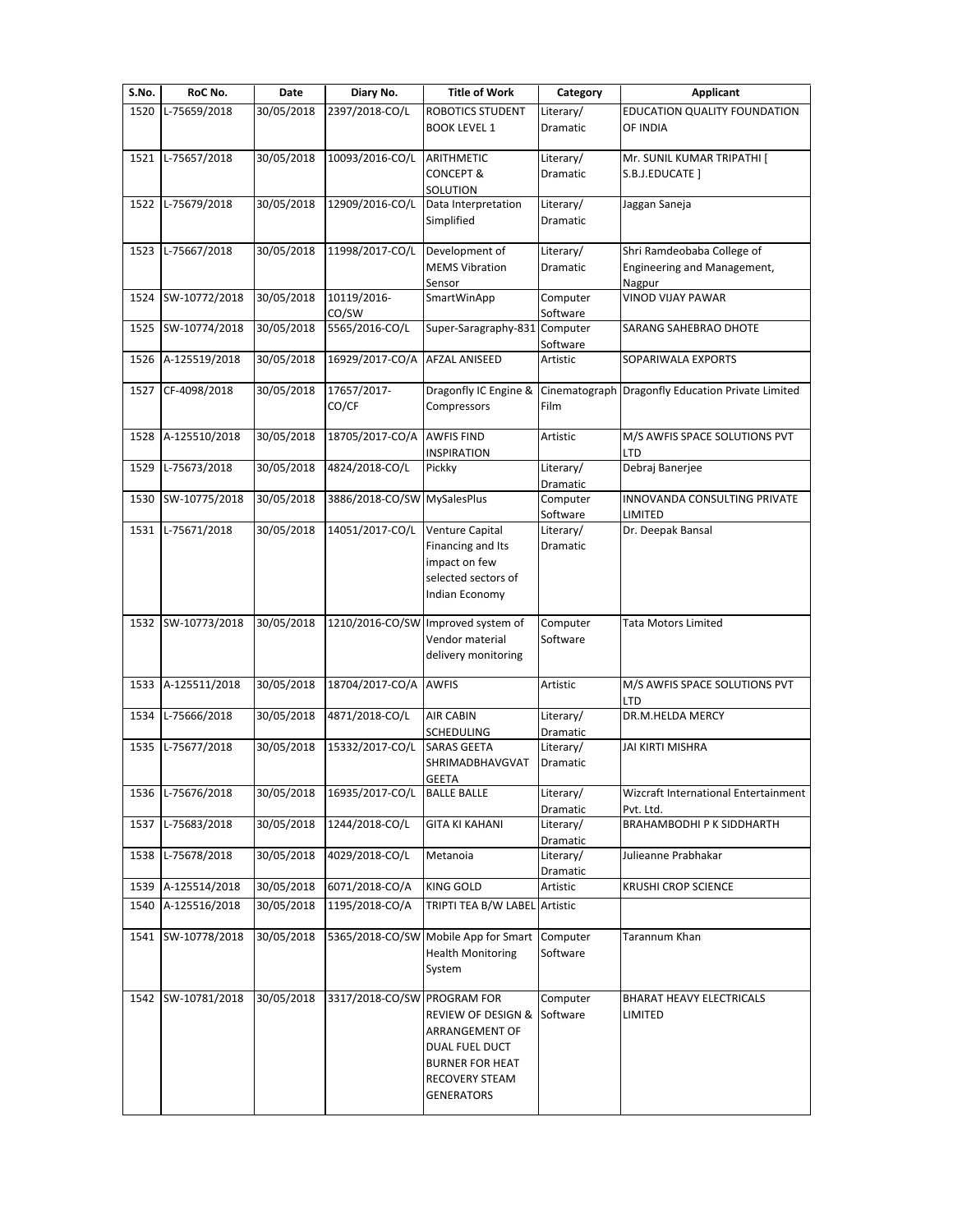| S.No. | RoC No.            | Date       | Diary No.                   | <b>Title of Work</b>                    | Category              | <b>Applicant</b>                                  |
|-------|--------------------|------------|-----------------------------|-----------------------------------------|-----------------------|---------------------------------------------------|
| 1520  | L-75659/2018       | 30/05/2018 | 2397/2018-CO/L              | ROBOTICS STUDENT                        | Literary/             | EDUCATION QUALITY FOUNDATION                      |
|       |                    |            |                             | <b>BOOK LEVEL 1</b>                     | <b>Dramatic</b>       | OF INDIA                                          |
| 1521  | L-75657/2018       | 30/05/2018 | 10093/2016-CO/L             | ARITHMETIC                              | Literary/             | Mr. SUNIL KUMAR TRIPATHI [                        |
|       |                    |            |                             | <b>CONCEPT &amp;</b>                    | <b>Dramatic</b>       | S.B.J.EDUCATE ]                                   |
|       |                    |            |                             | SOLUTION                                |                       |                                                   |
|       | 1522 L-75679/2018  | 30/05/2018 | 12909/2016-CO/L             | Data Interpretation                     | Literary/             | Jaggan Saneja                                     |
|       |                    |            |                             | Simplified                              | Dramatic              |                                                   |
|       | 1523 L-75667/2018  | 30/05/2018 | 11998/2017-CO/L             | Development of                          | Literary/             | Shri Ramdeobaba College of                        |
|       |                    |            |                             | <b>MEMS Vibration</b>                   | Dramatic              | Engineering and Management,                       |
|       |                    |            |                             | Sensor                                  |                       | Nagpur                                            |
| 1524  | SW-10772/2018      | 30/05/2018 | 10119/2016-                 | SmartWinApp                             | Computer              | VINOD VIJAY PAWAR                                 |
|       |                    |            | CO/SW                       |                                         | Software              |                                                   |
| 1525  | SW-10774/2018      | 30/05/2018 | 5565/2016-CO/L              | Super-Saragraphy-831                    | Computer<br>Software  | SARANG SAHEBRAO DHOTE                             |
| 1526  | A-125519/2018      | 30/05/2018 | 16929/2017-CO/A             | AFZAL ANISEED                           | Artistic              | SOPARIWALA EXPORTS                                |
|       |                    |            |                             |                                         |                       |                                                   |
| 1527  | CF-4098/2018       | 30/05/2018 | 17657/2017-                 | Dragonfly IC Engine &                   |                       | Cinematograph Dragonfly Education Private Limited |
|       |                    |            | CO/CF                       | Compressors                             | Film                  |                                                   |
|       |                    |            | 18705/2017-CO/A             |                                         |                       |                                                   |
| 1528  | A-125510/2018      | 30/05/2018 |                             | <b>AWFIS FIND</b><br><b>INSPIRATION</b> | Artistic              | M/S AWFIS SPACE SOLUTIONS PVT<br>LTD              |
| 1529  | L-75673/2018       | 30/05/2018 | 4824/2018-CO/L              | Pickky                                  | Literary/             | Debraj Banerjee                                   |
|       |                    |            |                             |                                         | Dramatic              |                                                   |
|       | 1530 SW-10775/2018 | 30/05/2018 | 3886/2018-CO/SW             | MySalesPlus                             | Computer              | INNOVANDA CONSULTING PRIVATE                      |
|       |                    |            |                             |                                         | Software              | LIMITED                                           |
| 1531  | L-75671/2018       | 30/05/2018 | 14051/2017-CO/L             | Venture Capital                         | Literary/             | Dr. Deepak Bansal                                 |
|       |                    |            |                             | Financing and Its                       | Dramatic              |                                                   |
|       |                    |            |                             | impact on few                           |                       |                                                   |
|       |                    |            |                             | selected sectors of                     |                       |                                                   |
|       |                    |            |                             | Indian Economy                          |                       |                                                   |
|       | 1532 SW-10773/2018 | 30/05/2018 | 1210/2016-CO/SW             | Improved system of                      | Computer              | Tata Motors Limited                               |
|       |                    |            |                             | Vendor material                         | Software              |                                                   |
|       |                    |            |                             | delivery monitoring                     |                       |                                                   |
|       |                    |            |                             |                                         |                       |                                                   |
|       | 1533 A-125511/2018 | 30/05/2018 | 18704/2017-CO/A             | <b>AWFIS</b>                            | Artistic              | M/S AWFIS SPACE SOLUTIONS PVT                     |
| 1534  | L-75666/2018       | 30/05/2018 | 4871/2018-CO/L              | <b>AIR CABIN</b>                        | Literary/             | LTD<br>DR.M.HELDA MERCY                           |
|       |                    |            |                             | <b>SCHEDULING</b>                       | Dramatic              |                                                   |
| 1535  | L-75677/2018       | 30/05/2018 | 15332/2017-CO/L             | SARAS GEETA                             | Literary/             | JAI KIRTI MISHRA                                  |
|       |                    |            |                             | SHRIMADBHAVGVAT                         | Dramatic              |                                                   |
|       |                    |            |                             | <b>GEETA</b>                            |                       |                                                   |
|       | 1536 L-75676/2018  | 30/05/2018 | 16935/2017-CO/L             | <b>BALLE BALLE</b>                      | Literary/             | Wizcraft International Entertainment              |
|       |                    |            |                             |                                         | Dramatic              | Pvt. Ltd.                                         |
| 1537  | L-75683/2018       | 30/05/2018 | 1244/2018-CO/L              | <b>GITA KI KAHANI</b>                   | Literary/             | BRAHAMBODHI P K SIDDHARTH                         |
| 1538  | L-75678/2018       | 30/05/2018 | 4029/2018-CO/L              | Metanoia                                | Dramatic<br>Literary/ | Julieanne Prabhakar                               |
|       |                    |            |                             |                                         | Dramatic              |                                                   |
|       | 1539 A-125514/2018 | 30/05/2018 | 6071/2018-CO/A              | <b>KING GOLD</b>                        | Artistic              | <b>KRUSHI CROP SCIENCE</b>                        |
| 1540  | A-125516/2018      | 30/05/2018 | 1195/2018-CO/A              | TRIPTI TEA B/W LABEL Artistic           |                       |                                                   |
|       |                    |            |                             |                                         |                       |                                                   |
|       | 1541 SW-10778/2018 | 30/05/2018 | 5365/2018-CO/SW             | Mobile App for Smart                    | Computer              | Tarannum Khan                                     |
|       |                    |            |                             | <b>Health Monitoring</b>                | Software              |                                                   |
|       |                    |            |                             | System                                  |                       |                                                   |
|       | 1542 SW-10781/2018 | 30/05/2018 | 3317/2018-CO/SW PROGRAM FOR |                                         | Computer              | BHARAT HEAVY ELECTRICALS                          |
|       |                    |            |                             | REVIEW OF DESIGN & Software             |                       | LIMITED                                           |
|       |                    |            |                             | ARRANGEMENT OF                          |                       |                                                   |
|       |                    |            |                             | DUAL FUEL DUCT                          |                       |                                                   |
|       |                    |            |                             | <b>BURNER FOR HEAT</b>                  |                       |                                                   |
|       |                    |            |                             | <b>RECOVERY STEAM</b>                   |                       |                                                   |
|       |                    |            |                             | GENERATORS                              |                       |                                                   |
|       |                    |            |                             |                                         |                       |                                                   |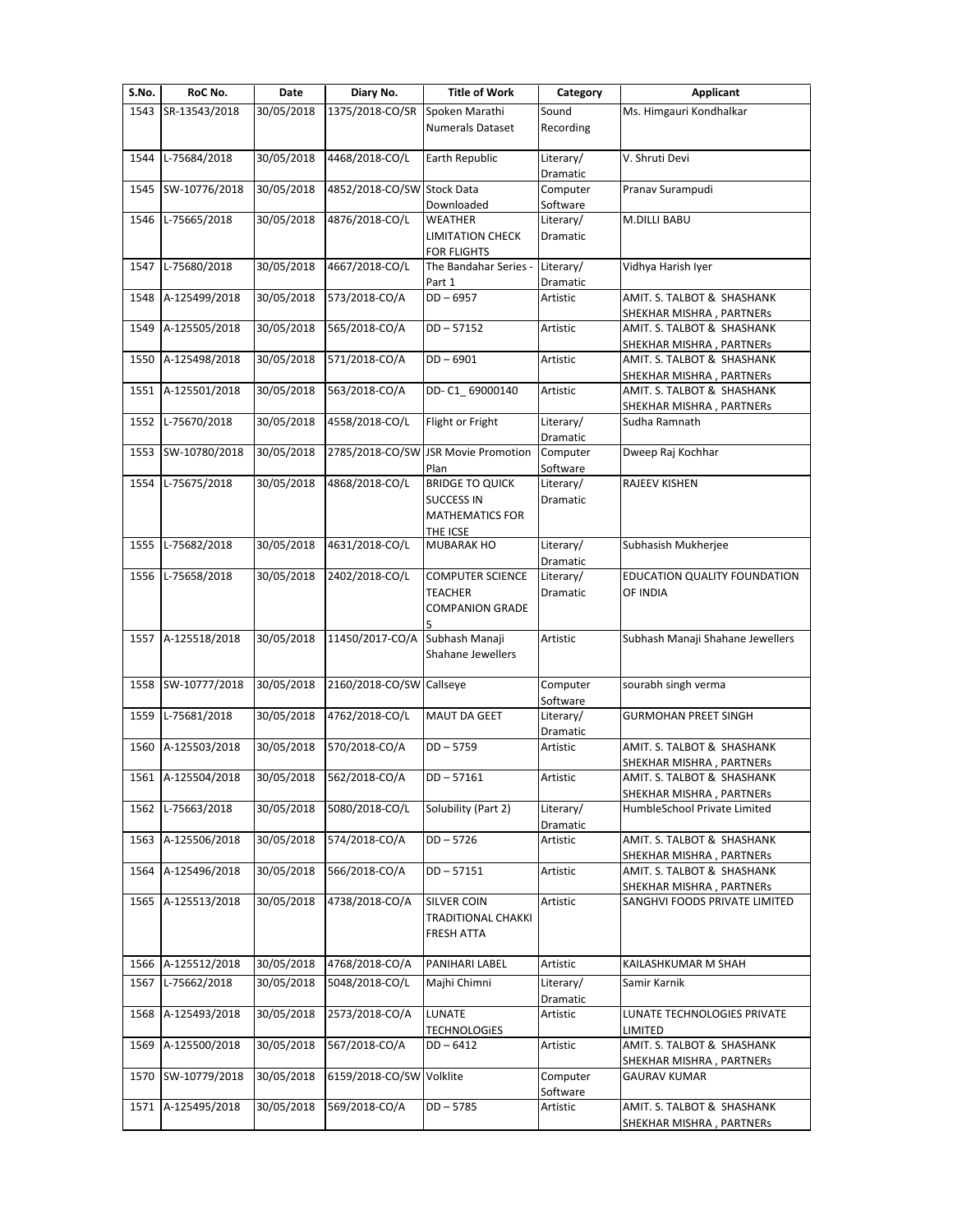| S.No. | RoC No.            | Date       | Diary No.                  | <b>Title of Work</b>                 | Category              | <b>Applicant</b>                                         |
|-------|--------------------|------------|----------------------------|--------------------------------------|-----------------------|----------------------------------------------------------|
| 1543  | SR-13543/2018      | 30/05/2018 | 1375/2018-CO/SR            | Spoken Marathi                       | Sound                 | Ms. Himgauri Kondhalkar                                  |
|       |                    |            |                            | <b>Numerals Dataset</b>              | Recording             |                                                          |
| 1544  | L-75684/2018       | 30/05/2018 | 4468/2018-CO/L             | Earth Republic                       | Literary/<br>Dramatic | V. Shruti Devi                                           |
| 1545  | SW-10776/2018      | 30/05/2018 | 4852/2018-CO/SW Stock Data |                                      | Computer<br>Software  | Pranav Surampudi                                         |
| 1546  | L-75665/2018       | 30/05/2018 | 4876/2018-CO/L             | Downloaded<br>WEATHER                | Literary/             | M.DILLI BABU                                             |
|       |                    |            |                            | LIMITATION CHECK                     | <b>Dramatic</b>       |                                                          |
| 1547  | L-75680/2018       | 30/05/2018 | 4667/2018-CO/L             | FOR FLIGHTS<br>The Bandahar Series - | Literary/             | Vidhya Harish Iyer                                       |
|       |                    |            | 573/2018-CO/A              | Part 1                               | Dramatic              |                                                          |
| 1548  | A-125499/2018      | 30/05/2018 |                            | DD-6957                              | Artistic              | AMIT. S. TALBOT & SHASHANK<br>SHEKHAR MISHRA, PARTNERs   |
| 1549  | A-125505/2018      | 30/05/2018 | 565/2018-CO/A              | DD-57152                             | Artistic              | AMIT. S. TALBOT & SHASHANK                               |
| 1550  | A-125498/2018      | 30/05/2018 | 571/2018-CO/A              | DD-6901                              | Artistic              | SHEKHAR MISHRA, PARTNERs<br>AMIT. S. TALBOT & SHASHANK   |
|       |                    |            |                            |                                      |                       | SHEKHAR MISHRA, PARTNERs                                 |
| 1551  | A-125501/2018      | 30/05/2018 | 563/2018-CO/A              | DD-C1 69000140                       | Artistic              | AMIT. S. TALBOT & SHASHANK                               |
|       |                    |            |                            |                                      |                       | SHEKHAR MISHRA, PARTNERs                                 |
| 1552  | L-75670/2018       | 30/05/2018 | 4558/2018-CO/L             | Flight or Fright                     | Literary/             | Sudha Ramnath                                            |
| 1553  | SW-10780/2018      | 30/05/2018 |                            | 2785/2018-CO/SW JSR Movie Promotion  | Dramatic<br>Computer  | Dweep Raj Kochhar                                        |
|       |                    |            |                            | Plan                                 | Software              |                                                          |
| 1554  | L-75675/2018       | 30/05/2018 | 4868/2018-CO/L             | <b>BRIDGE TO QUICK</b>               | Literary/             | RAJEEV KISHEN                                            |
|       |                    |            |                            | <b>SUCCESS IN</b>                    | Dramatic              |                                                          |
|       |                    |            |                            | <b>MATHEMATICS FOR</b>               |                       |                                                          |
| 1555  | L-75682/2018       | 30/05/2018 | 4631/2018-CO/L             | THE ICSE<br>MUBARAK HO               | Literary/             | Subhasish Mukherjee                                      |
|       |                    |            |                            |                                      | Dramatic              |                                                          |
| 1556  | L-75658/2018       | 30/05/2018 | 2402/2018-CO/L             | <b>COMPUTER SCIENCE</b>              | Literary/             | EDUCATION QUALITY FOUNDATION                             |
|       |                    |            |                            | TEACHER                              | Dramatic              | OF INDIA                                                 |
|       |                    |            |                            | <b>COMPANION GRADE</b>               |                       |                                                          |
| 1557  | A-125518/2018      | 30/05/2018 | 11450/2017-CO/A            | Subhash Manaji                       | Artistic              | Subhash Manaji Shahane Jewellers                         |
|       |                    |            |                            | Shahane Jewellers                    |                       |                                                          |
|       |                    |            |                            |                                      |                       |                                                          |
| 1558  | SW-10777/2018      | 30/05/2018 | 2160/2018-CO/SW Callseye   |                                      | Computer              | sourabh singh verma                                      |
|       |                    |            |                            |                                      | Software              |                                                          |
| 1559  | L-75681/2018       | 30/05/2018 | 4762/2018-CO/L             | MAUT DA GEET                         | Literary/<br>Dramatic | <b>GURMOHAN PREET SINGH</b>                              |
| 1560  | A-125503/2018      | 30/05/2018 | 570/2018-CO/A              | $DD - 5759$                          | Artistic              | AMIT. S. TALBOT & SHASHANK                               |
|       |                    |            |                            |                                      |                       | SHEKHAR MISHRA, PARTNERS                                 |
|       | 1561 A-125504/2018 | 30/05/2018 | 562/2018-CO/A              | $DD - 57161$                         | Artistic              | AMIT. S. TALBOT & SHASHANK                               |
| 1562  | L-75663/2018       | 30/05/2018 | 5080/2018-CO/L             | Solubility (Part 2)                  | Literary/             | SHEKHAR MISHRA, PARTNERs<br>HumbleSchool Private Limited |
|       |                    |            |                            |                                      | Dramatic              |                                                          |
| 1563  | A-125506/2018      | 30/05/2018 | 574/2018-CO/A              | DD-5726                              | Artistic              | AMIT. S. TALBOT & SHASHANK                               |
| 1564  | A-125496/2018      | 30/05/2018 | 566/2018-CO/A              | DD-57151                             | Artistic              | SHEKHAR MISHRA, PARTNERs<br>AMIT. S. TALBOT & SHASHANK   |
|       |                    |            |                            |                                      |                       | SHEKHAR MISHRA, PARTNERs                                 |
| 1565  | A-125513/2018      | 30/05/2018 | 4738/2018-CO/A             | <b>SILVER COIN</b>                   | Artistic              | SANGHVI FOODS PRIVATE LIMITED                            |
|       |                    |            |                            | TRADITIONAL CHAKKI                   |                       |                                                          |
|       |                    |            |                            | FRESH ATTA                           |                       |                                                          |
| 1566  | A-125512/2018      | 30/05/2018 | 4768/2018-CO/A             | PANIHARI LABEL                       | Artistic              | KAILASHKUMAR M SHAH                                      |
| 1567  | L-75662/2018       | 30/05/2018 | 5048/2018-CO/L             | Majhi Chimni                         | Literary/             | Samir Karnik                                             |
|       |                    |            |                            |                                      | Dramatic              |                                                          |
| 1568  | A-125493/2018      | 30/05/2018 | 2573/2018-CO/A             | LUNATE                               | Artistic              | LUNATE TECHNOLOGIES PRIVATE                              |
|       |                    |            |                            | TECHNOLOGIES                         |                       | LIMITED                                                  |
| 1569  | A-125500/2018      | 30/05/2018 | 567/2018-CO/A              | DD-6412                              | Artistic              | AMIT. S. TALBOT & SHASHANK                               |
| 1570  | SW-10779/2018      | 30/05/2018 | 6159/2018-CO/SW Volklite   |                                      | Computer              | SHEKHAR MISHRA, PARTNERs<br><b>GAURAV KUMAR</b>          |
|       |                    |            |                            |                                      | Software              |                                                          |
| 1571  | A-125495/2018      | 30/05/2018 | 569/2018-CO/A              | $DD - 5785$                          | Artistic              | AMIT. S. TALBOT & SHASHANK                               |
|       |                    |            |                            |                                      |                       | SHEKHAR MISHRA, PARTNERs                                 |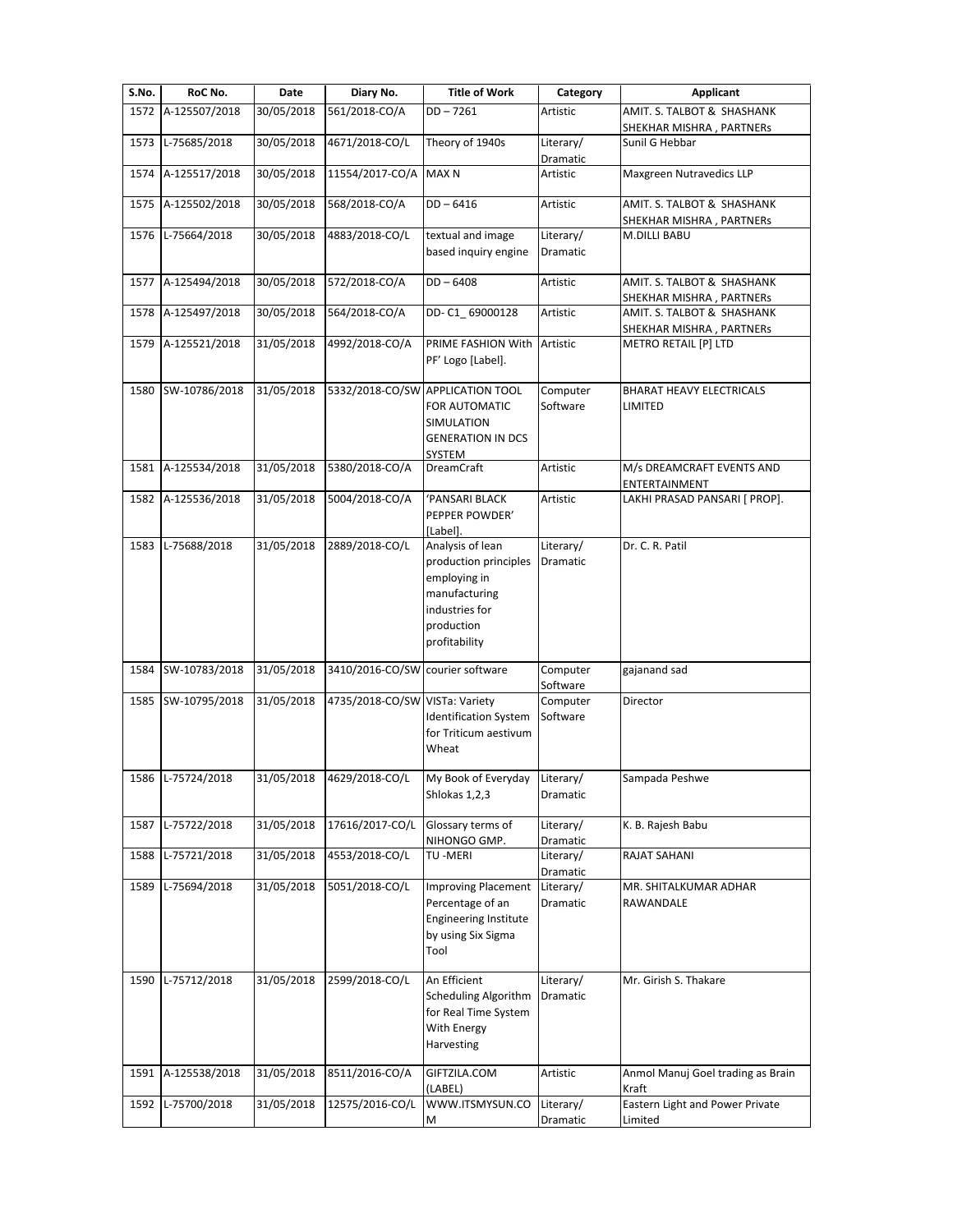| S.No. | RoC No.            | Date       | Diary No.                        | <b>Title of Work</b>                                                                                                        | Category              | Applicant                                              |
|-------|--------------------|------------|----------------------------------|-----------------------------------------------------------------------------------------------------------------------------|-----------------------|--------------------------------------------------------|
|       | 1572 A-125507/2018 | 30/05/2018 | 561/2018-CO/A                    | $DD - 7261$                                                                                                                 | Artistic              | AMIT. S. TALBOT & SHASHANK                             |
|       |                    |            |                                  |                                                                                                                             |                       | SHEKHAR MISHRA, PARTNERs                               |
|       | 1573 L-75685/2018  | 30/05/2018 | 4671/2018-CO/L                   | Theory of 1940s                                                                                                             | Literary/<br>Dramatic | Sunil G Hebbar                                         |
| 1574  | A-125517/2018      | 30/05/2018 | 11554/2017-CO/A                  | <b>MAX N</b>                                                                                                                | Artistic              | Maxgreen Nutravedics LLP                               |
| 1575  | A-125502/2018      | 30/05/2018 | 568/2018-CO/A                    | $DD - 6416$                                                                                                                 | Artistic              | AMIT. S. TALBOT & SHASHANK<br>SHEKHAR MISHRA, PARTNERS |
| 1576  | L-75664/2018       | 30/05/2018 | 4883/2018-CO/L                   | textual and image<br>based inquiry engine                                                                                   | Literary/<br>Dramatic | <b>M.DILLI BABU</b>                                    |
| 1577  | A-125494/2018      | 30/05/2018 | 572/2018-CO/A                    | $DD - 6408$                                                                                                                 | Artistic              | AMIT. S. TALBOT & SHASHANK<br>SHEKHAR MISHRA, PARTNERS |
| 1578  | A-125497/2018      | 30/05/2018 | 564/2018-CO/A                    | DD-C1 69000128                                                                                                              | Artistic              | AMIT. S. TALBOT & SHASHANK<br>SHEKHAR MISHRA, PARTNERs |
| 1579  | A-125521/2018      | 31/05/2018 | 4992/2018-CO/A                   | PRIME FASHION With<br>PF' Logo [Label].                                                                                     | Artistic              | METRO RETAIL [P] LTD                                   |
| 1580  | SW-10786/2018      | 31/05/2018 |                                  | 5332/2018-CO/SW APPLICATION TOOL<br>FOR AUTOMATIC<br>SIMULATION<br><b>GENERATION IN DCS</b><br>SYSTEM                       | Computer<br>Software  | <b>BHARAT HEAVY ELECTRICALS</b><br>LIMITED             |
|       | 1581 A-125534/2018 | 31/05/2018 | 5380/2018-CO/A                   | <b>DreamCraft</b>                                                                                                           | Artistic              | M/s DREAMCRAFT EVENTS AND<br>ENTERTAINMENT             |
| 1582  | A-125536/2018      | 31/05/2018 | 5004/2018-CO/A                   | 'PANSARI BLACK<br>PEPPER POWDER'<br>[Label].                                                                                | Artistic              | LAKHI PRASAD PANSARI [ PROP].                          |
| 1583  | L-75688/2018       | 31/05/2018 | 2889/2018-CO/L                   | Analysis of lean<br>production principles<br>employing in<br>manufacturing<br>industries for<br>production<br>profitability | Literary/<br>Dramatic | Dr. C. R. Patil                                        |
| 1584  | SW-10783/2018      | 31/05/2018 | 3410/2016-CO/SW courier software |                                                                                                                             | Computer<br>Software  | gajanand sad                                           |
| 1585  | SW-10795/2018      | 31/05/2018 | 4735/2018-CO/SW VISTa: Variety   | <b>Identification System</b><br>for Triticum aestivum<br>Wheat                                                              | Computer<br>Software  | Director                                               |
|       | 1586 L-75724/2018  | 31/05/2018 | 4629/2018-CO/L                   | My Book of Everyday<br>Shlokas 1,2,3                                                                                        | Literary/<br>Dramatic | Sampada Peshwe                                         |
| 1587  | L-75722/2018       | 31/05/2018 | 17616/2017-CO/L                  | Glossary terms of<br>NIHONGO GMP.                                                                                           | Literary/<br>Dramatic | K. B. Rajesh Babu                                      |
| 1588  | L-75721/2018       | 31/05/2018 | 4553/2018-CO/L                   | TU -MERI                                                                                                                    | Literary/<br>Dramatic | <b>RAJAT SAHANI</b>                                    |
| 1589  | L-75694/2018       | 31/05/2018 | 5051/2018-CO/L                   | <b>Improving Placement</b><br>Percentage of an<br><b>Engineering Institute</b><br>by using Six Sigma<br>Tool                | Literary/<br>Dramatic | MR. SHITALKUMAR ADHAR<br>RAWANDALE                     |
| 1590  | L-75712/2018       | 31/05/2018 | 2599/2018-CO/L                   | An Efficient<br><b>Scheduling Algorithm</b><br>for Real Time System<br>With Energy<br>Harvesting                            | Literary/<br>Dramatic | Mr. Girish S. Thakare                                  |
| 1591  | A-125538/2018      | 31/05/2018 | 8511/2016-CO/A                   | GIFTZILA.COM<br>(LABEL)                                                                                                     | Artistic              | Anmol Manuj Goel trading as Brain<br>Kraft             |
|       | 1592 L-75700/2018  | 31/05/2018 | 12575/2016-CO/L                  | WWW.ITSMYSUN.CO<br>М                                                                                                        | Literary/<br>Dramatic | Eastern Light and Power Private<br>Limited             |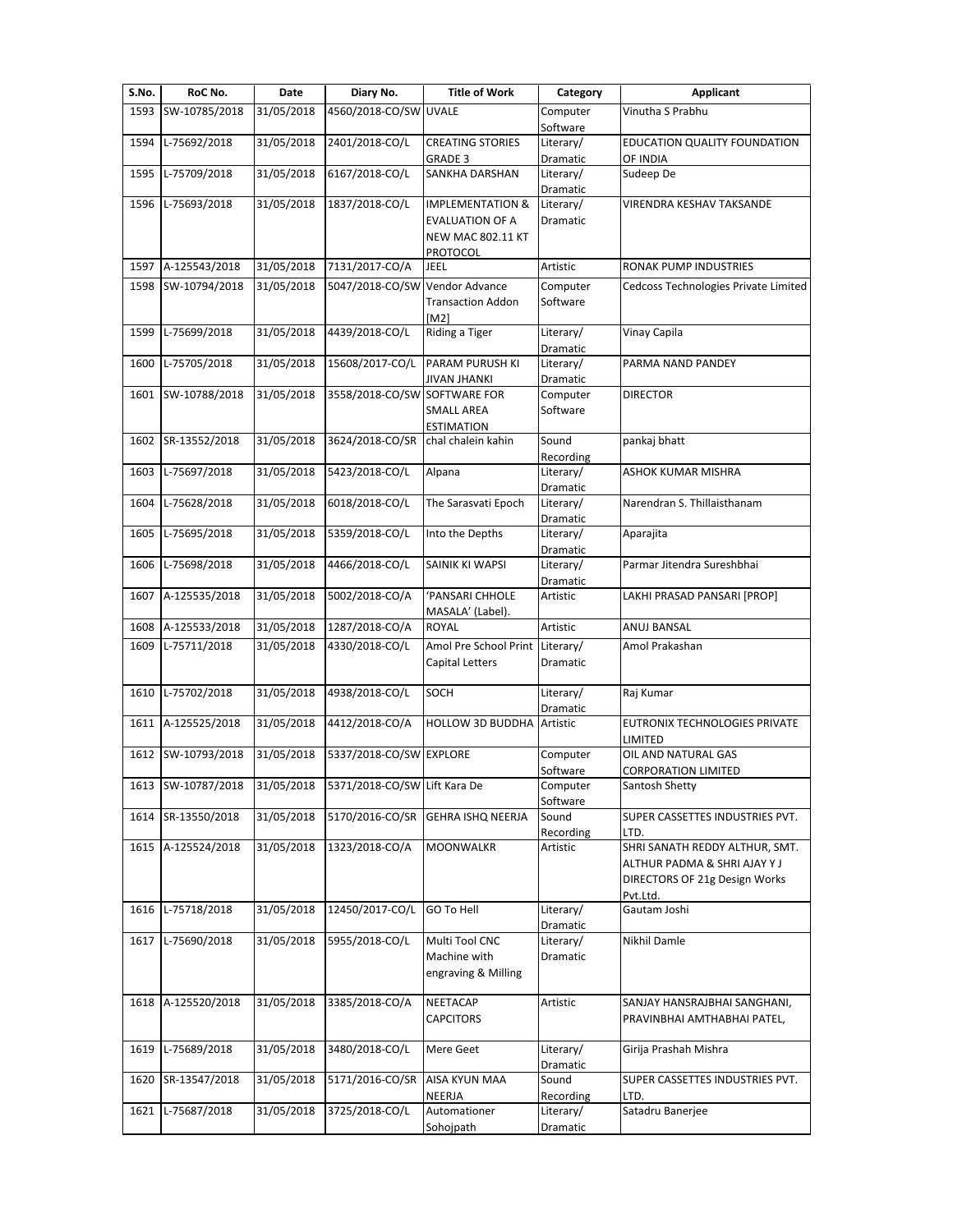| S.No. | RoC No.            | Date       | Diary No.                      | <b>Title of Work</b>                                                       | Category              | <b>Applicant</b>                                                                                            |
|-------|--------------------|------------|--------------------------------|----------------------------------------------------------------------------|-----------------------|-------------------------------------------------------------------------------------------------------------|
| 1593  | SW-10785/2018      | 31/05/2018 | 4560/2018-CO/SW UVALE          |                                                                            | Computer<br>Software  | Vinutha S Prabhu                                                                                            |
| 1594  | L-75692/2018       | 31/05/2018 | 2401/2018-CO/L                 | <b>CREATING STORIES</b><br><b>GRADE 3</b>                                  | Literary/<br>Dramatic | EDUCATION QUALITY FOUNDATION<br>OF INDIA                                                                    |
| 1595  | L-75709/2018       | 31/05/2018 | 6167/2018-CO/L                 | SANKHA DARSHAN                                                             | Literary/<br>Dramatic | Sudeep De                                                                                                   |
| 1596  | L-75693/2018       | 31/05/2018 | 1837/2018-CO/L                 | <b>IMPLEMENTATION &amp;</b><br>EVALUATION OF A<br><b>NEW MAC 802.11 KT</b> | Literary/<br>Dramatic | VIRENDRA KESHAV TAKSANDE                                                                                    |
|       |                    |            |                                | PROTOCOL                                                                   |                       |                                                                                                             |
| 1597  | A-125543/2018      | 31/05/2018 | 7131/2017-CO/A                 | JEEL                                                                       | Artistic              | <b>RONAK PUMP INDUSTRIES</b>                                                                                |
| 1598  | SW-10794/2018      | 31/05/2018 | 5047/2018-CO/SW Vendor Advance | <b>Transaction Addon</b><br>[M2]                                           | Computer<br>Software  | Cedcoss Technologies Private Limited                                                                        |
| 1599  | L-75699/2018       | 31/05/2018 | 4439/2018-CO/L                 | Riding a Tiger                                                             | Literary/<br>Dramatic | Vinay Capila                                                                                                |
| 1600  | L-75705/2018       | 31/05/2018 | 15608/2017-CO/L                | PARAM PURUSH KI<br>JIVAN JHANKI                                            | Literary/<br>Dramatic | PARMA NAND PANDEY                                                                                           |
| 1601  | SW-10788/2018      | 31/05/2018 | 3558/2018-CO/SW                | SOFTWARE FOR<br>SMALL AREA<br><b>ESTIMATION</b>                            | Computer<br>Software  | <b>DIRECTOR</b>                                                                                             |
| 1602  | SR-13552/2018      | 31/05/2018 | 3624/2018-CO/SR                | chal chalein kahin                                                         | Sound<br>Recording    | pankaj bhatt                                                                                                |
| 1603  | L-75697/2018       | 31/05/2018 | 5423/2018-CO/L                 | Alpana                                                                     | Literary/<br>Dramatic | ASHOK KUMAR MISHRA                                                                                          |
| 1604  | L-75628/2018       | 31/05/2018 | 6018/2018-CO/L                 | The Sarasvati Epoch                                                        | Literary/<br>Dramatic | Narendran S. Thillaisthanam                                                                                 |
| 1605  | L-75695/2018       | 31/05/2018 | 5359/2018-CO/L                 | Into the Depths                                                            | Literary/<br>Dramatic | Aparajita                                                                                                   |
| 1606  | L-75698/2018       | 31/05/2018 | 4466/2018-CO/L                 | SAINIK KI WAPSI                                                            | Literary/<br>Dramatic | Parmar Jitendra Sureshbhai                                                                                  |
| 1607  | A-125535/2018      | 31/05/2018 | 5002/2018-CO/A                 | 'PANSARI CHHOLE<br>MASALA' (Label).                                        | Artistic              | LAKHI PRASAD PANSARI [PROP]                                                                                 |
| 1608  | A-125533/2018      | 31/05/2018 | 1287/2018-CO/A                 | ROYAL                                                                      | Artistic              | ANUJ BANSAL                                                                                                 |
| 1609  | L-75711/2018       | 31/05/2018 | 4330/2018-CO/L                 | Amol Pre School Print<br>Capital Letters                                   | Literary/<br>Dramatic | Amol Prakashan                                                                                              |
| 1610  | L-75702/2018       | 31/05/2018 | 4938/2018-CO/L                 | SOCH                                                                       | Literary/<br>Dramatic | Raj Kumar                                                                                                   |
| 1611  | A-125525/2018      | 31/05/2018 | 4412/2018-CO/A                 | HOLLOW 3D BUDDHA                                                           | Artistic              | EUTRONIX TECHNOLOGIES PRIVATE<br>LIMITED                                                                    |
| 1612  | SW-10793/2018      | 31/05/2018 | 5337/2018-CO/SW EXPLORE        |                                                                            | Computer<br>Software  | OIL AND NATURAL GAS<br><b>CORPORATION LIMITED</b>                                                           |
|       | 1613 SW-10787/2018 | 31/05/2018 | 5371/2018-CO/SW Lift Kara De   |                                                                            | Computer<br>Software  | Santosh Shetty                                                                                              |
| 1614  | SR-13550/2018      | 31/05/2018 | 5170/2016-CO/SR                | <b>GEHRA ISHQ NEERJA</b>                                                   | Sound<br>Recording    | SUPER CASSETTES INDUSTRIES PVT.<br>LTD.                                                                     |
| 1615  | A-125524/2018      | 31/05/2018 | 1323/2018-CO/A                 | <b>MOONWALKR</b>                                                           | Artistic              | SHRI SANATH REDDY ALTHUR, SMT.<br>ALTHUR PADMA & SHRI AJAY Y J<br>DIRECTORS OF 21g Design Works<br>Pvt.Ltd. |
|       | 1616 L-75718/2018  | 31/05/2018 | 12450/2017-CO/L                | GO To Hell                                                                 | Literary/<br>Dramatic | Gautam Joshi                                                                                                |
| 1617  | L-75690/2018       | 31/05/2018 | 5955/2018-CO/L                 | Multi Tool CNC<br>Machine with<br>engraving & Milling                      | Literary/<br>Dramatic | Nikhil Damle                                                                                                |
|       | 1618 A-125520/2018 | 31/05/2018 | 3385/2018-CO/A                 | NEETACAP<br><b>CAPCITORS</b>                                               | Artistic              | SANJAY HANSRAJBHAI SANGHANI,<br>PRAVINBHAI AMTHABHAI PATEL,                                                 |
| 1619  | L-75689/2018       | 31/05/2018 | 3480/2018-CO/L                 | Mere Geet                                                                  | Literary/<br>Dramatic | Girija Prashah Mishra                                                                                       |
| 1620  | SR-13547/2018      | 31/05/2018 | 5171/2016-CO/SR                | AISA KYUN MAA<br>NEERJA                                                    | Sound<br>Recording    | SUPER CASSETTES INDUSTRIES PVT.<br>LTD.                                                                     |
| 1621  | L-75687/2018       | 31/05/2018 | 3725/2018-CO/L                 | Automationer<br>Sohojpath                                                  | Literary/<br>Dramatic | Satadru Banerjee                                                                                            |
|       |                    |            |                                |                                                                            |                       |                                                                                                             |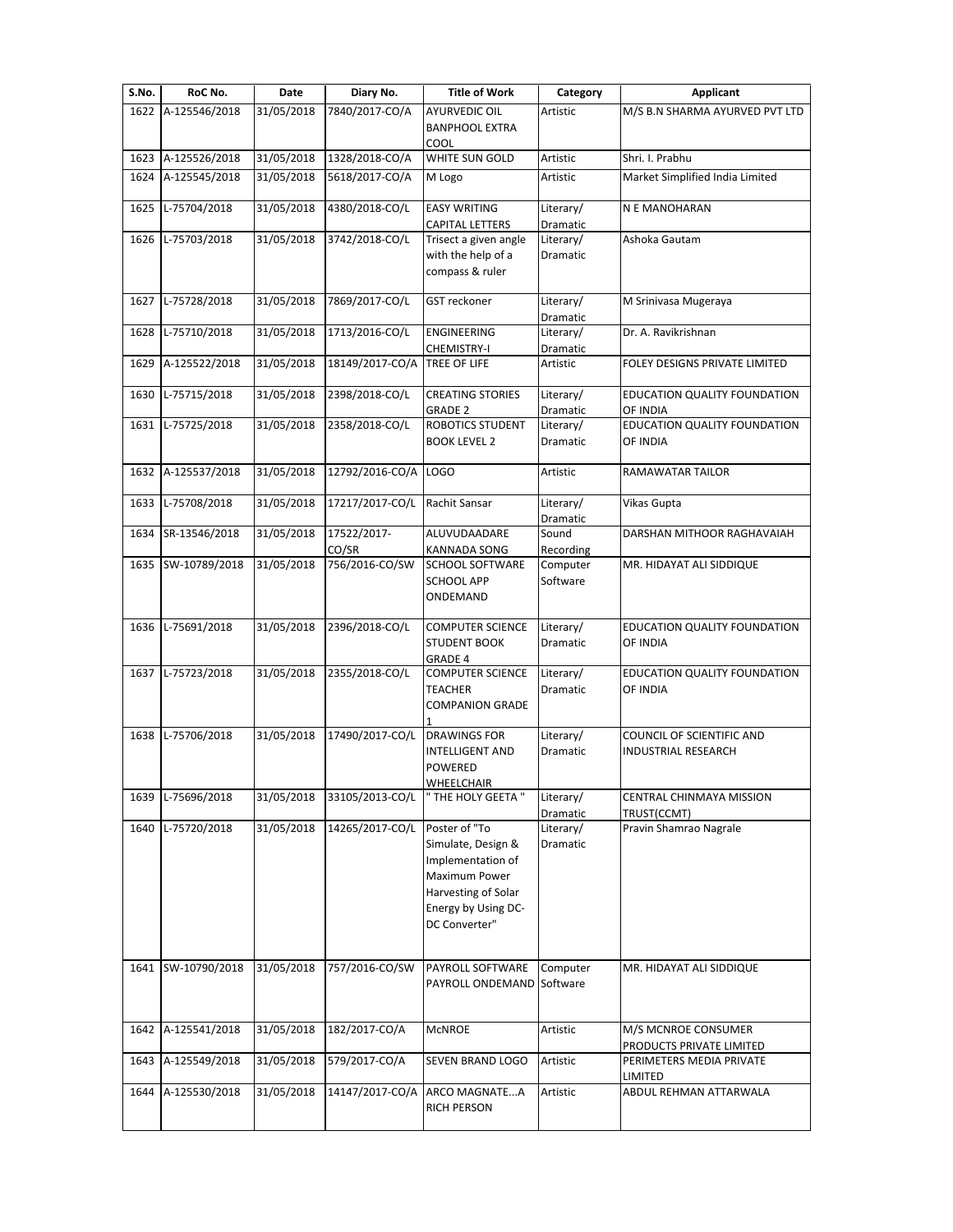| S.No. | RoC No.           | Date       | Diary No.            | <b>Title of Work</b>                                                                                                                     | Category              | Applicant                                               |
|-------|-------------------|------------|----------------------|------------------------------------------------------------------------------------------------------------------------------------------|-----------------------|---------------------------------------------------------|
| 1622  | A-125546/2018     | 31/05/2018 | 7840/2017-CO/A       | <b>AYURVEDIC OIL</b>                                                                                                                     | Artistic              | M/S B.N SHARMA AYURVED PVT LTD                          |
|       |                   |            |                      | <b>BANPHOOL EXTRA</b><br>COOL                                                                                                            |                       |                                                         |
| 1623  | A-125526/2018     | 31/05/2018 | 1328/2018-CO/A       | WHITE SUN GOLD                                                                                                                           | Artistic              | Shri. I. Prabhu                                         |
| 1624  | A-125545/2018     | 31/05/2018 | 5618/2017-CO/A       | M Logo                                                                                                                                   | Artistic              | Market Simplified India Limited                         |
| 1625  | L-75704/2018      | 31/05/2018 | 4380/2018-CO/L       | <b>EASY WRITING</b><br><b>CAPITAL LETTERS</b>                                                                                            | Literary/<br>Dramatic | N E MANOHARAN                                           |
| 1626  | L-75703/2018      | 31/05/2018 | 3742/2018-CO/L       | Trisect a given angle                                                                                                                    | Literary/             | Ashoka Gautam                                           |
|       |                   |            |                      | with the help of a<br>compass & ruler                                                                                                    | Dramatic              |                                                         |
| 1627  | L-75728/2018      | 31/05/2018 | 7869/2017-CO/L       | GST reckoner                                                                                                                             | Literary/<br>Dramatic | M Srinivasa Mugeraya                                    |
| 1628  | L-75710/2018      | 31/05/2018 | 1713/2016-CO/L       | ENGINEERING<br>CHEMISTRY-I                                                                                                               | Literary/<br>Dramatic | Dr. A. Ravikrishnan                                     |
| 1629  | A-125522/2018     | 31/05/2018 | 18149/2017-CO/A      | <b>TREE OF LIFE</b>                                                                                                                      | Artistic              | FOLEY DESIGNS PRIVATE LIMITED                           |
| 1630  | L-75715/2018      | 31/05/2018 | 2398/2018-CO/L       | <b>CREATING STORIES</b><br><b>GRADE 2</b>                                                                                                | Literary/<br>Dramatic | EDUCATION QUALITY FOUNDATION<br>OF INDIA                |
| 1631  | L-75725/2018      | 31/05/2018 | 2358/2018-CO/L       | ROBOTICS STUDENT                                                                                                                         | Literary/             | EDUCATION QUALITY FOUNDATION                            |
|       |                   |            |                      | <b>BOOK LEVEL 2</b>                                                                                                                      | Dramatic              | OF INDIA                                                |
| 1632  | A-125537/2018     | 31/05/2018 | 12792/2016-CO/A      | LOGO                                                                                                                                     | Artistic              | RAMAWATAR TAILOR                                        |
| 1633  | L-75708/2018      | 31/05/2018 | 17217/2017-CO/L      | Rachit Sansar                                                                                                                            | Literary/<br>Dramatic | Vikas Gupta                                             |
| 1634  | SR-13546/2018     | 31/05/2018 | 17522/2017-<br>CO/SR | ALUVUDAADARE<br><b>KANNADA SONG</b>                                                                                                      | Sound<br>Recording    | DARSHAN MITHOOR RAGHAVAIAH                              |
| 1635  | SW-10789/2018     | 31/05/2018 | 756/2016-CO/SW       | <b>SCHOOL SOFTWARE</b><br><b>SCHOOL APP</b><br>ONDEMAND                                                                                  | Computer<br>Software  | MR. HIDAYAT ALI SIDDIQUE                                |
| 1636  | L-75691/2018      | 31/05/2018 | 2396/2018-CO/L       | <b>COMPUTER SCIENCE</b><br><b>STUDENT BOOK</b><br>GRADE 4                                                                                | Literary/<br>Dramatic | EDUCATION QUALITY FOUNDATION<br>OF INDIA                |
|       | 1637 L-75723/2018 | 31/05/2018 | 2355/2018-CO/L       | <b>COMPUTER SCIENCE</b><br><b>TEACHER</b><br><b>COMPANION GRADE</b>                                                                      | Literary/<br>Dramatic | EDUCATION QUALITY FOUNDATION<br>OF INDIA                |
| 1638  | L-75706/2018      | 31/05/2018 | 17490/2017-CO/L      | <b>DRAWINGS FOR</b><br><b>INTELLIGENT AND</b><br>POWERED<br><b>WHEELCHAIR</b>                                                            | Literary/<br>Dramatic | COUNCIL OF SCIENTIFIC AND<br><b>INDUSTRIAL RESEARCH</b> |
| 1639  | L-75696/2018      | 31/05/2018 | 33105/2013-CO/L      | " THE HOLY GEETA "                                                                                                                       | Literary/<br>Dramatic | CENTRAL CHINMAYA MISSION<br>TRUST(CCMT)                 |
| 1640  | L-75720/2018      | 31/05/2018 | 14265/2017-CO/L      | Poster of "To<br>Simulate, Design &<br>Implementation of<br>Maximum Power<br>Harvesting of Solar<br>Energy by Using DC-<br>DC Converter" | Literary/<br>Dramatic | Pravin Shamrao Nagrale                                  |
| 1641  | SW-10790/2018     | 31/05/2018 | 757/2016-CO/SW       | PAYROLL SOFTWARE<br>PAYROLL ONDEMAND Software                                                                                            | Computer              | MR. HIDAYAT ALI SIDDIQUE                                |
| 1642  | A-125541/2018     | 31/05/2018 | 182/2017-CO/A        | <b>McNROE</b>                                                                                                                            | Artistic              | M/S MCNROE CONSUMER                                     |
| 1643  | A-125549/2018     | 31/05/2018 | 579/2017-CO/A        | SEVEN BRAND LOGO                                                                                                                         | Artistic              | PRODUCTS PRIVATE LIMITED<br>PERIMETERS MEDIA PRIVATE    |
| 1644  | A-125530/2018     | 31/05/2018 | 14147/2017-CO/A      | ARCO MAGNATEA<br><b>RICH PERSON</b>                                                                                                      | Artistic              | LIMITED<br>ABDUL REHMAN ATTARWALA                       |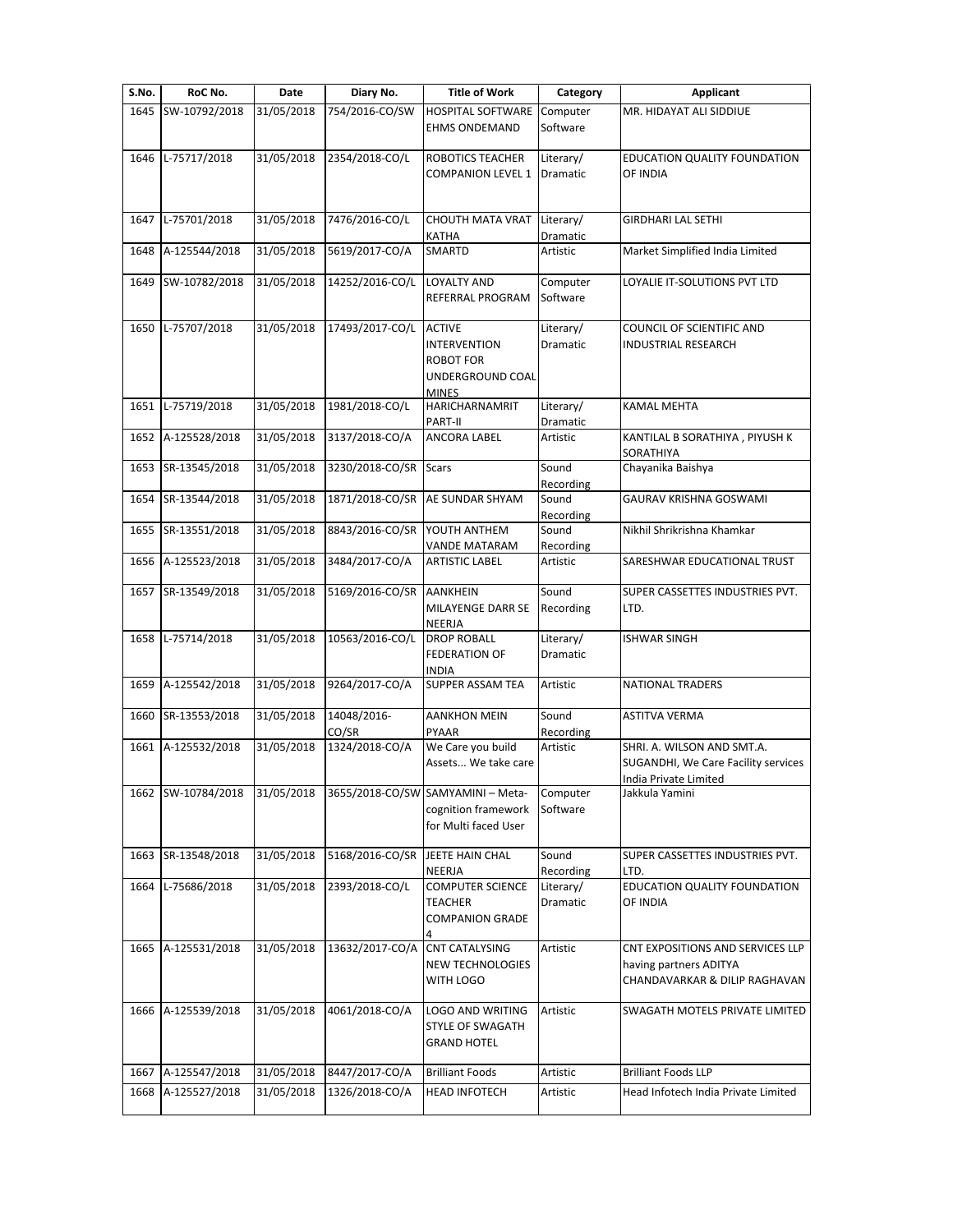| S.No. | RoC No.            | Date       | Diary No.                | <b>Title of Work</b>                                                                         | Category              | <b>Applicant</b>                                                                            |
|-------|--------------------|------------|--------------------------|----------------------------------------------------------------------------------------------|-----------------------|---------------------------------------------------------------------------------------------|
| 1645  | SW-10792/2018      | 31/05/2018 | 754/2016-CO/SW           | <b>HOSPITAL SOFTWARE</b>                                                                     | Computer              | MR. HIDAYAT ALI SIDDIUE                                                                     |
|       |                    |            |                          | <b>EHMS ONDEMAND</b>                                                                         | Software              |                                                                                             |
| 1646  | L-75717/2018       | 31/05/2018 | 2354/2018-CO/L           | ROBOTICS TEACHER<br><b>COMPANION LEVEL 1</b>                                                 | Literary/<br>Dramatic | EDUCATION QUALITY FOUNDATION<br>OF INDIA                                                    |
| 1647  | L-75701/2018       | 31/05/2018 | 7476/2016-CO/L           | CHOUTH MATA VRAT<br>KATHA                                                                    | Literary/<br>Dramatic | <b>GIRDHARI LAL SETHI</b>                                                                   |
| 1648  | A-125544/2018      | 31/05/2018 | 5619/2017-CO/A           | SMARTD                                                                                       | Artistic              | Market Simplified India Limited                                                             |
| 1649  | SW-10782/2018      | 31/05/2018 | 14252/2016-CO/L          | <b>LOYALTY AND</b><br>REFERRAL PROGRAM                                                       | Computer<br>Software  | LOYALIE IT-SOLUTIONS PVT LTD                                                                |
|       | 1650 L-75707/2018  | 31/05/2018 | 17493/2017-CO/L          | <b>ACTIVE</b><br><b>INTERVENTION</b><br><b>ROBOT FOR</b><br>UNDERGROUND COAL<br><b>MINES</b> | Literary/<br>Dramatic | COUNCIL OF SCIENTIFIC AND<br>INDUSTRIAL RESEARCH                                            |
|       | 1651 L-75719/2018  | 31/05/2018 | 1981/2018-CO/L           | HARICHARNAMRIT<br>PART-II                                                                    | Literary/<br>Dramatic | <b>KAMAL MEHTA</b>                                                                          |
| 1652  | A-125528/2018      | 31/05/2018 | 3137/2018-CO/A           | ANCORA LABEL                                                                                 | Artistic              | KANTILAL B SORATHIYA, PIYUSH K<br>SORATHIYA                                                 |
| 1653  | SR-13545/2018      | 31/05/2018 | 3230/2018-CO/SR Scars    |                                                                                              | Sound<br>Recording    | Chayanika Baishya                                                                           |
| 1654  | SR-13544/2018      | 31/05/2018 | 1871/2018-CO/SR          | <b>AE SUNDAR SHYAM</b>                                                                       | Sound<br>Recording    | <b>GAURAV KRISHNA GOSWAMI</b>                                                               |
| 1655  | SR-13551/2018      | 31/05/2018 | 8843/2016-CO/SR          | YOUTH ANTHEM<br>VANDE MATARAM                                                                | Sound<br>Recording    | Nikhil Shrikrishna Khamkar                                                                  |
| 1656  | A-125523/2018      | 31/05/2018 | 3484/2017-CO/A           | <b>ARTISTIC LABEL</b>                                                                        | Artistic              | SARESHWAR EDUCATIONAL TRUST                                                                 |
| 1657  | SR-13549/2018      | 31/05/2018 | 5169/2016-CO/SR AANKHEIN | MILAYENGE DARR SE<br><b>NEERJA</b>                                                           | Sound<br>Recording    | SUPER CASSETTES INDUSTRIES PVT.<br>LTD.                                                     |
| 1658  | L-75714/2018       | 31/05/2018 | 10563/2016-CO/L          | <b>DROP ROBALL</b><br><b>FEDERATION OF</b><br><b>INDIA</b>                                   | Literary/<br>Dramatic | <b>ISHWAR SINGH</b>                                                                         |
| 1659  | A-125542/2018      | 31/05/2018 | 9264/2017-CO/A           | SUPPER ASSAM TEA                                                                             | Artistic              | <b>NATIONAL TRADERS</b>                                                                     |
| 1660  | SR-13553/2018      | 31/05/2018 | 14048/2016-<br>CO/SR     | <b>AANKHON MEIN</b><br>PYAAR                                                                 | Sound<br>Recording    | <b>ASTITVA VERMA</b>                                                                        |
| 1661  | A-125532/2018      | 31/05/2018 | 1324/2018-CO/A           | We Care you build<br>Assets We take care                                                     | Artistic              | SHRI. A. WILSON AND SMT.A.<br>SUGANDHI, We Care Facility services<br>India Private Limited  |
| 1662  | SW-10784/2018      | 31/05/2018 |                          | 3655/2018-CO/SW SAMYAMINI - Meta-<br>cognition framework<br>for Multi faced User             | Computer<br>Software  | Jakkula Yamini                                                                              |
| 1663  | SR-13548/2018      | 31/05/2018 | 5168/2016-CO/SR          | JEETE HAIN CHAL<br>NEERJA                                                                    | Sound<br>Recording    | SUPER CASSETTES INDUSTRIES PVT.<br>LTD.                                                     |
| 1664  | L-75686/2018       | 31/05/2018 | 2393/2018-CO/L           | <b>COMPUTER SCIENCE</b><br><b>TEACHER</b><br><b>COMPANION GRADE</b>                          | Literary/<br>Dramatic | EDUCATION QUALITY FOUNDATION<br>OF INDIA                                                    |
| 1665  | A-125531/2018      | 31/05/2018 | 13632/2017-CO/A          | <b>CNT CATALYSING</b><br><b>NEW TECHNOLOGIES</b><br>WITH LOGO                                | Artistic              | CNT EXPOSITIONS AND SERVICES LLP<br>having partners ADITYA<br>CHANDAVARKAR & DILIP RAGHAVAN |
|       | 1666 A-125539/2018 | 31/05/2018 | 4061/2018-CO/A           | LOGO AND WRITING<br>STYLE OF SWAGATH<br><b>GRAND HOTEL</b>                                   | Artistic              | SWAGATH MOTELS PRIVATE LIMITED                                                              |
| 1667  | A-125547/2018      | 31/05/2018 | 8447/2017-CO/A           | <b>Brilliant Foods</b>                                                                       | Artistic              | <b>Brilliant Foods LLP</b>                                                                  |
|       |                    | 31/05/2018 | 1326/2018-CO/A           | <b>HEAD INFOTECH</b>                                                                         | Artistic              | Head Infotech India Private Limited                                                         |